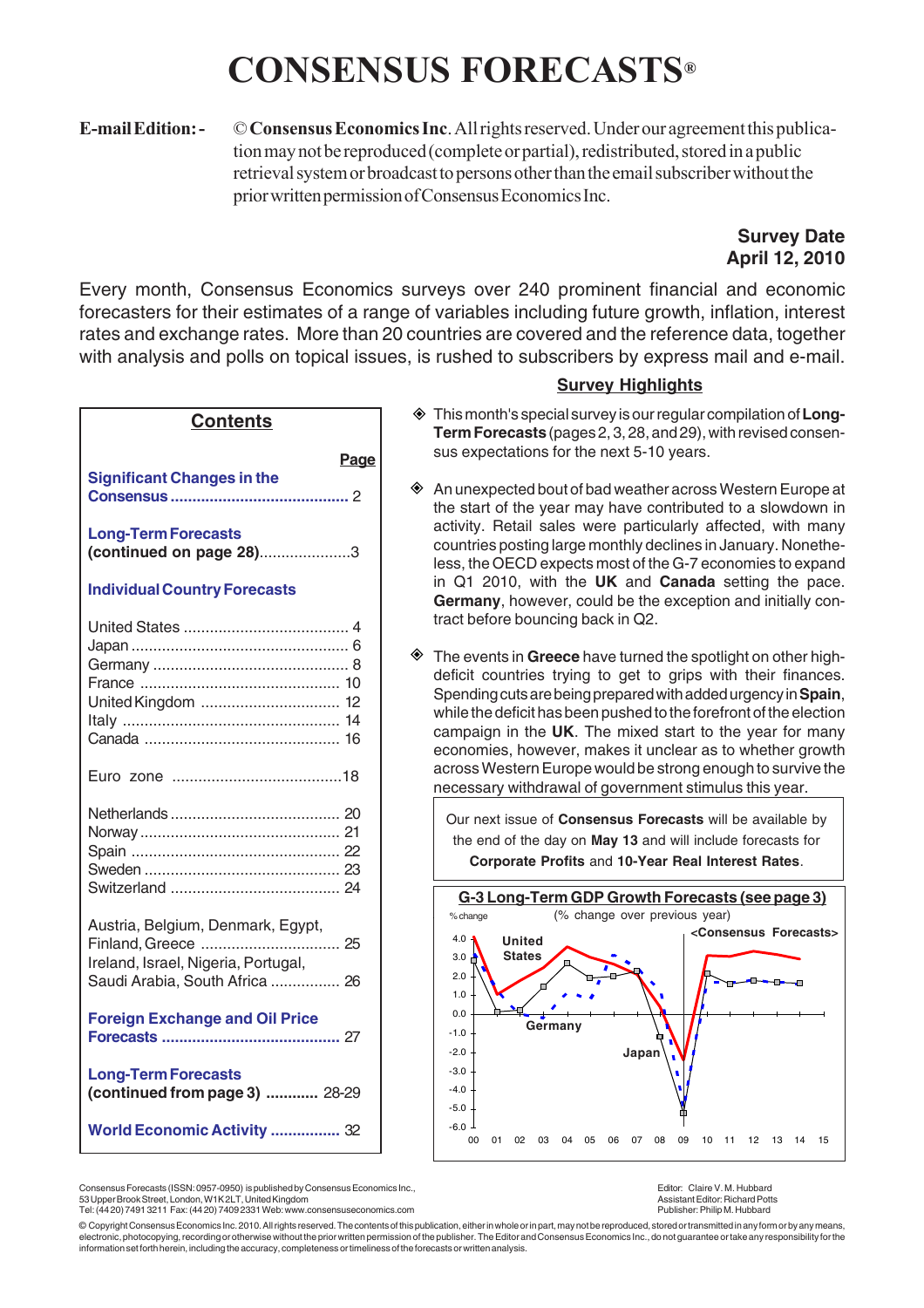# **CONSENSUS FORECASTS®**

**E-mail Edition: -** © **Consensus Economics Inc**. All rights reserved. Under our agreement this publication may not be reproduced (complete or partial), redistributed, stored in a public retrieval system or broadcast to persons other than the email subscriber without the prior written permission of Consensus Economics Inc.

### **Survey Date April 12, 2010**

Every month, Consensus Economics surveys over 240 prominent financial and economic forecasters for their estimates of a range of variables including future growth, inflation, interest rates and exchange rates. More than 20 countries are covered and the reference data, together with analysis and polls on topical issues, is rushed to subscribers by express mail and e-mail.

| <b>Contents</b>                                                                                            |
|------------------------------------------------------------------------------------------------------------|
| Page<br><b>Significant Changes in the</b>                                                                  |
| <b>Long-Term Forecasts</b><br>(continued on page 28)3                                                      |
| <b>Individual Country Forecasts</b>                                                                        |
| United Kingdom  12                                                                                         |
|                                                                                                            |
|                                                                                                            |
| Austria, Belgium, Denmark, Egypt,<br>Ireland, Israel, Nigeria, Portugal,<br>Saudi Arabia, South Africa  26 |
| <b>Foreign Exchange and Oil Price</b>                                                                      |
| <b>Long-Term Forecasts</b><br>(continued from page 3)  28-29                                               |
| World Economic Activity  32                                                                                |

**Survey Highlights**

- This month's special survey is our regular compilation of **Long-Term Forecasts** (pages 2, 3, 28, and 29), with revised consensus expectations for the next 5-10 years.
- An unexpected bout of bad weather across Western Europe at the start of the year may have contributed to a slowdown in activity. Retail sales were particularly affected, with many countries posting large monthly declines in January. Nonetheless, the OECD expects most of the G-7 economies to expand in Q1 2010, with the **UK** and **Canada** setting the pace. **Germany**, however, could be the exception and initially contract before bouncing back in Q2.
- The events in **Greece** have turned the spotlight on other high deficit countries trying to get to grips with their finances. Spending cuts are being prepared with added urgency in **Spain**, while the deficit has been pushed to the forefront of the election campaign in the **UK**. The mixed start to the year for many economies, however, makes it unclear as to whether growth across Western Europe would be strong enough to survive the necessary withdrawal of government stimulus this year.

Our next issue of **Consensus Forecasts** will be available by the end of the day on **May 13** and will include forecasts for **Corporate Profits** and **10-Year Real Interest Rates**.



Consensus Forecasts (ISSN: 0957-0950) is published by Consensus Economics Inc., 53 Upper Brook Street, London, W1K 2LT, United Kingdom

Tel: (44 20) 7491 3211 Fax: (44 20) 7409 2331 Web: www.consensuseconomics.com

© Copyright Consensus Economics Inc. 2010. All rights reserved. The contents of this publication, either in whole or in part, may not be reproduced, stored or transmitted in any form or by any means, electronic, photocopying, recording or otherwise without the prior written permission of the publisher. The Editor and Consensus Economics Inc., do not guarantee or take any responsibility for the information set forth herein, including the accuracy, completeness or timeliness of the forecasts or written analysis.

Editor: Claire V. M. Hubbard Assistant Editor: Richard Potts Publisher: Philip M. Hubbard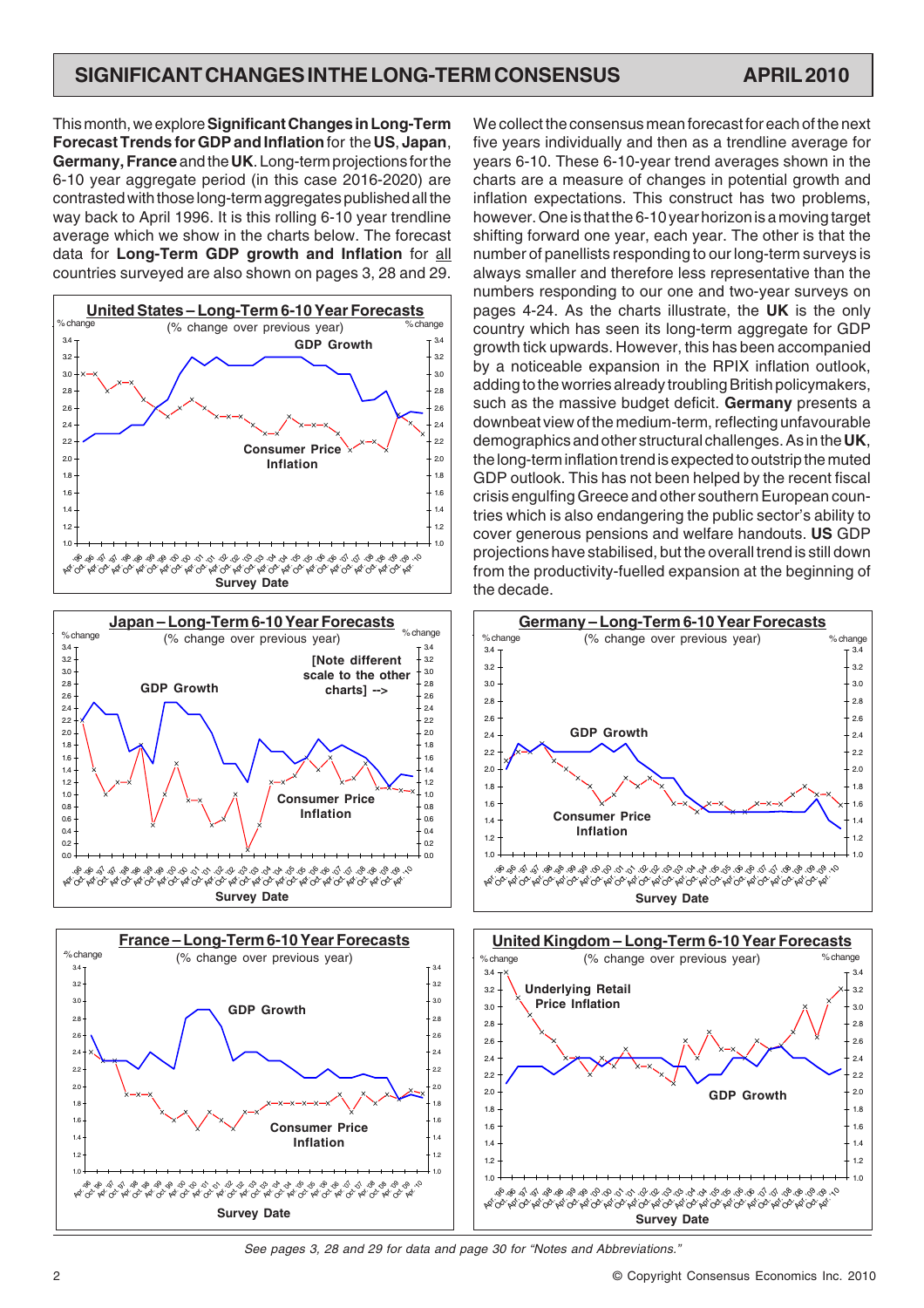### SIGNIFICANT CHANGES IN THE LONG-TERM CONSENSUS **APRIL 2010**

This month, we explore **Significant Changes in Long-Term Forecast Trends for GDP and Inflation** for the **US**, **Japan**, **Germany, France** and the **UK**. Long-term projections for the 6-10 year aggregate period (in this case 2016-2020) are contrasted with those long-term aggregates published all the way back to April 1996. It is this rolling 6-10 year trendline average which we show in the charts below. The forecast data for **Long-Term GDP growth and Inflation** for all countries surveyed are also shown on pages 3, 28 and 29.







We collect the consensus mean forecast for each of the next five years individually and then as a trendline average for years 6-10. These 6-10-year trend averages shown in the charts are a measure of changes in potential growth and inflation expectations. This construct has two problems, however. One is that the 6-10 year horizon is a moving target shifting forward one year, each year. The other is that the number of panellists responding to our long-term surveys is always smaller and therefore less representative than the numbers responding to our one and two-year surveys on pages 4-24. As the charts illustrate, the **UK** is the only country which has seen its long-term aggregate for GDP growth tick upwards. However, this has been accompanied by a noticeable expansion in the RPIX inflation outlook, adding to the worries already troubling British policymakers, such as the massive budget deficit. **Germany** presents a downbeat view of the medium-term, reflecting unfavourable demographics and other structural challenges. As in the **UK**, the long-term inflation trend is expected to outstrip the muted GDP outlook. This has not been helped by the recent fiscal crisis engulfing Greece and other southern European countries which is also endangering the public sector's ability to cover generous pensions and welfare handouts. **US** GDP projections have stabilised, but the overall trend is still down from the productivity-fuelled expansion at the beginning of the decade.





See pages 3, 28 and 29 for data and page 30 for "Notes and Abbreviations."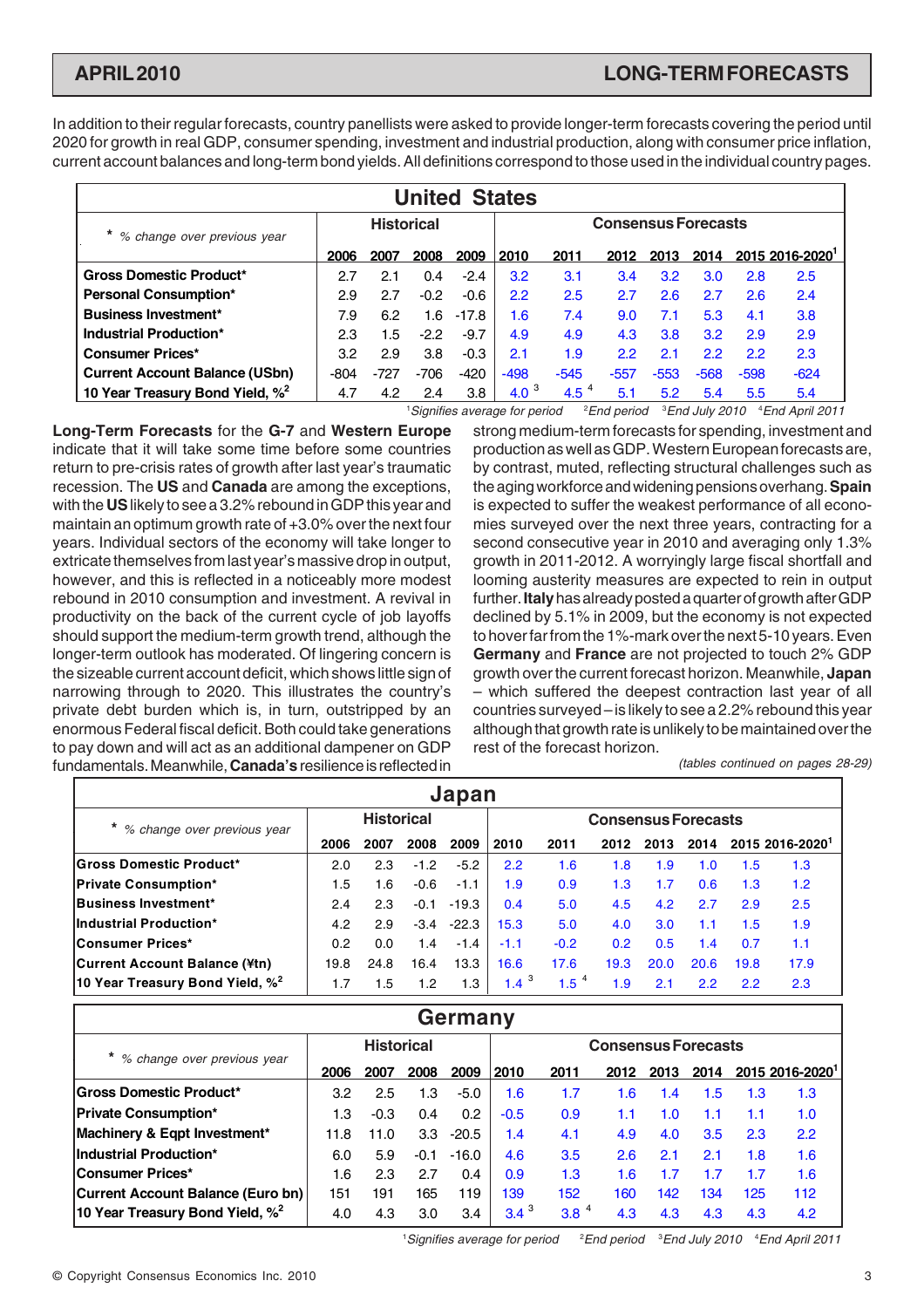In addition to their regular forecasts, country panellists were asked to provide longer-term forecasts covering the period until 2020 for growth in real GDP, consumer spending, investment and industrial production, along with consumer price inflation, current account balances and long-term bond yields. All definitions correspond to those used in the individual country pages.

| <b>United States</b>                        |        |                   |        |         |         |            |        |                            |        |        |                |  |  |
|---------------------------------------------|--------|-------------------|--------|---------|---------|------------|--------|----------------------------|--------|--------|----------------|--|--|
| % change over previous year                 |        | <b>Historical</b> |        |         |         |            |        | <b>Consensus Forecasts</b> |        |        |                |  |  |
|                                             | 2006   | 2007              | 2008   | 2009    | 2010    | 2011       | 2012   | 2013                       | 2014   |        | 2015 2016-2020 |  |  |
| <b>Gross Domestic Product*</b>              | 2.7    | 2.1               | 0.4    | $-2.4$  | 3.2     | 3.1        | 3.4    | 3.2                        | 3.0    | 2.8    | 2.5            |  |  |
| <b>Personal Consumption*</b>                | 2.9    | 2.7               | $-0.2$ | $-0.6$  | 2.2     | 2.5        | 2.7    | 2.6                        | 2.7    | 2.6    | 2.4            |  |  |
| <b>Business Investment*</b>                 | 7.9    | 6.2               | 1.6    | $-17.8$ | 1.6     | 7.4        | 9.0    | 7.1                        | 5.3    | 4.1    | 3.8            |  |  |
| Industrial Production*                      | 2.3    | 1.5               | $-2.2$ | $-9.7$  | 4.9     | 4.9        | 4.3    | 3.8                        | 3.2    | 2.9    | 2.9            |  |  |
| <b>Consumer Prices*</b>                     | 3.2    | 2.9               | 3.8    | $-0.3$  | 2.1     | 1.9        | 22     | 2.1                        | 22     | 22     | 2.3            |  |  |
| <b>Current Account Balance (USbn)</b>       | $-804$ | $-727$            | $-706$ | $-420$  | $-498$  | $-545$     | $-557$ | $-553$                     | $-568$ | $-598$ | $-624$         |  |  |
| 10 Year Treasury Bond Yield, % <sup>2</sup> | 4.7    | 4.2               | 2.4    | 3.8     | 4.0 $3$ | 4.5 $^{4}$ | 5.1    | 5.2                        | 5.4    | 5.5    | 5.4            |  |  |

**Long-Term Forecasts** for the **G-7** and **Western Europe** indicate that it will take some time before some countries return to pre-crisis rates of growth after last year's traumatic recession. The **US** and **Canada** are among the exceptions, with the **US** likely to see a 3.2% rebound in GDP this year and maintain an optimum growth rate of +3.0% over the next four years. Individual sectors of the economy will take longer to extricate themselves from last year's massive drop in output, however, and this is reflected in a noticeably more modest rebound in 2010 consumption and investment. A revival in productivity on the back of the current cycle of job layoffs should support the medium-term growth trend, although the longer-term outlook has moderated. Of lingering concern is the sizeable current account deficit, which shows little sign of narrowing through to 2020. This illustrates the country's private debt burden which is, in turn, outstripped by an enormous Federal fiscal deficit. Both could take generations to pay down and will act as an additional dampener on GDP fundamentals. Meanwhile, **Canada's** resilience is reflected in (tables continued on pages 28-29)

 $1$ Signifies average for period  $2$ End period <sup>3</sup> End July 2010 <sup>4</sup>End April 2011 strong medium-term forecasts for spending, investment and production as well as GDP. Western European forecasts are, by contrast, muted, reflecting structural challenges such as the aging workforce and widening pensions overhang. **Spain** is expected to suffer the weakest performance of all economies surveyed over the next three years, contracting for a second consecutive year in 2010 and averaging only 1.3% growth in 2011-2012. A worryingly large fiscal shortfall and looming austerity measures are expected to rein in output further. **Italy** has already posted a quarter of growth after GDP declined by 5.1% in 2009, but the economy is not expected to hover far from the 1%-mark over the next 5-10 years. Even **Germany** and **France** are not projected to touch 2% GDP growth over the current forecast horizon. Meanwhile, **Japan** – which suffered the deepest contraction last year of all countries surveyed – is likely to see a 2.2% rebound this year although that growth rate is unlikely to be maintained over the rest of the forecast horizon.

| Japan                                |      |                   |        |         |                            |         |      |      |      |      |                             |  |  |
|--------------------------------------|------|-------------------|--------|---------|----------------------------|---------|------|------|------|------|-----------------------------|--|--|
| * % change over previous year        |      | <b>Historical</b> |        |         | <b>Consensus Forecasts</b> |         |      |      |      |      |                             |  |  |
|                                      | 2006 | 2007              | 2008   | 2009    | 2010                       | 2011    | 2012 | 2013 | 2014 |      | 2015 2016-2020 <sup>1</sup> |  |  |
| <b>Gross Domestic Product*</b>       | 2.0  | 2.3               | $-1.2$ | $-5.2$  | 2.2                        | 1.6     | 1.8  | 1.9  | 1.0  | 1.5  | 1.3                         |  |  |
| <b>Private Consumption*</b>          | 1.5  | 1.6               | $-0.6$ | $-1.1$  | 1.9                        | 0.9     | 1.3  | 1.7  | 0.6  | 1.3  | 1.2 <sub>1</sub>            |  |  |
| Business Investment*                 | 2.4  | 2.3               | $-0.1$ | $-19.3$ | 0.4                        | 5.0     | 4.5  | 4.2  | 2.7  | 2.9  | 2.5                         |  |  |
| Industrial Production*               | 4.2  | 2.9               | $-3.4$ | $-22.3$ | 15.3                       | 5.0     | 4.0  | 3.0  | 1.1  | 1.5  | 1.9                         |  |  |
| Consumer Prices*                     | 0.2  | 0.0               | 1.4    | $-1.4$  | $-1.1$                     | $-0.2$  | 0.2  | 0.5  | 1.4  | 0.7  | 1.1                         |  |  |
| <b>Current Account Balance (¥tn)</b> | 19.8 | 24.8              | 16.4   | 13.3    | 16.6                       | 17.6    | 19.3 | 20.0 | 20.6 | 19.8 | 17.9                        |  |  |
| 10 Year Treasury Bond Yield, $\%^2$  | 1.7  | 1.5               | 1.2    | 1.3     | $1.4^{3}$                  | $1.5^4$ | 1.9  | 2.1  | 2.2  | 2.2  | 2.3                         |  |  |

| Germany                             |                  |                   |        |         |                            |                  |      |      |      |     |                |  |  |  |
|-------------------------------------|------------------|-------------------|--------|---------|----------------------------|------------------|------|------|------|-----|----------------|--|--|--|
| % change over previous year         |                  | <b>Historical</b> |        |         | <b>Consensus Forecasts</b> |                  |      |      |      |     |                |  |  |  |
|                                     | 2006             | 2007              | 2008   | 2009    | 2010                       | 2011             | 2012 | 2013 | 2014 |     | 2015 2016-2020 |  |  |  |
| <b>Gross Domestic Product*</b>      | 3.2 <sub>2</sub> | 2.5               | 1.3    | $-5.0$  | 1.6                        | 1.7              | 1.6  | 1.4  | 1.5  | 1.3 | 1.3            |  |  |  |
| <b>Private Consumption*</b>         | 1.3              | $-0.3$            | 0.4    | 0.2     | $-0.5$                     | 0.9              |      | 1.0  | 1.1  | 1.1 | 1.0            |  |  |  |
| Machinery & Eqpt Investment*        | 11.8             | 11.0              | 3.3    | $-20.5$ | 1.4                        | 4.1              | 4.9  | 4.0  | 3.5  | 2.3 | 2.2            |  |  |  |
| Industrial Production*              | 6.0              | 5.9               | $-0.1$ | $-16.0$ | 4.6                        | 3.5              | 2.6  | 2.1  | 2.1  | 1.8 | 1.6            |  |  |  |
| Consumer Prices*                    | 1.6              | 2.3               | 2.7    | 0.4     | 0.9                        | 1.3              | 1.6  | 1.7  | 1.7  | 1.7 | 1.6            |  |  |  |
| Current Account Balance (Euro bn)   | 151              | 191               | 165    | 119     | 139                        | 152              | 160  | 142  | 134  | 125 | 112            |  |  |  |
| 10 Year Treasury Bond Yield, $\%^2$ | 4.0              | 4.3               | 3.0    | 3.4     | $3.4^{3}$                  | 3.8 <sup>4</sup> | 4.3  | 4.3  | 4.3  | 4.3 | 4.2            |  |  |  |

<sup>1</sup>Signifies average for period

End period <sup>3</sup> End July 2010 <sup>4</sup>End April 2011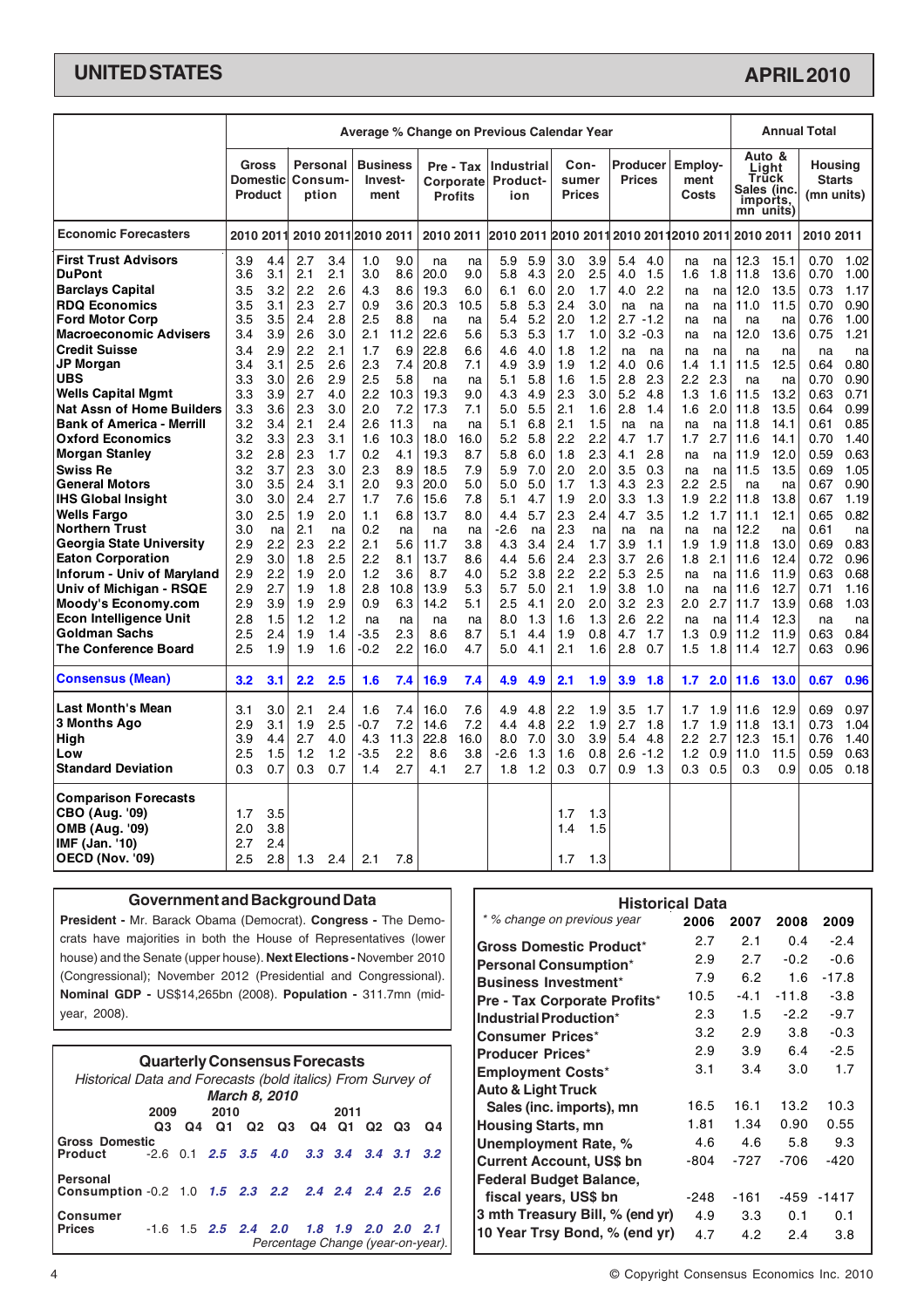|                                                                                                                     |                                            | Average % Change on Previous Calendar Year |                            |       |                               |                                    |      |                                          |                                                   |     |                   | <b>Annual Total</b> |                           |        |                          |     |                         |                                         |                                               |      |
|---------------------------------------------------------------------------------------------------------------------|--------------------------------------------|--------------------------------------------|----------------------------|-------|-------------------------------|------------------------------------|------|------------------------------------------|---------------------------------------------------|-----|-------------------|---------------------|---------------------------|--------|--------------------------|-----|-------------------------|-----------------------------------------|-----------------------------------------------|------|
|                                                                                                                     | Gross<br><b>Domestic</b><br><b>Product</b> |                                            | <b>Personal</b><br>Consum- | ption |                               | <b>Business</b><br>Invest-<br>ment |      | Pre - Tax<br>Corporate<br><b>Profits</b> | <b>Industrial</b><br><b>Product-</b><br>ion       |     | Con-              | sumer<br>Prices     | Producer<br><b>Prices</b> |        | Employ-<br>ment<br>Costs |     | imports.<br>$mn$ units) | Auto &<br>Liaht<br>Trūck<br>Sales (inc. | <b>Housing</b><br><b>Starts</b><br>(mn units) |      |
| <b>Economic Forecasters</b>                                                                                         |                                            |                                            |                            |       | 2010 2011 2010 2011 2010 2011 |                                    |      | 2010 2011                                | 2010 2011 2010 2011 2010 2011 2010 2011 2010 2011 |     |                   |                     |                           |        |                          |     |                         |                                         | 2010 2011                                     |      |
| <b>First Trust Advisors</b>                                                                                         | 3.9                                        | 4.4                                        | 2.7                        | 3.4   | 1.0                           | 9.0                                | na   | na                                       | 5.9                                               | 5.9 | 3.0               | 3.9                 | 5.4                       | 4.0    | na                       | na  | 12.3                    | 15.1                                    | 0.70                                          | 1.02 |
| <b>DuPont</b>                                                                                                       | 3.6                                        | 3.1                                        | 2.1                        | 2.1   | 3.0                           | 8.6                                | 20.0 | 9.0                                      | 5.8                                               | 4.3 | 2.0               | 2.5                 | 4.0                       | 1.5    | 1.6                      | 1.8 | 11.8                    | 13.6                                    | 0.70                                          | 1.00 |
| <b>Barclays Capital</b>                                                                                             | 3.5                                        | 3.2                                        | 2.2                        | 2.6   | 4.3                           | 8.6                                | 19.3 | 6.0                                      | 6.1                                               | 6.0 | 2.0               | 1.7                 | 4.0                       | 2.2    | na                       | na  | 12.0                    | 13.5                                    | 0.73                                          | 1.17 |
| <b>RDQ Economics</b>                                                                                                | 3.5                                        | 3.1                                        | 2.3                        | 2.7   | 0.9                           | 3.6                                | 20.3 | 10.5                                     | 5.8                                               | 5.3 | 2.4               | 3.0                 | na                        | na     | na                       | na  | 11.0                    | 11.5                                    | 0.70                                          | 0.90 |
| <b>Ford Motor Corp</b>                                                                                              | 3.5                                        | 3.5                                        | 2.4                        | 2.8   | 2.5                           | 8.8                                | na   | na                                       | 5.4                                               | 5.2 | 2.0               | 1.2                 | 2.7                       | $-1.2$ | na                       | na  | na                      | na                                      | 0.76                                          | 1.00 |
| <b>Macroeconomic Advisers</b>                                                                                       | 3.4                                        | 3.9                                        | 2.6                        | 3.0   | 2.1                           | 11.2                               | 22.6 | 5.6                                      | 5.3                                               | 5.3 | 1.7               | 1.0                 | 3.2                       | $-0.3$ | na                       | na  | 12.0                    | 13.6                                    | 0.75                                          | 1.21 |
| <b>Credit Suisse</b>                                                                                                | 3.4                                        | 2.9                                        | 2.2                        | 2.1   | 1.7                           | 6.9                                | 22.8 | 6.6                                      | 4.6                                               | 4.0 | 1.8               | 1.2                 | na                        | na     | na                       | na  | na                      | na                                      | na                                            | na   |
| <b>JP Morgan</b>                                                                                                    | 3.4                                        | 3.1                                        | 2.5                        | 2.6   | 2.3                           | 7.4                                | 20.8 | 7.1                                      | 4.9                                               | 3.9 | 1.9               | 1.2                 | 4.0                       | 0.6    | 1.4                      | 1.1 | 11.5                    | 12.5                                    | 0.64                                          | 0.80 |
| <b>UBS</b>                                                                                                          | 3.3                                        | 3.0                                        | 2.6                        | 2.9   | 2.5                           | 5.8                                | na   | na                                       | 5.1                                               | 5.8 | 1.6               | 1.5                 | 2.8                       | 2.3    | 2.2                      | 2.3 | na                      | na                                      | 0.70                                          | 0.90 |
| Wells Capital Mgmt                                                                                                  | 3.3                                        | 3.9                                        | 2.7                        | 4.0   | 2.2                           | 10.3                               | 19.3 | 9.0                                      | 4.3                                               | 4.9 | 2.3               | 3.0                 | 5.2                       | 4.8    | 1.3                      | 1.6 | 11.5                    | 13.2                                    | 0.63                                          | 0.71 |
| <b>Nat Assn of Home Builders</b>                                                                                    | 3.3                                        | 3.6                                        | 2.3                        | 3.0   | 2.0                           | 7.2                                | 17.3 | 7.1                                      | 5.0                                               | 5.5 | 2.1               | 1.6                 | 2.8                       | 1.4    | 1.6                      | 2.0 | 11.8                    | 13.5                                    | 0.64                                          | 0.99 |
| <b>Bank of America - Merrill</b>                                                                                    | 3.2                                        | 3.4                                        | 2.1                        | 2.4   | 2.6                           | 11.3                               | na   | na                                       | 5.1                                               | 6.8 | 2.1               | 1.5                 | na                        | na     | na                       | na  | 11.8                    | 14.1                                    | 0.61                                          | 0.85 |
| <b>Oxford Economics</b>                                                                                             | 3.2                                        | 3.3                                        | 2.3                        | 3.1   | 1.6                           | 10.3                               | 18.0 | 16.0                                     | 5.2                                               | 5.8 | 2.2               | 2.2                 | 4.7                       | 1.7    | 1.7                      | 2.7 | 11.6                    | 14.1                                    | 0.70                                          | 1.40 |
| <b>Morgan Stanley</b>                                                                                               | 3.2                                        | 2.8                                        | 2.3                        | 1.7   | 0.2                           | 4.1                                | 19.3 | 8.7                                      | 5.8                                               | 6.0 | 1.8               | 2.3                 | 4.1                       | 2.8    | na                       | na  | 11.9                    | 12.0                                    | 0.59                                          | 0.63 |
| <b>Swiss Re</b>                                                                                                     | 3.2                                        | 3.7                                        | 2.3                        | 3.0   | 2.3                           | 8.9                                | 18.5 | 7.9                                      | 5.9                                               | 7.0 | 2.0               | 2.0                 | 3.5                       | 0.3    | na                       | na  | 11.5                    | 13.5                                    | 0.69                                          | 1.05 |
| <b>General Motors</b>                                                                                               | 3.0                                        | 3.5                                        | 2.4                        | 3.1   | 2.0                           | 9.3                                | 20.0 | 5.0                                      | 5.0                                               | 5.0 | 1.7               | 1.3                 | 4.3                       | 2.3    | 2.2                      | 2.5 | na                      | na                                      | 0.67                                          | 0.90 |
| <b>IHS Global Insight</b>                                                                                           | 3.0                                        | 3.0                                        | 2.4                        | 2.7   | 1.7                           | 7.6                                | 15.6 | 7.8                                      | 5.1                                               | 4.7 | 1.9               | 2.0                 | 3.3                       | 1.3    | 1.9                      | 2.2 | 11.8                    | 13.8                                    | 0.67                                          | 1.19 |
| Wells Fargo                                                                                                         | 3.0                                        | 2.5                                        | 1.9                        | 2.0   | 1.1                           | 6.8                                | 13.7 | 8.0                                      | 4.4                                               | 5.7 | 2.3               | 2.4                 | 4.7                       | 3.5    | 1.2                      | 1.7 | 11.1                    | 12.1                                    | 0.65                                          | 0.82 |
| Northern Trust                                                                                                      | 3.0                                        | na                                         | 2.1                        | na    | 0.2                           | na                                 | na   | na                                       | $-2.6$                                            | na  | 2.3               | na                  | na                        | na     | na                       | na  | 12.2                    | na                                      | 0.61                                          | na   |
| Georgia State University                                                                                            | 2.9                                        | 2.2                                        | 2.3                        | 2.2   | 2.1                           | 5.6                                | 11.7 | 3.8                                      | 4.3                                               | 3.4 | 2.4               | 1.7                 | 3.9                       | 1.1    | 1.9                      | 1.9 | 11.8                    | 13.0                                    | 0.69                                          | 0.83 |
| <b>Eaton Corporation</b>                                                                                            | 2.9                                        | 3.0                                        | 1.8                        | 2.5   | 2.2                           | 8.1                                | 13.7 | 8.6                                      | 4.4                                               | 5.6 | 2.4               | 2.3                 | 3.7                       | 2.6    | 1.8                      | 2.1 | 11.6                    | 12.4                                    | 0.72                                          | 0.96 |
| Inforum - Univ of Maryland                                                                                          | 2.9                                        | 2.2                                        | 1.9                        | 2.0   | 1.2                           | 3.6                                | 8.7  | 4.0                                      | 5.2                                               | 3.8 | 2.2               | 2.2                 | 5.3                       | 2.5    | na                       | na  | 11.6                    | 11.9                                    | 0.63                                          | 0.68 |
| Univ of Michigan - RSQE                                                                                             | 2.9                                        | 2.7                                        | 1.9                        | 1.8   | 2.8                           | 10.8                               | 13.9 | 5.3                                      | 5.7                                               | 5.0 | 2.1               | 1.9                 | 3.8                       | 1.0    | na                       | na  | 11.6                    | 12.7                                    | 0.71                                          | 1.16 |
| Moody's Economy.com                                                                                                 | 2.9                                        | 3.9                                        | 1.9                        | 2.9   | 0.9                           | 6.3                                | 14.2 | 5.1                                      | 2.5                                               | 4.1 | 2.0               | 2.0                 | 3.2                       | 2.3    | 2.0                      | 2.7 | 11.7                    | 13.9                                    | 0.68                                          | 1.03 |
| Econ Intelligence Unit                                                                                              | 2.8                                        | 1.5                                        | 1.2                        | 1.2   | na                            | na                                 | na   | na                                       | 8.0                                               | 1.3 | 1.6               | 1.3                 | 2.6                       | 2.2    | na                       | na  | 11.4                    | 12.3                                    | na                                            | na   |
| <b>Goldman Sachs</b>                                                                                                | 2.5                                        | 2.4                                        | 1.9                        | 1.4   | 3.5                           | 2.3                                | 8.6  | 8.7                                      | 5.1                                               | 4.4 | 1.9               | 0.8                 | 4.7                       | 1.7    | 1.3                      | 0.9 | 11.2                    | 11.9                                    | 0.63                                          | 0.84 |
| <b>The Conference Board</b>                                                                                         | 2.5                                        | 1.9                                        | 1.9                        | 1.6   | $-0.2$                        | 2.2                                | 16.0 | 4.7                                      | 5.0                                               | 4.1 | 2.1               | 1.6                 | 2.8                       | 0.7    | 1.5                      | 1.8 | 11.4                    | 12.7                                    | 0.63                                          | 0.96 |
| <b>Consensus (Mean)</b>                                                                                             | 3.2                                        | 3.1                                        | 2.2                        | 2.5   | 1.6                           | 7.4                                | 16.9 | 7.4                                      | 4.9                                               | 4.9 | 2.1               | 1.9                 | 3.9                       | 1.8    | 1.7                      | 2.0 | 11.6                    | 13.0                                    | 0.67                                          | 0.96 |
| <b>Last Month's Mean</b>                                                                                            | 3.1                                        | 3.0                                        | 2.1                        | 2.4   | 1.6                           | 7.4                                | 16.0 | 7.6                                      | 4.9                                               | 4.8 | 2.2               | 1.9                 | 3.5                       | 1.7    | 1.7                      | 1.9 | 11.6                    | 12.9                                    | 0.69                                          | 0.97 |
| 3 Months Ago                                                                                                        | 2.9                                        | 3.1                                        | 1.9                        | 2.5   | -0.7                          | 7.2                                | 14.6 | 7.2                                      | 4.4                                               | 4.8 | 2.2               | 1.9                 | 2.7                       | 1.8    | 1.7                      | 1.9 | 11.8                    | 13.1                                    | 0.73                                          | 1.04 |
| High                                                                                                                | 3.9                                        | 4.4                                        | 2.7                        | 4.0   | 4.3                           | 11.3                               | 22.8 | 16.0                                     | 8.0                                               | 7.0 | 3.0               | 3.9                 | 5.4                       | 4.8    | 2.2                      | 2.7 | 12.3                    | 15.1                                    | 0.76                                          | 1.40 |
| Low                                                                                                                 | 2.5                                        | 1.5                                        | 1.2                        | 1.2   | $-3.5$                        | 2.2                                | 8.6  | 3.8                                      | $-2.6$                                            | 1.3 | 1.6               | 0.8                 | 2.6                       | $-1.2$ | 1.2                      | 0.9 | 11.0                    | 11.5                                    | 0.59                                          | 0.63 |
| <b>Standard Deviation</b>                                                                                           | 0.3                                        | 0.7                                        | 0.3                        | 0.7   | 1.4                           | 2.7                                | 4.1  | 2.7                                      | 1.8                                               | 1.2 | 0.3               | 0.7                 | 0.9                       | 1.3    | 0.3                      | 0.5 | 0.3                     | 0.9                                     | 0.05                                          | 0.18 |
| <b>Comparison Forecasts</b><br>CBO (Aug. '09)<br><b>OMB (Aug. '09)</b><br> IMF (Jan. '10)<br><b>OECD (Nov. '09)</b> | 1.7<br>2.0<br>2.7<br>2.5                   | 3.5<br>3.8<br>2.4<br>2.8                   | 1.3                        | 2.4   | 2.1                           | 7.8                                |      |                                          |                                                   |     | 1.7<br>1.4<br>1.7 | 1.3<br>1.5<br>1.3   |                           |        |                          |     |                         |                                         |                                               |      |

#### **Government and Background Data**

**President -** Mr. Barack Obama (Democrat). **Congress -** The Democrats have majorities in both the House of Representatives (lower house) and the Senate (upper house). **Next Elections -** November 2010 (Congressional); November 2012 (Presidential and Congressional). **Nominal GDP -** US\$14,265bn (2008). **Population -** 311.7mn (midyear, 2008).

| <b>Quarterly Consensus Forecasts</b><br>Historical Data and Forecasts (bold italics) From Survey of<br>March 8, 2010 |  |  |  |  |                                                                                 |  |  |  |  |  |  |  |  |
|----------------------------------------------------------------------------------------------------------------------|--|--|--|--|---------------------------------------------------------------------------------|--|--|--|--|--|--|--|--|
| 2010<br>2011<br>2009<br>Q3 Q4 Q1 Q2 Q3 Q4 Q1 Q2 Q3 Q4                                                                |  |  |  |  |                                                                                 |  |  |  |  |  |  |  |  |
|                                                                                                                      |  |  |  |  |                                                                                 |  |  |  |  |  |  |  |  |
| <b>Gross Domestic</b><br>Product                                                                                     |  |  |  |  | $-2.6$ 0.1 2.5 3.5 4.0 3.3 3.4 3.4 3.1 3.2                                      |  |  |  |  |  |  |  |  |
| Personal<br>Consumption -0.2 1.0 1.5 2.3 2.2 2.4 2.4 2.4 2.5 2.6                                                     |  |  |  |  |                                                                                 |  |  |  |  |  |  |  |  |
| <b>Consumer</b><br><b>Prices</b>                                                                                     |  |  |  |  | $-1.6$ 1.5 2.5 2.4 2.0 1.8 1.9 2.0 2.0 2.1<br>Percentage Change (year-on-year). |  |  |  |  |  |  |  |  |

| <b>Historical Data</b>          |      |        |         |         |  |  |  |  |  |  |  |  |  |
|---------------------------------|------|--------|---------|---------|--|--|--|--|--|--|--|--|--|
| * % change on previous year     | 2006 | 2007   | 2008    | 2009    |  |  |  |  |  |  |  |  |  |
| <b>Gross Domestic Product*</b>  | 2.7  | 2.1    | 0.4     | $-2.4$  |  |  |  |  |  |  |  |  |  |
| <b>Personal Consumption*</b>    | 2.9  | 2.7    | $-0.2$  | $-0.6$  |  |  |  |  |  |  |  |  |  |
| <b>Business Investment*</b>     | 7.9  | 6.2    | 1.6     | $-17.8$ |  |  |  |  |  |  |  |  |  |
| Pre - Tax Corporate Profits*    | 10.5 | $-4.1$ | $-11.8$ | $-3.8$  |  |  |  |  |  |  |  |  |  |
| Industrial Production*          | 2.3  | 1.5    | $-2.2$  | $-9.7$  |  |  |  |  |  |  |  |  |  |
| <b>Consumer Prices*</b>         | 3.2  | 2.9    | 3.8     | $-0.3$  |  |  |  |  |  |  |  |  |  |
| <b>Producer Prices*</b>         | 2.9  | 3.9    | 6.4     | $-2.5$  |  |  |  |  |  |  |  |  |  |
| <b>Employment Costs*</b>        | 3.1  | 3.4    | 3.0     | 1.7     |  |  |  |  |  |  |  |  |  |
| <b>Auto &amp; Light Truck</b>   |      |        |         |         |  |  |  |  |  |  |  |  |  |
| Sales (inc. imports), mn        | 16.5 | 16.1   | 13.2    | 10.3    |  |  |  |  |  |  |  |  |  |
| <b>Housing Starts, mn</b>       | 1.81 | 1.34   | 0.90    | 0.55    |  |  |  |  |  |  |  |  |  |
| <b>Unemployment Rate, %</b>     | 4.6  | 4.6    | 5.8     | 9.3     |  |  |  |  |  |  |  |  |  |
| <b>Current Account, US\$ bn</b> | -804 | -727   | $-706$  | $-420$  |  |  |  |  |  |  |  |  |  |
| <b>Federal Budget Balance,</b>  |      |        |         |         |  |  |  |  |  |  |  |  |  |
| fiscal years, US\$ bn           | -248 | -161   | -459    | $-1417$ |  |  |  |  |  |  |  |  |  |
| 3 mth Treasury Bill, % (end yr) | 4.9  | 3.3    | 0.1     | 0.1     |  |  |  |  |  |  |  |  |  |
| 10 Year Trsy Bond, % (end yr)   | 4.7  | 4.2    | 2.4     | 3.8     |  |  |  |  |  |  |  |  |  |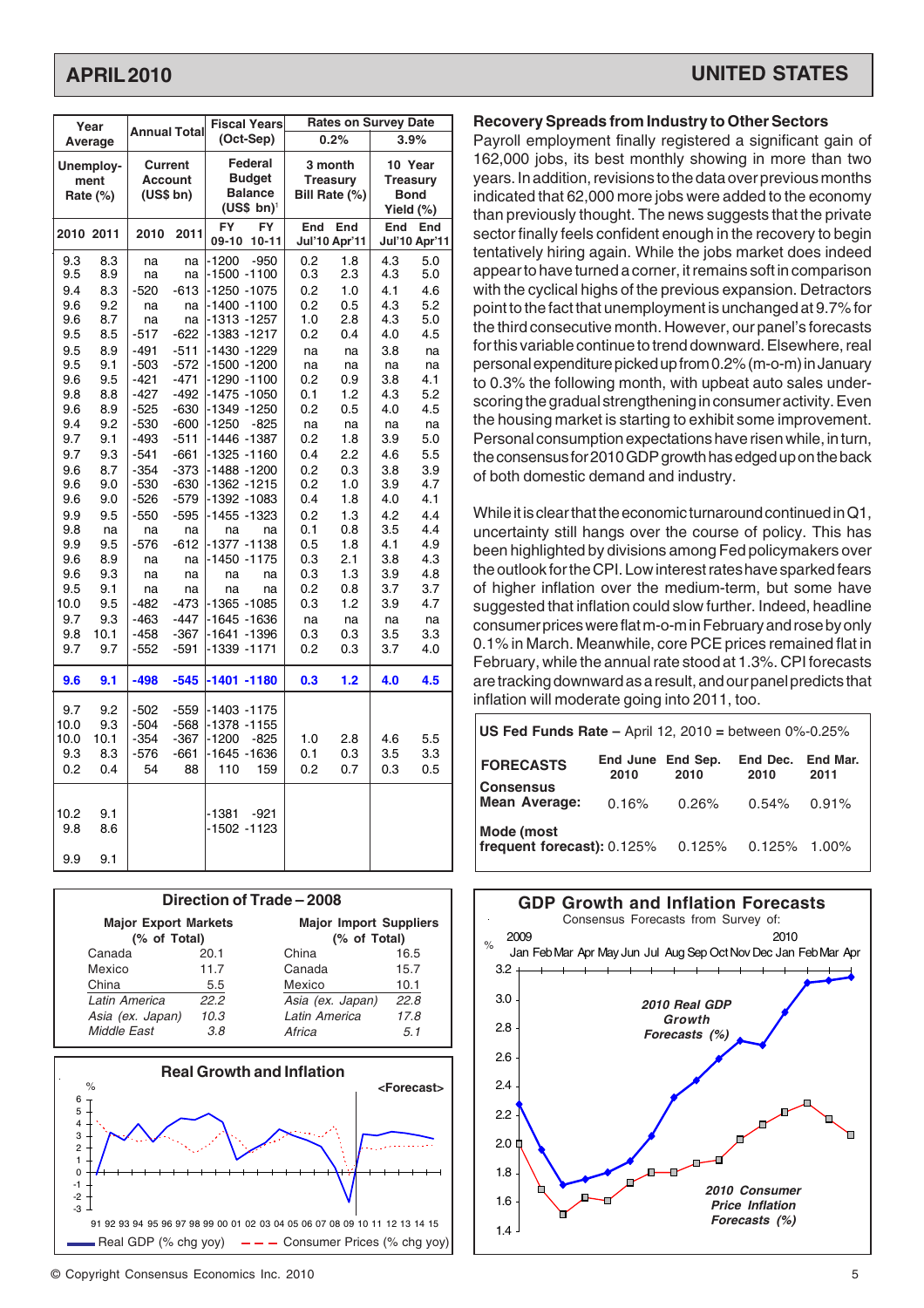|             | Year                          | <b>Annual Total</b>                           |              |                               | <b>Fiscal Years</b>                                                  | <b>Rates on Survey Date</b>                 |                             |                                                 |                             |  |  |
|-------------|-------------------------------|-----------------------------------------------|--------------|-------------------------------|----------------------------------------------------------------------|---------------------------------------------|-----------------------------|-------------------------------------------------|-----------------------------|--|--|
|             | Average                       |                                               |              |                               | (Oct-Sep)                                                            |                                             | 0.2%                        | 3.9%                                            |                             |  |  |
|             | Unemploy-<br>ment<br>Rate (%) | <b>Current</b><br><b>Account</b><br>(US\$ bh) |              |                               | Federal<br><b>Budget</b><br><b>Balance</b><br>(US\$ bh) <sup>1</sup> | 3 month<br><b>Treasury</b><br>Bill Rate (%) |                             | 10 Year<br>Treasury<br><b>Bond</b><br>Yield (%) |                             |  |  |
|             | 2010 2011                     | 2010                                          | 2011         | <b>FY</b><br>09-10            | <b>FY</b><br>$10 - 11$                                               | End                                         | End<br><b>Jul'10 Apr'11</b> | End                                             | End<br><b>Jul'10 Apr'11</b> |  |  |
| 9.3         | 8.3                           | na                                            | na           | $-1200$                       | $-950$                                                               | 0.2                                         | 1.8                         | 4.3                                             | 5.0                         |  |  |
| 9.5         | 8.9                           | na                                            | na           | $-1500 - 1100$                |                                                                      | 0.3                                         | 2.3                         | 4.3                                             | 5.0                         |  |  |
| 9.4         | 8.3                           | $-520$                                        | $-613$       | $-1250 - 1075$                |                                                                      | 0.2                                         | 1.0                         | 4.1                                             | 4.6                         |  |  |
| 9.6         | 9.2                           | na                                            | na           | $-1400 - 1100$                |                                                                      | 0.2                                         | 0.5                         | 4.3                                             | 5.2                         |  |  |
| 9.6         | 8.7                           | na                                            | na           | -1313 -1257                   |                                                                      | 1.0                                         | 2.8                         | 4.3                                             | 5.0                         |  |  |
| 9.5         | 8.5                           | $-517$                                        | $-622$       | -1383 -1217                   |                                                                      | 0.2                                         | 0.4                         | 4.0                                             | 4.5                         |  |  |
| 9.5         | 8.9                           | $-491$                                        | $-511$       | $-1430 - 1229$                |                                                                      | na                                          | na                          | 3.8                                             | na                          |  |  |
| 9.5         | 9.1                           | $-503$                                        | $-572$       | -1500 -1200                   |                                                                      | na                                          | na                          | na                                              | na                          |  |  |
| 9.6<br>9.8  | 9.5<br>8.8                    | -421<br>-427                                  | -471<br>-492 | $-1290 - 1100$<br>-1475 -1050 |                                                                      | 0.2                                         | 0.9<br>1.2                  | 3.8<br>4.3                                      | 4.1<br>5.2                  |  |  |
| 9.6         | 8.9                           | $-525$                                        | -630         | -1349 -1250                   |                                                                      | 0.1<br>0.2                                  | 0.5                         | 4.0                                             | 4.5                         |  |  |
| 9.4         | 9.2                           | $-530$                                        | $-600$       | $-1250$                       | $-825$                                                               | na                                          | na                          | na                                              | na                          |  |  |
| 9.7         | 9.1                           | $-493$                                        | $-511$       | $-1446 - 1387$                |                                                                      | 0.2                                         | 1.8                         | 3.9                                             | 5.0                         |  |  |
| 9.7         | 9.3                           | $-541$                                        | $-661$       | $-1325 - 1160$                |                                                                      | 0.4                                         | 2.2                         | 4.6                                             | 5.5                         |  |  |
| 9.6         | 8.7                           | $-354$                                        | $-373$       | $-1488 - 1200$                |                                                                      | 0.2                                         | 0.3                         | 3.8                                             | 3.9                         |  |  |
| 9.6         | 9.0                           | $-530$                                        | $-630$       | $-1362 - 1215$                |                                                                      | 0.2                                         | 1.0                         | 3.9                                             | 4.7                         |  |  |
| 9.6         | 9.0                           | $-526$                                        | $-579$       | -1392 -1083                   |                                                                      | 0.4                                         | 1.8                         | 4.0                                             | 4.1                         |  |  |
| 9.9         | 9.5                           | $-550$                                        | $-595$       | $-1455 - 1323$                |                                                                      | 0.2                                         | 1.3                         | 4.2                                             | 4.4                         |  |  |
| 9.8         | na                            | na                                            | na           | na                            | na                                                                   | 0.1                                         | 0.8                         | 3.5                                             | 4.4                         |  |  |
| 9.9         | 9.5                           | $-576$                                        | $-612$       | -1377 -1138                   |                                                                      | 0.5                                         | 1.8                         | 4.1                                             | 4.9                         |  |  |
| 9.6         | 8.9                           | na                                            | na           | $-1450 - 1175$                |                                                                      | 0.3                                         | 2.1                         | 3.8                                             | 4.3                         |  |  |
| 9.6         | 9.3                           | na                                            | na           | na                            | na                                                                   | 0.3                                         | 1.3                         | 3.9                                             | 4.8                         |  |  |
| 9.5         | 9.1                           | na                                            | na           | na                            | na                                                                   | 0.2                                         | 0.8                         | 3.7                                             | 3.7                         |  |  |
| 10.0        | 9.5                           | $-482$                                        | -473         | -1365 -1085                   |                                                                      | 0.3                                         | 1.2                         | 3.9                                             | 4.7                         |  |  |
| 9.7         | 9.3                           | -463                                          | $-447$       | -1645 -1636                   |                                                                      | na                                          | na                          | na                                              | na                          |  |  |
| 9.8         | 10.1                          | -458                                          | $-367$       | -1641 -1396                   |                                                                      | 0.3                                         | 0.3                         | 3.5                                             | 3.3                         |  |  |
| 9.7         | 9.7                           | $-552$                                        | -591         | -1339 -1171                   |                                                                      | 0.2                                         | 0.3                         | 3.7                                             | 4.0                         |  |  |
| 9.6         | 9.1                           | $-498$                                        | $-545$       | -1401 -1180                   |                                                                      | 0.3                                         | 1.2                         | 4.0                                             | 4.5                         |  |  |
| 9.7         | 9.2                           | $-502$                                        | $-559$       | $-1403 - 1175$                |                                                                      |                                             |                             |                                                 |                             |  |  |
| 10.0        | 9.3                           | $-504$                                        | $-568$       | $-1378 - 1155$                |                                                                      |                                             |                             |                                                 |                             |  |  |
| 10.0        | 10.1                          | $-354$                                        | $-367$       | $-1200$                       | $-825$                                                               | 1.0                                         | 2.8                         | 4.6                                             | 5.5                         |  |  |
| 9.3         | 8.3                           | -576                                          | $-661$       | -1645 -1636                   |                                                                      | 0.1                                         | 0.3                         | 3.5                                             | 3.3                         |  |  |
| 0.2         | 0.4                           | 54                                            | 88           | 110                           | 159                                                                  | 0.2                                         | 0.7                         | 0.3                                             | 0.5                         |  |  |
| 10.2<br>9.8 | 9.1<br>8.6                    |                                               |              | -1381<br>1502 - 1123          | $-921$                                                               |                                             |                             |                                                 |                             |  |  |
| 9.9         | 9.1                           |                                               |              |                               |                                                                      |                                             |                             |                                                 |                             |  |  |

| <b>Major Export Markets</b><br>(% of Total) |               | <b>Major Import Suppliers</b><br>(% of Total) |      |
|---------------------------------------------|---------------|-----------------------------------------------|------|
| Canada                                      | 20.1          | China                                         | 16.5 |
| Mexico                                      | 11.7          | Canada                                        | 15.7 |
| China                                       | $5.5^{\circ}$ | Mexico                                        | 10.1 |
| Latin America                               | 22.2          | Asia (ex. Japan)                              | 22.8 |
| Asia (ex. Japan)                            | 10.3          | Latin America                                 | 17.8 |
| Middle East                                 | 3.8           | Africa                                        | 5.1  |



#### © Copyright Consensus Economics Inc. 2010 5

### **UNITED STATES**

#### **Recovery Spreads from Industry to Other Sectors**

Payroll employment finally registered a significant gain of 162,000 jobs, its best monthly showing in more than two years. In addition, revisions to the data over previous months indicated that 62,000 more jobs were added to the economy than previously thought. The news suggests that the private sector finally feels confident enough in the recovery to begin tentatively hiring again. While the jobs market does indeed appear to have turned a corner, it remains soft in comparison with the cyclical highs of the previous expansion. Detractors point to the fact that unemployment is unchanged at 9.7% for the third consecutive month. However, our panel's forecasts for this variable continue to trend downward. Elsewhere, real personal expenditure picked up from 0.2% (m-o-m) in January to 0.3% the following month, with upbeat auto sales underscoring the gradual strengthening in consumer activity. Even the housing market is starting to exhibit some improvement. Personal consumption expectations have risen while, in turn, the consensus for 2010 GDP growth has edged up on the back of both domestic demand and industry.

While it is clear that the economic turnaround continued in Q1, uncertainty still hangs over the course of policy. This has been highlighted by divisions among Fed policymakers over the outlook for the CPI. Low interest rates have sparked fears of higher inflation over the medium-term, but some have suggested that inflation could slow further. Indeed, headline consumer prices were flat m-o-m in February and rose by only 0.1% in March. Meanwhile, core PCE prices remained flat in February, while the annual rate stood at 1.3%. CPI forecasts are tracking downward as a result, and our panel predicts that inflation will moderate going into 2011, too.

| US Fed Funds Rate - April 12, 2010 = between $0\% -0.25\%$ |                           |        |                  |                  |  |  |  |  |  |  |  |
|------------------------------------------------------------|---------------------------|--------|------------------|------------------|--|--|--|--|--|--|--|
| <b>FORECASTS</b><br><b>Consensus</b>                       | End June End Sep.<br>2010 | 2010   | End Dec.<br>2010 | End Mar.<br>2011 |  |  |  |  |  |  |  |
| <b>Mean Average:</b>                                       | 0.16%                     | 0.26%  | $0.54\%$         | $0.91\%$         |  |  |  |  |  |  |  |
| Mode (most<br>frequent forecast): 0.125%                   |                           | 0.125% | 0.125%           | $1.00\%$         |  |  |  |  |  |  |  |

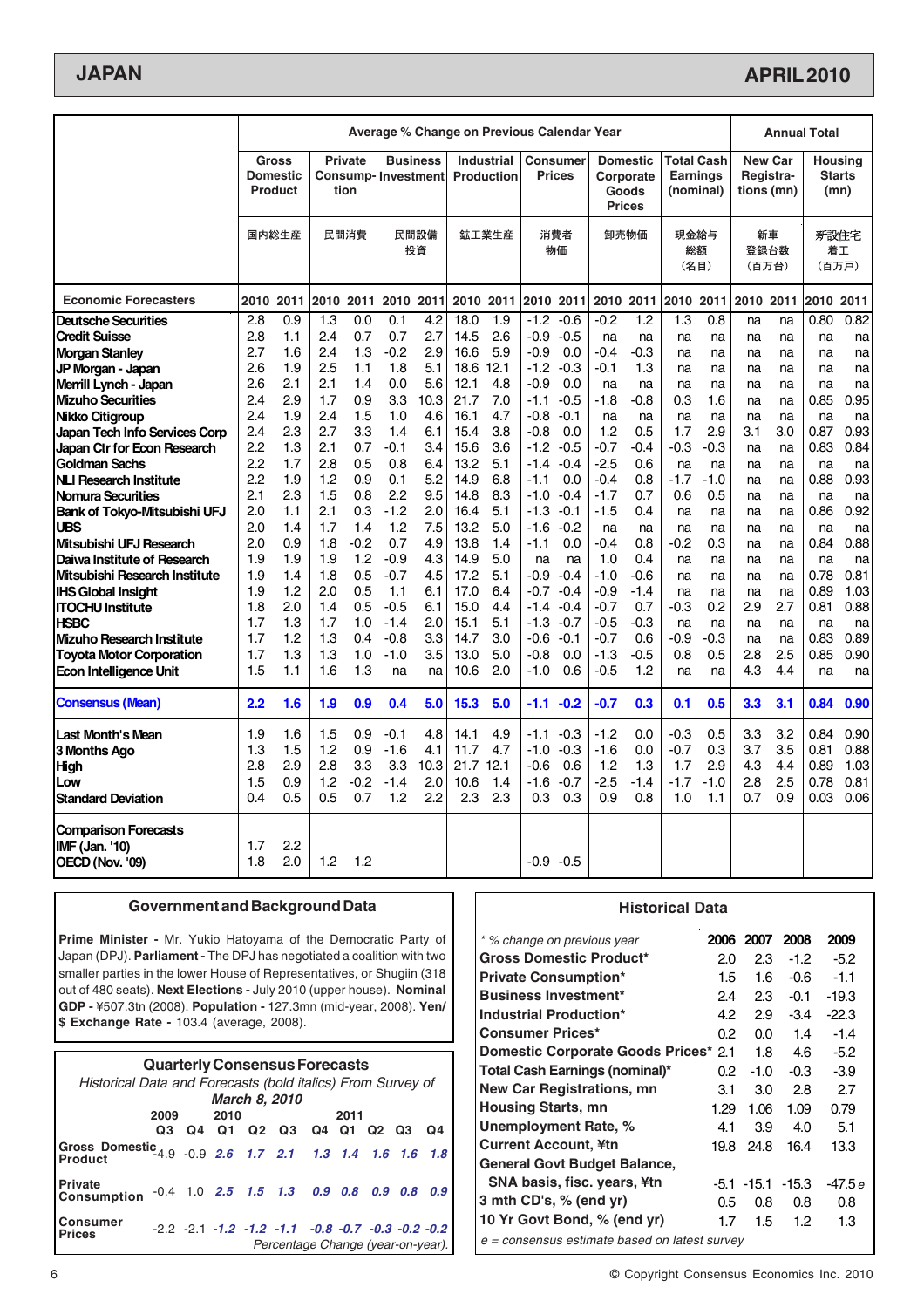|                                                                  |            |                                                   |            |                        |                    |                 | Average % Change on Previous Calendar Year |                                        |                  |                                  |               |                                       |               |                                                   | <b>Annual Total</b> |                                           |              |                                         |
|------------------------------------------------------------------|------------|---------------------------------------------------|------------|------------------------|--------------------|-----------------|--------------------------------------------|----------------------------------------|------------------|----------------------------------|---------------|---------------------------------------|---------------|---------------------------------------------------|---------------------|-------------------------------------------|--------------|-----------------------------------------|
|                                                                  |            | <b>Gross</b><br><b>Domestic</b><br><b>Product</b> |            | <b>Private</b><br>tion | Consump-Investment | <b>Business</b> |                                            | <b>Industrial</b><br><b>Production</b> |                  | <b>Consumer</b><br><b>Prices</b> | <b>Prices</b> | <b>Domestic</b><br>Corporate<br>Goods |               | <b>Total Cash</b><br><b>Earnings</b><br>(nominal) |                     | <b>New Car</b><br>Registra-<br>tions (mn) |              | <b>Housing</b><br><b>Starts</b><br>(mn) |
|                                                                  |            | 国内総生産                                             |            | 民間消費                   |                    | 民間設備<br>投資      |                                            | 鉱工業生産                                  |                  | 消費者<br>物価                        |               | 卸売物価                                  |               | 現金給与<br>総額<br>(名目)                                |                     | 新車<br>登録台数<br>(百万台)                       |              | 新設住宅<br>着工<br>(百万戸)                     |
| <b>Economic Forecasters</b>                                      |            | 2010 2011                                         | 2010 2011  |                        |                    | 2010 2011       |                                            | 2010 2011                              | 2010 2011        |                                  |               | 2010 2011                             | 2010 2011     |                                                   | 2010 2011           |                                           | 2010 2011    |                                         |
| <b>Deutsche Securities</b>                                       | 2.8        | 0.9                                               | 1.3        | 0.0                    | 0.1                | 4.2             | 18.0                                       | 1.9                                    | $-1.2$           | $-0.6$                           | $-0.2$        | 1.2                                   | 1.3           | 0.8                                               | na                  | na                                        | 0.80         | 0.82                                    |
| <b>Credit Suisse</b>                                             | 2.8        | 1.1                                               | 2.4        | 0.7                    | 0.7                | 2.7             | 14.5                                       | 2.6                                    | $-0.9$           | $-0.5$                           | na            | na                                    | na            | na                                                | na                  | na                                        | na           | na                                      |
| <b>Morgan Stanley</b>                                            | 2.7        | 1.6                                               | 2.4        | 1.3                    | $-0.2$             | 2.9             | 16.6                                       | 5.9                                    | $-0.9$           | 0.0                              | $-0.4$        | $-0.3$                                | na            | na                                                | na                  | na                                        | na           | na                                      |
| JP Morgan - Japan                                                | 2.6        | 1.9                                               | 2.5        | 1.1                    | 1.8                | 5.1             | 18.6                                       | 12.1                                   | $-1.2$           | $-0.3$                           | -0.1          | 1.3                                   | na            | na                                                | na                  | na                                        | na           | na                                      |
| Merrill Lynch - Japan<br>Mizuho Securities                       | 2.6<br>2.4 | 2.1<br>2.9                                        | 2.1<br>1.7 | 1.4<br>0.9             | 0.0<br>3.3         | 5.6<br>10.3     | 12.1<br>21.7                               | 4.8<br>7.0                             | $-0.9$<br>$-1.1$ | 0.0<br>$-0.5$                    | na<br>$-1.8$  | na<br>$-0.8$                          | na<br>0.3     | na<br>1.6                                         | na                  | na                                        | na<br>0.85   | na<br>0.95                              |
| Nikko Citigroup                                                  | 2.4        | 1.9                                               | 2.4        | 1.5                    | 1.0                | 4.6             | 16.1                                       | 4.7                                    | $-0.8$           | $-0.1$                           | na            | na                                    | na            | na                                                | na<br>na            | na<br>na                                  | na           | na                                      |
| Japan Tech Info Services Corp                                    | 2.4        | 2.3                                               | 2.7        | 3.3                    | 1.4                | 6.1             | 15.4                                       | 3.8                                    | $-0.8$           | 0.0                              | 1.2           | 0.5                                   | 1.7           | 2.9                                               | 3.1                 | 3.0                                       | 0.87         | 0.93                                    |
| Japan Ctr for Econ Research                                      | 2.2        | 1.3                                               | 2.1        | 0.7                    | $-0.1$             | 3.4             | 15.6                                       | 3.6                                    | $-1.2$           | $-0.5$                           | $-0.7$        | $-0.4$                                | $-0.3$        | $-0.3$                                            | na                  | na                                        | 0.83         | 0.84                                    |
| Goldman Sachs                                                    | 2.2        | 1.7                                               | 2.8        | 0.5                    | 0.8                | 6.4             | 13.2                                       | 5.1                                    | $-1.4$           | $-0.4$                           | $-2.5$        | 0.6                                   | na            | na                                                | na                  | na                                        | na           | na                                      |
| <b>NLI Research Institute</b>                                    | 2.2        | 1.9                                               | 1.2        | 0.9                    | 0.1                | 5.2             | 14.9                                       | 6.8                                    | $-1.1$           | 0.0                              | $-0.4$        | 0.8                                   | $-1.7$        | $-1.0$                                            | na                  | na                                        | 0.88         | 0.93                                    |
| Nomura Securities                                                | 2.1        | 2.3                                               | 1.5        | 0.8                    | 2.2                | 9.5             | 14.8                                       | 8.3                                    | $-1.0$           | $-0.4$                           | $-1.7$        | 0.7                                   | 0.6           | 0.5                                               | na                  | na                                        | na           | na                                      |
| <b>Bank of Tokyo-Mitsubishi UFJ</b>                              | 2.0        | 1.1                                               | 2.1        | 0.3                    | $-1.2$             | 2.0             | 16.4                                       | 5.1                                    | $-1.3$           | $-0.1$                           | -1.5          | 0.4                                   | na            | na                                                | na                  | na                                        | 0.86         | 0.92                                    |
| <b>UBS</b>                                                       | 2.0        | 1.4                                               | 1.7        | 1.4                    | 1.2                | 7.5             | 13.2                                       | 5.0                                    | $-1.6$           | $-0.2$                           | na            | na                                    | na            | na                                                | na                  | na                                        | na           | na                                      |
| Mitsubishi UFJ Research                                          | 2.0        | 0.9                                               | 1.8        | $-0.2$                 | 0.7                | 4.9             | 13.8                                       | 1.4                                    | $-1.1$           | 0.0                              | $-0.4$        | 0.8                                   | $-0.2$        | 0.3                                               | na                  | na                                        | 0.84         | 0.88                                    |
| Daiwa Institute of Research                                      | 1.9        | 1.9                                               | 1.9        | 1.2                    | $-0.9$             | 4.3             | 14.9                                       | 5.0                                    | na               | na                               | 1.0           | 0.4                                   | na            | na                                                | na                  | na                                        | na           | na                                      |
| Mitsubishi Research Institute                                    | 1.9        | 1.4                                               | 1.8        | 0.5                    | $-0.7$             | 4.5             | 17.2                                       | 5.1                                    | $-0.9$           | $-0.4$                           | $-1.0$        | $-0.6$                                | na            | na                                                | na                  | na                                        | 0.78         | 0.81                                    |
| <b>IHS Global Insight</b>                                        | 1.9        | 1.2                                               | 2.0        | 0.5                    | 1.1                | 6.1             | 17.0                                       | 6.4                                    | $-0.7$           | $-0.4$                           | $-0.9$        | $-1.4$                                | na            | na                                                | na                  | na                                        | 0.89         | 1.03                                    |
| <b>ITOCHU Institute</b>                                          | 1.8        | 2.0                                               | 1.4        | 0.5                    | $-0.5$             | 6.1             | 15.0                                       | 4.4                                    | $-1.4$           | $-0.4$                           | $-0.7$        | 0.7                                   | $-0.3$        | 0.2                                               | 2.9                 | 2.7                                       | 0.81         | 0.88                                    |
| <b>HSBC</b>                                                      | 1.7        | 1.3                                               | 1.7        | 1.0                    | $-1.4$             | 2.0             | 15.1                                       | 5.1                                    | $-1.3$           | $-0.7$                           | $-0.5$        | $-0.3$                                | na            | na                                                | na                  | na                                        | na           | na                                      |
| Mizuho Research Institute                                        | 1.7        | 1.2                                               | 1.3        | 0.4                    | $-0.8$             | 3.3             | 14.7                                       | 3.0                                    | $-0.6$           | $-0.1$                           | $-0.7$        | 0.6                                   | $-0.9$        | $-0.3$                                            | na                  | na                                        | 0.83         | 0.89                                    |
| <b>Toyota Motor Corporation</b>                                  | 1.7        | 1.3                                               | 1.3        | 1.0                    | $-1.0$             | 3.5             | 13.0                                       | 5.0                                    | $-0.8$           | 0.0                              | $-1.3$        | $-0.5$                                | 0.8           | 0.5                                               | 2.8                 | 2.5                                       | 0.85         | 0.90                                    |
| Econ Intelligence Unit                                           | 1.5        | 1.1                                               | 1.6        | 1.3                    | na                 | na              | 10.6                                       | 2.0                                    | $-1.0$           | 0.6                              | $-0.5$        | 1.2                                   | na            | na                                                | 4.3                 | 4.4                                       | na           | na                                      |
| <b>Consensus (Mean)</b>                                          | 2.2        | 1.6                                               | 1.9        | 0.9                    | 0.4                | 5.0             | 15.3                                       | 5.0                                    | $-1.1$           | $-0.2$                           | $-0.7$        | 0.3                                   | 0.1           | 0.5                                               | 3.3                 | 3.1                                       | 0.84         | 0.90                                    |
| Last Month's Mean                                                | 1.9        | 1.6                                               | 1.5        | 0.9                    | $-0.1$             | 4.8             | 14.1                                       | 4.9                                    | $-1.1$           | $-0.3$                           | $-1.2$        | 0.0                                   | $-0.3$        | 0.5                                               | 3.3                 | 3.2                                       | 0.84         | 0.90                                    |
| 3 Months Ago                                                     | 1.3        | 1.5                                               | 1.2        | 0.9                    | $-1.6$             | 4.1             | 11.7                                       | 4.7                                    | $-1.0$           | $-0.3$                           | $-1.6$        | 0.0                                   | $-0.7$        | 0.3                                               | 3.7                 | 3.5                                       | 0.81         | 0.88                                    |
| <b>High</b>                                                      | 2.8<br>1.5 | 2.9<br>0.9                                        | 2.8<br>1.2 | 3.3<br>$-0.2$          | 3.3                | 10.3<br>2.0     | 21.7 12.1                                  | 1.4                                    | $-0.6$<br>$-1.6$ | 0.6<br>$-0.7$                    | 1.2<br>$-2.5$ | 1.3<br>$-1.4$                         | 1.7<br>$-1.7$ | 2.9<br>$-1.0$                                     | 4.3<br>2.8          | 4.4<br>2.5                                | 0.89<br>0.78 | 1.03<br>0.81                            |
| Low<br><b>Standard Deviation</b>                                 | 0.4        | 0.5                                               | 0.5        | 0.7                    | $-1.4$<br>1.2      | 2.2             | 10.6<br>2.3                                | 2.3                                    | 0.3              | 0.3                              | 0.9           | 0.8                                   | 1.0           | 1.1                                               | 0.7                 | 0.9                                       | 0.03         | 0.06                                    |
|                                                                  |            |                                                   |            |                        |                    |                 |                                            |                                        |                  |                                  |               |                                       |               |                                                   |                     |                                           |              |                                         |
| <b>Comparison Forecasts</b><br>IMF (Jan. '10)<br>OECD (Nov. '09) | 1.7<br>1.8 | 2.2<br>2.0                                        | 1.2        | 1.2                    |                    |                 |                                            |                                        | $-0.9 - 0.5$     |                                  |               |                                       |               |                                                   |                     |                                           |              |                                         |

#### **Government and Background Data**

**Prime Minister -** Mr. Yukio Hatoyama of the Democratic Party of Japan (DPJ). **Parliament -** The DPJ has negotiated a coalition with two smaller parties in the lower House of Representatives, or Shugiin (318 out of 480 seats). **Next Elections -** July 2010 (upper house). **Nominal GDP -** ¥507.3tn (2008). **Population -** 127.3mn (mid-year, 2008). **Yen/ \$ Exchange Rate -** 103.4 (average, 2008).

| <b>Quarterly Consensus Forecasts</b><br>Historical Data and Forecasts (bold italics) From Survey of<br>March 8, 2010 |                |  |  |  |  |                                                                                                            |  |  |  |    |  |  |  |
|----------------------------------------------------------------------------------------------------------------------|----------------|--|--|--|--|------------------------------------------------------------------------------------------------------------|--|--|--|----|--|--|--|
| 2010<br>2009<br>2011                                                                                                 |                |  |  |  |  |                                                                                                            |  |  |  |    |  |  |  |
|                                                                                                                      | O <sub>3</sub> |  |  |  |  | Q4 Q1 Q2 Q3 Q4 Q1 Q2 Q3                                                                                    |  |  |  | Q4 |  |  |  |
| Gross Domestic 4.9 - 0.9 2.6 1.7 2.1 1.3 1.4 1.6 1.6 1.8                                                             |                |  |  |  |  |                                                                                                            |  |  |  |    |  |  |  |
| <b>Private</b><br>Consumption -0.4 1.0 2.5 1.5 1.3 0.9 0.8 0.9 0.8 0.9                                               |                |  |  |  |  |                                                                                                            |  |  |  |    |  |  |  |
| <b>Consumer</b><br><b>Prices</b>                                                                                     |                |  |  |  |  | $-2.2$ $-2.1$ $-1.2$ $-1.2$ $-1.1$ $-0.8$ $-0.7$ $-0.3$ $-0.2$ $-0.2$<br>Percentage Change (year-on-year). |  |  |  |    |  |  |  |

#### **Historical Data**

| * % change on previous year                   |      | 2006 2007     | 2008    | 2009     |
|-----------------------------------------------|------|---------------|---------|----------|
| <b>Gross Domestic Product*</b>                | 2.0  | 2.3           | $-1.2$  | $-5.2$   |
| <b>Private Consumption*</b>                   | 1.5  | 1.6           | $-0.6$  | $-1.1$   |
| <b>Business Investment*</b>                   | 2.4  | 2.3           | $-0.1$  | $-19.3$  |
| <b>Industrial Production*</b>                 | 4.2  | 2.9           | $-3.4$  | $-22.3$  |
| <b>Consumer Prices*</b>                       | 0.2  | 0.0           | 1.4     | $-1.4$   |
| <b>Domestic Corporate Goods Prices* 2.1</b>   |      | 1.8           | 4.6     | $-5.2$   |
| <b>Total Cash Earnings (nominal)*</b>         | 0.2  | $-1.0$        | $-0.3$  | $-3.9$   |
| <b>New Car Registrations, mn</b>              | 3.1  | 3.0           | 2.8     | 2.7      |
| <b>Housing Starts, mn</b>                     | 1.29 | 1.06          | 1.09    | 0.79     |
| Unemployment Rate, %                          | 4.1  | 3.9           | 4.0     | 5.1      |
| <b>Current Account, ¥tn</b>                   | 19.8 | 24.8          | 16.4    | 13.3     |
| General Govt Budget Balance,                  |      |               |         |          |
| SNA basis, fisc. years, ¥tn                   |      | $-5.1 - 15.1$ | $-15.3$ | $-47.5e$ |
| 3 mth CD's, % (end yr)                        | 0.5  | 0.8           | 0.8     | 0.8      |
| 10 Yr Govt Bond, % (end yr)                   | 1.7  | 1.5           | 1.2     | 1.3      |
| e = consensus estimate based on latest survey |      |               |         |          |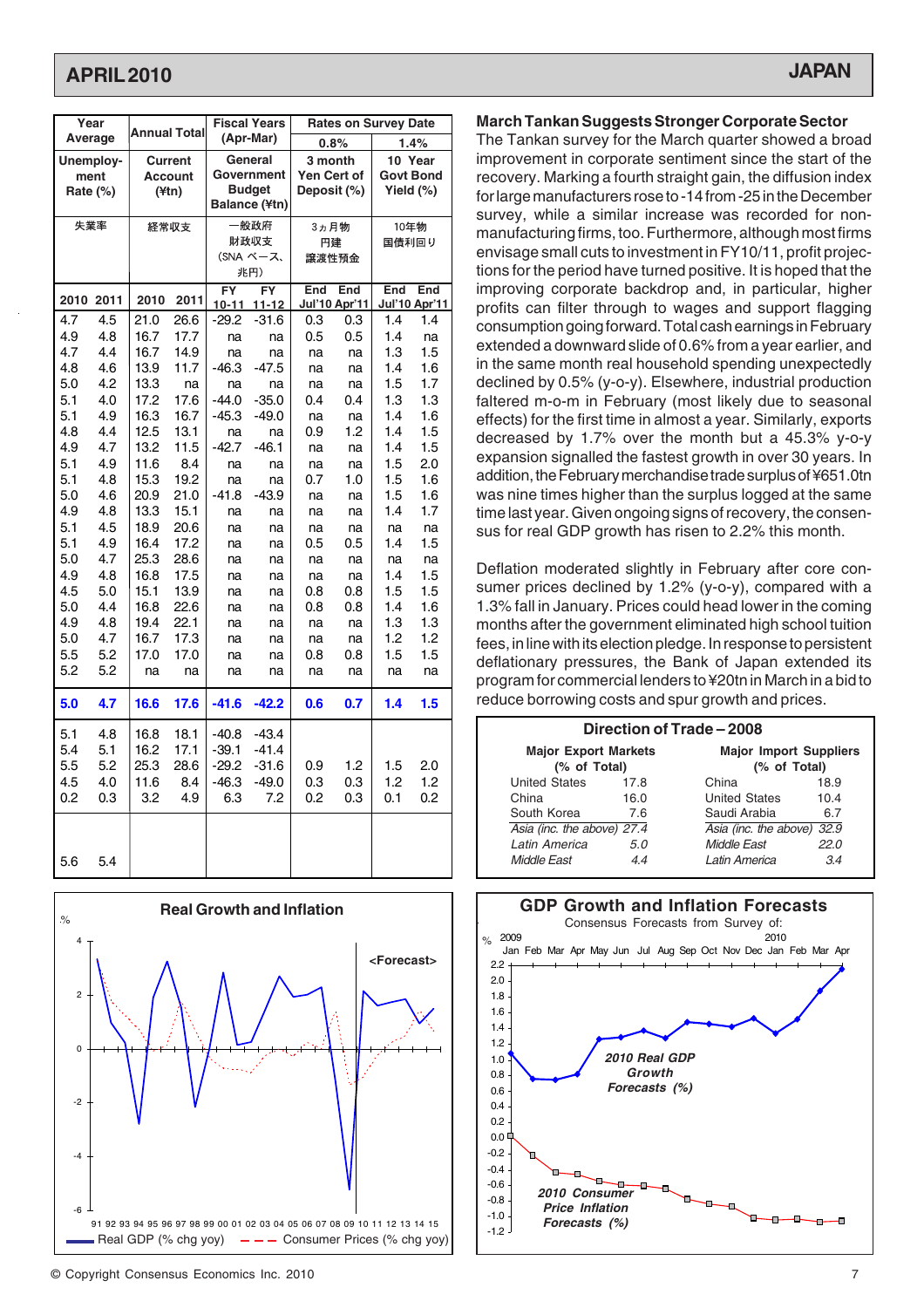| Year             |            | <b>Annual Total</b> |                                  | <b>Fiscal Years</b>                                     |                              |                                       |                             | <b>Rates on Survey Date</b> |                                          |
|------------------|------------|---------------------|----------------------------------|---------------------------------------------------------|------------------------------|---------------------------------------|-----------------------------|-----------------------------|------------------------------------------|
| Average          |            |                     |                                  |                                                         | (Apr-Mar)                    |                                       | 0.8%                        |                             | 1.4%                                     |
| ment<br>Rate (%) | Unemploy-  | $(\n{Ftn})$         | <b>Current</b><br><b>Account</b> | General<br>Government<br><b>Budget</b><br>Balance (¥tn) |                              | 3 month<br>Yen Cert of<br>Deposit (%) |                             |                             | 10 Year<br><b>Govt Bond</b><br>Yield (%) |
| 失業率              |            |                     | 経常収支                             |                                                         | 般政府                          | 3ヵ月物                                  |                             | 10年物                        |                                          |
|                  |            |                     |                                  |                                                         | 財政収支                         | 円建                                    |                             | 国債利回り                       |                                          |
|                  |            |                     |                                  |                                                         | (SNA ベース、<br>兆円)             |                                       | 譲渡性預金                       |                             |                                          |
| 2010 2011        |            | 2010                | 2011                             | $\overline{FY}$<br>$10 - 11$                            | $\overline{FY}$<br>$11 - 12$ | End                                   | End<br><b>Jul'10 Apr'11</b> | End                         | End<br><b>Jul'10 Apr'11</b>              |
| 4.7              | 4.5        | 21.0                | 26.6                             | $-29.2$                                                 | $-31.6$                      | 0.3                                   | 0.3                         | 1.4                         | 1.4                                      |
| 4.9              | 4.8        | 16.7                | 17.7                             | na                                                      | na                           | 0.5                                   | 0.5                         | 1.4                         | na                                       |
| 4.7              | 4.4        | 16.7                | 14.9                             | na                                                      | na                           | na                                    | na                          | 1.3                         | 1.5                                      |
| 4.8              | 4.6        | 13.9                | 11.7                             | $-46.3$                                                 | $-47.5$                      | na                                    | na                          | 1.4                         | 1.6                                      |
| 5.0              | 4.2        | 13.3                | na                               | na                                                      | na                           | na                                    | na                          | 1.5                         | 1.7                                      |
| 5.1              | 4.0<br>4.9 | 17.2<br>16.3        | 17.6                             | $-44.0$<br>$-45.3$                                      | $-35.0$                      | 0.4                                   | 0.4                         | 1.3<br>1.4                  | 1.3                                      |
| 5.1<br>4.8       | 4.4        | 12.5                | 16.7<br>13.1                     | na                                                      | $-49.0$                      | na<br>0.9                             | na<br>1.2                   | 1.4                         | 1.6<br>1.5                               |
| 4.9              | 4.7        | 13.2                | 11.5                             | $-42.7$                                                 | na<br>-46.1                  | na                                    | na                          | 1.4                         | 1.5                                      |
| 5.1              | 4.9        | 11.6                | 8.4                              | na                                                      | na                           | na                                    | na                          | 1.5                         | 2.0                                      |
| 5.1              | 4.8        | 15.3                | 19.2                             | na                                                      | na                           | 0.7                                   | 1.0                         | 1.5                         | 1.6                                      |
| 5.0              | 4.6        | 20.9                | 21.0                             | $-41.8$                                                 | $-43.9$                      | na                                    | na                          | 1.5                         | 1.6                                      |
| 4.9              | 4.8        | 13.3                | 15.1                             | na                                                      | na                           | na                                    | na                          | 1.4                         | 1.7                                      |
| 5.1              | 4.5        | 18.9                | 20.6                             | na                                                      | na                           | na                                    | na                          | na                          | na                                       |
| 5.1              | 4.9        | 16.4                | 17.2                             | na                                                      | na                           | 0.5                                   | 0.5                         | 1.4                         | 1.5                                      |
| 5.0              | 4.7        | 25.3                | 28.6                             | na                                                      | na                           | na                                    | na                          | na                          | na                                       |
| 4.9              | 4.8        | 16.8                | 17.5                             | na                                                      | na                           | na                                    | na                          | 1.4                         | 1.5                                      |
| 4.5              | 5.0        | 15.1                | 13.9                             | na                                                      | na                           | 0.8                                   | 0.8                         | 1.5                         | 1.5                                      |
| 5.0              | 4.4        | 16.8                | 22.6                             | na                                                      | na                           | 0.8                                   | 0.8                         | 1.4                         | 1.6                                      |
| 4.9              | 4.8        | 19.4                | 22.1                             | na                                                      | na                           | na                                    | na                          | 1.3                         | 1.3                                      |
| 5.0              | 4.7        | 16.7                | 17.3                             | na                                                      | na                           | na                                    | na                          | 1.2                         | 1.2                                      |
| 5.5<br>5.2       | 5.2<br>5.2 | 17.0<br>na          | 17.0<br>na                       | na<br>na                                                | na<br>na                     | 0.8<br>na                             | 0.8<br>na                   | 1.5<br>na                   | 1.5<br>na                                |
| 5.0              | 4.7        | 16.6                | 17.6                             | $-41.6$                                                 | $-42.2$                      | 0.6                                   | 0.7                         | 1.4                         | 1.5                                      |
| 5.1              | 4.8        | 16.8                | 18.1                             | $-40.8$                                                 | $-43.4$                      |                                       |                             |                             |                                          |
| 5.4              | 5.1        | 16.2                | 17.1                             | $-39.1$                                                 | $-41.4$                      |                                       |                             |                             |                                          |
| 5.5              | 5.2        | 25.3                | 28.6                             | $-29.2$                                                 | $-31.6$                      | 0.9                                   | 1.2                         | 1.5                         | 2.0                                      |
| 4.5              | 4.0        | 11.6                | 8.4                              | $-46.3$                                                 | $-49.0$                      | 0.3                                   | 0.3                         | 1.2                         | 1.2                                      |
| 0.2              | 0.3        | 3.2                 | 4.9                              | 6.3                                                     | 7.2                          | 0.2                                   | 0.3                         | 0.1                         | 0.2                                      |
| 5.6              | 5.4        |                     |                                  |                                                         |                              |                                       |                             |                             |                                          |



#### © Copyright Consensus Economics Inc. 2010 7

### **JAPAN**

#### **March Tankan Suggests Stronger Corporate Sector**

The Tankan survey for the March quarter showed a broad improvement in corporate sentiment since the start of the recovery. Marking a fourth straight gain, the diffusion index for large manufacturers rose to -14 from -25 in the December survey, while a similar increase was recorded for nonmanufacturing firms, too. Furthermore, although most firms envisage small cuts to investment in FY10/11, profit projections for the period have turned positive. It is hoped that the improving corporate backdrop and, in particular, higher profits can filter through to wages and support flagging consumption going forward. Total cash earnings in February extended a downward slide of 0.6% from a year earlier, and in the same month real household spending unexpectedly declined by 0.5% (y-o-y). Elsewhere, industrial production faltered m-o-m in February (most likely due to seasonal effects) for the first time in almost a year. Similarly, exports decreased by 1.7% over the month but a 45.3% y-o-y expansion signalled the fastest growth in over 30 years. In addition, the February merchandise trade surplus of ¥651.0tn was nine times higher than the surplus logged at the same time last year. Given ongoing signs of recovery, the consensus for real GDP growth has risen to 2.2% this month.

Deflation moderated slightly in February after core consumer prices declined by 1.2% (y-o-y), compared with a 1.3% fall in January. Prices could head lower in the coming months after the government eliminated high school tuition fees, in line with its election pledge. In response to persistent deflationary pressures, the Bank of Japan extended its program for commercial lenders to ¥20tn in March in a bid to reduce borrowing costs and spur growth and prices.

| Direction of Trade - 2008                   |      |                                               |      |  |  |  |  |  |
|---------------------------------------------|------|-----------------------------------------------|------|--|--|--|--|--|
| <b>Major Export Markets</b><br>(% of Total) |      | <b>Major Import Suppliers</b><br>(% of Total) |      |  |  |  |  |  |
| <b>United States</b>                        | 17.8 | China                                         | 18.9 |  |  |  |  |  |
| China                                       | 16.0 | <b>United States</b>                          | 10.4 |  |  |  |  |  |
| South Korea                                 | 7.6  | Saudi Arabia                                  | 6.7  |  |  |  |  |  |
| Asia (inc. the above) 27.4                  |      | Asia (inc. the above)                         | 32.9 |  |  |  |  |  |
| Latin America                               | 5.0  | Middle East                                   | 22.0 |  |  |  |  |  |
| Middle Fast                                 | 44   | I atin America                                | 3.4  |  |  |  |  |  |

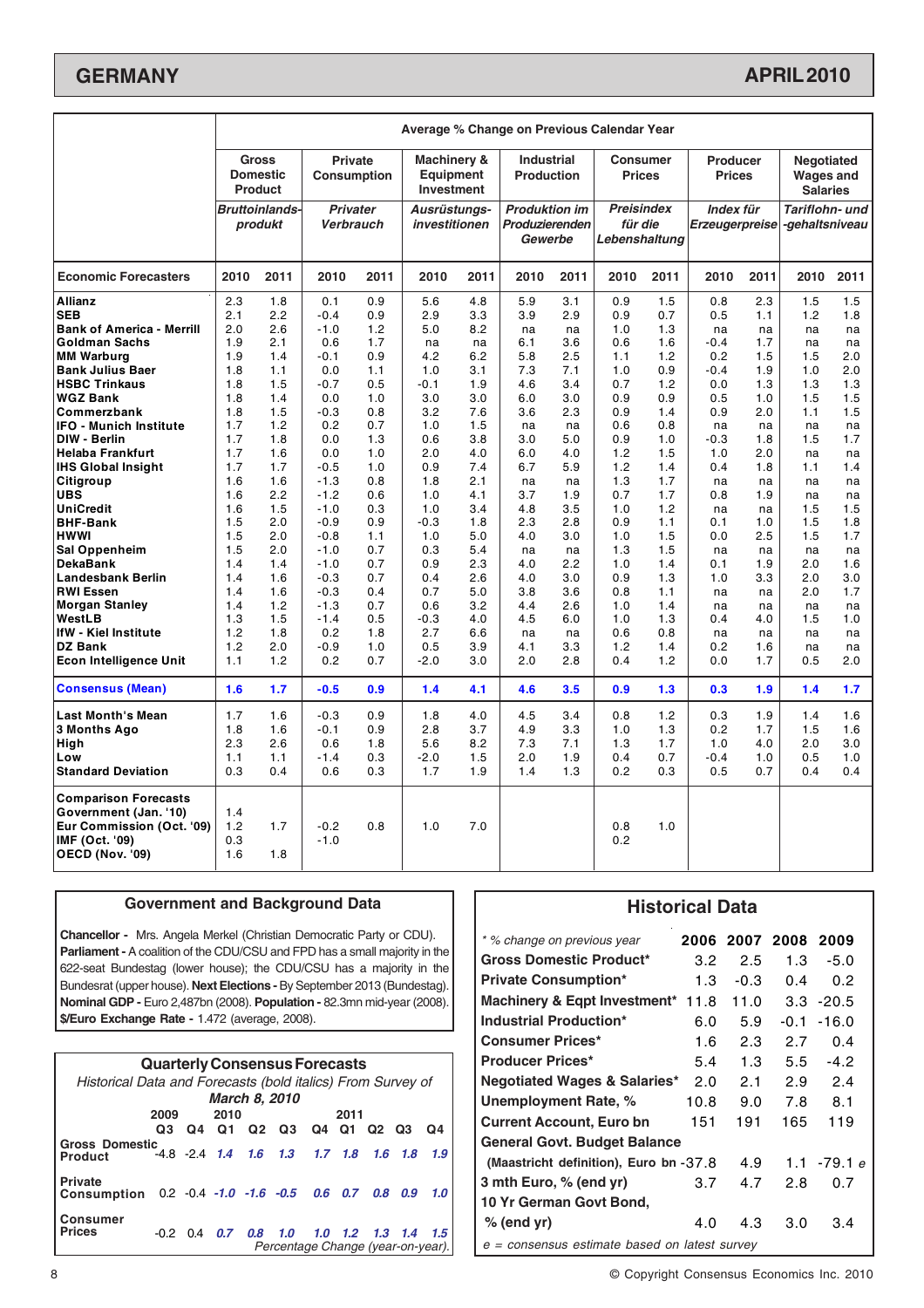### **GERMANY**

## **APRIL 2010**

|                                                      |      | Average % Change on Previous Calendar Year        |                                      |      |                                                                 |      |                                                   |      |                                               |      |                                    |      |                                                   |      |
|------------------------------------------------------|------|---------------------------------------------------|--------------------------------------|------|-----------------------------------------------------------------|------|---------------------------------------------------|------|-----------------------------------------------|------|------------------------------------|------|---------------------------------------------------|------|
|                                                      |      | <b>Gross</b><br><b>Domestic</b><br><b>Product</b> | <b>Private</b><br><b>Consumption</b> |      | <b>Machinery &amp;</b><br><b>Equipment</b><br><b>Investment</b> |      | <b>Industrial</b><br><b>Production</b>            |      | <b>Consumer</b><br><b>Prices</b>              |      | Producer<br><b>Prices</b>          |      | Negotiated<br><b>Wages and</b><br><b>Salaries</b> |      |
|                                                      |      | <b>Bruttoinlands-</b><br>produkt                  | <b>Privater</b><br><b>Verbrauch</b>  |      | Ausrüstungs-<br>investitionen                                   |      | <b>Produktion im</b><br>Produzierenden<br>Gewerbe |      | <b>Preisindex</b><br>für die<br>Lebenshaltung |      | Index für<br><b>Erzeugerpreise</b> |      | <b>Tariflohn- und</b><br>-gehaltsniveau           |      |
| <b>Economic Forecasters</b>                          | 2010 | 2011                                              | 2010                                 | 2011 | 2010                                                            | 2011 | 2010                                              | 2011 | 2010                                          | 2011 | 2010                               | 2011 | 2010                                              | 2011 |
| <b>Allianz</b>                                       | 2.3  | 1.8                                               | 0.1                                  | 0.9  | 5.6                                                             | 4.8  | 5.9                                               | 3.1  | 0.9                                           | 1.5  | 0.8                                | 2.3  | 1.5                                               | 1.5  |
| <b>SEB</b>                                           | 2.1  | 2.2                                               | $-0.4$                               | 0.9  | 2.9                                                             | 3.3  | 3.9                                               | 2.9  | 0.9                                           | 0.7  | 0.5                                | 1.1  | 1.2                                               | 1.8  |
| <b>Bank of America - Merrill</b>                     | 2.0  | 2.6                                               | $-1.0$                               | 1.2  | 5.0                                                             | 8.2  | na                                                | na   | 1.0                                           | 1.3  | na                                 | na   | na                                                | na   |
| Goldman Sachs                                        | 1.9  | 2.1                                               | 0.6                                  | 1.7  | na                                                              | na   | 6.1                                               | 3.6  | 0.6                                           | 1.6  | $-0.4$                             | 1.7  | na                                                | na   |
| <b>MM Warburg</b>                                    | 1.9  | 1.4                                               | $-0.1$                               | 0.9  | 4.2                                                             | 6.2  | 5.8                                               | 2.5  | 1.1                                           | 1.2  | 0.2                                | 1.5  | 1.5                                               | 2.0  |
| <b>Bank Julius Baer</b>                              | 1.8  | 1.1                                               | 0.0                                  | 1.1  | 1.0                                                             | 3.1  | 7.3                                               | 7.1  | 1.0                                           | 0.9  | $-0.4$                             | 1.9  | 1.0                                               | 2.0  |
| <b>HSBC Trinkaus</b>                                 | 1.8  | 1.5                                               | $-0.7$                               | 0.5  | $-0.1$                                                          | 1.9  | 4.6                                               | 3.4  | 0.7                                           | 1.2  | 0.0                                | 1.3  | 1.3                                               | 1.3  |
| <b>WGZ Bank</b>                                      | 1.8  | 1.4                                               | 0.0                                  | 1.0  | 3.0                                                             | 3.0  | 6.0                                               | 3.0  | 0.9                                           | 0.9  | 0.5                                | 1.0  | 1.5                                               | 1.5  |
| Commerzbank                                          | 1.8  | 1.5                                               | $-0.3$                               | 0.8  | 3.2                                                             | 7.6  | 3.6                                               | 2.3  | 0.9                                           | 1.4  | 0.9                                | 2.0  | 1.1                                               | 1.5  |
| <b>IFO - Munich Institute</b>                        | 1.7  | 1.2                                               | 0.2                                  | 0.7  | 1.0                                                             | 1.5  | na                                                | na   | 0.6                                           | 0.8  | na                                 | na   | na                                                | na   |
| DIW - Berlin                                         | 1.7  | 1.8                                               | 0.0                                  | 1.3  | 0.6                                                             | 3.8  | 3.0                                               | 5.0  | 0.9                                           | 1.0  | $-0.3$                             | 1.8  | 1.5                                               | 1.7  |
| <b>Helaba Frankfurt</b>                              | 1.7  | 1.6                                               | 0.0                                  | 1.0  | 2.0                                                             | 4.0  | 6.0                                               | 4.0  | 1.2                                           | 1.5  | 1.0                                | 2.0  | na                                                | na   |
| <b>IHS Global Insight</b>                            | 1.7  | 1.7                                               | $-0.5$                               | 1.0  | 0.9                                                             | 7.4  | 6.7                                               | 5.9  | 1.2                                           | 1.4  | 0.4                                | 1.8  | 1.1                                               | 1.4  |
| Citigroup                                            | 1.6  | 1.6                                               | $-1.3$                               | 0.8  | 1.8                                                             | 2.1  | na                                                | na   | 1.3                                           | 1.7  | na                                 | na   | na                                                | na   |
| <b>UBS</b>                                           | 1.6  | 2.2                                               | $-1.2$                               | 0.6  | 1.0                                                             | 4.1  | 3.7                                               | 1.9  | 0.7                                           | 1.7  | 0.8                                | 1.9  | na                                                | na   |
| <b>UniCredit</b>                                     | 1.6  | 1.5                                               | $-1.0$                               | 0.3  | 1.0                                                             | 3.4  | 4.8                                               | 3.5  | 1.0                                           | 1.2  | na                                 | na   | 1.5                                               | 1.5  |
| <b>BHF-Bank</b>                                      | 1.5  | 2.0                                               | $-0.9$                               | 0.9  | $-0.3$                                                          | 1.8  | 2.3                                               | 2.8  | 0.9                                           | 1.1  | 0.1                                | 1.0  | 1.5                                               | 1.8  |
| <b>HWWI</b>                                          | 1.5  | 2.0                                               | $-0.8$                               | 1.1  | 1.0                                                             | 5.0  | 4.0                                               | 3.0  | 1.0                                           | 1.5  | 0.0                                | 2.5  | 1.5                                               | 1.7  |
| Sal Oppenheim                                        | 1.5  | 2.0                                               | $-1.0$                               | 0.7  | 0.3                                                             | 5.4  | na                                                | na   | 1.3                                           | 1.5  | na                                 | na   | na                                                | na   |
| <b>DekaBank</b>                                      | 1.4  | 1.4                                               | $-1.0$                               | 0.7  | 0.9                                                             | 2.3  | 4.0                                               | 2.2  | 1.0                                           | 1.4  | 0.1                                | 1.9  | 2.0                                               | 1.6  |
| <b>Landesbank Berlin</b>                             | 1.4  | 1.6                                               | $-0.3$                               | 0.7  | 0.4                                                             | 2.6  | 4.0                                               | 3.0  | 0.9                                           | 1.3  | 1.0                                | 3.3  | 2.0                                               | 3.0  |
| <b>RWI Essen</b>                                     | 1.4  | 1.6                                               | $-0.3$                               | 0.4  | 0.7                                                             | 5.0  | 3.8                                               | 3.6  | 0.8                                           | 1.1  | na                                 | na   | 2.0                                               | 1.7  |
| <b>Morgan Stanley</b>                                | 1.4  | 1.2                                               | $-1.3$                               | 0.7  | 0.6                                                             | 3.2  | 4.4                                               | 2.6  | 1.0                                           | 1.4  | na                                 | na   | na                                                | na   |
| WestLB                                               | 1.3  | 1.5                                               | $-1.4$                               | 0.5  | $-0.3$                                                          | 4.0  | 4.5                                               | 6.0  | 1.0                                           | 1.3  | 0.4                                | 4.0  | 1.5                                               | 1.0  |
| <b>IfW - Kiel Institute</b>                          | 1.2  | 1.8                                               | 0.2                                  | 1.8  | 2.7                                                             | 6.6  | na                                                | na   | 0.6                                           | 0.8  | na                                 | na   | na                                                | na   |
| DZ Bank                                              | 1.2  | 2.0                                               | $-0.9$                               | 1.0  | 0.5                                                             | 3.9  | 4.1                                               | 3.3  | 1.2                                           | 1.4  | 0.2                                | 1.6  | na                                                | na   |
| <b>Econ Intelligence Unit</b>                        | 1.1  | 1.2                                               | 0.2                                  | 0.7  | $-2.0$                                                          | 3.0  | 2.0                                               | 2.8  | 0.4                                           | 1.2  | 0.0                                | 1.7  | 0.5                                               | 2.0  |
|                                                      |      |                                                   |                                      |      |                                                                 |      |                                                   |      |                                               |      |                                    |      |                                                   |      |
| <b>Consensus (Mean)</b>                              | 1.6  | 1.7                                               | $-0.5$                               | 0.9  | 1.4                                                             | 4.1  | 4.6                                               | 3.5  | 0.9                                           | 1.3  | 0.3                                | 1.9  | 1.4                                               | 1.7  |
| <b>Last Month's Mean</b>                             | 1.7  | 1.6                                               | $-0.3$                               | 0.9  | 1.8                                                             | 4.0  | 4.5                                               | 3.4  | 0.8                                           | 1.2  | 0.3                                | 1.9  | 1.4                                               | 1.6  |
| 3 Months Ago                                         | 1.8  | 1.6                                               | $-0.1$                               | 0.9  | 2.8                                                             | 3.7  | 4.9                                               | 3.3  | 1.0                                           | 1.3  | 0.2                                | 1.7  | 1.5                                               | 1.6  |
| High                                                 | 2.3  | 2.6                                               | 0.6                                  | 1.8  | 5.6                                                             | 8.2  | 7.3                                               | 7.1  | 1.3                                           | 1.7  | 1.0                                | 4.0  | 2.0                                               | 3.0  |
| Low                                                  | 1.1  | 1.1                                               | $-1.4$                               | 0.3  | $-2.0$                                                          | 1.5  | 2.0                                               | 1.9  | 0.4                                           | 0.7  | $-0.4$                             | 1.0  | 0.5                                               | 1.0  |
| <b>Standard Deviation</b>                            | 0.3  | 0.4                                               | 0.6                                  | 0.3  | 1.7                                                             | 1.9  | 1.4                                               | 1.3  | 0.2                                           | 0.3  | 0.5                                | 0.7  | 0.4                                               | 0.4  |
|                                                      |      |                                                   |                                      |      |                                                                 |      |                                                   |      |                                               |      |                                    |      |                                                   |      |
| <b>Comparison Forecasts</b><br>Government (Jan. '10) | 1.4  |                                                   |                                      |      |                                                                 |      |                                                   |      |                                               |      |                                    |      |                                                   |      |
| Eur Commission (Oct. '09)                            | 1.2  | 1.7                                               | $-0.2$                               | 0.8  | 1.0                                                             | 7.0  |                                                   |      | 0.8                                           | 1.0  |                                    |      |                                                   |      |
| IMF (Oct. '09)                                       | 0.3  |                                                   | $-1.0$                               |      |                                                                 |      |                                                   |      | 0.2                                           |      |                                    |      |                                                   |      |
| <b>OECD (Nov. '09)</b>                               | 1.6  | 1.8                                               |                                      |      |                                                                 |      |                                                   |      |                                               |      |                                    |      |                                                   |      |

### Government and Background Data **Historical Data**

**Chancellor -** Mrs. Angela Merkel (Christian Democratic Party or CDU). **Parliament -** A coalition of the CDU/CSU and FPD has a small majority in the 622-seat Bundestag (lower house); the CDU/CSU has a majority in the Bundesrat (upper house). **Next Elections -** By September 2013 (Bundestag). **Nominal GDP -** Euro 2,487bn (2008). **Population -** 82.3mn mid-year (2008). **\$/Euro Exchange Rate -** 1.472 (average, 2008).

| <b>Quarterly Consensus Forecasts</b>                                  |                                                             |     |      |               |                                                |                 |      |                               |  |     |
|-----------------------------------------------------------------------|-------------------------------------------------------------|-----|------|---------------|------------------------------------------------|-----------------|------|-------------------------------|--|-----|
|                                                                       | Historical Data and Forecasts (bold italics) From Survey of |     |      |               |                                                |                 |      |                               |  |     |
|                                                                       |                                                             |     |      | March 8, 2010 |                                                |                 |      |                               |  |     |
|                                                                       | 2009                                                        |     | 2010 |               |                                                |                 | 2011 |                               |  |     |
|                                                                       | O <sub>3</sub>                                              | Q4. | Q1   |               | Q <sub>2</sub> Q <sub>3</sub>                  | Q4 Q1           |      | Q <sub>2</sub> Q <sub>3</sub> |  | Q4  |
| <b>Gross Domestic</b><br>Product                                      |                                                             |     |      |               | $-4.8$ -2.4 1.4 1.6 1.3 1.7 1.8 1.6 1.8        |                 |      |                               |  | 1.9 |
| <b>Private</b><br>Consumption 0.2 -0.4 -1.0 -1.6 -0.5 0.6 0.7 0.8 0.9 |                                                             |     |      |               |                                                |                 |      |                               |  | 1.0 |
| <b>Consumer</b><br><b>Prices</b>                                      | $-0.2$ 0.4                                                  |     | 0.7  |               | $0.8$ 1.0<br>Percentage Change (year-on-year). | 1.0 1.2 1.3 1.4 |      |                               |  | 1.5 |

| * % change on previous year                   | 2006 |      | 2007 2008 | 2009         |
|-----------------------------------------------|------|------|-----------|--------------|
| <b>Gross Domestic Product*</b>                | 3.2  | 2.5  | 1.3       | $-5.0$       |
| <b>Private Consumption*</b>                   | 1.3  | -0.3 | 0.4       | 0.2          |
| Machinery & Egpt Investment*                  | 11.8 | 11.0 |           | $3.3 - 20.5$ |
| <b>Industrial Production*</b>                 | 6.0  | 5.9  | -0.1      | $-16.0$      |
| <b>Consumer Prices*</b>                       | 1.6  | 2.3  | 2.7       | 0.4          |
| <b>Producer Prices*</b>                       | 5.4  | 1.3  | 5.5       | $-4.2$       |
| <b>Negotiated Wages &amp; Salaries*</b>       | 2.0  | 2.1  | 2.9       | 2.4          |
| Unemployment Rate, %                          | 10.8 | 9.0  | 7.8       | 8.1          |
| <b>Current Account, Euro bn</b>               | 151  | 191  | 165       | 119          |
| <b>General Govt. Budget Balance</b>           |      |      |           |              |
| (Maastricht definition), Euro bn -37.8        |      | 4.9  |           | 1.1 $-79.1e$ |
| 3 mth Euro, % (end yr)                        | 3.7  | 4.7  | 2.8       | 0.7          |
| 10 Yr German Govt Bond,                       |      |      |           |              |
| $%$ (end yr)                                  | 4.0  | 4.3  | 3.0       | 3.4          |
| e = consensus estimate based on latest survey |      |      |           |              |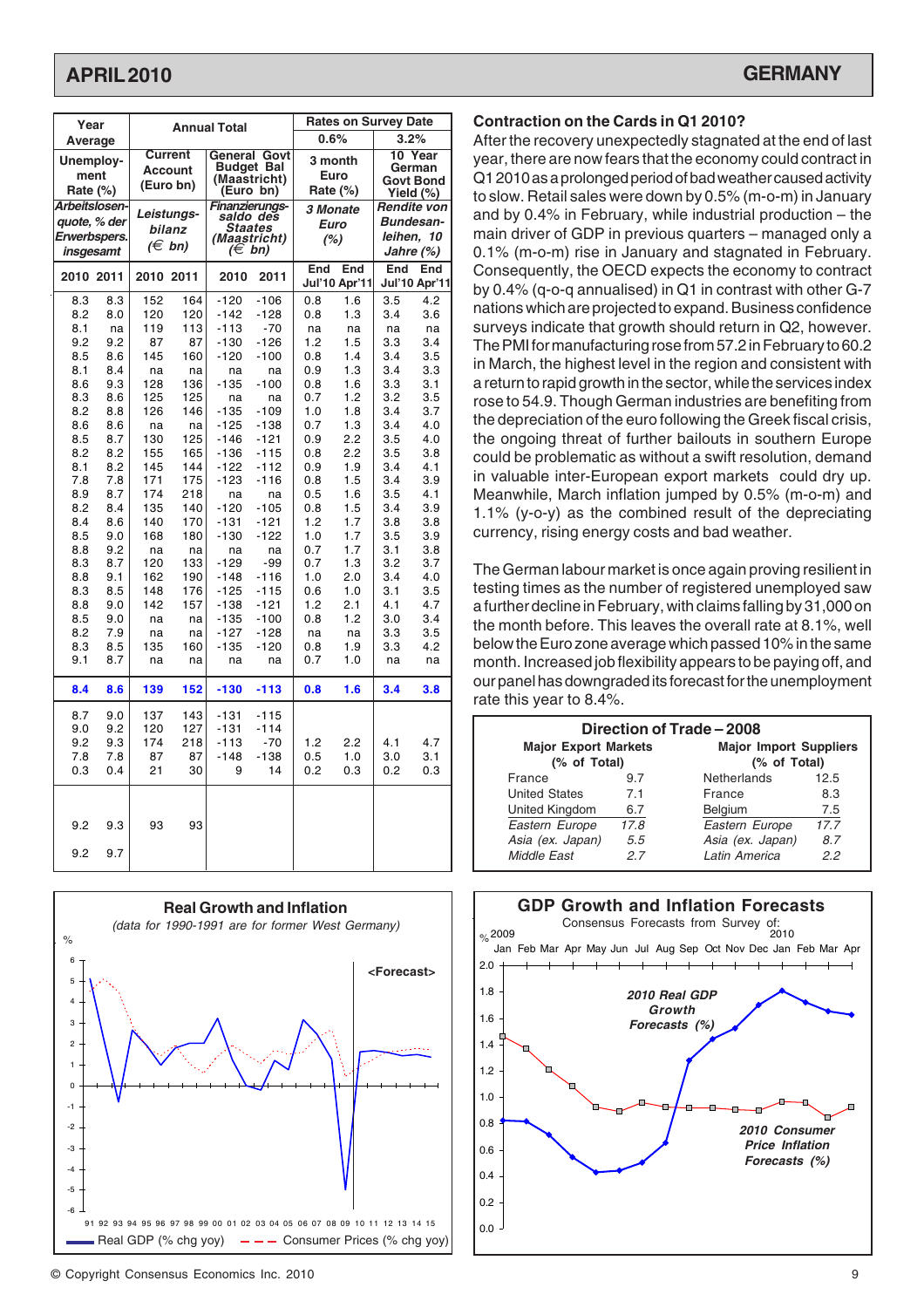| Year                                          |            |            |                                               | <b>Annual Total</b>                                                 |                  | <b>Rates on Survey Date</b> |                             |                                                            |                      |  |
|-----------------------------------------------|------------|------------|-----------------------------------------------|---------------------------------------------------------------------|------------------|-----------------------------|-----------------------------|------------------------------------------------------------|----------------------|--|
| Average                                       |            |            |                                               |                                                                     |                  |                             | 0.6%                        | 3.2%                                                       |                      |  |
| Unemploy-<br>ment<br>Rate (%)                 |            |            | <b>Current</b><br><b>Account</b><br>(Euro bn) | General Govt<br><b>Budget Bal</b><br>(Maastricht)<br>(Euro bn)      |                  | 3 month<br>Euro<br>Rate (%) |                             | 10 Year<br>German<br><b>Govt Bond</b><br>Yield (%)         |                      |  |
| Arbeitslosen-<br>quote, % der<br>Erwerbspers. | insgesamt  |            | Leistungs-<br>bilanz<br>$(\in$ bn)            | Finanzierungs-<br>saldo des<br>Staates<br>(Maastricht)<br>ι€<br>bn) |                  | 3 Monate<br>Euro<br>(%)     |                             | Rendite von<br><b>Bundesan-</b><br>leihen, 10<br>Jahre (%) |                      |  |
| 2010 2011                                     |            |            | 2010 2011                                     | 2010                                                                | 2011             | End                         | End<br><b>Jul'10 Apr'11</b> | End                                                        | End<br>Jul'10 Apr'11 |  |
| 8.3                                           | 8.3        | 152        | 164                                           | $-120$                                                              | $-106$           | 0.8                         | 1.6                         | 3.5                                                        | 4.2                  |  |
| 8.2                                           | 8.0        | 120        | 120                                           | $-142$                                                              | $-128$           | 0.8                         | 1.3                         | 3.4                                                        | 3.6                  |  |
| 8.1                                           | na         | 119        | 113                                           | $-113$                                                              | $-70$            | na                          | na                          | na                                                         | na                   |  |
| 9.2                                           | 9.2        | 87         | 87                                            | -130                                                                | -126             | 1.2                         | 1.5                         | 3.3                                                        | 3.4                  |  |
| 8.5                                           | 8.6        | 145        | 160                                           | -120                                                                | $-100$           | 0.8                         | 1.4                         | 3.4                                                        | 3.5                  |  |
| 8.1                                           | 8.4        | na         | na                                            | na                                                                  | na               | 0.9                         | 1.3                         | 3.4                                                        | 3.3                  |  |
| 8.6                                           | 9.3        | 128        | 136                                           | -135                                                                | $-100$           | 0.8                         | 1.6                         | 3.3                                                        | 3.1                  |  |
| 8.3                                           | 8.6        | 125        | 125                                           | na                                                                  | na               | 0.7                         | 1.2                         | 3.2                                                        | 3.5                  |  |
| 8.2                                           | 8.8        | 126        | 146                                           | -135                                                                | $-109$           | 1.0                         | 1.8                         | 3.4                                                        | 3.7                  |  |
| 8.6                                           | 8.6        | na         | na                                            | -125                                                                | $-138$           | 0.7                         | 1.3                         | 3.4                                                        | 4.0                  |  |
| 8.5                                           | 8.7        | 130        | 125                                           | $-146$                                                              | $-121$           | 0.9                         | 2.2                         | 3.5                                                        | 4.0                  |  |
| 8.2                                           | 8.2        | 155        | 165                                           | $-136$                                                              | $-115$           | 0.8                         | 2.2                         | 3.5                                                        | 3.8                  |  |
| 8.1                                           | 8.2        | 145        | 144                                           | -122                                                                | $-112$           | 0.9                         | 1.9                         | 3.4                                                        | 4.1                  |  |
| 7.8                                           | 7.8        | 171        | 175                                           | $-123$                                                              | $-116$           | 0.8                         | 1.5                         | 3.4                                                        | 3.9                  |  |
| 8.9                                           | 8.7        | 174        | 218                                           | na                                                                  | na               | 0.5                         | 1.6                         | 3.5                                                        | 4.1                  |  |
| 8.2                                           | 8.4        | 135        | 140                                           | -120                                                                | $-105$           | 0.8<br>1.2                  | 1.5                         | 3.4                                                        | 3.9                  |  |
| 8.4<br>8.5                                    | 8.6<br>9.0 | 140<br>168 | 170<br>180                                    | $-131$<br>$-130$                                                    | $-121$<br>$-122$ | 1.0                         | 1.7                         | 3.8<br>3.5                                                 | 3.8                  |  |
| 8.8                                           | 9.2        | na         | na                                            | na                                                                  | na               | 0.7                         | 1.7<br>1.7                  | 3.1                                                        | 3.9<br>3.8           |  |
| 8.3                                           | 8.7        | 120        | 133                                           | $-129$                                                              | -99              | 0.7                         | 1.3                         | 3.2                                                        | 3.7                  |  |
| 8.8                                           | 9.1        | 162        | 190                                           | $-148$                                                              | $-116$           | 1.0                         | 2.0                         | 3.4                                                        | 4.0                  |  |
| 8.3                                           | 8.5        | 148        | 176                                           | $-125$                                                              | $-115$           | 0.6                         | 1.0                         | 3.1                                                        | 3.5                  |  |
| 8.8                                           | 9.0        | 142        | 157                                           | $-138$                                                              | $-121$           | 1.2                         | 2.1                         | 4.1                                                        | 4.7                  |  |
| 8.5                                           | 9.0        | na         | na                                            | $-135$                                                              | $-100$           | 0.8                         | 1.2                         | 3.0                                                        | 3.4                  |  |
| 8.2                                           | 7.9        | na         | na                                            | $-127$                                                              | -128             | na                          | na                          | 3.3                                                        | 3.5                  |  |
| 8.3                                           | 8.5        | 135        | 160                                           | $-135$                                                              | $-120$           | 0.8                         | 1.9                         | 3.3                                                        | 4.2                  |  |
| 9.1                                           | 8.7        | na         | na                                            | na                                                                  | na               | 0.7                         | 1.0                         | na                                                         | na                   |  |
| 8.4                                           | 8.6        | 139        | 152                                           | $-130$                                                              | $-113$           | 0.8                         | 1.6                         | 3.4                                                        | 3.8                  |  |
| 8.7                                           | 9.0        | 137        | 143                                           | $-131$                                                              | $-115$           |                             |                             |                                                            |                      |  |
| 9.0                                           | 9.2        | 120        | 127                                           | $-131$                                                              | $-114$           |                             |                             |                                                            |                      |  |
| 9.2                                           | 9.3        | 174        | 218                                           | $-113$                                                              | $-70$            | 1.2                         | 2.2                         | 4.1                                                        | 4.7                  |  |
| 7.8                                           | 7.8        | 87         | 87                                            | $-148$                                                              | $-138$           | 0.5                         | 1.0                         | 3.0                                                        | 3.1                  |  |
| 0.3                                           | 0.4        | 21         | 30                                            | 9                                                                   | 14               | 0.2                         | 0.3                         | 0.2                                                        | 0.3                  |  |
|                                               |            |            |                                               |                                                                     |                  |                             |                             |                                                            |                      |  |
| 9.2                                           | 9.3        | 93         | 93                                            |                                                                     |                  |                             |                             |                                                            |                      |  |
| 9.2                                           | 9.7        |            |                                               |                                                                     |                  |                             |                             |                                                            |                      |  |



### **Contraction on the Cards in Q1 2010?**

After the recovery unexpectedly stagnated at the end of last year, there are now fears that the economy could contract in Q1 2010 as a prolonged period of bad weather caused activity to slow. Retail sales were down by 0.5% (m-o-m) in January and by 0.4% in February, while industrial production – the main driver of GDP in previous quarters – managed only a 0.1% (m-o-m) rise in January and stagnated in February. Consequently, the OECD expects the economy to contract by 0.4% (q-o-q annualised) in Q1 in contrast with other G-7 nations which are projected to expand. Business confidence surveys indicate that growth should return in Q2, however. The PMI for manufacturing rose from 57.2 in February to 60.2 in March, the highest level in the region and consistent with a return to rapid growth in the sector, while the services index rose to 54.9. Though German industries are benefiting from the depreciation of the euro following the Greek fiscal crisis, the ongoing threat of further bailouts in southern Europe could be problematic as without a swift resolution, demand in valuable inter-European export markets could dry up. Meanwhile, March inflation jumped by 0.5% (m-o-m) and 1.1% (y-o-y) as the combined result of the depreciating currency, rising energy costs and bad weather.

The German labour market is once again proving resilient in testing times as the number of registered unemployed saw a further decline in February, with claims falling by 31,000 on the month before. This leaves the overall rate at 8.1%, well below the Euro zone average which passed 10% in the same month. Increased job flexibility appears to be paying off, and our panel has downgraded its forecast for the unemployment rate this year to 8.4%.

| Direction of Trade - 2008                   |      |                                               |      |  |  |  |  |  |  |
|---------------------------------------------|------|-----------------------------------------------|------|--|--|--|--|--|--|
| <b>Major Export Markets</b><br>(% of Total) |      | <b>Major Import Suppliers</b><br>(% of Total) |      |  |  |  |  |  |  |
| France                                      | 9.7  | <b>Netherlands</b>                            | 12.5 |  |  |  |  |  |  |
| <b>United States</b>                        | 7.1  | France                                        | 8.3  |  |  |  |  |  |  |
| United Kingdom                              | 6.7  | Belgium                                       | 7.5  |  |  |  |  |  |  |
| Eastern Europe                              | 17.8 | Eastern Europe                                | 17.7 |  |  |  |  |  |  |
| Asia (ex. Japan)                            | 5.5  | Asia (ex. Japan)                              | 8.7  |  |  |  |  |  |  |
| Middle East                                 | 27   | I atin America                                | 2.2  |  |  |  |  |  |  |

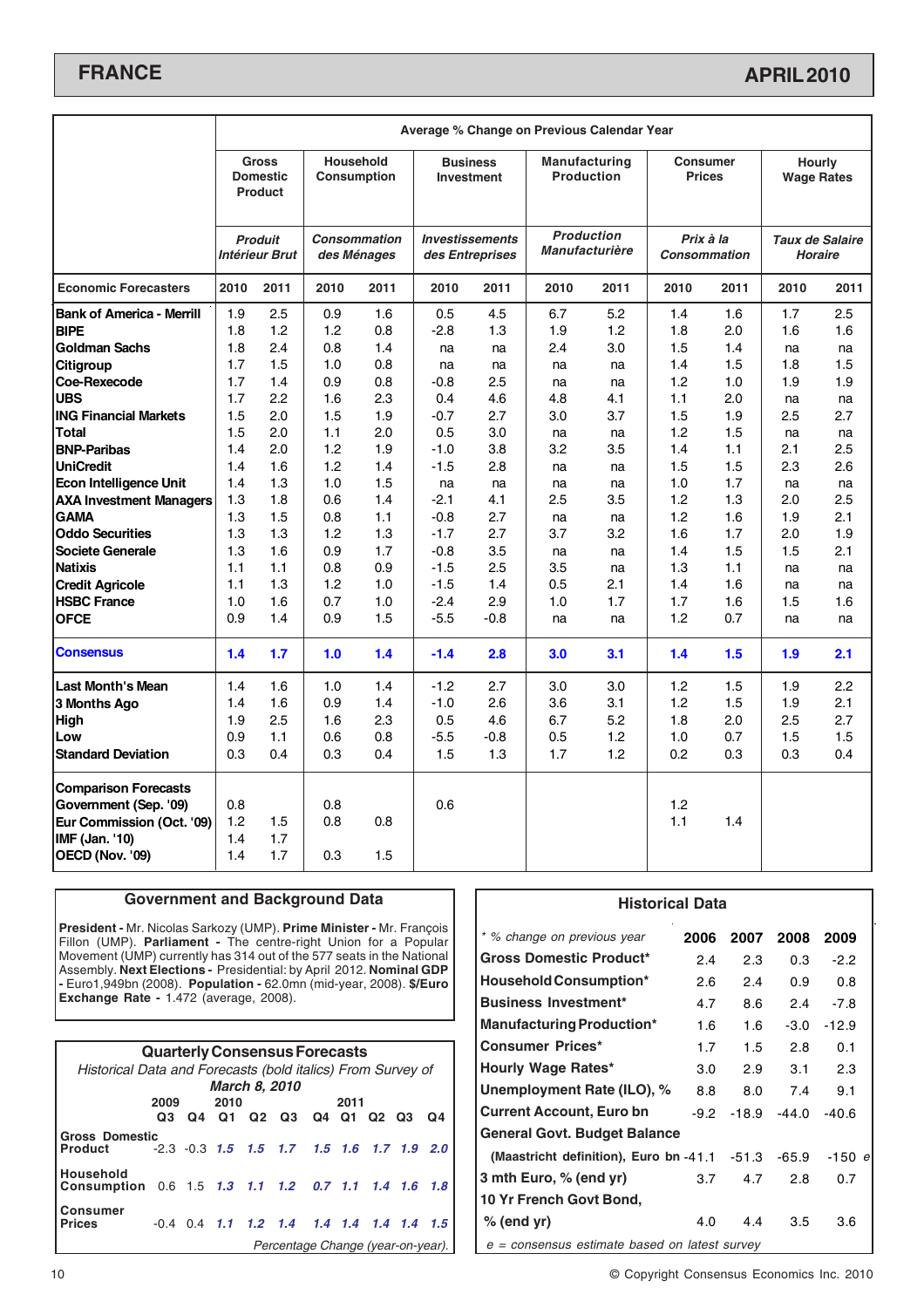|                                  |      | Average % Change on Previous Calendar Year        |                                 |                                    |        |                                           |      |                                            |      |                                  |                                          |      |  |
|----------------------------------|------|---------------------------------------------------|---------------------------------|------------------------------------|--------|-------------------------------------------|------|--------------------------------------------|------|----------------------------------|------------------------------------------|------|--|
|                                  |      | <b>Gross</b><br><b>Domestic</b><br><b>Product</b> | <b>Household</b><br>Consumption |                                    |        | <b>Business</b><br><b>Investment</b>      |      | Manufacturing<br><b>Production</b>         |      | <b>Consumer</b><br><b>Prices</b> | Hourly<br><b>Wage Rates</b>              |      |  |
|                                  |      | <b>Produit</b><br><b>Intérieur Brut</b>           |                                 | <b>Consommation</b><br>des Ménages |        | <b>Investissements</b><br>des Entreprises |      | <b>Production</b><br><b>Manufacturière</b> |      | Prix à la<br><b>Consommation</b> | <b>Taux de Salaire</b><br><b>Horaire</b> |      |  |
| <b>Economic Forecasters</b>      | 2010 | 2011                                              | 2010                            | 2011                               | 2010   | 2011                                      | 2010 | 2011                                       | 2010 | 2011                             | 2010                                     | 2011 |  |
| <b>Bank of America - Merrill</b> | 1.9  | 2.5                                               | 0.9                             | 1.6                                | 0.5    | 4.5                                       | 6.7  | 5.2                                        | 1.4  | 1.6                              | 1.7                                      | 2.5  |  |
| <b>BIPE</b>                      | 1.8  | 1.2                                               | 1.2                             | 0.8                                | $-2.8$ | 1.3                                       | 1.9  | 1.2                                        | 1.8  | 2.0                              | 1.6                                      | 1.6  |  |
| <b>Goldman Sachs</b>             | 1.8  | 2.4                                               | 0.8                             | 1.4                                | na     | na                                        | 2.4  | 3.0                                        | 1.5  | 1.4                              | na                                       | na   |  |
| <b>Citigroup</b>                 | 1.7  | 1.5                                               | 1.0                             | 0.8                                | na     | na                                        | na   | na                                         | 1.4  | 1.5                              | 1.8                                      | 1.5  |  |
| Coe-Rexecode                     | 1.7  | 1.4                                               | 0.9                             | 0.8                                | $-0.8$ | 2.5                                       | na   | na                                         | 1.2  | 1.0                              | 1.9                                      | 1.9  |  |
| <b>UBS</b>                       | 1.7  | 2.2                                               | 1.6                             | 2.3                                | 0.4    | 4.6                                       | 4.8  | 4.1                                        | 1.1  | 2.0                              | na                                       | na   |  |
| <b>ING Financial Markets</b>     | 1.5  | 2.0                                               | 1.5                             | 1.9                                | $-0.7$ | 2.7                                       | 3.0  | 3.7                                        | 1.5  | 1.9                              | 2.5                                      | 2.7  |  |
| <b>Total</b>                     | 1.5  | 2.0                                               | 1.1                             | 2.0                                | 0.5    | 3.0                                       | na   | na                                         | 1.2  | 1.5                              | na                                       | na   |  |
| <b>BNP-Paribas</b>               | 1.4  | 2.0                                               | 1.2                             | 1.9                                | $-1.0$ | 3.8                                       | 3.2  | 3.5                                        | 1.4  | 1.1                              | 2.1                                      | 2.5  |  |
| <b>UniCredit</b>                 | 1.4  | 1.6                                               | 1.2                             | 1.4                                | $-1.5$ | 2.8                                       | na   | na                                         | 1.5  | 1.5                              | 2.3                                      | 2.6  |  |
| Econ Intelligence Unit           | 1.4  | 1.3                                               | 1.0                             | 1.5                                | na     | na                                        | na   | na                                         | 1.0  | 1.7                              | na                                       | na   |  |
| <b>AXA Investment Managers</b>   | 1.3  | 1.8                                               | 0.6                             | 1.4                                | $-2.1$ | 4.1                                       | 2.5  | 3.5                                        | 1.2  | 1.3                              | 2.0                                      | 2.5  |  |
| GAMA                             | 1.3  | 1.5                                               | 0.8                             | 1.1                                | $-0.8$ | 2.7                                       | na   | na                                         | 1.2  | 1.6                              | 1.9                                      | 2.1  |  |
| <b>Oddo Securities</b>           | 1.3  | 1.3                                               | 1.2                             | 1.3                                | $-1.7$ | 2.7                                       | 3.7  | 3.2                                        | 1.6  | 1.7                              | 2.0                                      | 1.9  |  |
| Societe Generale                 | 1.3  | 1.6                                               | 0.9                             | 1.7                                | $-0.8$ | 3.5                                       | na   | na                                         | 1.4  | 1.5                              | 1.5                                      | 2.1  |  |
| Natixis                          | 1.1  | 1.1                                               | 0.8                             | 0.9                                | $-1.5$ | 2.5                                       | 3.5  | na                                         | 1.3  | 1.1                              | na                                       | na   |  |
| <b>Credit Agricole</b>           | 1.1  | 1.3                                               | 1.2                             | 1.0                                | $-1.5$ | 1.4                                       | 0.5  | 2.1                                        | 1.4  | 1.6                              | na                                       | na   |  |
| <b>HSBC France</b>               | 1.0  | 1.6                                               | 0.7                             | 1.0                                | $-2.4$ | 2.9                                       | 1.0  | 1.7                                        | 1.7  | 1.6                              | 1.5                                      | 1.6  |  |
| <b>OFCE</b>                      | 0.9  | 1.4                                               | 0.9                             | 1.5                                | $-5.5$ | $-0.8$                                    | na   | na                                         | 1.2  | 0.7                              | na                                       | na   |  |
| <b>Consensus</b>                 | 1.4  | 1.7                                               | 1.0                             | 1.4                                | $-1.4$ | 2.8                                       | 3.0  | 3.1                                        | 1.4  | 1.5                              | 1.9                                      | 2.1  |  |
| <b>Last Month's Mean</b>         | 1.4  | 1.6                                               | 1.0                             | 1.4                                | $-1.2$ | 2.7                                       | 3.0  | 3.0                                        | 1.2  | 1.5                              | 1.9                                      | 2.2  |  |
| 3 Months Ago                     | 1.4  | 1.6                                               | 0.9                             | 1.4                                | $-1.0$ | 2.6                                       | 3.6  | 3.1                                        | 1.2  | 1.5                              | 1.9                                      | 2.1  |  |
| <b>High</b>                      | 1.9  | 2.5                                               | 1.6                             | 2.3                                | 0.5    | 4.6                                       | 6.7  | 5.2                                        | 1.8  | 2.0                              | 2.5                                      | 2.7  |  |
| Low                              | 0.9  | 1.1                                               | 0.6                             | 0.8                                | $-5.5$ | $-0.8$                                    | 0.5  | 1.2                                        | 1.0  | 0.7                              | 1.5                                      | 1.5  |  |
| <b>Standard Deviation</b>        | 0.3  | 0.4                                               | 0.3                             | 0.4                                | 1.5    | 1.3                                       | 1.7  | 1.2                                        | 0.2  | 0.3                              | 0.3                                      | 0.4  |  |
| <b>Comparison Forecasts</b>      |      |                                                   |                                 |                                    |        |                                           |      |                                            |      |                                  |                                          |      |  |
| Government (Sep. '09)            | 0.8  |                                                   | 0.8                             |                                    | 0.6    |                                           |      |                                            | 1.2  |                                  |                                          |      |  |
| Eur Commission (Oct. '09)        | 1.2  | 1.5                                               | 0.8                             | 0.8                                |        |                                           |      |                                            | 1.1  | 1.4                              |                                          |      |  |
| <b>IMF (Jan. '10)</b>            | 1.4  | 1.7                                               |                                 |                                    |        |                                           |      |                                            |      |                                  |                                          |      |  |
| OECD (Nov. '09)                  | 1.4  | 1.7                                               | 0.3                             | 1.5                                |        |                                           |      |                                            |      |                                  |                                          |      |  |

#### **Government and Background Data**

**President -** Mr. Nicolas Sarkozy (UMP). **Prime Minister -** Mr. François Fillon (UMP). **Parliament -** The centre-right Union for a Popular Movement (UMP) currently has 314 out of the 577 seats in the National Assembly. **Next Elections -** Presidential: by April 2012. **Nominal GDP -** Euro1,949bn (2008). **Population -** 62.0mn (mid-year, 2008). **\$/Euro Exchange Rate -** 1.472 (average, 2008).

|                                                                  |      |      |               | <b>Quarterly Consensus Forecasts</b>                          |      |                               |    |
|------------------------------------------------------------------|------|------|---------------|---------------------------------------------------------------|------|-------------------------------|----|
| Historical Data and Forecasts (bold italics) From Survey of      |      |      |               |                                                               |      |                               |    |
|                                                                  |      |      | March 8, 2010 |                                                               |      |                               |    |
|                                                                  | 2009 | 2010 |               |                                                               | 2011 |                               |    |
|                                                                  | Q3   |      |               | Q4 Q1 Q2 Q3 Q4 Q1                                             |      | Q <sub>2</sub> Q <sub>3</sub> | Q4 |
| <b>Gross Domestic</b><br>Product                                 |      |      |               | $-2.3$ $-0.3$ $1.5$ $1.5$ $1.7$ $1.5$ $1.6$ $1.7$ $1.9$ $2.0$ |      |                               |    |
| Household<br>Consumption 0.6 1.5 1.3 1.1 1.2 0.7 1.1 1.4 1.6 1.8 |      |      |               |                                                               |      |                               |    |
| <b>Consumer</b><br><b>Prices</b>                                 |      |      |               | $-0.4$ 0.4 1.1 1.2 1.4 1.4 1.4 1.4 1.4 1.5                    |      |                               |    |
|                                                                  |      |      |               | Percentage Change (year-on-year).                             |      |                               |    |

#### **Historical Data**

| * % change on previous year                   | 2006   | 2007    | 2008    | 2009    |
|-----------------------------------------------|--------|---------|---------|---------|
| <b>Gross Domestic Product*</b>                | 2.4    | 2.3     | 0.3     | $-2.2$  |
| <b>Household Consumption*</b>                 | 2.6    | 2.4     | 0.9     | 0.8     |
| <b>Business Investment*</b>                   | 4.7    | 8.6     | 2.4     | $-7.8$  |
| <b>Manufacturing Production*</b>              | 1.6    | 1.6     | $-3.0$  | $-12.9$ |
| <b>Consumer Prices*</b>                       | 1.7    | 1.5     | 2.8     | 0.1     |
| <b>Hourly Wage Rates*</b>                     | 3.0    | 2.9     | 3.1     | 2.3     |
| Unemployment Rate (ILO), %                    | 8.8    | 8.0     | 7.4     | 9.1     |
| <b>Current Account, Euro bn</b>               | $-9.2$ | $-18.9$ | $-44.0$ | $-40.6$ |
| <b>General Govt. Budget Balance</b>           |        |         |         |         |
| (Maastricht definition), Euro bn -41.1 -51.3  |        |         | $-65.9$ | $-150e$ |
| 3 mth Euro, % (end yr)                        | 3.7    | 4.7     | 2.8     | 0.7     |
| 10 Yr French Govt Bond,                       |        |         |         |         |
| $%$ (end yr)                                  | 4.0    | 4.4     | 3.5     | 3.6     |
| e = consensus estimate based on latest survey |        |         |         |         |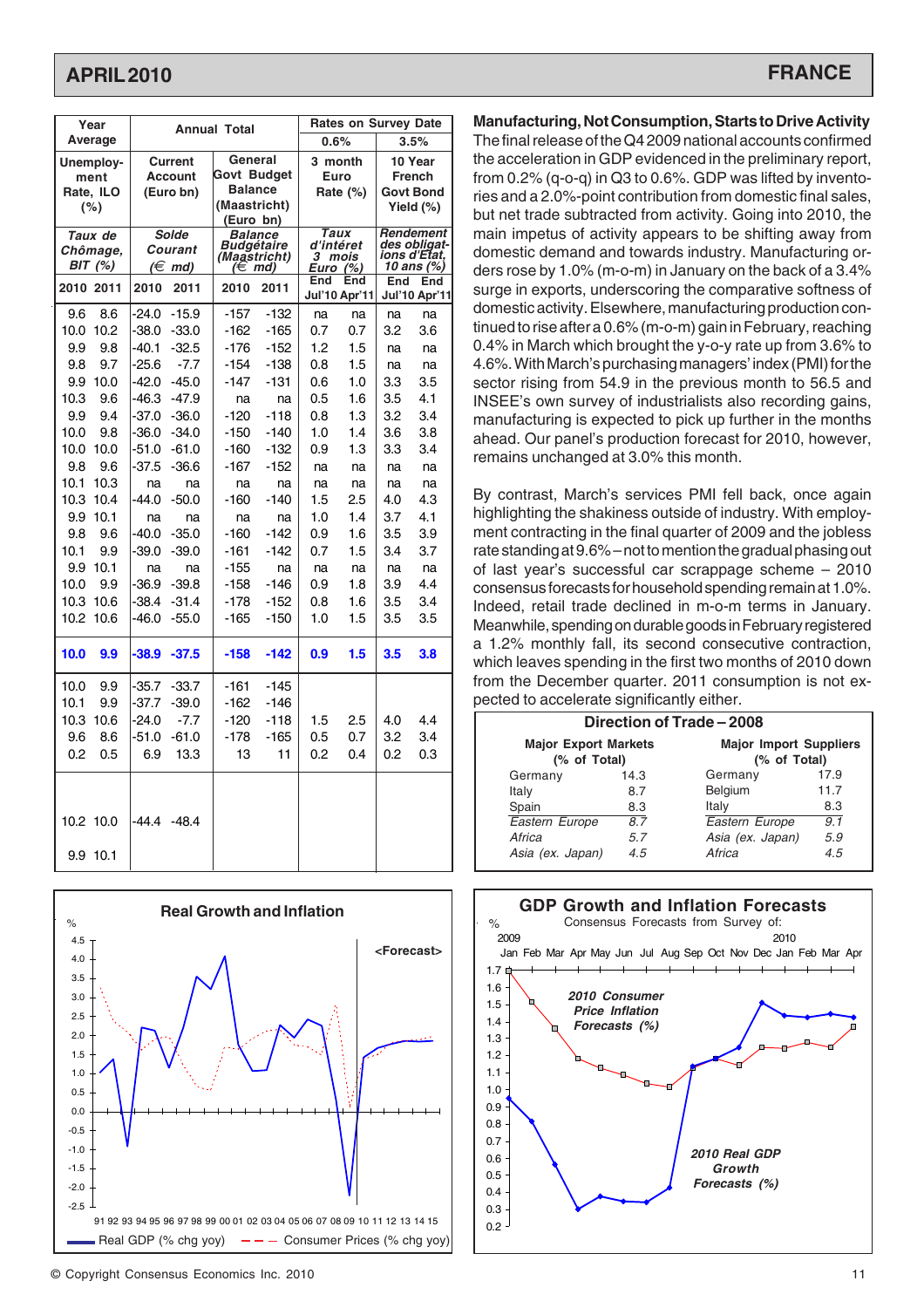| <b>FRANCE</b> |  |
|---------------|--|
|---------------|--|

|      | Year                                   |                                            |                                               | <b>Annual Total</b>                                            |        |                                         |                      | <b>Rates on Survey Date</b>                        |                                                         |  |
|------|----------------------------------------|--------------------------------------------|-----------------------------------------------|----------------------------------------------------------------|--------|-----------------------------------------|----------------------|----------------------------------------------------|---------------------------------------------------------|--|
|      | Average                                |                                            |                                               |                                                                |        | 0.6%                                    |                      |                                                    | 3.5%                                                    |  |
|      | Unemploy-<br>ment<br>Rate, ILO<br>(% ) |                                            | <b>Current</b><br><b>Account</b><br>(Euro bn) | General<br>Govt Budget<br>Balance<br>(Maastricht)<br>(Euro bn) |        | 3 month<br>Euro                         | Rate (%)             | 10 Year<br>French<br><b>Govt Bond</b><br>Yield (%) |                                                         |  |
|      | Taux de<br>Chômage,<br>BIT (%)         | Solde<br>Courant<br>$\ell \in \mathsf{md}$ |                                               | Balance<br><b>Budgétaire</b><br>(Magstricht)<br>7€<br>md)      |        | Taux<br>d'intéret<br>3 mois<br>Euro (%) |                      |                                                    | Rendement<br>des obligat-<br>ions d'Etat.<br>10 ans (%) |  |
|      | 2010 2011                              | 2010                                       | 2011                                          | 2010                                                           | 2011   | End                                     | End<br>Jul'10 Apr'11 | End                                                | End<br>Jul'10 Apr'11                                    |  |
| 9.6  | 8.6                                    | $-24.0$                                    | $-15.9$                                       | -157                                                           | -132   | na                                      | na                   | na                                                 | na                                                      |  |
| 10.0 | 10.2                                   | $-38.0$                                    | $-33.0$                                       | $-162$                                                         | $-165$ | 0.7                                     | 0.7                  | 3.2                                                | 3.6                                                     |  |
| 9.9  | 9.8                                    | $-40.1$                                    | $-32.5$                                       | $-176$                                                         | $-152$ | 1.2                                     | 1.5                  | na                                                 | na                                                      |  |
| 9.8  | 9.7                                    | -25.6                                      | $-7.7$                                        | $-154$                                                         | -138   | 0.8                                     | 1.5                  | na                                                 | na                                                      |  |
| 9.9  | 10.0                                   | $-42.0$                                    | $-45.0$                                       | $-147$                                                         | $-131$ | 0.6                                     | 1.0                  | 3.3                                                | 3.5                                                     |  |
| 10.3 | 9.6                                    | -46.3                                      | $-47.9$                                       | na                                                             | na     | 0.5                                     | 1.6                  | 3.5                                                | 4.1                                                     |  |
| 9.9  | 9.4                                    | -37.0                                      | $-36.0$                                       | -120                                                           | $-118$ | 0.8                                     | 1.3                  | 3.2                                                | 3.4                                                     |  |
| 10.0 | 9.8                                    | -36.0                                      | $-34.0$                                       | $-150$                                                         | $-140$ | 1.0                                     | 1.4                  | 3.6                                                | 3.8                                                     |  |
| 10.0 | 10.0                                   | -51.0                                      | $-61.0$                                       | $-160$                                                         | $-132$ | 0.9                                     | 1.3                  | 3.3                                                | 3.4                                                     |  |
| 9.8  | 9.6                                    | -37.5                                      | $-36.6$                                       | -167                                                           | -152   | na                                      | na                   | na                                                 | na                                                      |  |
| 10.1 | 10.3                                   | na                                         | na                                            | na                                                             | na     | na                                      | na                   | na                                                 | na                                                      |  |
| 10.3 | 10.4                                   | -44.0                                      | $-50.0$                                       | -160                                                           | -140   | 1.5                                     | 2.5                  | 4.0                                                | 4.3                                                     |  |
| 9.9  | 10.1                                   | na                                         | na                                            | na                                                             | na     | 1.0                                     | 1.4                  | 3.7                                                | 4.1                                                     |  |
| 9.8  | 9.6                                    | $-40.0$                                    | $-35.0$                                       | $-160$                                                         | $-142$ | 0.9                                     | 1.6                  | 3.5                                                | 3.9                                                     |  |
| 10.1 | 9.9                                    | -39.0                                      | $-39.0$                                       | -161                                                           | $-142$ | 0.7                                     | 1.5                  | 3.4                                                | 3.7                                                     |  |
| 9.9  | 10.1                                   | na                                         | na                                            | $-155$                                                         | na     | na                                      | na                   | na                                                 | na                                                      |  |
| 10.0 | 9.9                                    | -36.9                                      | $-39.8$                                       | -158                                                           | $-146$ | 0.9                                     | 1.8                  | 3.9                                                | 4.4                                                     |  |
| 10.3 | 10.6                                   | -38.4                                      | $-31.4$                                       | -178                                                           | $-152$ | 0.8                                     | 1.6                  | 3.5                                                | 3.4                                                     |  |
| 10.2 | 10.6                                   | -46.0                                      | $-55.0$                                       | -165                                                           | -150   | 1.0                                     | 1.5                  | 3.5                                                | 3.5                                                     |  |
| 10.0 | 9.9                                    | -38.9                                      | $-37.5$                                       | -158                                                           | -142   | 0.9                                     | 1.5                  | 3.5                                                | 3.8                                                     |  |
| 10.0 | 9.9                                    | -35.7                                      | $-33.7$                                       | -161                                                           | $-145$ |                                         |                      |                                                    |                                                         |  |
| 10.1 | 9.9                                    | -37.7                                      | $-39.0$                                       | $-162$                                                         | -146   |                                         |                      |                                                    |                                                         |  |
| 10.3 | 10.6                                   | $-24.0$                                    | $-7.7$                                        | $-120$                                                         | $-118$ | 1.5                                     | 2.5                  | 4.0                                                | 4.4                                                     |  |
| 9.6  | 8.6                                    | -51.0                                      | $-61.0$                                       | -178                                                           | -165   | 0.5                                     | 0.7                  | 3.2                                                | 3.4                                                     |  |
| 0.2  | 0.5                                    | 6.9                                        | 13.3                                          | 13                                                             | 11     | 0.2                                     | 0.4                  | 0.2                                                | 0.3                                                     |  |
| 10.2 | 10.0                                   |                                            | $-44.4 - 48.4$                                |                                                                |        |                                         |                      |                                                    |                                                         |  |
| 9.9  | 10.1                                   |                                            |                                               |                                                                |        |                                         |                      |                                                    |                                                         |  |



**Manufacturing, Not Consumption, Starts to Drive Activity** The final release of the Q4 2009 national accounts confirmed the acceleration in GDP evidenced in the preliminary report, from 0.2% (q-o-q) in Q3 to 0.6%. GDP was lifted by inventories and a 2.0%-point contribution from domestic final sales, but net trade subtracted from activity. Going into 2010, the main impetus of activity appears to be shifting away from domestic demand and towards industry. Manufacturing orders rose by 1.0% (m-o-m) in January on the back of a 3.4% surge in exports, underscoring the comparative softness of domestic activity. Elsewhere, manufacturing production continued to rise after a 0.6% (m-o-m) gain in February, reaching 0.4% in March which brought the y-o-y rate up from 3.6% to 4.6%. With March's purchasing managers' index (PMI) for the sector rising from 54.9 in the previous month to 56.5 and INSEE's own survey of industrialists also recording gains, manufacturing is expected to pick up further in the months ahead. Our panel's production forecast for 2010, however, remains unchanged at 3.0% this month.

By contrast, March's services PMI fell back, once again highlighting the shakiness outside of industry. With employment contracting in the final quarter of 2009 and the jobless rate standing at 9.6% – not to mention the gradual phasing out of last year's successful car scrappage scheme – 2010 consensus forecasts for household spending remain at 1.0%. Indeed, retail trade declined in m-o-m terms in January. Meanwhile, spending on durable goods in February registered a 1.2% monthly fall, its second consecutive contraction, which leaves spending in the first two months of 2010 down from the December quarter. 2011 consumption is not expected to accelerate significantly either.

| Direction of Trade - 2008                                                                    |                  |                  |      |  |  |  |  |  |  |
|----------------------------------------------------------------------------------------------|------------------|------------------|------|--|--|--|--|--|--|
| <b>Major Import Suppliers</b><br><b>Major Export Markets</b><br>(% of Total)<br>(% of Total) |                  |                  |      |  |  |  |  |  |  |
| Germany                                                                                      | 14.3             | Germany          | 17.9 |  |  |  |  |  |  |
| Italy                                                                                        | 8.7              | Belgium          | 11.7 |  |  |  |  |  |  |
| Spain                                                                                        | 8.3              | Italy            | 8.3  |  |  |  |  |  |  |
| Eastern Europe                                                                               | $\overline{8.7}$ | Eastern Europe   | 9.1  |  |  |  |  |  |  |
| Africa                                                                                       | 5.7              | Asia (ex. Japan) | 5.9  |  |  |  |  |  |  |
| Asia (ex. Japan)                                                                             | 4.5              | Africa           | 4.5  |  |  |  |  |  |  |

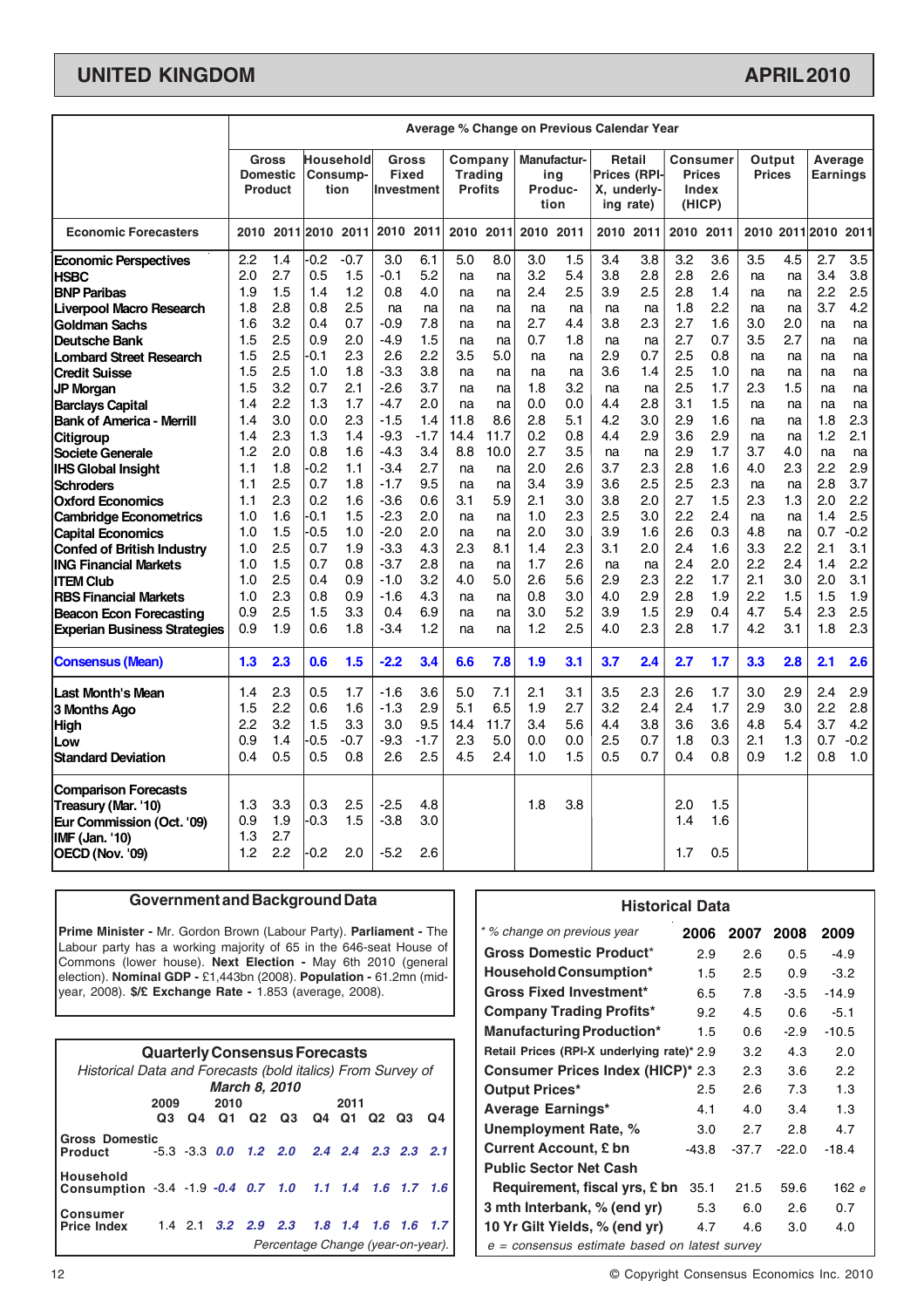## **UNITED KINGDOM**

### **APRIL 2010**

|                                                                                                                             |                                 | Average % Change on Previous Calendar Year |                                 |                                    |                                        |                                    |                                             |                                  |                                 |                                 |                                 |                                                           |                                 |                                              |                                 |                                 |                                 |                                    |
|-----------------------------------------------------------------------------------------------------------------------------|---------------------------------|--------------------------------------------|---------------------------------|------------------------------------|----------------------------------------|------------------------------------|---------------------------------------------|----------------------------------|---------------------------------|---------------------------------|---------------------------------|-----------------------------------------------------------|---------------------------------|----------------------------------------------|---------------------------------|---------------------------------|---------------------------------|------------------------------------|
|                                                                                                                             | <b>Product</b>                  | <b>Gross</b><br><b>Domestic</b>            |                                 | Household<br>Consump-<br>tion      | Gross<br><b>Fixed</b><br>Investment    |                                    | Company<br><b>Trading</b><br><b>Profits</b> |                                  | Manufactur-<br>tion             | ina<br>Produc-                  |                                 | Retail<br><b>Prices (RPI-</b><br>X, underly-<br>ing rate) |                                 | Consumer<br><b>Prices</b><br>Index<br>(HICP) | Output<br><b>Prices</b>         |                                 | Average<br><b>Earnings</b>      |                                    |
| <b>Economic Forecasters</b>                                                                                                 |                                 |                                            |                                 | 2010 2011 2010 2011                | 2010 2011                              |                                    | 2010 2011                                   |                                  | 2010 2011                       |                                 |                                 | 2010 2011                                                 | 2010 2011                       |                                              |                                 | 2010 2011                       | 2010                            | 2011                               |
| <b>Economic Perspectives</b><br><b>HSBC</b>                                                                                 | 2.2<br>2.0                      | 1.4<br>2.7                                 | 0.2<br>0.5                      | $-0.7$<br>1.5                      | 3.0<br>$-0.1$                          | 6.1<br>5.2                         | 5.0<br>na                                   | 8.0<br>na                        | 3.0<br>3.2                      | 1.5<br>5.4                      | 3.4<br>3.8                      | 3.8<br>2.8                                                | 3.2<br>2.8                      | 3.6<br>2.6                                   | 3.5<br>na                       | 4.5<br>na                       | 2.7<br>3.4                      | 3.5<br>3.8                         |
| <b>BNP Paribas</b>                                                                                                          | 1.9                             | 1.5                                        | 1.4                             | 1.2                                | 0.8                                    | 4.0                                | na                                          | na                               | 2.4                             | 2.5                             | 3.9                             | 2.5                                                       | 2.8                             | 1.4                                          | na                              | na                              | 2.2                             | 2.5                                |
| <b>Liverpool Macro Research</b>                                                                                             | 1.8                             | 2.8                                        | 0.8                             | 2.5                                | na                                     | na                                 | na                                          | na                               | na                              | na                              | na                              | na                                                        | 1.8                             | 2.2                                          | na                              | na                              | 3.7                             | 4.2                                |
| <b>Goldman Sachs</b>                                                                                                        | 1.6                             | 3.2                                        | 0.4                             | 0.7                                | $-0.9$                                 | 7.8                                | na                                          | na                               | 2.7                             | 4.4                             | 3.8                             | 2.3                                                       | 2.7                             | 1.6                                          | 3.0                             | 2.0                             | na                              | na                                 |
| <b>Deutsche Bank</b>                                                                                                        | 1.5                             | 2.5                                        | 0.9                             | 2.0                                | $-4.9$                                 | 1.5                                | na                                          | na                               | 0.7                             | 1.8                             | na                              | na                                                        | 2.7                             | 0.7                                          | 3.5                             | 2.7                             | na                              | na                                 |
| <b>Lombard Street Research</b>                                                                                              | 1.5                             | 2.5                                        | 0.1                             | 2.3                                | 2.6                                    | 2.2                                | 3.5                                         | 5.0                              | na                              | na                              | 2.9                             | 0.7                                                       | 2.5                             | 0.8                                          | na                              | na                              | na                              | na                                 |
| <b>Credit Suisse</b>                                                                                                        | 1.5                             | 2.5                                        | 1.0                             | 1.8                                | $-3.3$                                 | 3.8                                | na                                          | na                               | na                              | na                              | 3.6                             | 1.4                                                       | 2.5                             | 1.0                                          | na                              | na                              | na                              | na                                 |
| JP Morgan                                                                                                                   | 1.5<br>1.4                      | 3.2<br>2.2                                 | 0.7<br>1.3                      | 2.1<br>1.7                         | $-2.6$<br>$-4.7$                       | 3.7<br>2.0                         | na                                          | na                               | 1.8<br>0.0                      | 3.2<br>0.0                      | na<br>4.4                       | na<br>2.8                                                 | 2.5<br>3.1                      | 1.7<br>1.5                                   | 2.3                             | 1.5                             | na                              | na                                 |
| <b>Barclays Capital</b><br><b>Bank of America - Merrill</b>                                                                 | 1.4                             | 3.0                                        | 0.0                             | 2.3                                | $-1.5$                                 | 1.4                                | na<br>11.8                                  | na<br>8.6                        | 2.8                             | 5.1                             | 4.2                             | 3.0                                                       | 2.9                             | 1.6                                          | na<br>na                        | na<br>na                        | na<br>1.8                       | na<br>2.3                          |
| Citigroup                                                                                                                   | 1.4                             | 2.3                                        | 1.3                             | 1.4                                | $-9.3$                                 | $-1.7$                             | 14.4                                        | 11.7                             | 0.2                             | 0.8                             | 4.4                             | 2.9                                                       | 3.6                             | 2.9                                          | na                              | na                              | 1.2                             | 2.1                                |
| Societe Generale                                                                                                            | 1.2                             | 2.0                                        | 0.8                             | 1.6                                | $-4.3$                                 | 3.4                                | 8.8                                         | 10.0                             | 2.7                             | 3.5                             | na                              | na                                                        | 2.9                             | 1.7                                          | 3.7                             | 4.0                             | na                              | na                                 |
| <b>IHS Global Insight</b>                                                                                                   | 1.1                             | 1.8                                        | $-0.2$                          | 1.1                                | $-3.4$                                 | 2.7                                | na                                          | na                               | 2.0                             | 2.6                             | 3.7                             | 2.3                                                       | 2.8                             | 1.6                                          | 4.0                             | 2.3                             | 2.2                             | 2.9                                |
| <b>Schroders</b>                                                                                                            | 1.1                             | 2.5                                        | 0.7                             | 1.8                                | $-1.7$                                 | 9.5                                | na                                          | na                               | 3.4                             | 3.9                             | 3.6                             | 2.5                                                       | 2.5                             | 2.3                                          | na                              | na                              | 2.8                             | 3.7                                |
| <b>Oxford Economics</b>                                                                                                     | 1.1                             | 2.3                                        | 0.2                             | 1.6                                | $-3.6$                                 | 0.6                                | 3.1                                         | 5.9                              | 2.1                             | 3.0                             | 3.8                             | 2.0                                                       | 2.7                             | 1.5                                          | 2.3                             | 1.3                             | 2.0                             | 2.2                                |
| Cambridge Econometrics                                                                                                      | 1.0                             | 1.6                                        | -0.1                            | 1.5                                | $-2.3$                                 | 2.0                                | na                                          | na                               | 1.0                             | 2.3                             | 2.5                             | 3.0                                                       | 2.2                             | 2.4                                          | na                              | na                              | 1.4                             | 2.5                                |
| <b>Capital Economics</b>                                                                                                    | 1.0                             | 1.5                                        | 0.5                             | 1.0                                | $-2.0$                                 | 2.0                                | na                                          | na                               | 2.0                             | 3.0                             | 3.9                             | 1.6                                                       | 2.6                             | 0.3                                          | 4.8                             | na                              | 0.7                             | $-0.2$                             |
| <b>Confed of British Industry</b>                                                                                           | 1.0                             | 2.5                                        | 0.7                             | 1.9                                | $-3.3$                                 | 4.3                                | 2.3                                         | 8.1                              | 1.4                             | 2.3                             | 3.1                             | 2.0                                                       | 2.4                             | 1.6                                          | 3.3                             | 2.2                             | 2.1                             | 3.1                                |
| <b>ING Financial Markets</b>                                                                                                | 1.0                             | 1.5                                        | 0.7                             | 0.8                                | -3.7                                   | 2.8                                | na                                          | na                               | 1.7                             | 2.6                             | na                              | na                                                        | 2.4                             | 2.0                                          | 2.2                             | 2.4                             | 1.4                             | 2.2                                |
| <b>ITEM Club</b>                                                                                                            | 1.0                             | 2.5                                        | 0.4                             | 0.9                                | $-1.0$                                 | 3.2                                | 4.0                                         | 5.0                              | 2.6                             | 5.6                             | 2.9                             | 2.3                                                       | 2.2                             | 1.7                                          | 2.1                             | 3.0                             | 2.0                             | 3.1                                |
| <b>RBS Financial Markets</b>                                                                                                | 1.0                             | 2.3                                        | 0.8                             | 0.9                                | $-1.6$                                 | 4.3                                | na                                          | na                               | 0.8                             | 3.0                             | 4.0                             | 2.9                                                       | 2.8                             | 1.9                                          | 2.2                             | 1.5                             | 1.5                             | 1.9                                |
| <b>Beacon Econ Forecasting</b>                                                                                              | 0.9                             | 2.5                                        | 1.5                             | 3.3                                | 0.4                                    | 6.9                                | na                                          | na                               | 3.0                             | 5.2                             | 3.9                             | 1.5                                                       | 2.9                             | 0.4                                          | 4.7                             | 5.4                             | 2.3                             | 2.5                                |
| <b>Experian Business Strategies</b>                                                                                         | 0.9                             | 1.9                                        | 0.6                             | 1.8                                | $-3.4$                                 | 1.2                                | na                                          | na                               | 1.2                             | 2.5                             | 4.0                             | 2.3                                                       | 2.8                             | 1.7                                          | 4.2                             | 3.1                             | 1.8                             | 2.3                                |
| <b>Consensus (Mean)</b>                                                                                                     | 1.3                             | 2.3                                        | 0.6                             | 1.5                                | $-2.2$                                 | 3.4                                | 6.6                                         | 7.8                              | 1.9                             | 3.1                             | 3.7                             | 2.4                                                       | 2.7                             | 1.7                                          | 3.3                             | 2.8                             | 2.1                             | 2.6                                |
| Last Month's Mean<br>3 Months Ago<br><b>High</b><br>Low<br><b>Standard Deviation</b>                                        | 1.4<br>1.5<br>2.2<br>0.9<br>0.4 | 2.3<br>2.2<br>3.2<br>1.4<br>0.5            | 0.5<br>0.6<br>1.5<br>0.5<br>0.5 | 1.7<br>1.6<br>3.3<br>$-0.7$<br>0.8 | -1.6<br>$-1.3$<br>3.0<br>$-9.3$<br>2.6 | 3.6<br>2.9<br>9.5<br>$-1.7$<br>2.5 | 5.0<br>5.1<br>14.4<br>2.3<br>4.5            | 7.1<br>6.5<br>11.7<br>5.0<br>2.4 | 2.1<br>1.9<br>3.4<br>0.0<br>1.0 | 3.1<br>2.7<br>5.6<br>0.0<br>1.5 | 3.5<br>3.2<br>4.4<br>2.5<br>0.5 | 2.3<br>2.4<br>3.8<br>0.7<br>0.7                           | 2.6<br>2.4<br>3.6<br>1.8<br>0.4 | 1.7<br>1.7<br>3.6<br>0.3<br>0.8              | 3.0<br>2.9<br>4.8<br>2.1<br>0.9 | 2.9<br>3.0<br>5.4<br>1.3<br>1.2 | 2.4<br>2.2<br>3.7<br>0.7<br>0.8 | 2.9<br>2.8<br>4.2<br>$-0.2$<br>1.0 |
| <b>Comparison Forecasts</b><br>Treasury (Mar. '10)<br>Eur Commission (Oct. '09)<br><b>IMF (Jan. '10)</b><br>OECD (Nov. '09) | 1.3<br>0.9<br>1.3<br>1.2        | 3.3<br>1.9<br>2.7<br>2.2                   | 0.3<br>0.3<br>$-0.2$            | 2.5<br>1.5<br>2.0                  | $-2.5$<br>$-3.8$<br>$-5.2$             | 4.8<br>3.0<br>2.6                  |                                             |                                  | 1.8                             | 3.8                             |                                 |                                                           | 2.0<br>1.4<br>1.7               | 1.5<br>1.6<br>0.5                            |                                 |                                 |                                 |                                    |

#### **Government and Background Data**

**Prime Minister -** Mr. Gordon Brown (Labour Party). **Parliament -** The Labour party has a working majority of 65 in the 646-seat House of Commons (lower house). **Next Election -** May 6th 2010 (general election). **Nominal GDP -** £1,443bn (2008). **Population -** 61.2mn (midyear, 2008). **\$/£ Exchange Rate -** 1.853 (average, 2008).

| <b>Quarterly Consensus Forecasts</b><br>Historical Data and Forecasts (bold italics) From Survey of |                                   |  |             |  |                                           |  |       |                               |  |    |  |
|-----------------------------------------------------------------------------------------------------|-----------------------------------|--|-------------|--|-------------------------------------------|--|-------|-------------------------------|--|----|--|
| March 8, 2010                                                                                       |                                   |  |             |  |                                           |  |       |                               |  |    |  |
| 2010<br>2009<br>2011                                                                                |                                   |  |             |  |                                           |  |       |                               |  |    |  |
|                                                                                                     | Q <sub>3</sub>                    |  | Q4 Q1 Q2 Q3 |  |                                           |  | Q4 Q1 | Q <sub>2</sub> Q <sub>3</sub> |  | Q4 |  |
| <b>Gross Domestic</b><br><b>Product</b>                                                             |                                   |  |             |  | -5.3 -3.3 0.0 1.2 2.0 2.4 2.4 2.3 2.3 2.1 |  |       |                               |  |    |  |
| <b>Household</b><br>Consumption -3.4 -1.9 -0.4 0.7 1.0 1.1 1.4 1.6 1.7 1.6                          |                                   |  |             |  |                                           |  |       |                               |  |    |  |
| Consumer<br><b>Price Index</b>                                                                      |                                   |  |             |  | 1.4 2.1 3.2 2.9 2.3 1.8 1.4 1.6 1.6 1.7   |  |       |                               |  |    |  |
|                                                                                                     | Percentage Change (year-on-year). |  |             |  |                                           |  |       |                               |  |    |  |

| <b>Historical Data</b>                        |         |                  |         |         |  |  |  |  |  |  |  |
|-----------------------------------------------|---------|------------------|---------|---------|--|--|--|--|--|--|--|
| * % change on previous year                   | 2006    | 2007             | 2008    | 2009    |  |  |  |  |  |  |  |
| <b>Gross Domestic Product*</b>                | 2.9     | 2.6              | 0.5     | $-4.9$  |  |  |  |  |  |  |  |
| <b>Household Consumption*</b>                 | 1.5     | 2.5              | 0.9     | $-3.2$  |  |  |  |  |  |  |  |
| <b>Gross Fixed Investment*</b>                | 6.5     | 7.8              | $-3.5$  | $-14.9$ |  |  |  |  |  |  |  |
| <b>Company Trading Profits*</b>               | 9.2     | 4.5              | 0.6     | $-5.1$  |  |  |  |  |  |  |  |
| <b>Manufacturing Production*</b>              | 1.5     | 0.6              | $-2.9$  | $-10.5$ |  |  |  |  |  |  |  |
| Retail Prices (RPI-X underlying rate)* 2.9    |         | 3.2 <sub>2</sub> | 4.3     | 2.0     |  |  |  |  |  |  |  |
| <b>Consumer Prices Index (HICP)* 2.3</b>      |         | 2.3              | 3.6     | 2.2     |  |  |  |  |  |  |  |
| <b>Output Prices*</b>                         | 2.5     | 2.6              | 7.3     | 1.3     |  |  |  |  |  |  |  |
| <b>Average Earnings*</b>                      | 4.1     | 4.0              | 3.4     | 1.3     |  |  |  |  |  |  |  |
| Unemployment Rate, %                          | 3.0     | 2.7              | 2.8     | 4.7     |  |  |  |  |  |  |  |
| <b>Current Account, £ bn</b>                  | $-43.8$ | $-37.7$          | $-22.0$ | $-18.4$ |  |  |  |  |  |  |  |
| <b>Public Sector Net Cash</b>                 |         |                  |         |         |  |  |  |  |  |  |  |
| Requirement, fiscal yrs, £ bn                 | 35.1    | 21.5             | 59.6    | 162e    |  |  |  |  |  |  |  |
| 3 mth Interbank, % (end yr)                   | 5.3     | 6.0              | 2.6     | 0.7     |  |  |  |  |  |  |  |
| 10 Yr Gilt Yields, % (end yr)                 | 4.7     | 4.6              | 3.0     | 4.0     |  |  |  |  |  |  |  |
| e = consensus estimate based on latest survey |         |                  |         |         |  |  |  |  |  |  |  |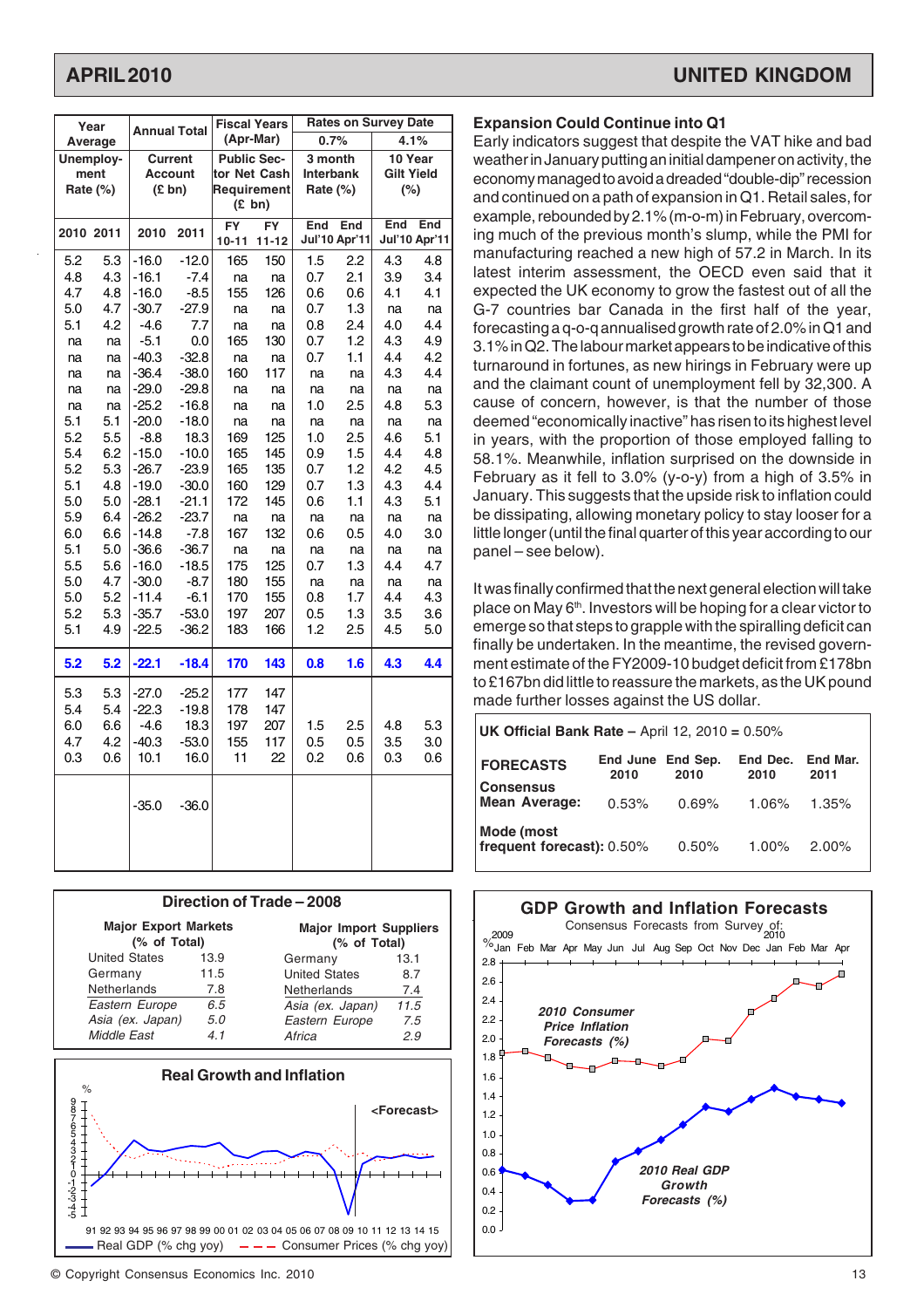|                          | Year                             |                                         | <b>Annual Total</b>                             | <b>Rates on Survey Date</b><br><b>Fiscal Years</b><br>(Apr-Mar)<br>0.7%<br>4.1% |                                                             |            |                                            |                                        |                             |  |  |
|--------------------------|----------------------------------|-----------------------------------------|-------------------------------------------------|---------------------------------------------------------------------------------|-------------------------------------------------------------|------------|--------------------------------------------|----------------------------------------|-----------------------------|--|--|
|                          | Average                          |                                         |                                                 |                                                                                 |                                                             |            |                                            |                                        |                             |  |  |
|                          | Unemploy-<br>ment<br>Rate $(\%)$ |                                         | <b>Current</b><br><b>Account</b><br>$(E \, bn)$ |                                                                                 | <b>Public Sec-</b><br>tor Net Cash<br>Requirement<br>(E bh) |            | 3 month<br><b>Interbank</b><br>Rate $(\%)$ | 10 Year<br><b>Gilt Yield</b><br>$(\%)$ |                             |  |  |
|                          | 2010 2011                        | 2010                                    | 2011                                            | <b>FY</b><br>$10 - 11$                                                          | <b>FY</b><br>$11 - 12$                                      | End        | End<br><b>Jul'10 Apr'11</b>                | End                                    | End<br><b>Jul'10 Apr'11</b> |  |  |
| 5.2                      | 5.3                              | $-16.0$                                 | $-12.0$                                         | 165                                                                             | 150                                                         | 1.5        | 2.2                                        | 4.3                                    | 4.8                         |  |  |
| 4.8                      | 4.3                              | $-16.1$                                 | $-7.4$                                          | na                                                                              | na                                                          | 0.7        | 2.1                                        | 3.9                                    | 3.4                         |  |  |
| 4.7                      | 4.8                              | $-16.0$                                 | -8.5                                            | 155                                                                             | 126                                                         | 0.6        | 0.6                                        | 4.1                                    | 4.1                         |  |  |
| 5.0                      | 4.7                              | $-30.7$                                 | $-27.9$                                         | na                                                                              | na                                                          | 0.7        | 1.3                                        | na                                     | na                          |  |  |
| 5.1                      | 4.2                              | $-4.6$                                  | 7.7                                             | na                                                                              | na                                                          | 0.8        | 2.4                                        | 4.0                                    | 4.4                         |  |  |
| na                       | na                               | $-5.1$                                  | 0.0                                             | 165                                                                             | 130                                                         | 0.7        | 1.2                                        | 4.3                                    | 4.9                         |  |  |
| na                       | na                               | $-40.3$                                 | $-32.8$                                         | na                                                                              | na                                                          | 0.7        | 1.1                                        | 4.4                                    | 4.2                         |  |  |
| na                       | na                               | $-36.4$                                 | $-38.0$                                         | 160                                                                             | 117                                                         | na         | na                                         | 4.3                                    | 4.4                         |  |  |
| na                       | na                               | $-29.0$                                 | $-29.8$                                         | na                                                                              | na                                                          | na         | na                                         | na                                     | na                          |  |  |
| na                       | na                               | $-25.2$                                 | $-16.8$                                         | na                                                                              | na                                                          | 1.0        | 2.5                                        | 4.8                                    | 5.3                         |  |  |
| 5.1                      | 5.1                              | $-20.0$                                 | $-18.0$                                         | na                                                                              | na                                                          | na         | na                                         | na                                     | na                          |  |  |
| 5.2                      | 5.5                              | $-8.8$                                  | 18.3                                            | 169                                                                             | 125                                                         | 1.0        | 2.5                                        | 4.6                                    | 5.1                         |  |  |
| 5.4                      | 6.2                              | $-15.0$                                 | $-10.0$                                         | 165                                                                             | 145                                                         | 0.9        | 1.5                                        | 4.4                                    | 4.8                         |  |  |
| 5.2                      | 5.3                              | $-26.7$                                 | $-23.9$                                         | 165                                                                             | 135                                                         | 0.7        | 1.2                                        | 4.2                                    | 4.5                         |  |  |
| 5.1                      | 4.8                              | $-19.0$                                 | $-30.0$                                         | 160                                                                             | 129                                                         | 0.7        | 1.3                                        | 4.3                                    | 4.4                         |  |  |
| 5.0                      | 5.0                              | $-28.1$                                 | $-21.1$                                         | 172                                                                             | 145                                                         | 0.6        | 1.1                                        | 4.3                                    | 5.1                         |  |  |
| 5.9                      | 6.4                              | $-26.2$                                 | $-23.7$                                         | na<br>167                                                                       | na                                                          | na         | na                                         | na                                     | na                          |  |  |
| 6.0                      | 6.6                              | $-14.8$                                 | -7.8                                            |                                                                                 | 132                                                         | 0.6        | 0.5                                        | 4.0                                    | 3.0                         |  |  |
| 5.1<br>5.5               | 5.0<br>5.6                       | $-36.6$<br>$-16.0$                      | -36.7<br>$-18.5$                                | na<br>175                                                                       | na<br>125                                                   | na<br>0.7  | na<br>1.3                                  | na<br>4.4                              | na<br>4.7                   |  |  |
| 5.0                      | 4.7                              | $-30.0$                                 | $-8.7$                                          | 180                                                                             | 155                                                         | na         | na                                         | na                                     | na                          |  |  |
| 5.0                      | 5.2                              | $-11.4$                                 | $-6.1$                                          | 170                                                                             | 155                                                         | 0.8        | 1.7                                        | 4.4                                    | 4.3                         |  |  |
| 5.2                      | 5.3                              | $-35.7$                                 | $-53.0$                                         | 197                                                                             | 207                                                         | 0.5        | 1.3                                        | 3.5                                    | 3.6                         |  |  |
| 5.1                      | 4.9                              | $-22.5$                                 | $-36.2$                                         | 183                                                                             | 166                                                         | 1.2        | 2.5                                        | 4.5                                    | 5.0                         |  |  |
|                          |                                  |                                         |                                                 |                                                                                 |                                                             |            |                                            |                                        |                             |  |  |
| 5.2                      | 5.2                              | $-22.1$                                 | $-18.4$                                         | 170                                                                             | 143                                                         | 0.8        | 1.6                                        | 4.3                                    | 4.4                         |  |  |
| 5.3<br>5.4<br>6.0<br>4.7 | 5.3<br>5.4<br>6.6<br>4.2         | $-27.0$<br>$-22.3$<br>$-4.6$<br>$-40.3$ | $-25.2$<br>$-19.8$<br>18.3<br>$-53.0$           | 177<br>178<br>197<br>155                                                        | 147<br>147<br>207<br>117                                    | 1.5<br>0.5 | 2.5<br>0.5                                 | 4.8<br>3.5                             | 5.3<br>3.0                  |  |  |
| 0.3                      | 0.6                              | 10.1                                    | 16.0                                            | 11                                                                              | 22                                                          | 0.2        | 0.6                                        | 0.3                                    | 0.6                         |  |  |
|                          |                                  | $-35.0$                                 | $-36.0$                                         |                                                                                 |                                                             |            |                                            |                                        |                             |  |  |



example, rebounded by 2.1% (m-o-m) in February, overcoming much of the previous month's slump, while the PMI for manufacturing reached a new high of 57.2 in March. In its latest interim assessment, the OECD even said that it expected the UK economy to grow the fastest out of all the G-7 countries bar Canada in the first half of the year, forecasting a q-o-q annualised growth rate of 2.0% in Q1 and 3.1% in Q2. The labour market appears to be indicative of this turnaround in fortunes, as new hirings in February were up and the claimant count of unemployment fell by 32,300. A cause of concern, however, is that the number of those deemed "economically inactive" has risen to its highest level in years, with the proportion of those employed falling to 58.1%. Meanwhile, inflation surprised on the downside in February as it fell to 3.0% (y-o-y) from a high of 3.5% in January. This suggests that the upside risk to inflation could be dissipating, allowing monetary policy to stay looser for a little longer (until the final quarter of this year according to our panel – see below).

Early indicators suggest that despite the VAT hike and bad weather in January putting an initial dampener on activity, the economy managed to avoid a dreaded "double-dip" recession and continued on a path of expansion in Q1. Retail sales, for

**Expansion Could Continue into Q1**

It was finally confirmed that the next general election will take place on May  $6<sup>th</sup>$ . Investors will be hoping for a clear victor to emerge so that steps to grapple with the spiralling deficit can finally be undertaken. In the meantime, the revised government estimate of the FY2009-10 budget deficit from £178bn to £167bn did little to reassure the markets, as the UK pound made further losses against the US dollar.

| UK Official Bank Rate $-$ April 12, 2010 = 0.50% |                           |       |                  |                  |  |  |  |  |  |  |  |
|--------------------------------------------------|---------------------------|-------|------------------|------------------|--|--|--|--|--|--|--|
| <b>FORECASTS</b>                                 | End June End Sep.<br>2010 | 2010  | End Dec.<br>2010 | End Mar.<br>2011 |  |  |  |  |  |  |  |
| <b>Consensus</b><br><b>Mean Average:</b>         | 0.53%                     | 0.69% | 1.06%            | $1.35\%$         |  |  |  |  |  |  |  |
| Mode (most<br>frequent forecast): 0.50%          |                           | 0.50% | $1.00\%$         | $2.00\%$         |  |  |  |  |  |  |  |



### **UNITED KINGDOM**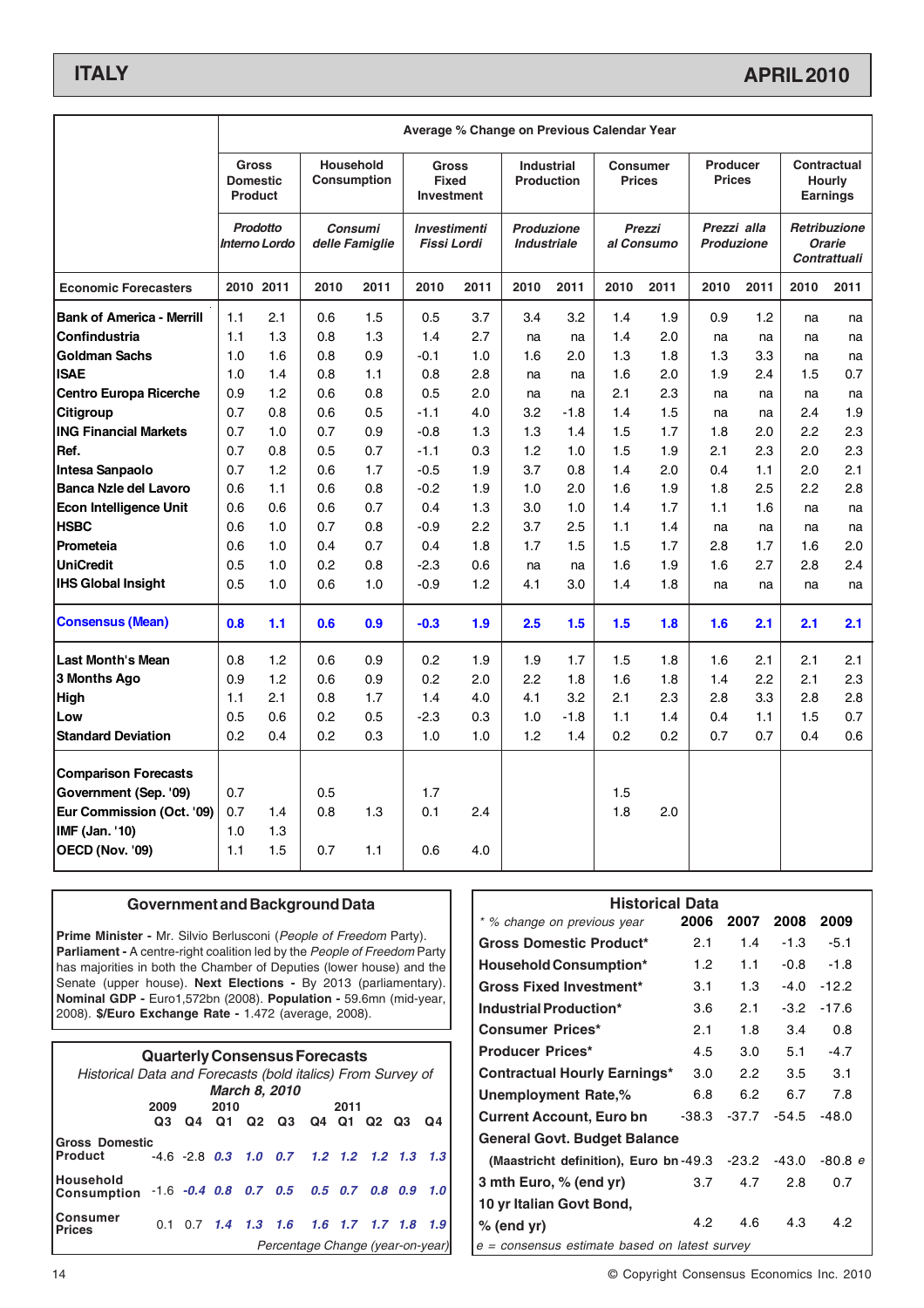|                                  |              | Average % Change on Previous Calendar Year |      |                                        |                                           |      |                                         |        |                                  |                      |                                  |      |      |                                                 |
|----------------------------------|--------------|--------------------------------------------|------|----------------------------------------|-------------------------------------------|------|-----------------------------------------|--------|----------------------------------|----------------------|----------------------------------|------|------|-------------------------------------------------|
|                                  | <b>Gross</b> | <b>Domestic</b><br><b>Product</b>          |      | <b>Household</b><br><b>Consumption</b> | Gross<br><b>Fixed</b><br>Investment       |      | <b>Industrial</b><br><b>Production</b>  |        | <b>Consumer</b><br><b>Prices</b> |                      | <b>Producer</b><br><b>Prices</b> |      |      | <b>Contractual</b><br>Hourly<br><b>Earnings</b> |
|                                  |              | <b>Prodotto</b><br>Interno Lordo           |      | <b>Consumi</b><br>delle Famiglie       | <b>Investimenti</b><br><b>Fissi Lordi</b> |      | <b>Produzione</b><br><b>Industriale</b> |        |                                  | Prezzi<br>al Consumo | Prezzi alla<br>Produzione        |      |      | <b>Retribuzione</b><br>Orarie<br>Contrattuali   |
| <b>Economic Forecasters</b>      |              | 2010 2011                                  | 2010 | 2011                                   | 2010                                      | 2011 | 2010                                    | 2011   | 2010                             | 2011                 | 2010                             | 2011 | 2010 | 2011                                            |
| <b>Bank of America - Merrill</b> | 1.1          | 2.1                                        | 0.6  | 1.5                                    | 0.5                                       | 3.7  | 3.4                                     | 3.2    | 1.4                              | 1.9                  | 0.9                              | 1.2  | na   | na                                              |
| Confindustria                    | 1.1          | 1.3                                        | 0.8  | 1.3                                    | 1.4                                       | 2.7  | na                                      | na     | 1.4                              | 2.0                  | na                               | na   | na   | na                                              |
| Goldman Sachs                    | 1.0          | 1.6                                        | 0.8  | 0.9                                    | $-0.1$                                    | 1.0  | 1.6                                     | 2.0    | 1.3                              | 1.8                  | 1.3                              | 3.3  | na   | na                                              |
| <b>ISAE</b>                      | 1.0          | 1.4                                        | 0.8  | 1.1                                    | 0.8                                       | 2.8  | na                                      | na     | 1.6                              | 2.0                  | 1.9                              | 2.4  | 1.5  | 0.7                                             |
| <b>Centro Europa Ricerche</b>    | 0.9          | 1.2                                        | 0.6  | 0.8                                    | 0.5                                       | 2.0  | na                                      | na     | 2.1                              | 2.3                  | na                               | na   | na   | na                                              |
| <b>Citigroup</b>                 | 0.7          | 0.8                                        | 0.6  | 0.5                                    | $-1.1$                                    | 4.0  | 3.2                                     | $-1.8$ | 1.4                              | 1.5                  | na                               | na   | 2.4  | 1.9                                             |
| <b>ING Financial Markets</b>     | 0.7          | 1.0                                        | 0.7  | 0.9                                    | $-0.8$                                    | 1.3  | 1.3                                     | 1.4    | 1.5                              | 1.7                  | 1.8                              | 2.0  | 2.2  | 2.3                                             |
| Ref.                             | 0.7          | 0.8                                        | 0.5  | 0.7                                    | $-1.1$                                    | 0.3  | 1.2                                     | 1.0    | 1.5                              | 1.9                  | 2.1                              | 2.3  | 2.0  | 2.3                                             |
| Intesa Sanpaolo                  | 0.7          | 1.2                                        | 0.6  | 1.7                                    | $-0.5$                                    | 1.9  | 3.7                                     | 0.8    | 1.4                              | 2.0                  | 0.4                              | 1.1  | 2.0  | 2.1                                             |
| <b>Banca Nzle del Lavoro</b>     | 0.6          | 1.1                                        | 0.6  | 0.8                                    | $-0.2$                                    | 1.9  | 1.0                                     | 2.0    | 1.6                              | 1.9                  | 1.8                              | 2.5  | 2.2  | 2.8                                             |
| Econ Intelligence Unit           | 0.6          | 0.6                                        | 0.6  | 0.7                                    | 0.4                                       | 1.3  | 3.0                                     | 1.0    | 1.4                              | 1.7                  | 1.1                              | 1.6  | na   | na                                              |
| <b>HSBC</b>                      | 0.6          | 1.0                                        | 0.7  | 0.8                                    | $-0.9$                                    | 2.2  | 3.7                                     | 2.5    | 1.1                              | 1.4                  | na                               | na   | na   | na                                              |
| Prometeia                        | 0.6          | 1.0                                        | 0.4  | 0.7                                    | 0.4                                       | 1.8  | 1.7                                     | 1.5    | 1.5                              | 1.7                  | 2.8                              | 1.7  | 1.6  | 2.0                                             |
| <b>UniCredit</b>                 | 0.5          | 1.0                                        | 0.2  | 0.8                                    | $-2.3$                                    | 0.6  | na                                      | na     | 1.6                              | 1.9                  | 1.6                              | 2.7  | 2.8  | 2.4                                             |
| <b>IHS Global Insight</b>        | 0.5          | 1.0                                        | 0.6  | 1.0                                    | $-0.9$                                    | 1.2  | 4.1                                     | 3.0    | 1.4                              | 1.8                  | na                               | na   | na   | na                                              |
| <b>Consensus (Mean)</b>          | 0.8          | 1.1                                        | 0.6  | 0.9                                    | $-0.3$                                    | 1.9  | 2.5                                     | 1.5    | 1.5                              | 1.8                  | 1.6                              | 2.1  | 2.1  | 2.1                                             |
| Last Month's Mean                | 0.8          | 1.2                                        | 0.6  | 0.9                                    | 0.2                                       | 1.9  | 1.9                                     | 1.7    | 1.5                              | 1.8                  | 1.6                              | 2.1  | 2.1  | 2.1                                             |
| 3 Months Ago                     | 0.9          | 1.2                                        | 0.6  | 0.9                                    | 0.2                                       | 2.0  | 2.2                                     | 1.8    | 1.6                              | 1.8                  | 1.4                              | 2.2  | 2.1  | 2.3                                             |
| High                             | 1.1          | 2.1                                        | 0.8  | 1.7                                    | 1.4                                       | 4.0  | 4.1                                     | 3.2    | 2.1                              | 2.3                  | 2.8                              | 3.3  | 2.8  | 2.8                                             |
| Low                              | 0.5          | 0.6                                        | 0.2  | 0.5                                    | $-2.3$                                    | 0.3  | 1.0                                     | $-1.8$ | 1.1                              | 1.4                  | 0.4                              | 1.1  | 1.5  | 0.7                                             |
| <b>Standard Deviation</b>        | 0.2          | 0.4                                        | 0.2  | 0.3                                    | 1.0                                       | 1.0  | 1.2                                     | 1.4    | 0.2                              | 0.2                  | 0.7                              | 0.7  | 0.4  | 0.6                                             |
| <b>Comparison Forecasts</b>      |              |                                            |      |                                        |                                           |      |                                         |        |                                  |                      |                                  |      |      |                                                 |
| Government (Sep. '09)            | 0.7          |                                            | 0.5  |                                        | 1.7                                       |      |                                         |        | 1.5                              |                      |                                  |      |      |                                                 |
| Eur Commission (Oct. '09)        | 0.7          | 1.4                                        | 0.8  | 1.3                                    | 0.1                                       | 2.4  |                                         |        | 1.8                              | 2.0                  |                                  |      |      |                                                 |
| IMF (Jan. '10)                   | 1.0          | 1.3                                        |      |                                        |                                           |      |                                         |        |                                  |                      |                                  |      |      |                                                 |
| OECD (Nov. '09)                  | 1.1          | 1.5                                        | 0.7  | 1.1                                    | 0.6                                       | 4.0  |                                         |        |                                  |                      |                                  |      |      |                                                 |

#### **Government and Background Data**

**Prime Minister -** Mr. Silvio Berlusconi (People of Freedom Party). Parliament - A centre-right coalition led by the People of Freedom Party has majorities in both the Chamber of Deputies (lower house) and the Senate (upper house). **Next Elections -** By 2013 (parliamentary). **Nominal GDP -** Euro1,572bn (2008). **Population -** 59.6mn (mid-year, 2008). **\$/Euro Exchange Rate -** 1.472 (average, 2008).

| <b>Quarterly Consensus Forecasts</b>                                  |  |  |  |  |                                               |  |  |  |  |     |  |
|-----------------------------------------------------------------------|--|--|--|--|-----------------------------------------------|--|--|--|--|-----|--|
| Historical Data and Forecasts (bold italics) From Survey of           |  |  |  |  |                                               |  |  |  |  |     |  |
| March 8, 2010                                                         |  |  |  |  |                                               |  |  |  |  |     |  |
| 2010<br>2009<br>2011                                                  |  |  |  |  |                                               |  |  |  |  |     |  |
|                                                                       |  |  |  |  | Q3 Q4 Q1 Q2 Q3 Q4 Q1 Q2 Q3                    |  |  |  |  | Q4  |  |
| <b>Gross Domestic</b><br>Product                                      |  |  |  |  | $-4.6$ $-2.8$ 0.3 1.0 0.7 1.2 1.2 1.2 1.3 1.3 |  |  |  |  |     |  |
|                                                                       |  |  |  |  |                                               |  |  |  |  |     |  |
| <b>Household</b><br>Consumption -1.6 -0.4 0.8 0.7 0.5 0.5 0.7 0.8 0.9 |  |  |  |  |                                               |  |  |  |  | 1.0 |  |
| <b>Consumer</b><br><b>Prices</b>                                      |  |  |  |  | 0.1 0.7 1.4 1.3 1.6 1.6 1.7 1.7 1.8 1.9       |  |  |  |  |     |  |
|                                                                       |  |  |  |  | Percentage Change (year-on-year)              |  |  |  |  |     |  |

| <b>Historical Data</b>                        |                  |         |         |          |  |  |  |  |  |  |
|-----------------------------------------------|------------------|---------|---------|----------|--|--|--|--|--|--|
| * % change on previous year                   | 2006             | 2007    | 2008    | 2009     |  |  |  |  |  |  |
| <b>Gross Domestic Product*</b>                | 2.1              | 1.4     | $-1.3$  | $-5.1$   |  |  |  |  |  |  |
| <b>Household Consumption*</b>                 | 1.2 <sub>1</sub> | 1.1     | -0.8    | $-1.8$   |  |  |  |  |  |  |
| <b>Gross Fixed Investment*</b>                | 3.1              | 1.3     | $-4.0$  | $-12.2$  |  |  |  |  |  |  |
| Industrial Production*                        | 3.6              | 2.1     | $-3.2$  | $-17.6$  |  |  |  |  |  |  |
| <b>Consumer Prices*</b>                       | 2.1              | 1.8     | 3.4     | 0.8      |  |  |  |  |  |  |
| <b>Producer Prices*</b>                       | 4.5              | 3.0     | 5.1     | $-4.7$   |  |  |  |  |  |  |
| <b>Contractual Hourly Earnings*</b>           | 3.0              | 2.2     | 3.5     | 3.1      |  |  |  |  |  |  |
| <b>Unemployment Rate,%</b>                    | 6.8              | 6.2     | 6.7     | 7.8      |  |  |  |  |  |  |
| <b>Current Account, Euro bn</b>               | $-38.3$          | $-37.7$ | $-54.5$ | $-48.0$  |  |  |  |  |  |  |
| General Govt. Budget Balance                  |                  |         |         |          |  |  |  |  |  |  |
| (Maastricht definition), Euro bn-49.3 -23.2   |                  |         | $-43.0$ | $-80.8e$ |  |  |  |  |  |  |
| 3 mth Euro, % (end yr)                        | 3.7              | 4.7     | 2.8     | 0.7      |  |  |  |  |  |  |
| 10 yr Italian Govt Bond,                      |                  |         |         |          |  |  |  |  |  |  |
| $%$ (end yr)                                  | 4.2              | 4.6     | 4.3     | 4.2      |  |  |  |  |  |  |
| e = consensus estimate based on latest survey |                  |         |         |          |  |  |  |  |  |  |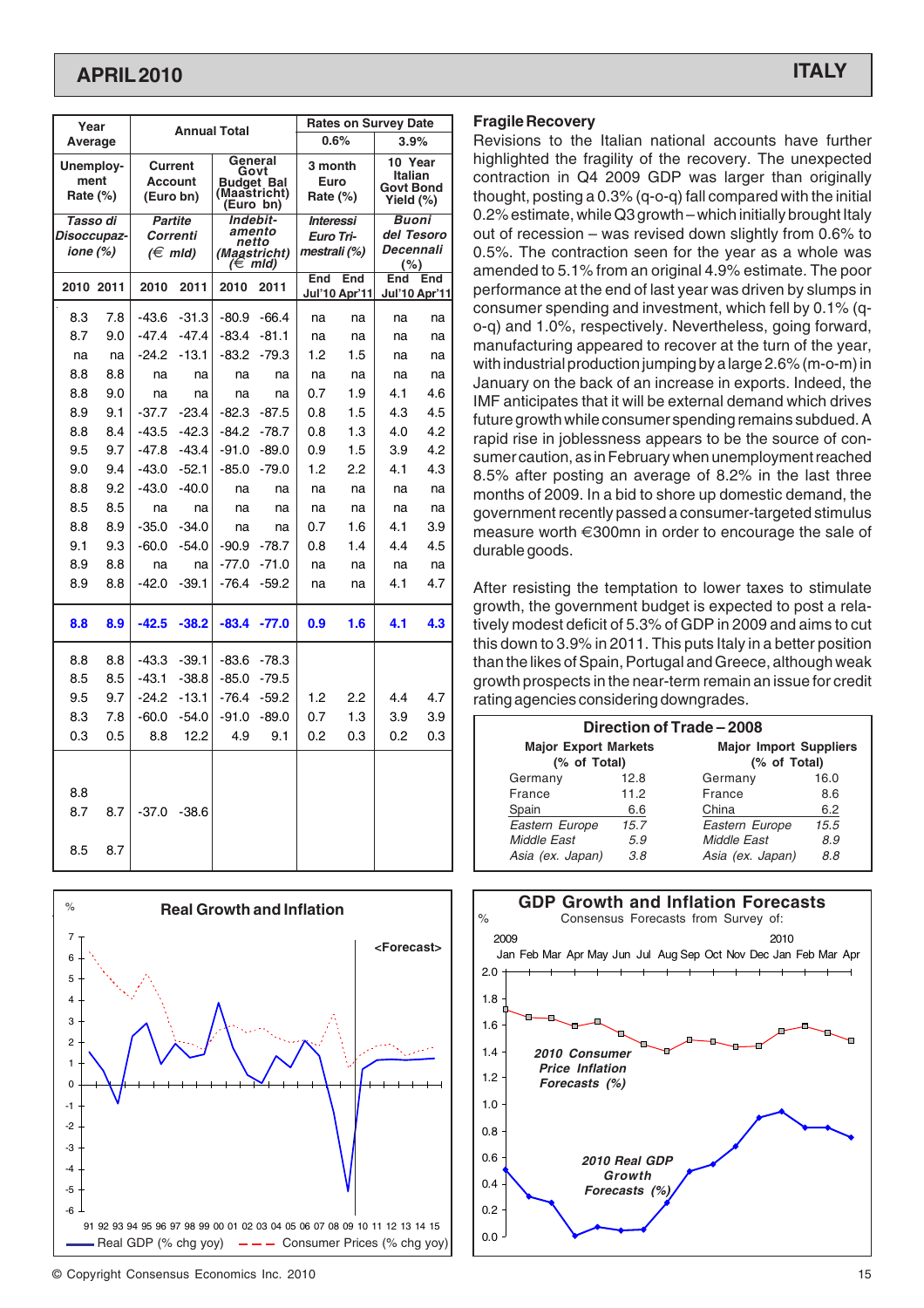| Year                                |            |                                           |         | <b>Annual Total</b>                                               |         |                                                      |                      | Rates on Survey Date                                |                      |  |
|-------------------------------------|------------|-------------------------------------------|---------|-------------------------------------------------------------------|---------|------------------------------------------------------|----------------------|-----------------------------------------------------|----------------------|--|
| Average                             |            |                                           |         |                                                                   |         | 0.6%                                                 |                      | 3.9%                                                |                      |  |
| Unemploy-<br>ment<br>Rate (%)       |            | <b>Current</b><br>Account<br>(Euro bn)    |         | General<br>Govt<br><b>Budget Bal</b><br>(Maastricht)<br>(Euro bn) |         | 3 month<br>Euro<br>Rate (%)                          |                      | 10 Year<br>Italian<br><b>Govt Bond</b><br>Yield (%) |                      |  |
| Tasso di<br>Disoccupaz-<br>ione (%) |            | <b>Partite</b><br>Correnti<br>$(\in$ mld) |         | Indebit-<br>amento<br>netto<br>(Maastricht)<br>ι€                 | mld)    | <b>Interessi</b><br><b>Euro Tri-</b><br>mestrali (%) |                      | Buoni<br>del Tesoro<br>Decennali<br>(%)             |                      |  |
|                                     | 2010 2011  | 2010                                      | 2011    | 2010                                                              | 2011    | End                                                  | End<br>Jul'10 Apr'11 | <b>End</b>                                          | End<br>Jul'10 Apr'11 |  |
| 8.3                                 | 7.8        | -43.6                                     | -31.3   | $-80.9$                                                           | $-66.4$ | na                                                   | na                   | na                                                  | na                   |  |
| 8.7                                 | 9.0        | $-47.4$                                   | $-47.4$ | $-83.4$                                                           | $-81.1$ | na                                                   | na                   | na                                                  | na                   |  |
| na                                  | na         | -24.2                                     | -13.1   | -83.2                                                             | -79.3   | 1.2                                                  | 1.5                  | na                                                  | na                   |  |
| 8.8                                 | 8.8        | na                                        | na      | na                                                                | na      | na                                                   | na                   | na                                                  | na                   |  |
| 8.8                                 | 9.0        | na                                        | na      | na                                                                | na      | 0.7                                                  | 1.9                  | 4.1                                                 | 4.6                  |  |
| 8.9                                 | 9.1        | $-37.7$                                   | $-23.4$ | $-82.3$                                                           | $-87.5$ | 0.8                                                  | 1.5                  | 4.3                                                 | 4.5                  |  |
| 8.8                                 | 8.4        | $-43.5$                                   | $-42.3$ | -84.2                                                             | $-78.7$ | 0.8                                                  | 1.3                  | 4.0                                                 | 4.2                  |  |
| 9.5                                 | 9.7        | $-47.8$                                   | $-43.4$ | $-91.0$                                                           | $-89.0$ | 0.9                                                  | 1.5                  | 3.9                                                 | 4.2                  |  |
| 9.0                                 | 9.4        | -43.0                                     | -52.1   | $-85.0$                                                           | -79.0   | 1.2                                                  | 2.2                  | 4.1                                                 | 4.3                  |  |
| 8.8                                 | 9.2        | $-43.0$                                   | $-40.0$ | na                                                                | na      | na                                                   | na                   | na                                                  | na                   |  |
| 8.5                                 | 8.5        | na                                        | na      | na                                                                | na      | na                                                   | na                   | na                                                  | na                   |  |
| 8.8                                 | 8.9        | $-35.0$                                   | $-34.0$ | na                                                                | na      | 0.7                                                  | 1.6                  | 4.1                                                 | 3.9                  |  |
| 9.1                                 | 9.3        | $-60.0$                                   | $-54.0$ | $-90.9$                                                           | $-78.7$ | 0.8                                                  | 1.4                  | 4.4                                                 | 4.5                  |  |
| 8.9                                 | 8.8        | na                                        | na      | -77.0                                                             | $-71.0$ | na                                                   | na                   | na                                                  | na                   |  |
| 8.9                                 | 8.8        | -42.0                                     | $-39.1$ | -76.4                                                             | $-59.2$ | na                                                   | na                   | 4.1                                                 | 4.7                  |  |
| 8.8                                 | 8.9        | $-42.5$                                   | $-38.2$ | $-83.4$                                                           | $-77.0$ | 0.9                                                  | 1.6                  | 4.1                                                 | 4.3                  |  |
| 8.8                                 | 8.8        | $-43.3$                                   | $-39.1$ | $-83.6$                                                           | $-78.3$ |                                                      |                      |                                                     |                      |  |
| 8.5                                 | 8.5        | $-43.1$                                   | $-38.8$ | $-85.0$                                                           | $-79.5$ |                                                      |                      |                                                     |                      |  |
| 9.5                                 | 9.7        | -24.2                                     | -13.1   | -76.4                                                             | $-59.2$ | 1.2                                                  | 2.2                  | 4.4                                                 | 4.7                  |  |
| 8.3                                 | 7.8        | $-60.0$                                   | $-54.0$ | -91.0                                                             | $-89.0$ | 0.7                                                  | 1.3                  | 3.9                                                 | 3.9                  |  |
| 0.3                                 | 0.5        | 8.8                                       | 12.2    | 4.9                                                               | 9.1     | 0.2                                                  | 0.3                  | 0.2                                                 | 0.3                  |  |
| 8.8<br>8.7<br>8.5                   | 8.7<br>8.7 | $-37.0$                                   | $-38.6$ |                                                                   |         |                                                      |                      |                                                     |                      |  |



### **ITALY**

#### **Fragile Recovery**

Revisions to the Italian national accounts have further highlighted the fragility of the recovery. The unexpected contraction in Q4 2009 GDP was larger than originally thought, posting a 0.3% (q-o-q) fall compared with the initial 0.2% estimate, while Q3 growth – which initially brought Italy out of recession – was revised down slightly from 0.6% to 0.5%. The contraction seen for the year as a whole was amended to 5.1% from an original 4.9% estimate. The poor performance at the end of last year was driven by slumps in consumer spending and investment, which fell by 0.1% (qo-q) and 1.0%, respectively. Nevertheless, going forward, manufacturing appeared to recover at the turn of the year, with industrial production jumping by a large 2.6% (m-o-m) in January on the back of an increase in exports. Indeed, the IMF anticipates that it will be external demand which drives future growth while consumer spending remains subdued. A rapid rise in joblessness appears to be the source of consumer caution, as in February when unemployment reached 8.5% after posting an average of 8.2% in the last three months of 2009. In a bid to shore up domestic demand, the government recently passed a consumer-targeted stimulus measure worth €300mn in order to encourage the sale of durable goods.

After resisting the temptation to lower taxes to stimulate growth, the government budget is expected to post a relatively modest deficit of 5.3% of GDP in 2009 and aims to cut this down to 3.9% in 2011. This puts Italy in a better position than the likes of Spain, Portugal and Greece, although weak growth prospects in the near-term remain an issue for credit rating agencies considering downgrades.

| Direction of Trade - 2008                   |      |                                               |      |  |  |  |  |  |  |
|---------------------------------------------|------|-----------------------------------------------|------|--|--|--|--|--|--|
| <b>Major Export Markets</b><br>(% of Total) |      | <b>Major Import Suppliers</b><br>(% of Total) | 16.0 |  |  |  |  |  |  |
| Germany                                     | 12.8 | Germany                                       |      |  |  |  |  |  |  |
| France                                      | 11.2 | France                                        | 8.6  |  |  |  |  |  |  |
| Spain                                       | 6.6  | China                                         | 6.2  |  |  |  |  |  |  |
| Eastern Europe                              | 15.7 | Eastern Europe                                | 15.5 |  |  |  |  |  |  |
| Middle East                                 | 5.9  | Middle East                                   | 8.9  |  |  |  |  |  |  |
| Asia (ex. Japan)                            | 3.8  | Asia (ex. Japan)                              | 8.8  |  |  |  |  |  |  |

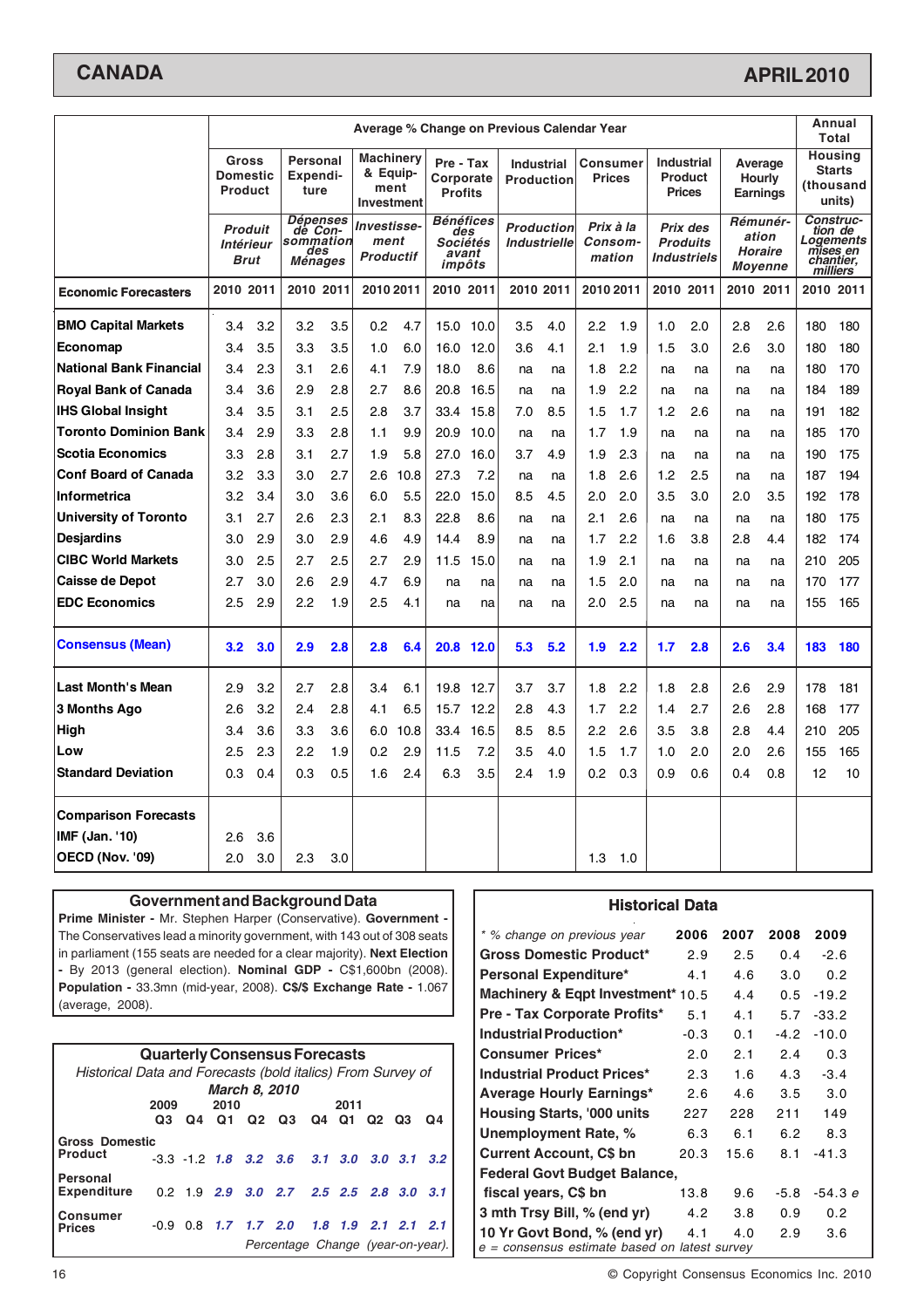### **CANADA**

### **APRIL 2010**

|                                |                                            | Average % Change on Previous Calendar Year |                                             |     |                                                                                                |      |      |                                                                            |     |                                          |     |                                                      |     |                                      | Annual<br>Total |                                                 |     |                                                |           |                                                                  |  |           |
|--------------------------------|--------------------------------------------|--------------------------------------------|---------------------------------------------|-----|------------------------------------------------------------------------------------------------|------|------|----------------------------------------------------------------------------|-----|------------------------------------------|-----|------------------------------------------------------|-----|--------------------------------------|-----------------|-------------------------------------------------|-----|------------------------------------------------|-----------|------------------------------------------------------------------|--|-----------|
|                                | <b>Gross</b><br>Domestic<br><b>Product</b> |                                            | <b>Personal</b><br>Expendi-<br>ture         |     | Machinery<br>Pre - Tax<br>& Equip-<br>Corporate<br>ment<br><b>Profits</b><br><b>Investment</b> |      |      | <b>Consumer</b><br><b>Industrial</b><br><b>Prices</b><br><b>Production</b> |     |                                          |     | <b>Industrial</b><br><b>Product</b><br><b>Prices</b> |     | Average<br>Hourly<br><b>Earnings</b> |                 | Housing<br><b>Starts</b><br>(thousand<br>units) |     |                                                |           |                                                                  |  |           |
|                                | Produit<br><b>Intérieur</b><br><b>Brut</b> |                                            | Dépenses<br>de Con-<br>sommation<br>Ménages | des | Investisse-<br>ment<br><b>Productif</b>                                                        |      |      | Bénéfices<br>des<br>Sociétés<br>avant<br>impöts                            |     | <b>Production</b><br><b>Industrielle</b> |     | Prix à la<br>Consom-<br>mation                       |     |                                      |                 | Prix des<br><b>Produits</b><br>Industriels      |     | Rémunér-<br>ation<br><b>Horaire</b><br>Moyenne | chantier, | <b>Construc-</b><br>tion de<br>Logements<br>mises en<br>milliers |  |           |
| <b>Economic Forecasters</b>    | 2010 2011                                  |                                            | 2010 2011                                   |     | 2010 2011                                                                                      |      |      | 2010 2011                                                                  |     | 2010 2011                                |     | 2010 2011                                            |     |                                      |                 |                                                 |     | 2010 2011                                      | 2010 2011 |                                                                  |  | 2010 2011 |
| <b>BMO Capital Markets</b>     | 3.4                                        | 3.2                                        | 3.2                                         | 3.5 | 0.2                                                                                            | 4.7  | 15.0 | 10.0                                                                       | 3.5 | 4.0                                      | 2.2 | 1.9                                                  | 1.0 | 2.0                                  | 2.8             | 2.6                                             | 180 | 180                                            |           |                                                                  |  |           |
| Economap                       | 3.4                                        | 3.5                                        | 3.3                                         | 3.5 | 1.0                                                                                            | 6.0  | 16.0 | 12.0                                                                       | 3.6 | 4.1                                      | 2.1 | 1.9                                                  | 1.5 | 3.0                                  | 2.6             | 3.0                                             | 180 | 180                                            |           |                                                                  |  |           |
| <b>National Bank Financial</b> | 3.4                                        | 2.3                                        | 3.1                                         | 2.6 | 4.1                                                                                            | 7.9  | 18.0 | 8.6                                                                        | na  | na                                       | 1.8 | 2.2                                                  | na  | na                                   | na              | na                                              | 180 | 170                                            |           |                                                                  |  |           |
| <b>Royal Bank of Canada</b>    | 3.4                                        | 3.6                                        | 2.9                                         | 2.8 | 2.7                                                                                            | 8.6  | 20.8 | 16.5                                                                       | na  | na                                       | 1.9 | 2.2                                                  | na  | na                                   | na              | na                                              | 184 | 189                                            |           |                                                                  |  |           |
| <b>IHS Global Insight</b>      | 3.4                                        | 3.5                                        | 3.1                                         | 2.5 | 2.8                                                                                            | 3.7  | 33.4 | 15.8                                                                       | 7.0 | 8.5                                      | 1.5 | 1.7                                                  | 1.2 | 2.6                                  | na              | na                                              | 191 | 182                                            |           |                                                                  |  |           |
| <b>Toronto Dominion Bank</b>   | 3.4                                        | 2.9                                        | 3.3                                         | 2.8 | 1.1                                                                                            | 9.9  | 20.9 | 10.0                                                                       | na  | na                                       | 1.7 | 1.9                                                  | na  | na                                   | na              | na                                              | 185 | 170                                            |           |                                                                  |  |           |
| <b>Scotia Economics</b>        | 3.3                                        | 2.8                                        | 3.1                                         | 2.7 | 1.9                                                                                            | 5.8  | 27.0 | 16.0                                                                       | 3.7 | 4.9                                      | 1.9 | 2.3                                                  | na  | na                                   | na              | na                                              | 190 | 175                                            |           |                                                                  |  |           |
| Conf Board of Canada           | 3.2                                        | 3.3                                        | 3.0                                         | 2.7 | 2.6                                                                                            | 10.8 | 27.3 | 7.2                                                                        | na  | na                                       | 1.8 | 2.6                                                  | 1.2 | 2.5                                  | na              | na                                              | 187 | 194                                            |           |                                                                  |  |           |
| Informetrica                   | 3.2                                        | 3.4                                        | 3.0                                         | 3.6 | 6.0                                                                                            | 5.5  | 22.0 | 15.0                                                                       | 8.5 | 4.5                                      | 2.0 | 2.0                                                  | 3.5 | 3.0                                  | 2.0             | 3.5                                             | 192 | 178                                            |           |                                                                  |  |           |
| <b>University of Toronto</b>   | 3.1                                        | 2.7                                        | 2.6                                         | 2.3 | 2.1                                                                                            | 8.3  | 22.8 | 8.6                                                                        | na  | na                                       | 2.1 | 2.6                                                  | na  | na                                   | na              | na                                              | 180 | 175                                            |           |                                                                  |  |           |
| Desjardins                     | 3.0                                        | 2.9                                        | 3.0                                         | 2.9 | 4.6                                                                                            | 4.9  | 14.4 | 8.9                                                                        | na  | na                                       | 1.7 | 2.2                                                  | 1.6 | 3.8                                  | 2.8             | 4.4                                             | 182 | 174                                            |           |                                                                  |  |           |
| <b>CIBC World Markets</b>      | 3.0                                        | 2.5                                        | 2.7                                         | 2.5 | 2.7                                                                                            | 2.9  | 11.5 | 15.0                                                                       | na  | na                                       | 1.9 | 2.1                                                  | na  | na                                   | na              | na                                              | 210 | 205                                            |           |                                                                  |  |           |
| <b>Caisse de Depot</b>         | 2.7                                        | 3.0                                        | 2.6                                         | 2.9 | 4.7                                                                                            | 6.9  | na   | na                                                                         | na  | na                                       | 1.5 | 2.0                                                  | na  | na                                   | na              | na                                              | 170 | 177                                            |           |                                                                  |  |           |
| <b>EDC Economics</b>           | 2.5                                        | 2.9                                        | 2.2                                         | 1.9 | 2.5                                                                                            | 4.1  | na   | na                                                                         | na  | na                                       | 2.0 | 2.5                                                  | na  | na                                   | na              | na                                              | 155 | 165                                            |           |                                                                  |  |           |
| <b>Consensus (Mean)</b>        | 3.2                                        | 3.0                                        | 2.9                                         | 2.8 | 2.8                                                                                            | 6.4  | 20.8 | 12.0                                                                       | 5.3 | 5.2                                      | 1.9 | 2.2                                                  | 1.7 | 2.8                                  | 2.6             | 3.4                                             | 183 | 180                                            |           |                                                                  |  |           |
| Last Month's Mean              | 2.9                                        | 3.2                                        | 2.7                                         | 2.8 | 3.4                                                                                            | 6.1  | 19.8 | 12.7                                                                       | 3.7 | 3.7                                      | 1.8 | 2.2                                                  | 1.8 | 2.8                                  | 2.6             | 2.9                                             | 178 | 181                                            |           |                                                                  |  |           |
| 3 Months Ago                   | 2.6                                        | 3.2                                        | 2.4                                         | 2.8 | 4.1                                                                                            | 6.5  | 15.7 | 12.2                                                                       | 2.8 | 4.3                                      | 1.7 | 2.2                                                  | 1.4 | 2.7                                  | 2.6             | 2.8                                             | 168 | 177                                            |           |                                                                  |  |           |
| High                           | 3.4                                        | 3.6                                        | 3.3                                         | 3.6 | 6.0                                                                                            | 10.8 | 33.4 | 16.5                                                                       | 8.5 | 8.5                                      | 2.2 | 2.6                                                  | 3.5 | 3.8                                  | 2.8             | 4.4                                             | 210 | 205                                            |           |                                                                  |  |           |
| ∣Low                           | 2.5                                        | 2.3                                        | 2.2                                         | 1.9 | 0.2                                                                                            | 2.9  | 11.5 | 7.2                                                                        | 3.5 | 4.0                                      | 1.5 | 1.7                                                  | 1.0 | 2.0                                  | 2.0             | 2.6                                             | 155 | 165                                            |           |                                                                  |  |           |
| <b>Standard Deviation</b>      | 0.3                                        | 0.4                                        | 0.3                                         | 0.5 | 1.6                                                                                            | 2.4  | 6.3  | 3.5                                                                        | 2.4 | 1.9                                      | 0.2 | 0.3                                                  | 0.9 | 0.6                                  | 0.4             | 0.8                                             | 12  | 10                                             |           |                                                                  |  |           |
| <b>Comparison Forecasts</b>    |                                            |                                            |                                             |     |                                                                                                |      |      |                                                                            |     |                                          |     |                                                      |     |                                      |                 |                                                 |     |                                                |           |                                                                  |  |           |
| IMF (Jan. '10)                 | 2.6                                        | 3.6                                        |                                             |     |                                                                                                |      |      |                                                                            |     |                                          |     |                                                      |     |                                      |                 |                                                 |     |                                                |           |                                                                  |  |           |
| OECD (Nov. '09)                | 2.0                                        | 3.0                                        | 2.3                                         | 3.0 |                                                                                                |      |      |                                                                            |     |                                          | 1.3 | 1.0                                                  |     |                                      |                 |                                                 |     |                                                |           |                                                                  |  |           |

#### **Government and Background Data**

**Prime Minister -** Mr. Stephen Harper (Conservative). **Government -** The Conservatives lead a minority government, with 143 out of 308 seats in parliament (155 seats are needed for a clear majority). **Next Election -** By 2013 (general election). **Nominal GDP -** C\$1,600bn (2008). **Population -** 33.3mn (mid-year, 2008). **C\$/\$ Exchange Rate -** 1.067 (average, 2008).

|                                                             | <b>Quarterly Consensus Forecasts</b> |  |  |  |                                                               |  |  |                               |  |    |  |  |  |  |
|-------------------------------------------------------------|--------------------------------------|--|--|--|---------------------------------------------------------------|--|--|-------------------------------|--|----|--|--|--|--|
| Historical Data and Forecasts (bold italics) From Survey of |                                      |  |  |  |                                                               |  |  |                               |  |    |  |  |  |  |
| March 8, 2010                                               |                                      |  |  |  |                                                               |  |  |                               |  |    |  |  |  |  |
| 2010<br>2009<br>2011<br>Q4 Q1 Q2 Q3<br>Q4 Q1                |                                      |  |  |  |                                                               |  |  |                               |  |    |  |  |  |  |
|                                                             | Q3                                   |  |  |  |                                                               |  |  | Q <sub>2</sub> Q <sub>3</sub> |  | Q4 |  |  |  |  |
| <b>Gross Domestic</b>                                       |                                      |  |  |  |                                                               |  |  |                               |  |    |  |  |  |  |
| <b>Product</b>                                              |                                      |  |  |  | $-3.3$ $-1.2$ $1.8$ $3.2$ $3.6$ $3.1$ $3.0$ $3.0$ $3.1$ $3.2$ |  |  |                               |  |    |  |  |  |  |
| Personal<br><b>Expenditure</b>                              |                                      |  |  |  | $0.2$ 1.9 2.9 3.0 2.7 2.5 2.5 2.8 3.0 3.1                     |  |  |                               |  |    |  |  |  |  |
|                                                             |                                      |  |  |  |                                                               |  |  |                               |  |    |  |  |  |  |
| Consumer<br><b>Prices</b>                                   |                                      |  |  |  | $-0.9$ 0.8 1.7 1.7 2.0 1.8 1.9 2.1 2.1 2.1                    |  |  |                               |  |    |  |  |  |  |
|                                                             |                                      |  |  |  | Percentage Change (year-on-year).                             |  |  |                               |  |    |  |  |  |  |

### **Historical Data**

| * % change on previous year                            | 2006   | 2007 | 2008   | 2009     |  |
|--------------------------------------------------------|--------|------|--------|----------|--|
| <b>Gross Domestic Product*</b>                         | 2.9    | 2.5  | 0.4    | $-2.6$   |  |
| <b>Personal Expenditure*</b>                           | 4.1    | 4.6  | 3.0    | 0.2      |  |
| Machinery & Egpt Investment* 10.5                      |        | 4.4  | 0.5    | $-19.2$  |  |
| <b>Pre - Tax Corporate Profits*</b>                    | 5.1    | 4.1  | 5.7    | $-33.2$  |  |
| Industrial Production*                                 | $-0.3$ | 0.1  | $-4.2$ | $-10.0$  |  |
| <b>Consumer Prices*</b>                                | 2.0    | 2.1  | 2.4    | 0.3      |  |
| <b>Industrial Product Prices*</b>                      | 2.3    | 1.6  | 4.3    | $-3.4$   |  |
| <b>Average Hourly Earnings*</b>                        | 2.6    | 4.6  | 3.5    | 3.0      |  |
| <b>Housing Starts, '000 units</b>                      | 227    | 228  | 211    | 149      |  |
| Unemployment Rate, %                                   | 6.3    | 6.1  | 6.2    | 8.3      |  |
| <b>Current Account, C\$ bn</b>                         | 20.3   | 15.6 | 8.1    | $-41.3$  |  |
| <b>Federal Govt Budget Balance,</b>                    |        |      |        |          |  |
| fiscal years, C\$ bn                                   | 13.8   | 9.6  | $-5.8$ | $-54.3e$ |  |
| 3 mth Trsy Bill, % (end yr)                            | 4.2    | 3.8  | 0.9    | 0.2      |  |
| 10 Yr Govt Bond, % (end yr)                            | 4.1    | 4.0  | 2.9    | 3.6      |  |
| $e = \text{consensus estimate based on latest survey}$ |        |      |        |          |  |

© Copyright Consensus Economics Inc. 2010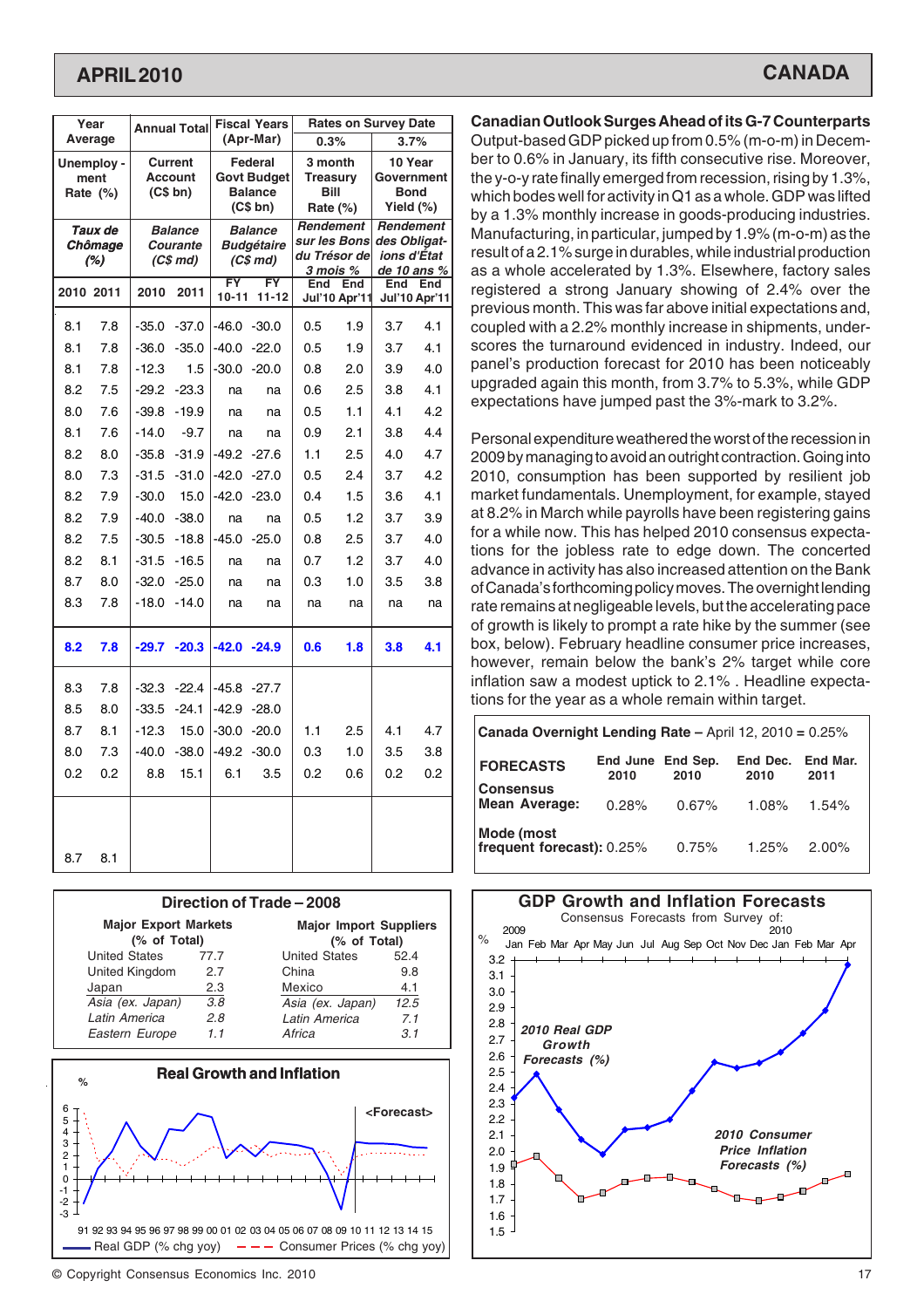|           | Year                              |         | <b>Annual Total</b>                          |                 | <b>Fiscal Years</b>                                         |                                                        |     | <b>Rates on Survey Date</b>                       |                          |  |  |
|-----------|-----------------------------------|---------|----------------------------------------------|-----------------|-------------------------------------------------------------|--------------------------------------------------------|-----|---------------------------------------------------|--------------------------|--|--|
|           | Average                           |         |                                              |                 | (Apr-Mar)                                                   | 0.3%                                                   |     |                                                   | 3.7%                     |  |  |
|           | Unemploy -<br>ment<br>Rate $(\%)$ |         | <b>Current</b><br><b>Account</b><br>(C\$ bh) |                 | Federal<br><b>Govt Budget</b><br><b>Balance</b><br>(C\$ bh) | 3 month<br><b>Treasury</b><br>Bill<br>Rate $(\%)$      |     | 10 Year<br>Government<br><b>Bond</b><br>Yield (%) |                          |  |  |
|           | Taux de<br>Chômage<br>(%)         |         | <b>Balance</b><br>Courante<br>$(C$$ md)      |                 | <b>Balance</b><br><b>Budgétaire</b><br>$(C$$ md)            | Rendement<br>sur les Bons\<br>du Trésor de<br>3 mois % |     | des Obligat-<br>ions d'État                       | Rendement<br>de 10 ans % |  |  |
| 2010 2011 |                                   | 2010    | 2011                                         | FY<br>$10 - 11$ | $\overline{\mathsf{FY}}$<br>$11 - 12$                       | End<br>Jul'10 Apr'11                                   | End | End                                               | End<br>Jul'10 Apr'11     |  |  |
| 8.1       | 7.8                               | $-35.0$ | $-37.0$                                      | $-46.0$         | $-30.0$                                                     | 0.5                                                    | 1.9 | 3.7                                               | 4.1                      |  |  |
| 8.1       | 7.8                               | $-36.0$ | $-35.0$                                      | $-40.0$         | $-22.0$                                                     | 0.5                                                    | 1.9 | 3.7                                               | 4.1                      |  |  |
| 8.1       | 7.8                               | $-12.3$ | 1.5                                          | $-30.0$         | $-20.0$                                                     | 0.8                                                    | 2.0 | 3.9                                               | 4.0                      |  |  |
| 8.2       | 7.5                               | $-29.2$ | $-23.3$                                      | na              | na                                                          | 0.6                                                    | 2.5 | 3.8                                               | 4.1                      |  |  |
| 8.0       | 7.6                               | $-39.8$ | $-19.9$                                      | na              | na                                                          | 0.5                                                    | 1.1 | 4.1                                               | 4.2                      |  |  |
| 8.1       | 7.6                               | $-14.0$ | $-9.7$                                       | na              | na                                                          | 0.9                                                    | 2.1 | 3.8                                               | 4.4                      |  |  |
| 8.2       | 8.0                               | $-35.8$ | $-31.9$                                      | $-49.2$         | $-27.6$                                                     | 1.1                                                    | 2.5 | 4.0                                               | 4.7                      |  |  |
| 8.0       | 7.3                               | $-31.5$ | $-31.0$                                      | $-42.0$         | $-27.0$                                                     | 0.5                                                    | 2.4 | 3.7                                               | 4.2                      |  |  |
| 8.2       | 7.9                               | $-30.0$ | 15.0                                         | $-42.0$         | $-23.0$                                                     | 0.4                                                    | 1.5 | 3.6                                               | 4.1                      |  |  |
| 8.2       | 7.9                               | $-40.0$ | $-38.0$                                      | na              | na                                                          | 0.5                                                    | 1.2 |                                                   | 3.9                      |  |  |
| 8.2       | 7.5                               | $-30.5$ | $-18.8$                                      | $-45.0$         | $-25.0$                                                     | 0.8                                                    | 2.5 | 3.7                                               | 4.0                      |  |  |
| 8.2       | 8.1                               | $-31.5$ | $-16.5$                                      | na              | na                                                          | 0.7                                                    | 1.2 | 3.7                                               | 4.0                      |  |  |
| 8.7       | 8.0                               | $-32.0$ | $-25.0$                                      | na              | na                                                          | 0.3                                                    | 1.0 | 3.5                                               | 3.8                      |  |  |
| 8.3       | 7.8                               | $-18.0$ | $-14.0$                                      | na              | na                                                          | na                                                     | na  | na                                                | na                       |  |  |
| 8.2       | 7.8                               | $-29.7$ | $-20.3$                                      | $-42.0 -24.9$   |                                                             | 0.6                                                    | 1.8 | 3.8                                               | 4.1                      |  |  |
| 8.3       | 7.8                               | $-32.3$ | $-22.4$                                      | $-45.8 -27.7$   |                                                             |                                                        |     |                                                   |                          |  |  |
| 8.5       | 8.0                               | $-33.5$ | $-24.1$                                      | $-42.9$         | $-28.0$                                                     |                                                        |     |                                                   |                          |  |  |
| 8.7       | 8.1                               | $-12.3$ | 15.0                                         | $-30.0$         | $-20.0$                                                     | 1.1                                                    | 2.5 | 4.1                                               | 4.7                      |  |  |
| 8.0       | 7.3                               | $-40.0$ | $-38.0$                                      | $-49.2$         | $-30.0$                                                     | 0.3                                                    | 1.0 | 3.5                                               | 3.8                      |  |  |
| 0.2       | 0.2                               | 8.8     | 15.1                                         | 6.1             | 3.5                                                         | 0.2                                                    | 0.6 | 0.2                                               | 0.2                      |  |  |
|           |                                   |         |                                              |                 |                                                             |                                                        |     |                                                   |                          |  |  |
| 8.7       | 8.1                               |         |                                              |                 |                                                             |                                                        |     |                                                   |                          |  |  |





<sup>©</sup> Copyright Consensus Economics Inc. 2010 17

**Canadian Outlook Surges Ahead of its G-7 Counterparts** Output-based GDP picked up from 0.5% (m-o-m) in December to 0.6% in January, its fifth consecutive rise. Moreover, the y-o-y rate finally emerged from recession, rising by 1.3%, which bodes well for activity in Q1 as a whole. GDP was lifted by a 1.3% monthly increase in goods-producing industries. Manufacturing, in particular, jumped by 1.9% (m-o-m) as the result of a 2.1% surge in durables, while industrial production as a whole accelerated by 1.3%. Elsewhere, factory sales registered a strong January showing of 2.4% over the previous month. This was far above initial expectations and, coupled with a 2.2% monthly increase in shipments, underscores the turnaround evidenced in industry. Indeed, our panel's production forecast for 2010 has been noticeably upgraded again this month, from 3.7% to 5.3%, while GDP expectations have jumped past the 3%-mark to 3.2%.

Personal expenditure weathered the worst of the recession in 2009 by managing to avoid an outright contraction. Going into 2010, consumption has been supported by resilient job market fundamentals. Unemployment, for example, stayed at 8.2% in March while payrolls have been registering gains for a while now. This has helped 2010 consensus expectations for the jobless rate to edge down. The concerted advance in activity has also increased attention on the Bank of Canada's forthcoming policy moves. The overnight lending rate remains at negligeable levels, but the accelerating pace of growth is likely to prompt a rate hike by the summer (see box, below). February headline consumer price increases, however, remain below the bank's 2% target while core inflation saw a modest uptick to 2.1% . Headline expectations for the year as a whole remain within target.

| <b>Canada Overnight Lending Rate - April 12, 2010 = 0.25%</b> |                           |       |                  |                  |  |  |  |  |  |  |  |  |
|---------------------------------------------------------------|---------------------------|-------|------------------|------------------|--|--|--|--|--|--|--|--|
| <b>FORECASTS</b>                                              | End June End Sep.<br>2010 | 2010  | End Dec.<br>2010 | End Mar.<br>2011 |  |  |  |  |  |  |  |  |
| <b>Consensus</b><br><b>Mean Average:</b>                      | 0.28%                     | 0.67% | 1.08%            | $1.54\%$         |  |  |  |  |  |  |  |  |
| Mode (most<br>frequent forecast): 0.25%                       |                           | 0.75% | 1.25%            | $2.00\%$         |  |  |  |  |  |  |  |  |

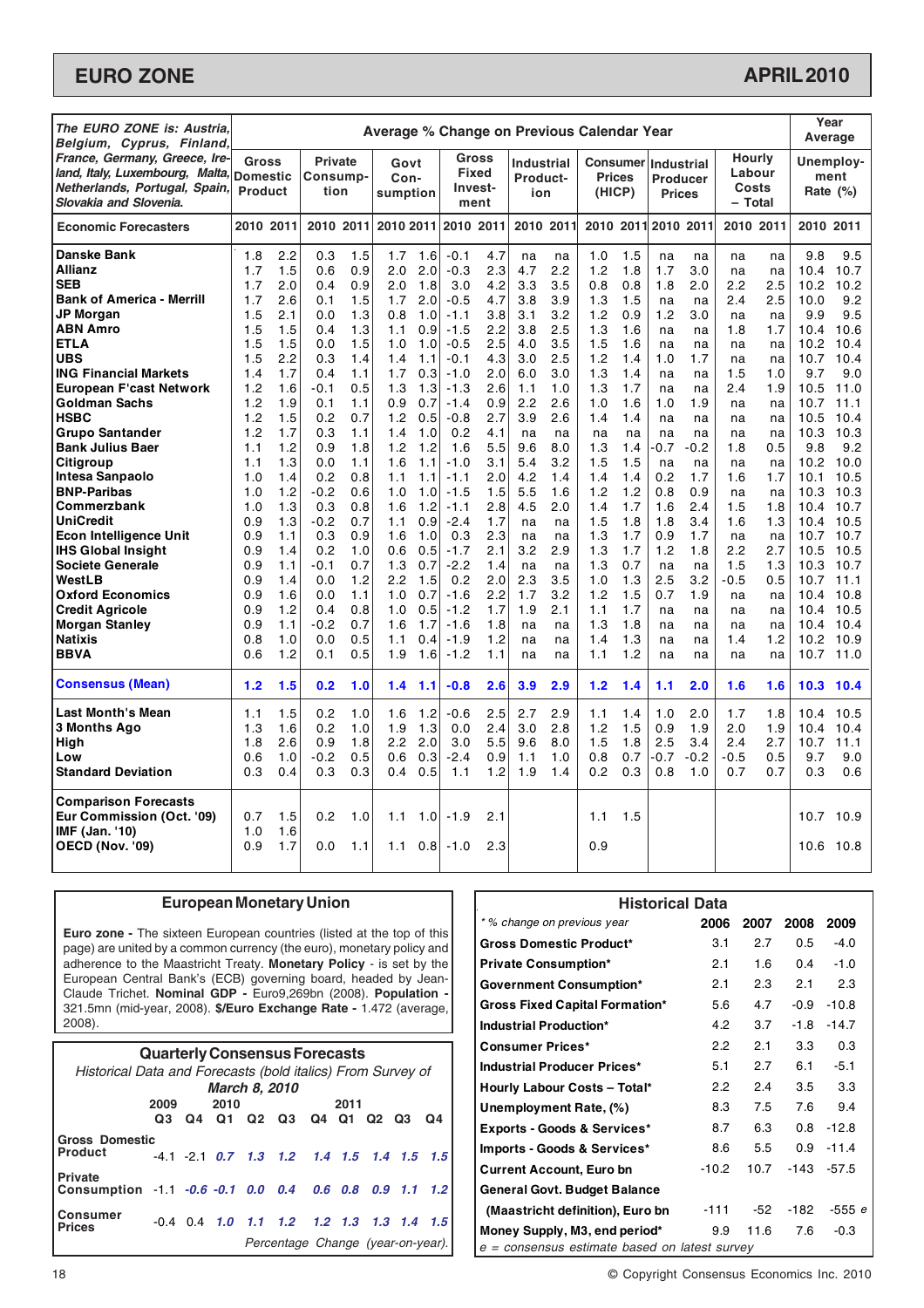| The EURO ZONE is: Austria.<br>Belgium, Cyprus, Finland,                                                                                                                                                                                                                                                       |                                                                                                       | Average % Change on Previous Calendar Year                                                            |                                                                                                                   |                                                                                                       |                                                                                                       |                                                                                                       |                                                                                                                                           |                                                                                                       |                                                                                                 |                                                                                                 |                                                                                                       |                                                                                                       |                                                                                                 |                                                                                                    | Year<br>Average                                                                                 |                                                                                                |                                                                                                             |                                                                                                                          |
|---------------------------------------------------------------------------------------------------------------------------------------------------------------------------------------------------------------------------------------------------------------------------------------------------------------|-------------------------------------------------------------------------------------------------------|-------------------------------------------------------------------------------------------------------|-------------------------------------------------------------------------------------------------------------------|-------------------------------------------------------------------------------------------------------|-------------------------------------------------------------------------------------------------------|-------------------------------------------------------------------------------------------------------|-------------------------------------------------------------------------------------------------------------------------------------------|-------------------------------------------------------------------------------------------------------|-------------------------------------------------------------------------------------------------|-------------------------------------------------------------------------------------------------|-------------------------------------------------------------------------------------------------------|-------------------------------------------------------------------------------------------------------|-------------------------------------------------------------------------------------------------|----------------------------------------------------------------------------------------------------|-------------------------------------------------------------------------------------------------|------------------------------------------------------------------------------------------------|-------------------------------------------------------------------------------------------------------------|--------------------------------------------------------------------------------------------------------------------------|
| France, Germany, Greece, Ire-<br>land, Italy, Luxembourg, Malta,<br>Netherlands, Portugal, Spain,<br>Slovakia and Slovenia.                                                                                                                                                                                   | <b>Gross</b><br><b>Domestic</b><br>Product                                                            |                                                                                                       | <b>Private</b><br>Consump-<br>tion                                                                                |                                                                                                       | Govt<br>Con-<br>sumption                                                                              |                                                                                                       |                                                                                                                                           | Gross<br><b>Fixed</b><br>Invest-<br>ment                                                              |                                                                                                 | <b>Industrial</b><br>Product-<br>ion                                                            | <b>Prices</b><br>(HICP)                                                                               |                                                                                                       | Consumer Industrial<br><b>Producer</b><br><b>Prices</b>                                         |                                                                                                    | Hourly<br>Labour<br><b>Costs</b><br>- Total                                                     |                                                                                                |                                                                                                             | Unemploy-<br>ment<br>Rate (%)                                                                                            |
| <b>Economic Forecasters</b>                                                                                                                                                                                                                                                                                   | 2010 2011                                                                                             |                                                                                                       | 2010 2011                                                                                                         |                                                                                                       | 2010 2011                                                                                             |                                                                                                       | 2010 2011                                                                                                                                 |                                                                                                       |                                                                                                 | 2010 2011                                                                                       | 2010 2011                                                                                             |                                                                                                       | 2010 2011                                                                                       |                                                                                                    | 2010 2011                                                                                       |                                                                                                | 2010 2011                                                                                                   |                                                                                                                          |
| Danske Bank<br>Allianz<br>SEB<br>Bank of America - Merrill<br>JP Morgan<br><b>ABN Amro</b><br><b>ETLA</b><br><b>UBS</b><br><b>ING Financial Markets</b><br>European F'cast Network<br>Goldman Sachs<br><b>HSBC</b><br>Grupo Santander                                                                         | 1.8<br>1.7<br>1.7<br>1.7<br>1.5<br>1.5<br>1.5<br>1.5<br>1.4<br>1.2<br>1.2<br>1.2<br>1.2               | 2.2<br>1.5<br>2.0<br>2.6<br>2.1<br>1.5<br>1.5<br>2.2<br>1.7<br>1.6<br>1.9<br>1.5<br>1.7               | 0.3<br>0.6<br>0.4<br>0.1<br>0.0<br>0.4<br>0.0<br>0.3<br>0.4<br>-0.1<br>0.1<br>0.2<br>0.3                          | 1.5<br>0.9<br>0.9<br>1.5<br>1.3<br>1.3<br>1.5<br>1.4<br>1.1<br>0.5<br>1.1<br>0.7<br>1.1               | 1.7<br>2.0<br>2.0<br>1.7<br>0.8<br>1.1<br>1.0<br>1.4<br>1.7<br>1.3<br>0.9<br>1.2<br>1.4               | 1.6<br>2.0<br>1.8<br>2.0<br>1.0<br>0.9<br>1.0<br>1.1<br>0.3<br>1.3<br>0.7<br>0.5<br>1.0               | $-0.1$<br>$-0.3$<br>3.0<br>$-0.5$<br>$-1.1$<br>$-1.5$<br>$-0.5$<br>$-0.1$<br>$-1.0$<br>$-1.3$<br>$-1.4$<br>$-0.8$<br>0.2                  | 4.7<br>2.3<br>4.2<br>4.7<br>3.8<br>2.2<br>2.5<br>4.3<br>2.0<br>2.6<br>0.9<br>2.7<br>4.1               | na<br>4.7<br>3.3<br>3.8<br>3.1<br>3.8<br>4.0<br>3.0<br>6.0<br>1.1<br>2.2<br>3.9<br>na           | na<br>2.2<br>3.5<br>3.9<br>3.2<br>2.5<br>3.5<br>2.5<br>3.0<br>1.0<br>2.6<br>2.6<br>na           | 1.0<br>1.2<br>0.8<br>1.3<br>1.2<br>1.3<br>1.5<br>1.2<br>1.3<br>1.3<br>1.0<br>1.4<br>na                | 1.5<br>1.8<br>0.8<br>1.5<br>0.9<br>1.6<br>1.6<br>1.4<br>1.4<br>1.7<br>1.6<br>1.4<br>na                | na<br>1.7<br>1.8<br>na<br>1.2<br>na<br>na<br>1.0<br>na<br>na<br>1.0<br>na<br>na                 | na<br>3.0<br>2.0<br>na<br>3.0<br>na<br>na<br>1.7<br>na<br>na<br>1.9<br>na<br>na                    | na<br>na<br>2.2<br>2.4<br>na<br>1.8<br>na<br>na<br>1.5<br>2.4<br>na<br>na<br>na                 | na<br>na<br>2.5<br>2.5<br>na<br>1.7<br>na<br>na<br>1.0<br>1.9<br>na<br>na<br>na                | 9.8<br>10.4<br>10.2<br>10.0<br>9.9<br>10.4<br>10.2<br>10.7<br>9.7<br>10.5<br>10.7<br>10.5<br>10.3           | 9.5<br>10.7<br>10.2<br>9.2<br>9.5<br>10.6<br>10.4<br>10.4<br>9.0<br>11.0<br>11.1<br>10.4<br>10.3                         |
| Bank Julius Baer<br>Citigroup<br>Intesa Sanpaolo<br><b>BNP-Paribas</b><br>Commerzbank<br><b>UniCredit</b><br><b>Econ Intelligence Unit</b><br><b>IHS Global Insight</b><br>Societe Generale<br>WestLB<br>Oxford Economics<br><b>Credit Agricole</b><br><b>Morgan Stanley</b><br><b>Natixis</b><br><b>BBVA</b> | 1.1<br>1.1<br>1.0<br>1.0<br>1.0<br>0.9<br>0.9<br>0.9<br>0.9<br>0.9<br>0.9<br>0.9<br>0.9<br>0.8<br>0.6 | 1.2<br>1.3<br>1.4<br>1.2<br>1.3<br>1.3<br>1.1<br>1.4<br>1.1<br>1.4<br>1.6<br>1.2<br>1.1<br>1.0<br>1.2 | 0.9<br>0.0<br>0.2<br>$-0.2$<br>0.3<br>$-0.2$<br>0.3<br>0.2<br>$-0.1$<br>0.0<br>0.0<br>0.4<br>$-0.2$<br>0.0<br>0.1 | 1.8<br>1.1<br>0.8<br>0.6<br>0.8<br>0.7<br>0.9<br>1.0<br>0.7<br>1.2<br>1.1<br>0.8<br>0.7<br>0.5<br>0.5 | 1.2<br>1.6<br>1.1<br>1.0<br>1.6<br>1.1<br>1.6<br>0.6<br>1.3<br>2.2<br>1.0<br>1.0<br>1.6<br>1.1<br>1.9 | 1.2<br>1.1<br>1.1<br>1.0<br>1.2<br>0.9<br>1.0<br>0.5<br>0.7<br>1.5<br>0.7<br>0.5<br>1.7<br>0.4<br>1.6 | 1.6<br>$-1.0$<br>$-1.1$<br>$-1.5$<br>$-1.1$<br>$-2.4$<br>0.3<br>$-1.7$<br>$-2.2$<br>0.2<br>$-1.6$<br>$-1.2$<br>$-1.6$<br>$-1.9$<br>$-1.2$ | 5.5<br>3.1<br>2.0<br>1.5<br>2.8<br>1.7<br>2.3<br>2.1<br>1.4<br>2.0<br>2.2<br>1.7<br>1.8<br>1.2<br>1.1 | 9.6<br>5.4<br>4.2<br>5.5<br>4.5<br>na<br>na<br>3.2<br>na<br>2.3<br>1.7<br>1.9<br>na<br>na<br>na | 8.0<br>3.2<br>1.4<br>1.6<br>2.0<br>na<br>na<br>2.9<br>na<br>3.5<br>3.2<br>2.1<br>na<br>na<br>na | 1.3<br>1.5<br>1.4<br>1.2<br>1.4<br>1.5<br>1.3<br>1.3<br>1.3<br>1.0<br>1.2<br>1.1<br>1.3<br>1.4<br>1.1 | 1.4<br>1.5<br>1.4<br>1.2<br>1.7<br>1.8<br>1.7<br>1.7<br>0.7<br>1.3<br>1.5<br>1.7<br>1.8<br>1.3<br>1.2 | 0.7<br>na<br>0.2<br>0.8<br>1.6<br>1.8<br>0.9<br>1.2<br>na<br>2.5<br>0.7<br>na<br>na<br>na<br>na | $-0.2$<br>na<br>1.7<br>0.9<br>2.4<br>3.4<br>1.7<br>1.8<br>na<br>3.2<br>1.9<br>na<br>na<br>na<br>na | 1.8<br>na<br>1.6<br>na<br>1.5<br>1.6<br>na<br>2.2<br>1.5<br>-0.5<br>na<br>na<br>na<br>1.4<br>na | 0.5<br>na<br>1.7<br>na<br>1.8<br>1.3<br>na<br>2.7<br>1.3<br>0.5<br>na<br>na<br>na<br>1.2<br>na | 9.8<br>10.2<br>10.1<br>10.3<br>10.4<br>10.4<br>10.7<br>10.5<br>10.3<br>10.7<br>10.4<br>10.4<br>10.4<br>10.2 | 9.2<br>10.0<br>10.5<br>10.3<br>10.7<br>10.5<br>10.7<br>10.5<br>10.7<br>11.1<br>10.8<br>10.5<br>10.4<br>10.9<br>10.7 11.0 |
| <b>Consensus (Mean)</b>                                                                                                                                                                                                                                                                                       | 1.2                                                                                                   | 1.5                                                                                                   | 0.2                                                                                                               | 1.0                                                                                                   | 1.4                                                                                                   | 1.1                                                                                                   | $-0.8$                                                                                                                                    | 2.6                                                                                                   | 3.9                                                                                             | 2.9                                                                                             | 1.2                                                                                                   | 1.4                                                                                                   | 1.1                                                                                             | 2.0                                                                                                | 1.6                                                                                             | 1.6                                                                                            | 10.3                                                                                                        | 10.4                                                                                                                     |
| Last Month's Mean<br>3 Months Aqo<br>High<br>Low<br><b>Standard Deviation</b>                                                                                                                                                                                                                                 | 1.1<br>1.3<br>1.8<br>0.6<br>0.3                                                                       | 1.5<br>1.6<br>2.6<br>1.0<br>0.4                                                                       | 0.2<br>0.2<br>0.9<br>$-0.2$<br>0.3                                                                                | 1.0<br>1.0<br>1.8<br>0.5<br>0.3                                                                       | 1.6<br>1.9<br>2.2<br>0.6<br>0.4                                                                       | 1.2<br>1.3<br>2.0<br>0.3<br>0.5                                                                       | $-0.6$<br>0.0<br>3.0<br>$-2.4$<br>1.1                                                                                                     | 2.5<br>2.4<br>5.5<br>0.9<br>1.2                                                                       | 2.7<br>3.0<br>9.6<br>1.1<br>1.9                                                                 | 2.9<br>2.8<br>8.0<br>1.0<br>1.4                                                                 | 1.1<br>1.2<br>1.5<br>0.8<br>0.2                                                                       | 1.4<br>1.5<br>1.8<br>0.7<br>0.3                                                                       | 1.0<br>0.9<br>2.5<br>0.7<br>0.8                                                                 | 2.0<br>1.9<br>3.4<br>$-0.2$<br>1.0                                                                 | 1.7<br>2.0<br>2.4<br>-0.5<br>0.7                                                                | 1.8<br>1.9<br>2.7<br>0.5<br>0.7                                                                | 10.4<br>10.4<br>10.7<br>9.7<br>0.3                                                                          | 10.5<br>10.4<br>11.1<br>9.0<br>0.6                                                                                       |
| <b>Comparison Forecasts</b><br>Eur Commission (Oct. '09)<br>IMF (Jan. '10)<br><b>OECD (Nov. '09)</b>                                                                                                                                                                                                          | 0.7<br>1.0<br>0.9                                                                                     | 1.5<br>1.6<br>1.7                                                                                     | 0.2<br>0.0                                                                                                        | 1.0<br>1.1                                                                                            | 1.1<br>1.1                                                                                            | 1.0<br>0.8                                                                                            | $-1.9$<br>$-1.0$                                                                                                                          | 2.1<br>2.3                                                                                            |                                                                                                 |                                                                                                 | 1.1<br>0.9                                                                                            | 1.5                                                                                                   |                                                                                                 |                                                                                                    |                                                                                                 |                                                                                                | 10.7                                                                                                        | 10.9<br>10.6 10.8                                                                                                        |

#### **European Monetary Union**

**Euro zone -** The sixteen European countries (listed at the top of this page) are united by a common currency (the euro), monetary policy and adherence to the Maastricht Treaty. **Monetary Policy** - is set by the European Central Bank's (ECB) governing board, headed by Jean-Claude Trichet. **Nominal GDP -** Euro9,269bn (2008). **Population -** 321.5mn (mid-year, 2008). **\$/Euro Exchange Rate -** 1.472 (average,  $2008$ ).

|                                                             | <b>Quarterly Consensus Forecasts</b> |  |  |  |                                                               |  |  |  |  |           |  |  |  |  |
|-------------------------------------------------------------|--------------------------------------|--|--|--|---------------------------------------------------------------|--|--|--|--|-----------|--|--|--|--|
| Historical Data and Forecasts (bold italics) From Survey of |                                      |  |  |  |                                                               |  |  |  |  |           |  |  |  |  |
| March 8, 2010                                               |                                      |  |  |  |                                                               |  |  |  |  |           |  |  |  |  |
| 2010<br>2011<br>2009<br>Q3 Q4 Q1 Q2 Q3 Q4 Q1 Q2 Q3          |                                      |  |  |  |                                                               |  |  |  |  |           |  |  |  |  |
|                                                             |                                      |  |  |  |                                                               |  |  |  |  | <b>O4</b> |  |  |  |  |
| <b>Gross Domestic</b>                                       |                                      |  |  |  |                                                               |  |  |  |  |           |  |  |  |  |
| <b>Product</b>                                              |                                      |  |  |  | $-4.1$ $-2.1$ $0.7$ $1.3$ $1.2$ $1.4$ $1.5$ $1.4$ $1.5$ $1.5$ |  |  |  |  |           |  |  |  |  |
| <b>Private</b>                                              |                                      |  |  |  |                                                               |  |  |  |  |           |  |  |  |  |
| Consumption 1.1 -0.6 -0.1 0.0 0.4 0.6 0.8 0.9 1.1 1.2       |                                      |  |  |  |                                                               |  |  |  |  |           |  |  |  |  |
| <b>Consumer</b>                                             |                                      |  |  |  |                                                               |  |  |  |  |           |  |  |  |  |
| <b>Prices</b>                                               |                                      |  |  |  | $-0.4$ 0.4 1.0 1.1 1.2 1.2 1.3 1.3 1.4 1.5                    |  |  |  |  |           |  |  |  |  |
|                                                             |                                      |  |  |  | Percentage Change (year-on-year).                             |  |  |  |  |           |  |  |  |  |

| <b>Historical Data</b>                          |         |      |        |         |
|-------------------------------------------------|---------|------|--------|---------|
| * % change on previous year                     | 2006    | 2007 | 2008   | 2009    |
| <b>Gross Domestic Product*</b>                  | 3.1     | 2.7  | 0.5    | $-4.0$  |
| <b>Private Consumption*</b>                     | 2.1     | 1.6  | 0.4    | $-1.0$  |
| <b>Government Consumption*</b>                  | 2.1     | 2.3  | 2.1    | 2.3     |
| <b>Gross Fixed Capital Formation*</b>           | 5.6     | 4.7  | -0.9   | $-10.8$ |
| Industrial Production*                          | 4.2     | 3.7  | $-1.8$ | $-14.7$ |
| <b>Consumer Prices*</b>                         | 2.2     | 2.1  | 3.3    | 0.3     |
| <b>Industrial Producer Prices*</b>              | 5.1     | 2.7  | 6.1    | $-5.1$  |
| Hourly Labour Costs - Total*                    | 2.2     | 24   | 3.5    | 3.3     |
| Unemployment Rate, (%)                          | 8.3     | 7.5  | 7.6    | 9.4     |
| <b>Exports - Goods &amp; Services*</b>          | 8.7     | 6.3  | 0.8    | $-12.8$ |
| <b>Imports - Goods &amp; Services*</b>          | 8.6     | 5.5  | 0.9    | $-11.4$ |
| <b>Current Account, Euro bn</b>                 | $-10.2$ | 10.7 | $-143$ | $-57.5$ |
| <b>General Govt. Budget Balance</b>             |         |      |        |         |
| (Maastricht definition), Euro bn                | -111    | -52  | -182   | -555 e  |
| Money Supply, M3, end period*                   | 9.9     | 11.6 | 7.6    | $-0.3$  |
| $e =$ consensus estimate based on latest survey |         |      |        |         |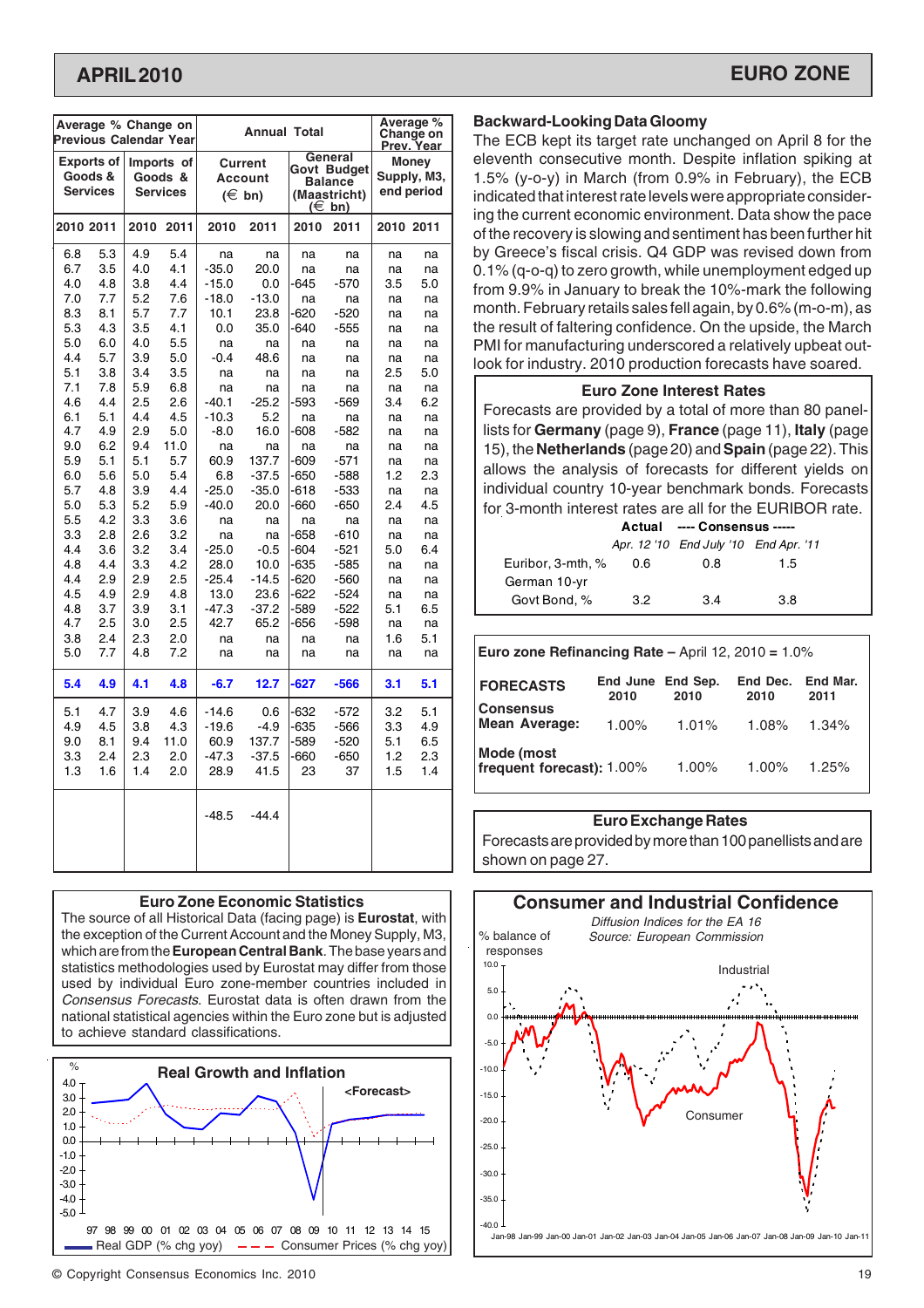### **EURO ZONE**

|            | Average % Change on<br><b>Previous Calendar Year</b> |            |                                          |                             | <b>Annual Total</b>                            |              | Average %<br><b>Change on</b><br><u>Prev. Year</u>                     |           |                                    |
|------------|------------------------------------------------------|------------|------------------------------------------|-----------------------------|------------------------------------------------|--------------|------------------------------------------------------------------------|-----------|------------------------------------|
|            | <b>Exports of</b><br>Goods &<br><b>Services</b>      |            | Imports of<br>Goods &<br><b>Services</b> |                             | <b>Current</b><br><b>Account</b><br>$(\in$ bn) | ι€           | General<br><b>Govt Budget</b><br><b>Balance</b><br>(Maastricht)<br>bn) |           | Money<br>Supply, M3,<br>end period |
|            | 2010 2011                                            | 2010       | 2011                                     | 2010                        | 2011                                           | 2010         | 2011                                                                   | 2010 2011 |                                    |
| 6.8<br>6.7 | 5.3<br>3.5                                           | 4.9<br>4.0 | 5.4<br>4.1                               | na<br>$-35.0$               | na<br>20.0                                     | na<br>na     | na<br>na                                                               | na<br>na  | na<br>na                           |
| 4.0        | 4.8                                                  | 3.8        | 4.4                                      | $-15.0$                     | 0.0                                            | -645         | $-570$                                                                 | 3.5       | 5.0                                |
| 7.0        | 7.7                                                  | 5.2        | 7.6                                      |                             |                                                | na           | na                                                                     | na        | na                                 |
| 8.3        | 8.1                                                  | 5.7        | 7.7                                      | $-13.0$<br>$-18.0$          |                                                |              | $-620$<br>$-520$                                                       |           | na                                 |
| 5.3        | 4.3                                                  | 3.5        | 4.1                                      | 10.1<br>23.8<br>0.0<br>35.0 |                                                | -640         | $-555$                                                                 | na<br>na  | na                                 |
| 5.0        | 6.0                                                  | 4.0        | 5.5                                      | na                          | na                                             | na           | na                                                                     | na        | na                                 |
| 4.4        | 5.7                                                  | 3.9        | 5.0                                      | -0.4                        | 48.6                                           | na           | na                                                                     | na        | na                                 |
| 5.1        | 3.8                                                  | 3.4        | 3.5                                      | na                          | na                                             | na           | na                                                                     | 2.5       | 5.0                                |
| 7.1        | 7.8                                                  | 5.9        | 6.8                                      | na                          | na                                             | na           | na                                                                     | na        | na                                 |
| 4.6        | 4.4                                                  | $2.5\,$    | 2.6                                      | $-40.1$                     | $-25.2$                                        | -593         | -569                                                                   | 3.4       | 6.2                                |
| 6.1        | 5.1                                                  | 4.4        | 4.5                                      | $-10.3$                     | 5.2                                            | na           | na                                                                     | na        | na                                 |
| 4.7        | 4.9                                                  | 2.9        | 5.0                                      | $-8.0$                      | 16.0                                           | -608         | $-582$                                                                 | na        | na                                 |
| 9.0        | 6.2                                                  | 9.4        | 11.0                                     | na                          | na                                             | na           | na                                                                     | na        | na                                 |
| 5.9        | 5.1                                                  | 5.1        | 5.7                                      | 60.9                        | 137.7                                          | -609         | -571                                                                   | na        | na                                 |
| 6.0        | 5.6                                                  | 5.0        | 5.4                                      | 6.8                         | $-37.5$                                        | -650         | $-588$                                                                 | 1.2       | 2.3                                |
| 5.7        | 4.8                                                  | 3.9        | 4.4                                      | $-25.0$                     | $-35.0$                                        | -618         | $-533$                                                                 | na        | na                                 |
| 5.0        | 5.3                                                  | 5.2        | 5.9                                      | $-40.0$                     | 20.0                                           | -660<br>-650 |                                                                        | 2.4       | 4.5                                |
| 5.5        | 4.2                                                  | 3.3        | 3.6                                      | na                          | na                                             | na           | na                                                                     | na        | na                                 |
| 3.3        | 2.8                                                  | 2.6        | 3.2                                      | na                          | na                                             | -658         | $-610$                                                                 | na        | na                                 |
| 4.4        | 3.6                                                  | 3.2        | 3.4                                      | $-25.0$                     | $-0.5$                                         | $-604$       | $-521$                                                                 | 5.0       | 6.4                                |
| 4.8        | 4.4                                                  | 3.3        | 4.2                                      | 28.0                        | 10.0                                           | $-635$       | $-585$                                                                 | na        | na                                 |
| 4.4        | 2.9                                                  | 2.9        | 2.5                                      | $-25.4$                     | $-14.5$                                        | -620         | -560                                                                   | na        | na                                 |
| 4.5        | 4.9                                                  | 2.9        | 4.8                                      | 13.0                        | 23.6                                           | -622         | $-524$                                                                 | na        | na                                 |
| 4.8        | 3.7                                                  | 3.9        | 3.1                                      | $-47.3$                     | $-37.2$                                        | -589         | $-522$                                                                 | 5.1       | 6.5                                |
| 4.7        | 2.5                                                  | 3.0        | 2.5                                      | 42.7                        | 65.2                                           | -656         | $-598$                                                                 | na        | na                                 |
| 3.8        | 2.4                                                  | 2.3        | 2.0                                      | na                          | na                                             | na           | na                                                                     | 1.6       | 5.1                                |
| 5.0        | 7.7                                                  | 4.8        | 7.2                                      | na                          | na                                             | na           | na                                                                     | na        | na                                 |
| 5.4        | 4.9                                                  | 4.1        | 4.8                                      | $-6.7$                      | 12.7                                           | $-627$       | $-566$                                                                 | 3.1       | 5.1                                |
| 5.1        | 4.7                                                  | 3.9        | 4.6                                      | $-14.6$                     | 0.6                                            | -632         | $-572$                                                                 | 3.2       | 5.1                                |
| 4.9        | 4.5                                                  | 3.8        | 4.3                                      | $-19.6$                     | $-4.9$                                         | -635         | $-566$                                                                 | 3.3       | 4.9                                |
| 9.0        | 8.1                                                  | 9.4        | 11.0                                     | 60.9                        | 137.7                                          | -589         | $-520$                                                                 | 5.1       | 6.5                                |
| 3.3        | 2.4                                                  | 2.3        | 2.0                                      | -47.3<br>$-37.5$            |                                                | -660         | -650                                                                   | 1.2       | 2.3                                |
| 1.3        | 1.6                                                  | 1.4        | 2.0                                      | 41.5<br>28.9                |                                                | 23           | 37                                                                     | 1.5       | 1.4                                |
|            |                                                      |            |                                          | $-48.5$                     | $-44.4$                                        |              |                                                                        |           |                                    |

#### **Euro Zone Economic Statistics**

The source of all Historical Data (facing page) is **Eurostat**, with the exception of the Current Account and the Money Supply, M3, which are from the **European Central Bank**. The base years and statistics methodologies used by Eurostat may differ from those used by individual Euro zone-member countries included in Consensus Forecasts. Eurostat data is often drawn from the national statistical agencies within the Euro zone but is adjusted to achieve standard classifications.



#### **Backward-Looking Data Gloomy**

The ECB kept its target rate unchanged on April 8 for the eleventh consecutive month. Despite inflation spiking at 1.5% (y-o-y) in March (from 0.9% in February), the ECB indicated that interest rate levels were appropriate considering the current economic environment. Data show the pace of the recovery is slowing and sentiment has been further hit by Greece's fiscal crisis. Q4 GDP was revised down from 0.1% (q-o-q) to zero growth, while unemployment edged up from 9.9% in January to break the 10%-mark the following month. February retails sales fell again, by 0.6% (m-o-m), as the result of faltering confidence. On the upside, the March PMI for manufacturing underscored a relatively upbeat outlook for industry. 2010 production forecasts have soared.

#### **Euro Zone Interest Rates**

Forecasts are provided by a total of more than 80 panellists for **Germany** (page 9), **France** (page 11), **Italy** (page 15), the **Netherlands** (page 20) and **Spain** (page 22). This allows the analysis of forecasts for different yields on individual country 10-year benchmark bonds. Forecasts for 3-month interest rates are all for the EURIBOR rate.

|                   |     | Actual ---- Consensus -----           |     |
|-------------------|-----|---------------------------------------|-----|
|                   |     | Apr. 12 '10 End July '10 End Apr. '11 |     |
| Euribor, 3-mth, % | 0.6 | 0.8                                   | 1.5 |
| German 10-yr      |     |                                       |     |
| Govt Bond, %      | 3.2 | 34                                    | 38  |

**Euro zone Refinancing Rate –** April 12, 2010 **=** 1.0%

| <b>FORECASTS</b>                        | End June End Sep.<br>2010 | 2010     | End Dec. End Mar.<br>2010 | 2011     |
|-----------------------------------------|---------------------------|----------|---------------------------|----------|
| <b>Consensus</b><br>Mean Average:       | $1.00\%$                  | $1.01\%$ | $1.08\%$                  | $1.34\%$ |
| Mode (most<br>frequent forecast): 1.00% |                           | $1.00\%$ | $1.00\%$                  | 1.25%    |

#### **Euro Exchange Rates**

Forecasts are provided by more than 100 panellists and are shown on page 27.

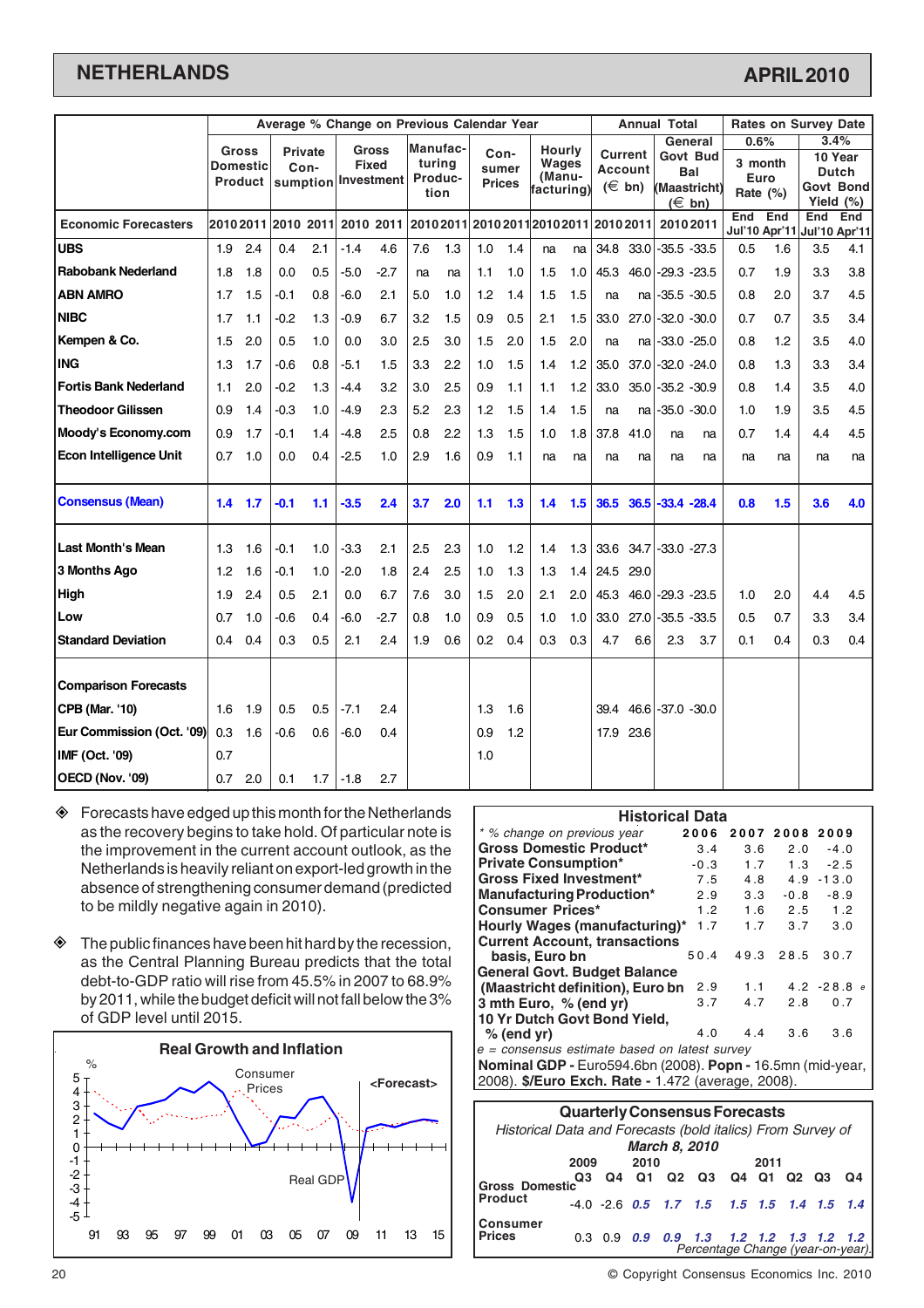### **NETHERLANDS**

### **APRIL 2010**

|                              | Average % Change on Previous Calendar Year                                                                   |     |                                                                        |     |        |                                              |     |                                |     |                                                |     | <b>Annual Total</b>              |           |                                                                 |                        | <b>Rates on Survey Date</b>            |     |                                                           |                                    |     |
|------------------------------|--------------------------------------------------------------------------------------------------------------|-----|------------------------------------------------------------------------|-----|--------|----------------------------------------------|-----|--------------------------------|-----|------------------------------------------------|-----|----------------------------------|-----------|-----------------------------------------------------------------|------------------------|----------------------------------------|-----|-----------------------------------------------------------|------------------------------------|-----|
|                              | Gross<br>Domestic<br><b>Product</b><br>2010 2011 2010 2011 2010 2011 2010 2011 2010 2011 2010 2011 2010 2011 |     | Gross<br><b>Private</b><br><b>Fixed</b><br>Con-<br>sumption Investment |     |        | Manufac-<br>turing<br><b>Produc-</b><br>tion |     | Con-<br>sumer<br><b>Prices</b> |     | Hourly<br><b>Wages</b><br>(Manu-<br>facturing) |     | Current<br>Account<br>$(\in$ bn) |           | General<br><b>Govt Bud</b><br>Bal<br>(Maastricht)<br>$(\in$ bn) |                        | 0.6%<br>3 month<br>Euro<br>Rate $(\%)$ |     | 3.4%<br>10 Year<br>Dutch<br><b>Govt Bond</b><br>Yield (%) |                                    |     |
| <b>Economic Forecasters</b>  |                                                                                                              |     |                                                                        |     |        |                                              |     |                                |     |                                                |     |                                  |           |                                                                 | 20102011               |                                        | End | End                                                       | End<br>Jul'10 Apr'11 Jul'10 Apr'11 | End |
| <b>UBS</b>                   | 1.9                                                                                                          | 2.4 | 0.4                                                                    | 2.1 | $-1.4$ | 4.6                                          | 7.6 | 1.3                            | 1.0 | 1.4                                            | na  | na                               | 34.8      |                                                                 | $33.0$ $-35.5$ $-33.5$ |                                        | 0.5 | 1.6                                                       | 3.5                                | 4.1 |
| <b>Rabobank Nederland</b>    | 1.8                                                                                                          | 1.8 | 0.0                                                                    | 0.5 | -5.0   | $-2.7$                                       | na  | na                             | 1.1 | 1.0                                            | 1.5 | 1.0                              | 45.3      |                                                                 | 46.0 - 29.3 - 23.5     |                                        | 0.7 | 1.9                                                       | 3.3                                | 3.8 |
| <b>ABN AMRO</b>              | 1.7                                                                                                          | 1.5 | -0.1                                                                   | 0.8 | $-6.0$ | 2.1                                          | 5.0 | 1.0                            | 1.2 | 1.4                                            | 1.5 | 1.5                              | na        |                                                                 | na 35.5 - 30.5         |                                        | 0.8 | 2.0                                                       | 3.7                                | 4.5 |
| <b>NIBC</b>                  | 1.7                                                                                                          | 1.1 | $-0.2$                                                                 | 1.3 | $-0.9$ | 6.7                                          | 3.2 | 1.5                            | 0.9 | 0.5                                            | 2.1 | 1.5                              | 33.0      |                                                                 | $27.0$ $-32.0$ $-30.0$ |                                        | 0.7 | 0.7                                                       | 3.5                                | 3.4 |
| Kempen & Co.                 | 1.5                                                                                                          | 2.0 | 0.5                                                                    | 1.0 | 0.0    | 3.0                                          | 2.5 | 3.0                            | 1.5 | 2.0                                            | 1.5 | 2.0                              | na        |                                                                 | na 33.0 - 25.0         |                                        | 0.8 | 1.2                                                       | 3.5                                | 4.0 |
| ING                          | 1.3                                                                                                          | 1.7 | $-0.6$                                                                 | 0.8 | $-5.1$ | 1.5                                          | 3.3 | 2.2                            | 1.0 | 1.5                                            | 1.4 | 1.2                              | 35.0      |                                                                 | $37.0$ $-32.0$ $-24.0$ |                                        | 0.8 | 1.3                                                       | 3.3                                | 3.4 |
| <b>Fortis Bank Nederland</b> | 1.1                                                                                                          | 2.0 | $-0.2$                                                                 | 1.3 | $-4.4$ | 3.2                                          | 3.0 | 2.5                            | 0.9 | 1.1                                            | 1.1 | 1.2                              | 33.0      |                                                                 | $35.0$ $-35.2$ $-30.9$ |                                        | 0.8 | 1.4                                                       | 3.5                                | 4.0 |
| <b>Theodoor Gilissen</b>     | 0.9                                                                                                          | 1.4 | $-0.3$                                                                 | 1.0 | $-4.9$ | 2.3                                          | 5.2 | 2.3                            | 1.2 | 1.5                                            | 1.4 | 1.5                              | na        | na                                                              | $-35.0 - 30.0$         |                                        | 1.0 | 1.9                                                       | 3.5                                | 4.5 |
| Moody's Economy.com          | 0.9                                                                                                          | 1.7 | $-0.1$                                                                 | 1.4 | $-4.8$ | 2.5                                          | 0.8 | 2.2                            | 1.3 | 1.5                                            | 1.0 | 1.8                              | 37.8      | 41.0                                                            | na                     | na                                     | 0.7 | 1.4                                                       | 4.4                                | 4.5 |
| Econ Intelligence Unit       | 0.7                                                                                                          | 1.0 | 0.0                                                                    | 0.4 | -2.5   | 1.0                                          | 2.9 | 1.6                            | 0.9 | 1.1                                            | na  | na                               | na        | na                                                              | na                     | na                                     | na  | na                                                        | na                                 | na  |
| <b>Consensus (Mean)</b>      | 1.4 <sub>1</sub>                                                                                             | 1.7 | $-0.1$                                                                 | 1.1 | $-3.5$ | 2.4                                          | 3.7 | 2.0                            | 1.1 | 1.3                                            | 1.4 | 1.5                              | 36.5      |                                                                 | $36.5$ $-33.4$ $-28.4$ |                                        | 0.8 | 1.5                                                       | 3.6                                | 4.0 |
| <b>Last Month's Mean</b>     | 1.3                                                                                                          | 1.6 | $-0.1$                                                                 | 1.0 | $-3.3$ | 2.1                                          | 2.5 | 2.3                            | 1.0 | 1.2                                            | 1.4 | 1.3                              | 33.6      |                                                                 | 34.7 - 33.0 - 27.3     |                                        |     |                                                           |                                    |     |
| 3 Months Ago                 | 1.2                                                                                                          | 1.6 | $-0.1$                                                                 | 1.0 | $-2.0$ | 1.8                                          | 2.4 | 2.5                            | 1.0 | 1.3                                            | 1.3 | 1.4                              | 24.5      | 29.0                                                            |                        |                                        |     |                                                           |                                    |     |
| High                         | 1.9                                                                                                          | 2.4 | 0.5                                                                    | 2.1 | 0.0    | 6.7                                          | 7.6 | 3.0                            | 1.5 | 2.0                                            | 2.1 | 2.0                              | 45.3      |                                                                 | 46.0 - 29.3 - 23.5     |                                        | 1.0 | 2.0                                                       | 4.4                                | 4.5 |
| Low                          | 0.7                                                                                                          | 1.0 | $-0.6$                                                                 | 0.4 | $-6.0$ | -2.7                                         | 0.8 | 1.0                            | 0.9 | 0.5                                            | 1.0 | 1.0                              | 33.0      |                                                                 | $27.0$ -35.5 -33.5     |                                        | 0.5 | 0.7                                                       | 3.3                                | 3.4 |
| <b>Standard Deviation</b>    | 0.4                                                                                                          | 0.4 | 0.3                                                                    | 0.5 | 2.1    | 2.4                                          | 1.9 | 0.6                            | 0.2 | 0.4                                            | 0.3 | 0.3                              | 4.7       | 6.6                                                             | 2.3                    | 3.7                                    | 0.1 | 0.4                                                       | 0.3                                | 0.4 |
| <b>Comparison Forecasts</b>  |                                                                                                              |     |                                                                        |     |        |                                              |     |                                |     |                                                |     |                                  |           |                                                                 |                        |                                        |     |                                                           |                                    |     |
| CPB (Mar. '10)               | 1.6                                                                                                          | 1.9 | 0.5                                                                    | 0.5 | $-7.1$ | 2.4                                          |     |                                | 1.3 | 1.6                                            |     |                                  | 39.4      |                                                                 | 46.6 - 37.0 - 30.0     |                                        |     |                                                           |                                    |     |
| Eur Commission (Oct. '09)    | 0.3                                                                                                          | 1.6 | -0.6                                                                   | 0.6 | $-6.0$ | 0.4                                          |     |                                | 0.9 | 1.2                                            |     |                                  | 17.9 23.6 |                                                                 |                        |                                        |     |                                                           |                                    |     |
| <b>IMF (Oct. '09)</b>        | 0.7                                                                                                          |     |                                                                        |     |        |                                              |     |                                | 1.0 |                                                |     |                                  |           |                                                                 |                        |                                        |     |                                                           |                                    |     |
| OECD (Nov. '09)              | 0.7                                                                                                          | 2.0 | 0.1                                                                    | 1.7 | $-1.8$ | 2.7                                          |     |                                |     |                                                |     |                                  |           |                                                                 |                        |                                        |     |                                                           |                                    |     |

- Forecasts have edged up this month for the Netherlands as the recovery begins to take hold. Of particular note is the improvement in the current account outlook, as the Netherlands is heavily reliant on export-led growth in the absence of strengthening consumer demand (predicted to be mildly negative again in 2010).
- ◈ The public finances have been hit hard by the recession, as the Central Planning Bureau predicts that the total debt-to-GDP ratio will rise from 45.5% in 2007 to 68.9% by 2011, while the budget deficit will not fall below the 3% of GDP level until 2015.



| <b>Historical Data</b>                                     |        |      |        |                |  |  |  |  |  |  |  |  |
|------------------------------------------------------------|--------|------|--------|----------------|--|--|--|--|--|--|--|--|
| * % change on previous year                                | 2006   | 2007 | 2008   | 2009           |  |  |  |  |  |  |  |  |
| <b>Gross Domestic Product*</b>                             | 3.4    | 3.6  | 2.0    | $-4.0$         |  |  |  |  |  |  |  |  |
| <b>Private Consumption*</b>                                | $-0.3$ | 1.7  | 1.3    | $-2.5$         |  |  |  |  |  |  |  |  |
| <b>Gross Fixed Investment*</b>                             | 7.5    | 4.8  | 4.9    | $-13.0$        |  |  |  |  |  |  |  |  |
| <b>Manufacturing Production*</b>                           | 2.9    | 3.3  | $-0.8$ | $-8.9$         |  |  |  |  |  |  |  |  |
| <b>Consumer Prices*</b><br>1.2<br>1.2<br>1.6<br>2.5        |        |      |        |                |  |  |  |  |  |  |  |  |
| Hourly Wages (manufacturing)*                              | 1.7    | 1.7  | 3.7    | 3.0            |  |  |  |  |  |  |  |  |
| <b>Current Account, transactions</b>                       |        |      |        |                |  |  |  |  |  |  |  |  |
| basis, Euro bn                                             | 50.4   | 49.3 | 28.5   | 30.7           |  |  |  |  |  |  |  |  |
| <b>General Govt. Budget Balance</b>                        |        |      |        |                |  |  |  |  |  |  |  |  |
| (Maastricht definition), Euro bn                           | 2.9    | 1.1  |        | $4.2 - 28.8 e$ |  |  |  |  |  |  |  |  |
| 3 mth Euro, % (end yr)                                     | 3.7    | 4.7  | 2.8    | 0.7            |  |  |  |  |  |  |  |  |
| 10 Yr Dutch Govt Bond Yield,                               |        |      |        |                |  |  |  |  |  |  |  |  |
| $%$ (end yr)                                               | 4.0    | 4.4  | 3.6    | 3.6            |  |  |  |  |  |  |  |  |
| $e = \text{consensus estimate based on latest survey}$     |        |      |        |                |  |  |  |  |  |  |  |  |
| Nominal GDP - Euro594.6bn (2008). Popn - 16.5mn (mid-year, |        |      |        |                |  |  |  |  |  |  |  |  |
| 2008). \$/Euro Exch. Rate - 1.472 (average, 2008).         |        |      |        |                |  |  |  |  |  |  |  |  |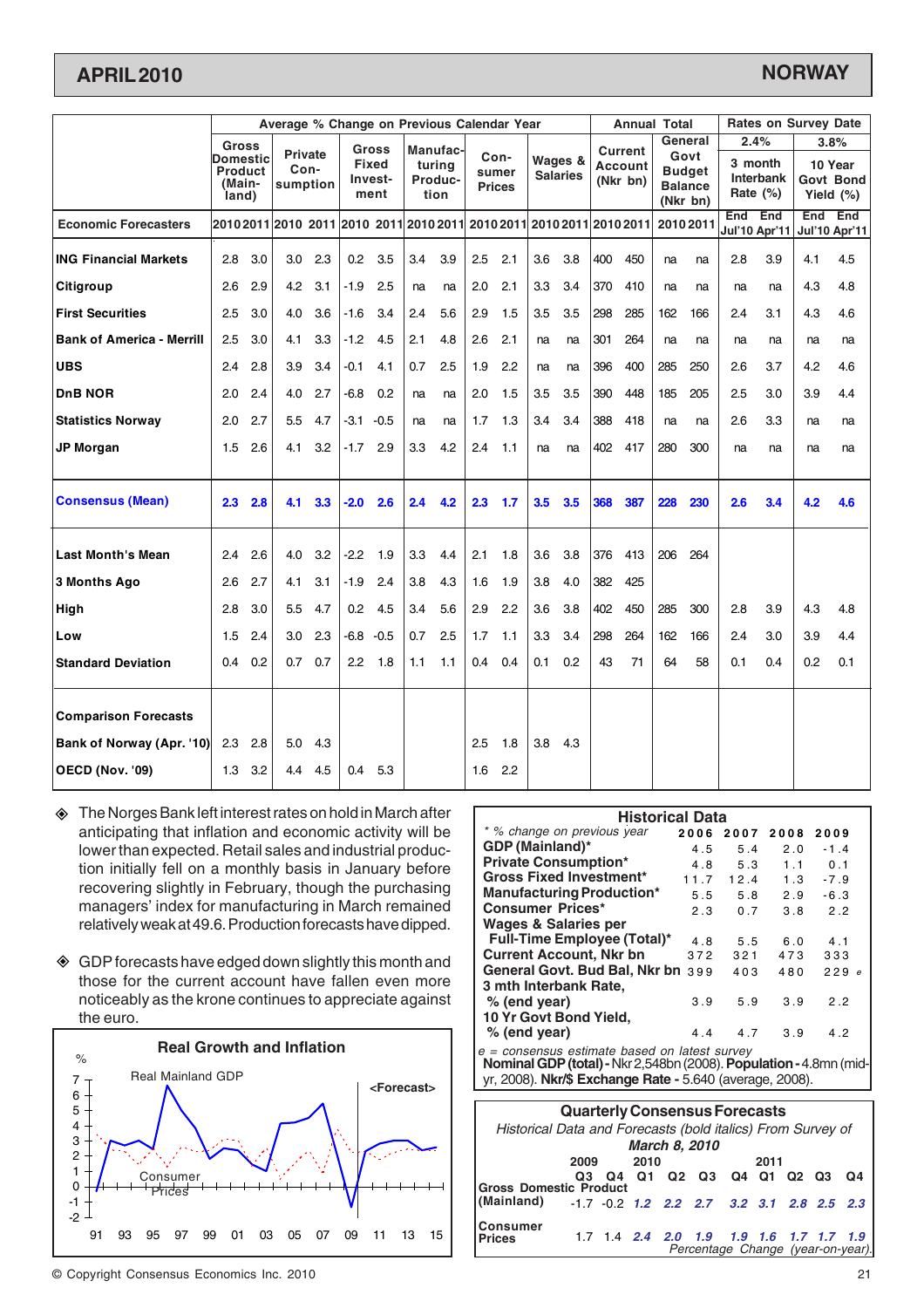| General<br>2.4%<br>3.8%<br>Gross<br>Gross<br>Manufac-<br>Current<br><b>Private</b><br>Govt<br>Con-<br><b>Domestic</b><br>Wages &<br>3 month<br><b>Fixed</b><br>10 Year<br><b>Account</b><br>turing<br>Con-<br><b>Budget</b><br><b>Product</b><br>sumer<br><b>Salaries</b><br><b>Interbank</b><br>Invest-<br><b>Govt Bond</b><br>Produc-<br>(Nkr bn)<br>(Main-<br>sumption<br><b>Prices</b><br><b>Balance</b><br>Rate $(\%)$<br>ment<br>tion<br>Yield $(\%)$<br>land)<br>(Nkr bn)<br>End End<br>End End<br>2010 2011 2010 2011 2010 2011 2010 2011 2010 2011 2010 2011 2010 2011<br><b>Economic Forecasters</b><br>20102011<br>Jul'10 Apr'11<br><b>Jul'10 Apr'11</b><br><b>ING Financial Markets</b><br>2.8<br>3.0<br>3.0<br>2.3<br>0.2<br>3.5<br>3.4<br>3.9<br>2.5<br>2.1<br>3.6<br>3.8<br>400<br>450<br>2.8<br>3.9<br>4.1<br>4.5<br>na<br>na<br>4.2<br>2.6<br>2.9<br>3.1<br>$-1.9$<br>2.5<br>2.0<br>2.1<br>3.3<br>3.4<br>370<br>Citigroup<br>410<br>4.3<br>4.8<br>na<br>na<br>na<br>na<br>na<br>na<br><b>First Securities</b><br>2.5<br>3.0<br>4.0<br>3.6<br>$-1.6$<br>3.4<br>2.4<br>5.6<br>2.9<br>1.5<br>3.5<br>298<br>3.5<br>285<br>162<br>166<br>2.4<br>3.1<br>4.3<br>4.6<br>2.5<br>3.0<br>4.1<br>3.3<br>$-1.2$<br>2.1<br>4.8<br>2.6<br>2.1<br>301<br><b>Bank of America - Merrill</b><br>4.5<br>264<br>na<br>na<br>na<br>na<br>na<br>na<br>na<br>na<br><b>UBS</b><br>2.4<br>2.8<br>3.9<br>3.4<br>-0.1<br>0.7<br>2.5<br>1.9<br>2.2<br>396<br>400<br>285<br>250<br>2.6<br>3.7<br>4.2<br>4.1<br>4.6<br>na<br>na<br><b>DnB NOR</b><br>2.0<br>2.4<br>4.0<br>2.7<br>$-6.8$<br>0.2<br>2.0<br>3.5<br>3.5<br>390<br>205<br>2.5<br>3.0<br>3.9<br>1.5<br>448<br>185<br>4.4<br>na<br>na<br>5.5<br>2.0<br>2.7<br>4.7<br>$-3.1$<br>$-0.5$<br>1.7<br>1.3<br>3.4<br>3.4<br>388<br>418<br>2.6<br>3.3<br><b>Statistics Norway</b><br>na<br>na<br>na<br>na<br>na<br>na<br><b>JP Morgan</b><br>1.5<br>2.6<br>4.1<br>3.2<br>$-1.7$<br>2.9<br>3.3<br>4.2<br>2.4<br>402<br>300<br>1.1<br>417<br>280<br>na<br>na<br>na<br>na<br>na<br>na<br><b>Consensus (Mean)</b><br>$-2.0$<br>4.2<br>368<br>2.3<br>2.8<br>4.1<br>3.3<br>2.6<br>2.4<br>2.3<br>1.7<br>3.5<br>3.5<br>387<br>228<br>230<br>2.6<br>3.4<br>4.2<br>4.6<br>3.2<br><b>Last Month's Mean</b><br>2.4<br>2.6<br>4.0<br>$-2.2$<br>1.9<br>3.3<br>4.4<br>2.1<br>3.6<br>3.8<br>376<br>206<br>264<br>1.8<br>413<br>2.6<br>2.7<br>4.1<br>3.1<br>$-1.9$<br>2.4<br>3.8<br>4.3<br>1.6<br>3.8<br>382<br>425<br>3 Months Ago<br>1.9<br>4.0<br>2.8<br>5.5<br>0.2<br>4.5<br>5.6<br>2.9<br>2.2<br>3.6<br>3.8<br>402<br>285<br>2.8<br>3.9<br>4.3<br>4.8<br>High<br>3.0<br>4.7<br>3.4<br>450<br>300<br>2.3<br>$-6.8$<br>1.5<br>2.4<br>3.0<br>$-0.5$<br>0.7<br>2.5<br>1.7<br>1.1<br>3.3<br>3.4<br>298<br>264<br>162<br>166<br>2.4<br>3.0<br>3.9<br>Low<br>4.4<br>0.2<br>0.7<br>2.2<br>0.2<br>43<br>71<br>58<br>0.2<br>0.1<br><b>Standard Deviation</b><br>0.4<br>0.7<br>1.8<br>1.1<br>1.1<br>0.4<br>0.4<br>0.1<br>64<br>0.1<br>0.4<br><b>Comparison Forecasts</b><br>Bank of Norway (Apr. '10)<br>2.3<br>2.8<br>5.0<br>4.3<br>2.5<br>1.8<br>3.8<br>4.3 |  | Average % Change on Previous Calendar Year |  |  |  |  |  |  |  |  |  | <b>Annual Total</b> |  |  |  |  | <b>Rates on Survey Date</b> |  |  |
|---------------------------------------------------------------------------------------------------------------------------------------------------------------------------------------------------------------------------------------------------------------------------------------------------------------------------------------------------------------------------------------------------------------------------------------------------------------------------------------------------------------------------------------------------------------------------------------------------------------------------------------------------------------------------------------------------------------------------------------------------------------------------------------------------------------------------------------------------------------------------------------------------------------------------------------------------------------------------------------------------------------------------------------------------------------------------------------------------------------------------------------------------------------------------------------------------------------------------------------------------------------------------------------------------------------------------------------------------------------------------------------------------------------------------------------------------------------------------------------------------------------------------------------------------------------------------------------------------------------------------------------------------------------------------------------------------------------------------------------------------------------------------------------------------------------------------------------------------------------------------------------------------------------------------------------------------------------------------------------------------------------------------------------------------------------------------------------------------------------------------------------------------------------------------------------------------------------------------------------------------------------------------------------------------------------------------------------------------------------------------------------------------------------------------------------------------------------------------------------------------------------------------------------------------------------------------------------------------------------------------------------------------------------------------------------------------------------------------------------------------------------------------------------------------------------------------------------------------------------------------------------------------------------------------------------------------------------------------------------------------------------------------------------------------------------------------|--|--------------------------------------------|--|--|--|--|--|--|--|--|--|---------------------|--|--|--|--|-----------------------------|--|--|
|                                                                                                                                                                                                                                                                                                                                                                                                                                                                                                                                                                                                                                                                                                                                                                                                                                                                                                                                                                                                                                                                                                                                                                                                                                                                                                                                                                                                                                                                                                                                                                                                                                                                                                                                                                                                                                                                                                                                                                                                                                                                                                                                                                                                                                                                                                                                                                                                                                                                                                                                                                                                                                                                                                                                                                                                                                                                                                                                                                                                                                                                           |  |                                            |  |  |  |  |  |  |  |  |  |                     |  |  |  |  |                             |  |  |
|                                                                                                                                                                                                                                                                                                                                                                                                                                                                                                                                                                                                                                                                                                                                                                                                                                                                                                                                                                                                                                                                                                                                                                                                                                                                                                                                                                                                                                                                                                                                                                                                                                                                                                                                                                                                                                                                                                                                                                                                                                                                                                                                                                                                                                                                                                                                                                                                                                                                                                                                                                                                                                                                                                                                                                                                                                                                                                                                                                                                                                                                           |  |                                            |  |  |  |  |  |  |  |  |  |                     |  |  |  |  |                             |  |  |
|                                                                                                                                                                                                                                                                                                                                                                                                                                                                                                                                                                                                                                                                                                                                                                                                                                                                                                                                                                                                                                                                                                                                                                                                                                                                                                                                                                                                                                                                                                                                                                                                                                                                                                                                                                                                                                                                                                                                                                                                                                                                                                                                                                                                                                                                                                                                                                                                                                                                                                                                                                                                                                                                                                                                                                                                                                                                                                                                                                                                                                                                           |  |                                            |  |  |  |  |  |  |  |  |  |                     |  |  |  |  |                             |  |  |
|                                                                                                                                                                                                                                                                                                                                                                                                                                                                                                                                                                                                                                                                                                                                                                                                                                                                                                                                                                                                                                                                                                                                                                                                                                                                                                                                                                                                                                                                                                                                                                                                                                                                                                                                                                                                                                                                                                                                                                                                                                                                                                                                                                                                                                                                                                                                                                                                                                                                                                                                                                                                                                                                                                                                                                                                                                                                                                                                                                                                                                                                           |  |                                            |  |  |  |  |  |  |  |  |  |                     |  |  |  |  |                             |  |  |
|                                                                                                                                                                                                                                                                                                                                                                                                                                                                                                                                                                                                                                                                                                                                                                                                                                                                                                                                                                                                                                                                                                                                                                                                                                                                                                                                                                                                                                                                                                                                                                                                                                                                                                                                                                                                                                                                                                                                                                                                                                                                                                                                                                                                                                                                                                                                                                                                                                                                                                                                                                                                                                                                                                                                                                                                                                                                                                                                                                                                                                                                           |  |                                            |  |  |  |  |  |  |  |  |  |                     |  |  |  |  |                             |  |  |
|                                                                                                                                                                                                                                                                                                                                                                                                                                                                                                                                                                                                                                                                                                                                                                                                                                                                                                                                                                                                                                                                                                                                                                                                                                                                                                                                                                                                                                                                                                                                                                                                                                                                                                                                                                                                                                                                                                                                                                                                                                                                                                                                                                                                                                                                                                                                                                                                                                                                                                                                                                                                                                                                                                                                                                                                                                                                                                                                                                                                                                                                           |  |                                            |  |  |  |  |  |  |  |  |  |                     |  |  |  |  |                             |  |  |
|                                                                                                                                                                                                                                                                                                                                                                                                                                                                                                                                                                                                                                                                                                                                                                                                                                                                                                                                                                                                                                                                                                                                                                                                                                                                                                                                                                                                                                                                                                                                                                                                                                                                                                                                                                                                                                                                                                                                                                                                                                                                                                                                                                                                                                                                                                                                                                                                                                                                                                                                                                                                                                                                                                                                                                                                                                                                                                                                                                                                                                                                           |  |                                            |  |  |  |  |  |  |  |  |  |                     |  |  |  |  |                             |  |  |
|                                                                                                                                                                                                                                                                                                                                                                                                                                                                                                                                                                                                                                                                                                                                                                                                                                                                                                                                                                                                                                                                                                                                                                                                                                                                                                                                                                                                                                                                                                                                                                                                                                                                                                                                                                                                                                                                                                                                                                                                                                                                                                                                                                                                                                                                                                                                                                                                                                                                                                                                                                                                                                                                                                                                                                                                                                                                                                                                                                                                                                                                           |  |                                            |  |  |  |  |  |  |  |  |  |                     |  |  |  |  |                             |  |  |
|                                                                                                                                                                                                                                                                                                                                                                                                                                                                                                                                                                                                                                                                                                                                                                                                                                                                                                                                                                                                                                                                                                                                                                                                                                                                                                                                                                                                                                                                                                                                                                                                                                                                                                                                                                                                                                                                                                                                                                                                                                                                                                                                                                                                                                                                                                                                                                                                                                                                                                                                                                                                                                                                                                                                                                                                                                                                                                                                                                                                                                                                           |  |                                            |  |  |  |  |  |  |  |  |  |                     |  |  |  |  |                             |  |  |
|                                                                                                                                                                                                                                                                                                                                                                                                                                                                                                                                                                                                                                                                                                                                                                                                                                                                                                                                                                                                                                                                                                                                                                                                                                                                                                                                                                                                                                                                                                                                                                                                                                                                                                                                                                                                                                                                                                                                                                                                                                                                                                                                                                                                                                                                                                                                                                                                                                                                                                                                                                                                                                                                                                                                                                                                                                                                                                                                                                                                                                                                           |  |                                            |  |  |  |  |  |  |  |  |  |                     |  |  |  |  |                             |  |  |
|                                                                                                                                                                                                                                                                                                                                                                                                                                                                                                                                                                                                                                                                                                                                                                                                                                                                                                                                                                                                                                                                                                                                                                                                                                                                                                                                                                                                                                                                                                                                                                                                                                                                                                                                                                                                                                                                                                                                                                                                                                                                                                                                                                                                                                                                                                                                                                                                                                                                                                                                                                                                                                                                                                                                                                                                                                                                                                                                                                                                                                                                           |  |                                            |  |  |  |  |  |  |  |  |  |                     |  |  |  |  |                             |  |  |
|                                                                                                                                                                                                                                                                                                                                                                                                                                                                                                                                                                                                                                                                                                                                                                                                                                                                                                                                                                                                                                                                                                                                                                                                                                                                                                                                                                                                                                                                                                                                                                                                                                                                                                                                                                                                                                                                                                                                                                                                                                                                                                                                                                                                                                                                                                                                                                                                                                                                                                                                                                                                                                                                                                                                                                                                                                                                                                                                                                                                                                                                           |  |                                            |  |  |  |  |  |  |  |  |  |                     |  |  |  |  |                             |  |  |
|                                                                                                                                                                                                                                                                                                                                                                                                                                                                                                                                                                                                                                                                                                                                                                                                                                                                                                                                                                                                                                                                                                                                                                                                                                                                                                                                                                                                                                                                                                                                                                                                                                                                                                                                                                                                                                                                                                                                                                                                                                                                                                                                                                                                                                                                                                                                                                                                                                                                                                                                                                                                                                                                                                                                                                                                                                                                                                                                                                                                                                                                           |  |                                            |  |  |  |  |  |  |  |  |  |                     |  |  |  |  |                             |  |  |
|                                                                                                                                                                                                                                                                                                                                                                                                                                                                                                                                                                                                                                                                                                                                                                                                                                                                                                                                                                                                                                                                                                                                                                                                                                                                                                                                                                                                                                                                                                                                                                                                                                                                                                                                                                                                                                                                                                                                                                                                                                                                                                                                                                                                                                                                                                                                                                                                                                                                                                                                                                                                                                                                                                                                                                                                                                                                                                                                                                                                                                                                           |  |                                            |  |  |  |  |  |  |  |  |  |                     |  |  |  |  |                             |  |  |
|                                                                                                                                                                                                                                                                                                                                                                                                                                                                                                                                                                                                                                                                                                                                                                                                                                                                                                                                                                                                                                                                                                                                                                                                                                                                                                                                                                                                                                                                                                                                                                                                                                                                                                                                                                                                                                                                                                                                                                                                                                                                                                                                                                                                                                                                                                                                                                                                                                                                                                                                                                                                                                                                                                                                                                                                                                                                                                                                                                                                                                                                           |  |                                            |  |  |  |  |  |  |  |  |  |                     |  |  |  |  |                             |  |  |
|                                                                                                                                                                                                                                                                                                                                                                                                                                                                                                                                                                                                                                                                                                                                                                                                                                                                                                                                                                                                                                                                                                                                                                                                                                                                                                                                                                                                                                                                                                                                                                                                                                                                                                                                                                                                                                                                                                                                                                                                                                                                                                                                                                                                                                                                                                                                                                                                                                                                                                                                                                                                                                                                                                                                                                                                                                                                                                                                                                                                                                                                           |  |                                            |  |  |  |  |  |  |  |  |  |                     |  |  |  |  |                             |  |  |
|                                                                                                                                                                                                                                                                                                                                                                                                                                                                                                                                                                                                                                                                                                                                                                                                                                                                                                                                                                                                                                                                                                                                                                                                                                                                                                                                                                                                                                                                                                                                                                                                                                                                                                                                                                                                                                                                                                                                                                                                                                                                                                                                                                                                                                                                                                                                                                                                                                                                                                                                                                                                                                                                                                                                                                                                                                                                                                                                                                                                                                                                           |  |                                            |  |  |  |  |  |  |  |  |  |                     |  |  |  |  |                             |  |  |
|                                                                                                                                                                                                                                                                                                                                                                                                                                                                                                                                                                                                                                                                                                                                                                                                                                                                                                                                                                                                                                                                                                                                                                                                                                                                                                                                                                                                                                                                                                                                                                                                                                                                                                                                                                                                                                                                                                                                                                                                                                                                                                                                                                                                                                                                                                                                                                                                                                                                                                                                                                                                                                                                                                                                                                                                                                                                                                                                                                                                                                                                           |  |                                            |  |  |  |  |  |  |  |  |  |                     |  |  |  |  |                             |  |  |
|                                                                                                                                                                                                                                                                                                                                                                                                                                                                                                                                                                                                                                                                                                                                                                                                                                                                                                                                                                                                                                                                                                                                                                                                                                                                                                                                                                                                                                                                                                                                                                                                                                                                                                                                                                                                                                                                                                                                                                                                                                                                                                                                                                                                                                                                                                                                                                                                                                                                                                                                                                                                                                                                                                                                                                                                                                                                                                                                                                                                                                                                           |  |                                            |  |  |  |  |  |  |  |  |  |                     |  |  |  |  |                             |  |  |
|                                                                                                                                                                                                                                                                                                                                                                                                                                                                                                                                                                                                                                                                                                                                                                                                                                                                                                                                                                                                                                                                                                                                                                                                                                                                                                                                                                                                                                                                                                                                                                                                                                                                                                                                                                                                                                                                                                                                                                                                                                                                                                                                                                                                                                                                                                                                                                                                                                                                                                                                                                                                                                                                                                                                                                                                                                                                                                                                                                                                                                                                           |  |                                            |  |  |  |  |  |  |  |  |  |                     |  |  |  |  |                             |  |  |
| <b>OECD (Nov. '09)</b><br>3.2<br>5.3<br>2.2<br>1.3<br>4.4<br>4.5<br>0.4<br>1.6                                                                                                                                                                                                                                                                                                                                                                                                                                                                                                                                                                                                                                                                                                                                                                                                                                                                                                                                                                                                                                                                                                                                                                                                                                                                                                                                                                                                                                                                                                                                                                                                                                                                                                                                                                                                                                                                                                                                                                                                                                                                                                                                                                                                                                                                                                                                                                                                                                                                                                                                                                                                                                                                                                                                                                                                                                                                                                                                                                                            |  |                                            |  |  |  |  |  |  |  |  |  |                     |  |  |  |  |                             |  |  |

- The Norges Bank left interest rates on hold in March after anticipating that inflation and economic activity will be lower than expected. Retail sales and industrial production initially fell on a monthly basis in January before recovering slightly in February, though the purchasing managers' index for manufacturing in March remained relatively weak at 49.6. Production forecasts have dipped.
- GDP forecasts have edged down slightly this month and those for the current account have fallen even more noticeably as the krone continues to appreciate against the euro.



| <b>Historical Data</b><br>2007 2008                                                                                                                                                    |      |      |     |        |  |  |  |  |  |  |  |  |
|----------------------------------------------------------------------------------------------------------------------------------------------------------------------------------------|------|------|-----|--------|--|--|--|--|--|--|--|--|
| * % change on previous year                                                                                                                                                            | 2006 |      |     | 2009   |  |  |  |  |  |  |  |  |
| GDP (Mainland)*                                                                                                                                                                        | 4.5  | 5.4  | 2.0 | $-1.4$ |  |  |  |  |  |  |  |  |
| <b>Private Consumption*</b>                                                                                                                                                            | 4.8  | 5.3  | 1.1 | 0.1    |  |  |  |  |  |  |  |  |
| <b>Gross Fixed Investment*</b>                                                                                                                                                         | 11.7 | 12.4 | 1.3 | $-7.9$ |  |  |  |  |  |  |  |  |
| <b>Manufacturing Production*</b>                                                                                                                                                       | 5.5  | 5.8  | 2.9 | $-6.3$ |  |  |  |  |  |  |  |  |
| <b>Consumer Prices*</b>                                                                                                                                                                | 2.3  | 0.7  | 3.8 | 2.2    |  |  |  |  |  |  |  |  |
| <b>Wages &amp; Salaries per</b>                                                                                                                                                        |      |      |     |        |  |  |  |  |  |  |  |  |
| Full-Time Employee (Total)*                                                                                                                                                            | 4.8  | 5.5  | 6.0 | 4.1    |  |  |  |  |  |  |  |  |
| <b>Current Account, Nkr bn</b>                                                                                                                                                         | 372  | 321  | 473 | 333    |  |  |  |  |  |  |  |  |
| General Govt. Bud Bal, Nkr bn                                                                                                                                                          | 399  | 403  | 480 | 229e   |  |  |  |  |  |  |  |  |
| 3 mth Interbank Rate,                                                                                                                                                                  |      |      |     |        |  |  |  |  |  |  |  |  |
| % (end year)                                                                                                                                                                           | 3.9  | 5.9  | 3.9 | 2.2    |  |  |  |  |  |  |  |  |
| 10 Yr Govt Bond Yield,                                                                                                                                                                 |      |      |     |        |  |  |  |  |  |  |  |  |
| $%$ (end year)                                                                                                                                                                         | 4.4  | 4.7  | 3.9 | 4.2    |  |  |  |  |  |  |  |  |
| e = consensus estimate based on latest survey<br><b>Nominal GDP (total) - Nkr 2,548bn (2008). Population - 4.8mn (mid-</b><br>yr, 2008). Nkr/\$ Exchange Rate - 5.640 (average, 2008). |      |      |     |        |  |  |  |  |  |  |  |  |
|                                                                                                                                                                                        |      |      |     |        |  |  |  |  |  |  |  |  |

| <b>Quarterly Consensus Forecasts</b>                        |                                              |  |  |  |                                                                              |  |  |  |  |  |  |  |
|-------------------------------------------------------------|----------------------------------------------|--|--|--|------------------------------------------------------------------------------|--|--|--|--|--|--|--|
| Historical Data and Forecasts (bold italics) From Survey of |                                              |  |  |  |                                                                              |  |  |  |  |  |  |  |
| March 8, 2010                                               |                                              |  |  |  |                                                                              |  |  |  |  |  |  |  |
|                                                             | 2009<br>2010<br>2011                         |  |  |  |                                                                              |  |  |  |  |  |  |  |
|                                                             | Q3 Q4 Q1 Q2 Q3 Q4 Q1 Q2 Q3<br>Q <sub>4</sub> |  |  |  |                                                                              |  |  |  |  |  |  |  |
| <b>Gross Domestic Product</b>                               |                                              |  |  |  |                                                                              |  |  |  |  |  |  |  |
| (Mainland) -1.7 -0.2 1.2 2.2 2.7 3.2 3.1 2.8 2.5 2.3        |                                              |  |  |  |                                                                              |  |  |  |  |  |  |  |
| Consumer<br><b>Prices</b>                                   |                                              |  |  |  | 1.7 1.4 2.4 2.0 1.9 1.9 1.6 1.7 1.7 1.9<br>Percentage Change (year-on-year). |  |  |  |  |  |  |  |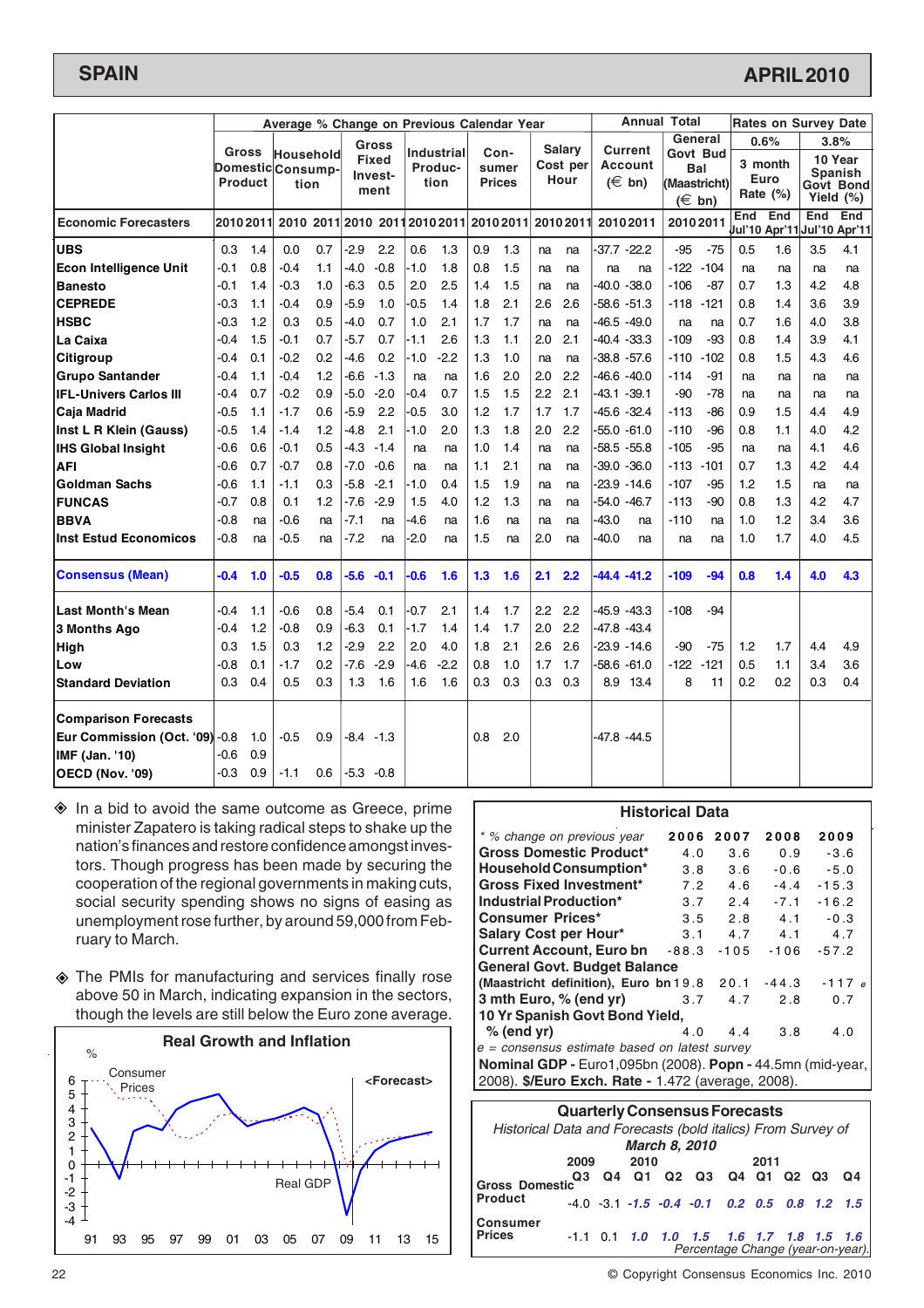|                                |        |          |                                        |     |              |                                          | Average % Change on Previous Calendar Year |                                      |     |                                |     |                                                   | <b>Annual Total</b> |                                                |        |                                                          | <b>Rates on Survey Date</b> |                                        |     |                                                          |
|--------------------------------|--------|----------|----------------------------------------|-----|--------------|------------------------------------------|--------------------------------------------|--------------------------------------|-----|--------------------------------|-----|---------------------------------------------------|---------------------|------------------------------------------------|--------|----------------------------------------------------------|-----------------------------|----------------------------------------|-----|----------------------------------------------------------|
|                                | Gross  | Product  | Household<br>Domestic Consump-<br>tion |     |              | Gross<br><b>Fixed</b><br>Invest-<br>ment |                                            | <b>Industrial</b><br>Produc-<br>tion |     | Con-<br>sumer<br><b>Prices</b> |     | Salary<br>Cost per<br>Hour                        |                     | <b>Current</b><br><b>Account</b><br>$(\in$ bn) |        | General<br>Govt Bud<br>Bal<br>(Maastricht)<br>$(\in$ bn) |                             | 0.6%<br>3 month<br>Euro<br>Rate $(\%)$ |     | 3.8%<br>10 Year<br>Spanish<br>Govt Bond <br>Yield $(\%)$ |
| <b>Economic Forecasters</b>    |        | 20102011 |                                        |     |              |                                          |                                            |                                      |     |                                |     | 2010 2011 2010 2011 2010 2011 2010 2011 2010 2011 |                     | 20102011                                       |        | 20102011                                                 | End                         | End<br>Jul'10 Apr'11 Jul'10 Apr'11     | End | End                                                      |
| lubs                           | 0.3    | 1.4      | 0.0                                    | 0.7 | $-2.9$       | 2.2                                      | 0.6                                        | 1.3                                  | 0.9 | 1.3                            | na  | na                                                |                     | $-37.7 - 22.2$                                 | -95    | $-75$                                                    | 0.5                         | 1.6                                    | 3.5 | 4.1                                                      |
| Econ Intelligence Unit         | -0.1   | 0.8      | $-0.4$                                 | 1.1 | $-4.0$       | $-0.8$                                   | $-1.0$                                     | 1.8                                  | 0.8 | 1.5                            | na  | na                                                | na                  | na                                             | $-122$ | $-104$                                                   | na                          | na                                     | na  | na                                                       |
| Banesto                        | -0.1   | 1.4      | $-0.3$                                 | 1.0 | $-6.3$       | 0.5                                      | 2.0                                        | 2.5                                  | 1.4 | 1.5                            | na  | na                                                | 40.0                | $-38.0$                                        | $-106$ | $-87$                                                    | 0.7                         | 1.3                                    | 4.2 | 4.8                                                      |
| <b>CEPREDE</b>                 | $-0.3$ | 1.1      | $-0.4$                                 | 0.9 | $-5.9$       | 1.0                                      | $-0.5$                                     | 1.4                                  | 1.8 | 2.1                            | 2.6 | 2.6                                               |                     | $-58.6 - 51.3$                                 | $-118$ | $-121$                                                   | 0.8                         | 1.4                                    | 3.6 | 3.9                                                      |
| <b>IHSBC</b>                   | $-0.3$ | 1.2      | 0.3                                    | 0.5 | $-4.0$       | 0.7                                      | 1.0                                        | 2.1                                  | 1.7 | 1.7                            | na  | na                                                |                     | 46.5 -49.0                                     | na     | na                                                       | 0.7                         | 1.6                                    | 4.0 | 3.8                                                      |
| ∣La Caixa                      | -0.4   | 1.5      | $-0.1$                                 | 0.7 | $-5.7$       | 0.7                                      | $-1.1$                                     | 2.6                                  | 1.3 | 1.1                            | 2.0 | 2.1                                               |                     | 40.4 - 33.3                                    | $-109$ | -93                                                      | 0.8                         | 1.4                                    | 3.9 | 4.1                                                      |
| <b>Citigroup</b>               | -0.4   | 0.1      | $-0.2$                                 | 0.2 | $-4.6$       | 0.2                                      | $-1.0$                                     | $-2.2$                               | 1.3 | 1.0                            | na  | na                                                |                     | $-38.8 - 57.6$                                 | $-110$ | $-102$                                                   | 0.8                         | 1.5                                    | 4.3 | 4.6                                                      |
| <b>Grupo Santander</b>         | -0.4   | 1.1      | $-0.4$                                 | 1.2 | $-6.6$       | $-1.3$                                   | na                                         | na                                   | 1.6 | 2.0                            | 2.0 | 2.2                                               |                     | 46.6 -40.0                                     | $-114$ | $-91$                                                    | na                          | na                                     | na  | na                                                       |
| <b>IFL-Univers Carlos III</b>  | $-0.4$ | 0.7      | $-0.2$                                 | 0.9 | $-5.0$       | $-2.0$                                   | 0.4                                        | 0.7                                  | 1.5 | 1.5                            | 2.2 | 2.1                                               |                     | $43.1 - 39.1$                                  | -90    | $-78$                                                    | na                          | na                                     | na  | na                                                       |
| <b>Caja Madrid</b>             | $-0.5$ | 1.1      | $-1.7$                                 | 0.6 | $-5.9$       | 2.2                                      | $-0.5$                                     | 3.0                                  | 1.2 | 1.7                            | 1.7 | 1.7                                               |                     | $45.6 - 32.4$                                  | $-113$ | $-86$                                                    | 0.9                         | 1.5                                    | 4.4 | 4.9                                                      |
| Inst L R Klein (Gauss)         | -0.5   | 1.4      | -1.4                                   | 1.2 | $-4.8$       | 2.1                                      | $-1.0$                                     | 2.0                                  | 1.3 | 1.8                            | 2.0 | 2.2                                               |                     | $-55.0 - 61.0$                                 | $-110$ | $-96$                                                    | 0.8                         | 1.1                                    | 4.0 | 4.2                                                      |
| <b>IHS Global Insight</b>      | -0.6   | 0.6      | $-0.1$                                 | 0.5 | $-4.3$       | $-1.4$                                   | na                                         | na                                   | 1.0 | 1.4                            | na  | na                                                |                     | $-58.5 - 55.8$                                 | $-105$ | -95                                                      | na                          | na                                     | 4.1 | 4.6                                                      |
| <b>AFI</b>                     | -0.6   | 0.7      | $-0.7$                                 | 0.8 | $-7.0$       | $-0.6$                                   | na                                         | na                                   | 1.1 | 2.1                            | na  | na                                                |                     | $39.0 - 36.0$                                  | $-113$ | $-101$                                                   | 0.7                         | 1.3                                    | 4.2 | 4.4                                                      |
| <b>Goldman Sachs</b>           | -0.6   | 1.1      | $-1.1$                                 | 0.3 | $-5.8$       | $-2.1$                                   | $-1.0$                                     | 0.4                                  | 1.5 | 1.9                            | na  | na                                                |                     | $23.9 - 14.6$                                  | $-107$ | $-95$                                                    | 1.2                         | 1.5                                    | na  | na                                                       |
| <b>FUNCAS</b>                  | -0.7   | 0.8      | 0.1                                    | 1.2 | $-7.6$       | $-2.9$                                   | 1.5                                        | 4.0                                  | 1.2 | 1.3                            | na  | na                                                |                     | $-54.0 - 46.7$                                 | $-113$ | $-90$                                                    | 0.8                         | 1.3                                    | 4.2 | 4.7                                                      |
| IBBVA                          | -0.8   | na       | $-0.6$                                 | na  | $-7.1$       | na                                       | 4.6                                        | na                                   | 1.6 | na                             | na  | na                                                | $-43.0$             | na                                             | -110   | na                                                       | 1.0                         | 1.2                                    | 3.4 | 3.6                                                      |
| <b>Inst Estud Economicos</b>   | $-0.8$ | na       | $-0.5$                                 | na  | $-7.2$       | na                                       | $-2.0$                                     | na                                   | 1.5 | na                             | 2.0 | na                                                | $-40.0$             | na                                             | na     | na                                                       | 1.0                         | 1.7                                    | 4.0 | 4.5                                                      |
| <b>Consensus (Mean)</b>        | $-0.4$ | 1.0      | $-0.5$                                 | 0.8 | $-5.6 -0.1$  |                                          | -0.6                                       | 1.6                                  | 1.3 | 1.6                            | 2.1 | 2.2                                               |                     | $-44.4 - 41.2$                                 | $-109$ | $-94$                                                    | 0.8                         | 1.4                                    | 4.0 | 4.3                                                      |
| lLast Month's Mean             | -0.4   | 1.1      | -0.6                                   | 0.8 | $-5.4$       | 0.1                                      | $-0.7$                                     | 2.1                                  | 1.4 | 1.7                            | 2.2 | 2.2                                               |                     | $-45.9 - 43.3$                                 | -108   | $-94$                                                    |                             |                                        |     |                                                          |
| 3 Months Ago                   | -0.4   | 1.2      | $-0.8$                                 | 0.9 | $-6.3$       | 0.1                                      | $-1.7$                                     | 1.4                                  | 1.4 | 1.7                            | 2.0 | 2.2                                               | $-47.8 - 43.4$      |                                                |        |                                                          |                             |                                        |     |                                                          |
| High                           | 0.3    | 1.5      | 0.3                                    | 1.2 | $-2.9$       | 2.2                                      | 2.0                                        | 4.0                                  | 1.8 | 2.1                            | 2.6 | 2.6                                               | $-23.9 - 14.6$      |                                                | -90    | $-75$                                                    | 1.2                         | 1.7                                    | 4.4 | 4.9                                                      |
| Low                            | -0.8   | 0.1      | $-1.7$                                 | 0.2 | $-7.6$       | $-2.9$                                   | $-4.6$                                     | $-2.2$                               | 0.8 | 1.0                            | 1.7 | 1.7                                               | 58.6                | $-61.0$                                        | $-122$ | $-121$                                                   | 0.5                         | 1.1                                    | 3.4 | 3.6                                                      |
| <b>Standard Deviation</b>      | 0.3    | 0.4      | 0.5                                    | 0.3 | 1.3          | 1.6                                      | 1.6                                        | 1.6                                  | 0.3 | 0.3                            | 0.3 | 0.3                                               |                     | 8.9 13.4                                       | 8      | 11                                                       | 0.2                         | 0.2                                    | 0.3 | 0.4                                                      |
| Comparison Forecasts           |        |          |                                        |     |              |                                          |                                            |                                      |     |                                |     |                                                   |                     |                                                |        |                                                          |                             |                                        |     |                                                          |
| Eur Commission (Oct. '09) -0.8 |        | 1.0      | $-0.5$                                 | 0.9 | $-8.4 - 1.3$ |                                          |                                            |                                      | 0.8 | 2.0                            |     |                                                   |                     | $-47.8 - 44.5$                                 |        |                                                          |                             |                                        |     |                                                          |
| IMF (Jan. '10)                 | $-0.6$ | 0.9      |                                        |     |              |                                          |                                            |                                      |     |                                |     |                                                   |                     |                                                |        |                                                          |                             |                                        |     |                                                          |
| OECD (Nov. '09)                | -0.3   | 0.9      | $-1.1$                                 | 0.6 | $-5.3 -0.8$  |                                          |                                            |                                      |     |                                |     |                                                   |                     |                                                |        |                                                          |                             |                                        |     |                                                          |

- $\textcircled{*}$  In a bid to avoid the same outcome as Greece, prime minister Zapatero is taking radical steps to shake up the nation's finances and restore confidence amongst investors. Though progress has been made by securing the cooperation of the regional governments in making cuts, social security spending shows no signs of easing as unemployment rose further, by around 59,000 from February to March.
- The PMIs for manufacturing and services finally rose above 50 in March, indicating expansion in the sectors, though the levels are still below the Euro zone average.



| <b>Historical Data</b>                                              |  |  |  |  |  |  |  |  |  |  |  |
|---------------------------------------------------------------------|--|--|--|--|--|--|--|--|--|--|--|
| * % change on previous year<br>2006<br>2007<br>2008<br>2009         |  |  |  |  |  |  |  |  |  |  |  |
| <b>Gross Domestic Product*</b><br>4.0<br>3.6<br>0.9<br>$-3.6$       |  |  |  |  |  |  |  |  |  |  |  |
| <b>Household Consumption*</b><br>3.6<br>$-0.6$<br>$-5.0$<br>3.8     |  |  |  |  |  |  |  |  |  |  |  |
| <b>Gross Fixed Investment*</b><br>4.6<br>$-15.3$<br>7.2<br>$-4.4$   |  |  |  |  |  |  |  |  |  |  |  |
| Industrial Production*<br>$-7.1$<br>$-16.2$<br>2.4<br>3.7           |  |  |  |  |  |  |  |  |  |  |  |
| <b>Consumer Prices*</b><br>$-0.3$<br>3.5<br>4.1<br>2.8              |  |  |  |  |  |  |  |  |  |  |  |
| Salary Cost per Hour*<br>4.7<br>3.1<br>4.7<br>4.1                   |  |  |  |  |  |  |  |  |  |  |  |
| <b>Current Account, Euro bn</b><br>-88.3<br>-105<br>-106<br>$-57.2$ |  |  |  |  |  |  |  |  |  |  |  |
| <b>General Govt. Budget Balance</b>                                 |  |  |  |  |  |  |  |  |  |  |  |
| (Maastricht definition), Euro bn 19.8<br>20.1<br>$-44.3$<br>$-117e$ |  |  |  |  |  |  |  |  |  |  |  |
| 3 mth Euro, % (end yr)<br>2.8<br>3.7<br>4.7<br>0.7                  |  |  |  |  |  |  |  |  |  |  |  |
| 10 Yr Spanish Govt Bond Yield,                                      |  |  |  |  |  |  |  |  |  |  |  |
| $%$ (end yr)<br>4.0<br>4.4<br>4.0<br>3.8                            |  |  |  |  |  |  |  |  |  |  |  |
| e = consensus estimate based on latest survey                       |  |  |  |  |  |  |  |  |  |  |  |
| Nominal GDP - Euro1,095bn (2008). Popn - 44.5mn (mid-year,          |  |  |  |  |  |  |  |  |  |  |  |
| 2008). \$/Euro Exch. Rate - 1.472 (average, 2008).                  |  |  |  |  |  |  |  |  |  |  |  |

| <b>Quarterly Consensus Forecasts</b>                        |        |     |      |  |                                                                    |  |      |  |  |                |  |  |  |
|-------------------------------------------------------------|--------|-----|------|--|--------------------------------------------------------------------|--|------|--|--|----------------|--|--|--|
| Historical Data and Forecasts (bold italics) From Survey of |        |     |      |  |                                                                    |  |      |  |  |                |  |  |  |
| March 8, 2010                                               |        |     |      |  |                                                                    |  |      |  |  |                |  |  |  |
|                                                             | 2009   |     | 2010 |  |                                                                    |  | 2011 |  |  |                |  |  |  |
| Q <sub>3</sub><br>Gross Domestic                            |        |     |      |  | Q4 Q1 Q2 Q3 Q4 Q1 Q2 Q3                                            |  |      |  |  | Q <sub>4</sub> |  |  |  |
| <b>Product</b>                                              |        |     |      |  | $-4.0$ $-3.1$ $-1.5$ $-0.4$ $-0.1$ $0.2$ $0.5$ $0.8$ $1.2$ $1.5$   |  |      |  |  |                |  |  |  |
| <b>Consumer</b><br><b>Prices</b>                            | $-1$ 1 | 0.1 | 1.0  |  | 1.0 1.5 1.6 1.7 1.8 1.5 1.6  <br>Percentage Change (year-on-year). |  |      |  |  |                |  |  |  |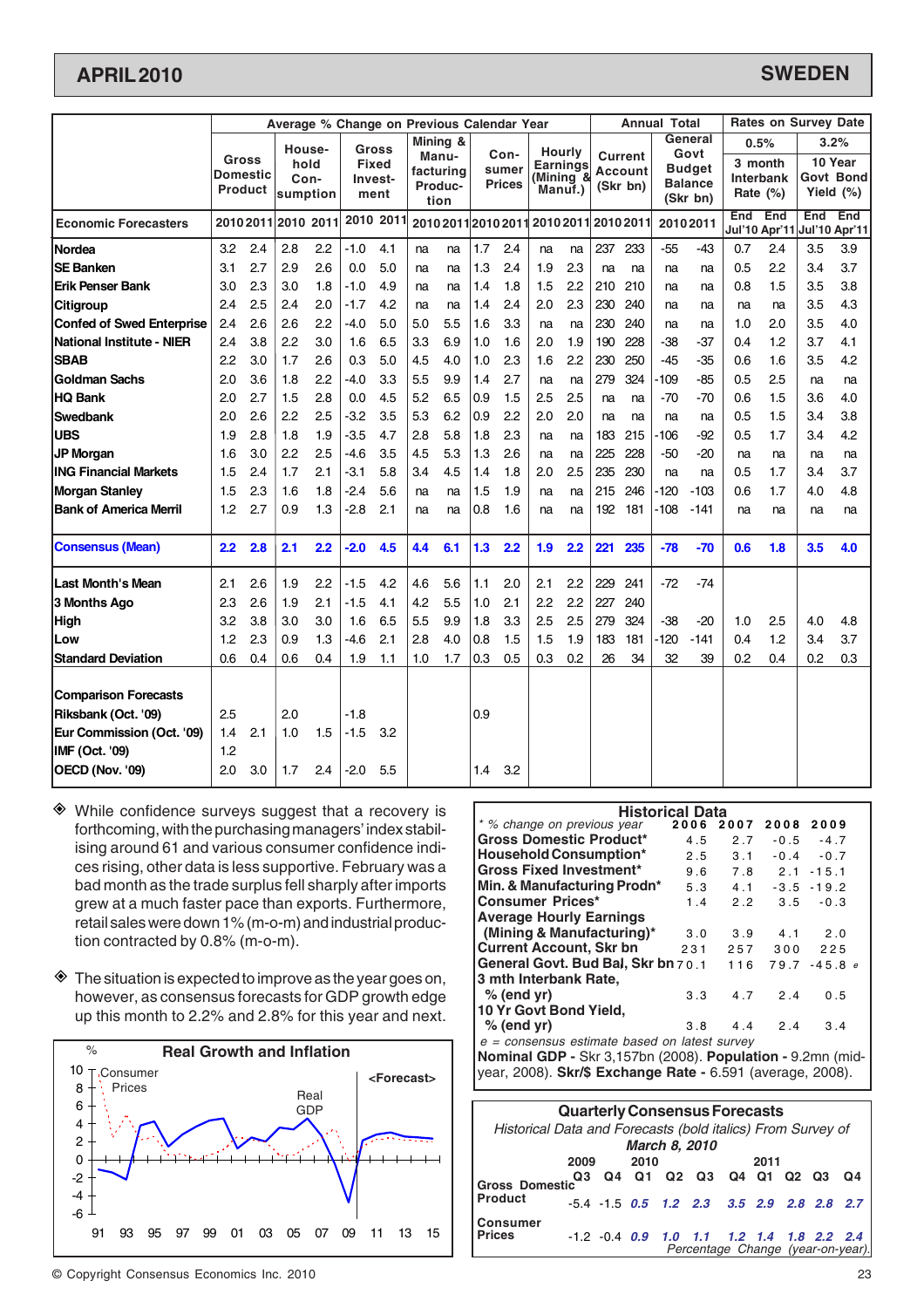### **SWEDEN**

|                                  |              |                     |     |                                    |        |                                          |     | Average % Change on Previous Calendar Year        |     |                                |     |                                                   |     | <b>Annual Total</b>                   |        |                                                                |                             | Rates on Survey Date               |     |                                                 |  |
|----------------------------------|--------------|---------------------|-----|------------------------------------|--------|------------------------------------------|-----|---------------------------------------------------|-----|--------------------------------|-----|---------------------------------------------------|-----|---------------------------------------|--------|----------------------------------------------------------------|-----------------------------|------------------------------------|-----|-------------------------------------------------|--|
|                                  | <b>Gross</b> | Domestic<br>Product |     | House-<br>hold<br>Con-<br>sumption |        | Gross<br><b>Fixed</b><br>Invest-<br>ment |     | Mining &<br>Manu-<br>facturing<br>Produc-<br>tion |     | Con-<br>sumer<br><b>Prices</b> |     | Hourly<br><b>Earnings</b><br>(Mining &<br>Manuf.) |     | <b>Current</b><br>Account<br>(Skr bn) |        | General<br>Govt<br><b>Budget</b><br><b>Balance</b><br>(Skr bn) | 0.5%<br>3 month<br>Rate (%) | <b>Interbank</b>                   |     | $3.2\%$<br>10 Year<br>Govt Bond<br>Yield $(\%)$ |  |
| <b>Economic Forecasters</b>      |              |                     |     | 20102011 2010 2011                 |        | 2010 2011                                |     | 2010 2011 2010 2011 2010 2011 2010 2011           |     |                                |     |                                                   |     |                                       |        | 20102011                                                       | End                         | End<br>Jul'10 Apr'11 Jul'10 Apr'11 | End | End                                             |  |
| <b>Nordea</b>                    | 3.2          | 2.4                 | 2.8 | 2.2                                | $-1.0$ | 4.1                                      | na  | na                                                | 1.7 | 2.4                            | na  | na                                                | 237 | 233                                   | $-55$  | -43                                                            | 0.7                         | 2.4                                | 3.5 | 3.9                                             |  |
| <b>SE Banken</b>                 | 3.1          | 2.7                 | 2.9 | 2.6                                | 0.0    | 5.0                                      | na  | na                                                | 1.3 | 2.4                            | 1.9 | 2.3                                               | na  | na                                    | na     | na                                                             | 0.5                         | 2.2                                | 3.4 | 3.7                                             |  |
| <b>Erik Penser Bank</b>          | 3.0          | 2.3                 | 3.0 | 1.8                                | $-1.0$ | 4.9                                      | na  | na                                                | 1.4 | 1.8                            | 1.5 | 2.2                                               | 210 | 210                                   | na     | na                                                             | 0.8                         | 1.5                                | 3.5 | 3.8                                             |  |
| Citigroup                        | 2.4          | 2.5                 | 2.4 | 2.0                                | $-1.7$ | 4.2                                      | na  | na                                                | 1.4 | 2.4                            | 2.0 | 2.3                                               | 230 | 240                                   | na     | na                                                             | na                          | na                                 | 3.5 | 4.3                                             |  |
| <b>Confed of Swed Enterprise</b> | 2.4          | 2.6                 | 2.6 | 2.2                                | $-4.0$ | 5.0                                      | 5.0 | 5.5                                               | 1.6 | 3.3                            | na  | na                                                | 230 | 240                                   | na     | na                                                             | 1.0                         | 2.0                                | 3.5 | 4.0                                             |  |
| <b>National Institute - NIER</b> | 2.4          | 3.8                 | 2.2 | 3.0                                | 1.6    | 6.5                                      | 3.3 | 6.9                                               | 1.0 | 1.6                            | 2.0 | 1.9                                               | 190 | 228                                   | $-38$  | $-37$                                                          | 0.4                         | 1.2                                | 3.7 | 4.1                                             |  |
| <b>SBAB</b>                      | 2.2          | 3.0                 | 1.7 | 2.6                                | 0.3    | 5.0                                      | 4.5 | 4.0                                               | 1.0 | 2.3                            | 1.6 | 2.2                                               | 230 | 250                                   | -45    | $-35$                                                          | 0.6                         | 1.6                                | 3.5 | 4.2                                             |  |
| <b>Goldman Sachs</b>             | 2.0          | 3.6                 | 1.8 | 2.2                                | -4.0   | 3.3                                      | 5.5 | 9.9                                               | 1.4 | 2.7                            | na  | na                                                | 279 | 324                                   | -109   | $-85$                                                          | 0.5                         | 2.5                                | na  | na                                              |  |
| <b>HQ Bank</b>                   | 2.0          | 2.7                 | 1.5 | 2.8                                | 0.0    | 4.5                                      | 5.2 | 6.5                                               | 0.9 | 1.5                            | 2.5 | 2.5                                               | na  | na                                    | $-70$  | $-70$                                                          | 0.6                         | 1.5                                | 3.6 | 4.0                                             |  |
| <b>Swedbank</b>                  | 2.0          | 2.6                 | 2.2 | 2.5                                | $-3.2$ | 3.5                                      | 5.3 | 6.2                                               | 0.9 | 2.2                            | 2.0 | 2.0                                               | na  | na                                    | na     | na                                                             | 0.5                         | 1.5                                | 3.4 | 3.8                                             |  |
| <b>UBS</b>                       | 1.9          | 2.8                 | 1.8 | 1.9                                | $-3.5$ | 4.7                                      | 2.8 | 5.8                                               | 1.8 | 2.3                            | na  | na                                                | 183 | 215                                   | 106    | -92                                                            | 0.5                         | 1.7                                | 3.4 | 4.2                                             |  |
| <b>JP Morgan</b>                 | 1.6          | 3.0                 | 2.2 | 2.5                                | $-4.6$ | 3.5                                      | 4.5 | 5.3                                               | 1.3 | 2.6                            | na  | na                                                | 225 | 228                                   | $-50$  | -20                                                            | na                          | na                                 | na  | na                                              |  |
| <b>ING Financial Markets</b>     | 1.5          | 2.4                 | 1.7 | 2.1                                | $-3.1$ | 5.8                                      | 3.4 | 4.5                                               | 1.4 | 1.8                            | 2.0 | 2.5                                               | 235 | 230                                   | na     | na                                                             | 0.5                         | 1.7                                | 3.4 | 3.7                                             |  |
| <b>Morgan Stanley</b>            | 1.5          | 2.3                 | 1.6 | 1.8                                | $-2.4$ | 5.6                                      | na  | na                                                | 1.5 | 1.9                            | na  | na                                                | 215 | 246                                   | $-120$ | $-103$                                                         | 0.6                         | 1.7                                | 4.0 | 4.8                                             |  |
| <b>Bank of America Merril</b>    | 1.2          | 2.7                 | 0.9 | 1.3                                | $-2.8$ | 2.1                                      | na  | na                                                | 0.8 | 1.6                            | na  | na                                                | 192 | 181                                   | -108   | $-141$                                                         | na                          | na                                 | na  | na                                              |  |
| <b>Consensus (Mean)</b>          | 2.2          | 2.8                 | 2.1 | 2.2                                | $-2.0$ | 4.5                                      | 4.4 | 6.1                                               | 1.3 | 2.2                            | 1.9 | 2.2                                               | 221 | 235                                   | $-78$  | -70                                                            | 0.6                         | 1.8                                | 3.5 | 4.0                                             |  |
| <b>Last Month's Mean</b>         | 2.1          | 2.6                 | 1.9 | 2.2                                | $-1.5$ | 4.2                                      | 4.6 | 5.6                                               | 1.1 | 2.0                            | 2.1 | 2.2                                               | 229 | 241                                   | $-72$  | $-74$                                                          |                             |                                    |     |                                                 |  |
| 3 Months Ago                     | 2.3          | 2.6                 | 1.9 | 2.1                                | $-1.5$ | 4.1                                      | 4.2 | 5.5                                               | 1.0 | 2.1                            | 2.2 | 2.2                                               | 227 | 240                                   |        |                                                                |                             |                                    |     |                                                 |  |
| High                             | 3.2          | 3.8                 | 3.0 | 3.0                                | 1.6    | 6.5                                      | 5.5 | 9.9                                               | 1.8 | 3.3                            | 2.5 | 2.5                                               | 279 | 324                                   | $-38$  | $-20$                                                          | 1.0                         | 2.5                                | 4.0 | 4.8                                             |  |
| Low                              | 1.2          | 2.3                 | 0.9 | 1.3                                | $-4.6$ | 2.1                                      | 2.8 | 4.0                                               | 0.8 | 1.5                            | 1.5 | 1.9                                               | 183 | 181                                   | $-120$ | $-141$                                                         | 0.4                         | 1.2                                | 3.4 | 3.7                                             |  |
| <b>Standard Deviation</b>        | 0.6          | 0.4                 | 0.6 | 0.4                                | 1.9    | 1.1                                      | 1.0 | 1.7                                               | 0.3 | 0.5                            | 0.3 | 0.2                                               | 26  | 34                                    | 32     | 39                                                             | 0.2                         | 0.4                                | 0.2 | 0.3                                             |  |
| <b>Comparison Forecasts</b>      |              |                     |     |                                    |        |                                          |     |                                                   |     |                                |     |                                                   |     |                                       |        |                                                                |                             |                                    |     |                                                 |  |
| Riksbank (Oct. '09)              | 2.5          |                     | 2.0 |                                    | $-1.8$ |                                          |     |                                                   | 0.9 |                                |     |                                                   |     |                                       |        |                                                                |                             |                                    |     |                                                 |  |
| Eur Commission (Oct. '09)        | 1.4          | 2.1                 | 1.0 | 1.5                                | $-1.5$ | 3.2                                      |     |                                                   |     |                                |     |                                                   |     |                                       |        |                                                                |                             |                                    |     |                                                 |  |
| <b>IMF (Oct. '09)</b>            | 1.2          |                     |     |                                    |        |                                          |     |                                                   |     |                                |     |                                                   |     |                                       |        |                                                                |                             |                                    |     |                                                 |  |
| OECD (Nov. '09)                  | 2.0          | 3.0                 | 1.7 | 2.4                                | $-2.0$ | 5.5                                      |     |                                                   | 1.4 | 3.2                            |     |                                                   |     |                                       |        |                                                                |                             |                                    |     |                                                 |  |

- While confidence surveys suggest that a recovery is forthcoming, with the purchasing managers' index stabilising around 61 and various consumer confidence indices rising, other data is less supportive. February was a bad month as the trade surplus fell sharply after imports grew at a much faster pace than exports. Furthermore, retail sales were down 1% (m-o-m) and industrial production contracted by 0.8% (m-o-m).
- $\Diamond$  The situation is expected to improve as the year goes on, however, as consensus forecasts for GDP growth edge up this month to 2.2% and 2.8% for this year and next.



| <b>Historical Data</b>                                     |      |      |        |           |  |  |  |  |  |  |  |  |
|------------------------------------------------------------|------|------|--------|-----------|--|--|--|--|--|--|--|--|
| * % change on previous year                                | 2006 | 2007 | 2008   | 2009      |  |  |  |  |  |  |  |  |
| <b>Gross Domestic Product*</b>                             | 4.5  | 2.7  | $-0.5$ | $-4.7$    |  |  |  |  |  |  |  |  |
| <b>Household Consumption*</b>                              | 2.5  | 3.1  | $-0.4$ | $-0.7$    |  |  |  |  |  |  |  |  |
| <b>Gross Fixed Investment*</b>                             | 9.6  | 7.8  | 2.1    | $-15.1$   |  |  |  |  |  |  |  |  |
| Min. & Manufacturing Prodn*                                | 5.3  | 4.1  | $-3.5$ | $-19.2$   |  |  |  |  |  |  |  |  |
| <b>Consumer Prices*</b>                                    | 1.4  | 2.2  | 3.5    | $-0.3$    |  |  |  |  |  |  |  |  |
| <b>Average Hourly Earnings</b>                             |      |      |        |           |  |  |  |  |  |  |  |  |
| (Mining & Manufacturing)*                                  | 3.0  | 3.9  | 4.1    | 2.0       |  |  |  |  |  |  |  |  |
| <b>Current Account, Skr bn</b>                             | 231  | 257  | 300    | 225       |  |  |  |  |  |  |  |  |
| General Govt. Bud Bal, Skr bn 70.1                         |      | 116  | 79.7   | $-45.8 e$ |  |  |  |  |  |  |  |  |
| 3 mth Interbank Rate,                                      |      |      |        |           |  |  |  |  |  |  |  |  |
| $%$ (end yr)                                               | 3.3  | 4.7  | 2.4    | 0.5       |  |  |  |  |  |  |  |  |
| 10 Yr Govt Bond Yield,                                     |      |      |        |           |  |  |  |  |  |  |  |  |
| $%$ (end yr)                                               | 3.8  | 4.4  | 2.4    | 3.4       |  |  |  |  |  |  |  |  |
| $e = \text{consensus estimate based on latest survey}$     |      |      |        |           |  |  |  |  |  |  |  |  |
| Nominal GDP - Skr 3,157bn (2008). Population - 9.2mn (mid- |      |      |        |           |  |  |  |  |  |  |  |  |

year, 2008). **Skr/\$ Exchange Rate -** 6.591 (average, 2008).

| <b>Quarterly Consensus Forecasts</b>                                                                                                   |      |  |      |  |                                            |  |      |  |  |                |  |  |  |
|----------------------------------------------------------------------------------------------------------------------------------------|------|--|------|--|--------------------------------------------|--|------|--|--|----------------|--|--|--|
| Historical Data and Forecasts (bold italics) From Survey of                                                                            |      |  |      |  |                                            |  |      |  |  |                |  |  |  |
| March 8, 2010                                                                                                                          |      |  |      |  |                                            |  |      |  |  |                |  |  |  |
|                                                                                                                                        | 2009 |  | 2010 |  |                                            |  | 2011 |  |  |                |  |  |  |
| Gross Domestic <sup>Q3</sup>                                                                                                           |      |  |      |  | Q4 Q1 Q2 Q3 Q4 Q1 Q2 Q3                    |  |      |  |  | Q <sub>4</sub> |  |  |  |
| <b>Product</b>                                                                                                                         |      |  |      |  | $-5.4$ 1.5 0.5 1.2 2.3 3.5 2.9 2.8 2.8 2.7 |  |      |  |  |                |  |  |  |
| <b>Consumer</b><br><b>Prices</b><br>$-1.2$ $-0.4$ $0.9$ $1.0$ $1.1$ $1.2$ $1.4$ $1.8$ $2.2$ $2.4$<br>Percentage Change (year-on-year). |      |  |      |  |                                            |  |      |  |  |                |  |  |  |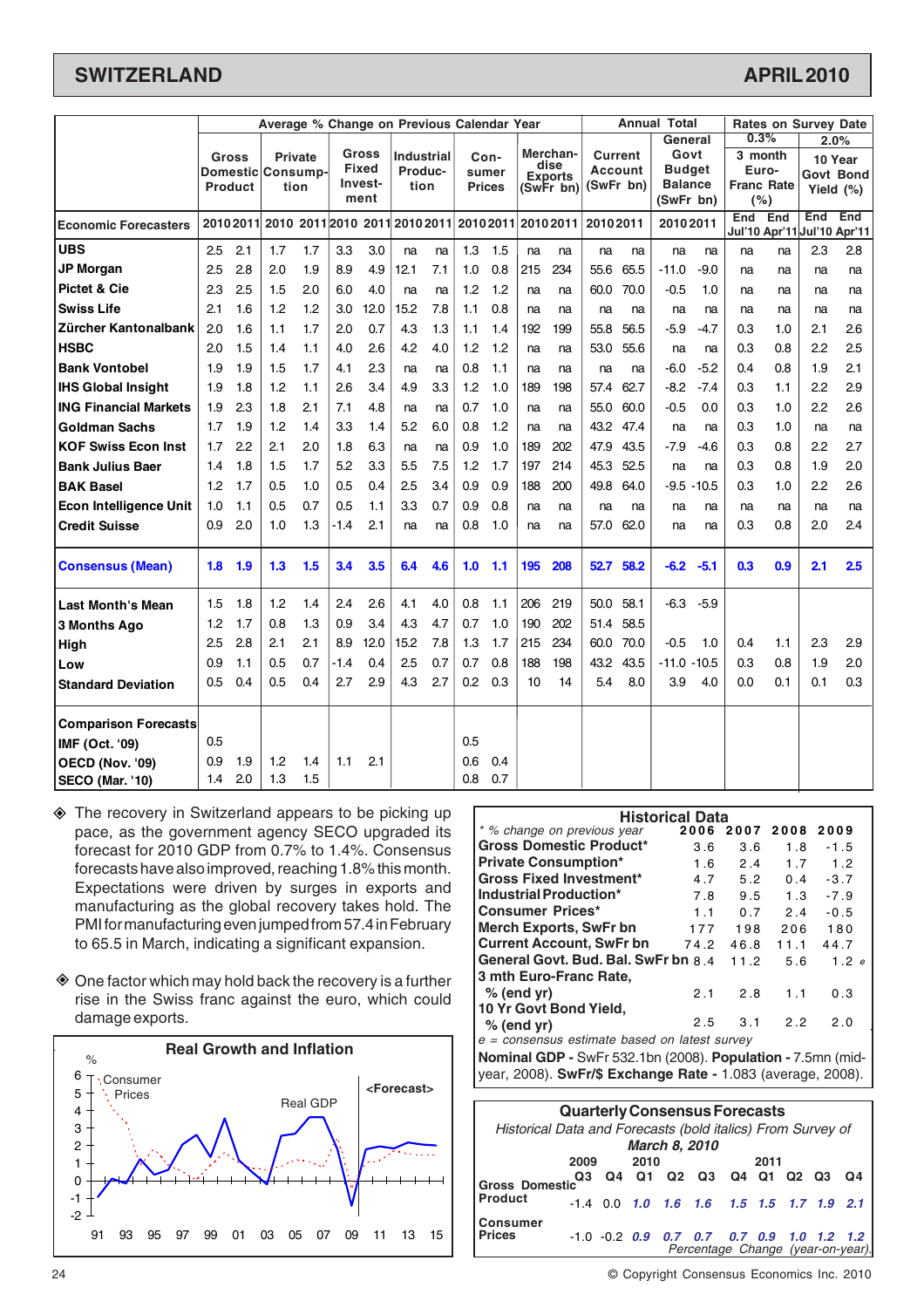### **SWITZERLAND**

### **APRIL 2010**

|                              | Average % Change on Previous Calendar Year |                         |                   |                        |        |                                          |                                      |     |     |                                |     |                                                             | <b>Annual Total</b>                    |      |                                                                 |               |                                                      |                                    | Rates on Survey Date |                                              |
|------------------------------|--------------------------------------------|-------------------------|-------------------|------------------------|--------|------------------------------------------|--------------------------------------|-----|-----|--------------------------------|-----|-------------------------------------------------------------|----------------------------------------|------|-----------------------------------------------------------------|---------------|------------------------------------------------------|------------------------------------|----------------------|----------------------------------------------|
|                              |                                            | Gross<br><b>Product</b> | Domestic Consump- | <b>Private</b><br>tion |        | Gross<br><b>Fixed</b><br>Invest-<br>ment | <b>Industrial</b><br>Produc-<br>tion |     |     | Con-<br>sumer<br><b>Prices</b> |     | Merchan-<br>dise<br><b>Exports</b><br>(SwFr bn)             | <b>Current</b><br>Account<br>(SwFr bn) |      | General<br>Govt<br><b>Budget</b><br><b>Balance</b><br>(SwFr bn) |               | 0.3%<br>3 month<br>Euro-<br><b>Franc Rate</b><br>(%) |                                    |                      | 2.0%<br>10 Year<br>Govt Bond<br>Yield $(\%)$ |
| <b>Economic Forecasters</b>  |                                            |                         |                   |                        |        |                                          |                                      |     |     |                                |     | 2010 2011 2010 2011 2010 2011 2010 2011 2010 2011 2010 2011 | 20102011                               |      | 20102011                                                        |               | End                                                  | End<br>Jul'10 Apr'11 Jul'10 Apr'11 | End                  | End                                          |
| <b>UBS</b>                   | 2.5                                        | 2.1                     | 1.7               | 1.7                    | 3.3    | 3.0                                      | na                                   | na  | 1.3 | 1.5                            | na  | na                                                          | na                                     | na   | na                                                              | na            | na                                                   | na                                 | 2.3                  | 2.8                                          |
| <b>JP Morgan</b>             | 2.5                                        | 2.8                     | 2.0               | 1.9                    | 8.9    | 4.9                                      | 12.1                                 | 7.1 | 1.0 | 0.8                            | 215 | 234                                                         | 55.6                                   | 65.5 | $-11.0$                                                         | $-9.0$        | na                                                   | na                                 | na                   | na                                           |
| <b>Pictet &amp; Cie</b>      | 2.3                                        | 2.5                     | 1.5               | 2.0                    | 6.0    | 4.0                                      | na                                   | na  | 1.2 | 1.2                            | na  | na                                                          | 60.0                                   | 70.0 | $-0.5$                                                          | 1.0           | na                                                   | na                                 | na                   | na                                           |
| <b>Swiss Life</b>            | 2.1                                        | 1.6                     | 1.2               | 1.2                    | 3.0    | 12.0                                     | 15.2                                 | 7.8 | 1.1 | 0.8                            | na  | na                                                          | na                                     | na   | na                                                              | na            | na                                                   | na                                 | na                   | na                                           |
| Zürcher Kantonalbank         | 2.0                                        | 1.6                     | 1.1               | 1.7                    | 2.0    | 0.7                                      | 4.3                                  | 1.3 | 1.1 | 1.4                            | 192 | 199                                                         | 55.8                                   | 56.5 | $-5.9$                                                          | $-4.7$        | 0.3                                                  | 1.0                                | 2.1                  | 2.6                                          |
| <b>HSBC</b>                  | 2.0                                        | 1.5                     | 1.4               | 1.1                    | 4.0    | 2.6                                      | 4.2                                  | 4.0 | 1.2 | 1.2                            | na  | na                                                          | 53.0                                   | 55.6 | na                                                              | na            | 0.3                                                  | 0.8                                | 2.2                  | 2.5                                          |
| <b>Bank Vontobel</b>         | 1.9                                        | 1.9                     | 1.5               | 1.7                    | 4.1    | 2.3                                      | na                                   | na  | 0.8 | 1.1                            | na  | na                                                          | na                                     | na   | $-6.0$                                                          | $-5.2$        | 0.4                                                  | 0.8                                | 1.9                  | 2.1                                          |
| <b>IHS Global Insight</b>    | 1.9                                        | 1.8                     | 1.2               | 1.1                    | 2.6    | 3.4                                      | 4.9                                  | 3.3 | 1.2 | 1.0                            | 189 | 198                                                         | 57.4                                   | 62.7 | $-8.2$                                                          | $-7.4$        | 0.3                                                  | 1.1                                | 2.2                  | 2.9                                          |
| <b>ING Financial Markets</b> | 1.9                                        | 2.3                     | 1.8               | 2.1                    | 7.1    | 4.8                                      | na                                   | na  | 0.7 | 1.0                            | na  | na                                                          | 55.0                                   | 60.0 | $-0.5$                                                          | 0.0           | 0.3                                                  | 1.0                                | 2.2                  | 2.6                                          |
| <b>Goldman Sachs</b>         | 1.7                                        | 1.9                     | 1.2               | 1.4                    | 3.3    | 1.4                                      | 5.2                                  | 6.0 | 0.8 | 1.2                            | na  | na                                                          | 43.2                                   | 47.4 | na                                                              | na            | 0.3                                                  | 1.0                                | na                   | na                                           |
| <b>KOF Swiss Econ Inst</b>   | 1.7                                        | 2.2                     | 2.1               | 2.0                    | 1.8    | 6.3                                      | na                                   | na  | 0.9 | 1.0                            | 189 | 202                                                         | 47.9                                   | 43.5 | $-7.9$                                                          | $-4.6$        | 0.3                                                  | 0.8                                | 2.2                  | 2.7                                          |
| <b>Bank Julius Baer</b>      | 1.4                                        | 1.8                     | 1.5               | 1.7                    | 5.2    | 3.3                                      | 5.5                                  | 7.5 | 1.2 | 1.7                            | 197 | 214                                                         | 45.3                                   | 52.5 | na                                                              | na            | 0.3                                                  | 0.8                                | 1.9                  | 2.0                                          |
| <b>BAK Basel</b>             | 1.2                                        | 1.7                     | 0.5               | 1.0                    | 0.5    | 0.4                                      | 2.5                                  | 3.4 | 0.9 | 0.9                            | 188 | 200                                                         | 49.8                                   | 64.0 |                                                                 | $-9.5 - 10.5$ | 0.3                                                  | 1.0                                | 2.2                  | 2.6                                          |
| Econ Intelligence Unit       | 1.0                                        | 1.1                     | 0.5               | 0.7                    | 0.5    | 1.1                                      | 3.3                                  | 0.7 | 0.9 | 0.8                            | na  | na                                                          | na                                     | na   | na                                                              | na            | na                                                   | na                                 | na                   | na                                           |
| <b>Credit Suisse</b>         | 0.9                                        | 2.0                     | 1.0               | 1.3                    | -1.4   | 2.1                                      | na                                   | na  | 0.8 | 1.0                            | na  | na                                                          | 57.0                                   | 62.0 | na                                                              | na            | 0.3                                                  | 0.8                                | 2.0                  | 2.4                                          |
| <b>Consensus (Mean)</b>      | 1.8                                        | 1.9                     | 1.3               | 1.5                    | 3.4    | 3.5                                      | 6.4                                  | 4.6 | 1.0 | 1.1                            | 195 | 208                                                         | 52.7                                   | 58.2 | $-6.2$                                                          | $-5.1$        | 0.3                                                  | 0.9                                | 2.1                  | 2.5                                          |
| <b>Last Month's Mean</b>     | 1.5                                        | 1.8                     | 1.2               | 1.4                    | 2.4    | 2.6                                      | 4.1                                  | 4.0 | 0.8 | 1.1                            | 206 | 219                                                         | 50.0                                   | 58.1 | $-6.3$                                                          | $-5.9$        |                                                      |                                    |                      |                                              |
| 3 Months Ago                 | 1.2                                        | 1.7                     | 0.8               | 1.3                    | 0.9    | 3.4                                      | 4.3                                  | 4.7 | 0.7 | 1.0                            | 190 | 202                                                         | 51.4                                   | 58.5 |                                                                 |               |                                                      |                                    |                      |                                              |
| High                         | 2.5                                        | 2.8                     | 2.1               | 2.1                    | 8.9    | 12.0                                     | 15.2                                 | 7.8 | 1.3 | 1.7                            | 215 | 234                                                         | 60.0                                   | 70.0 | $-0.5$                                                          | 1.0           | 0.4                                                  | 1.1                                | 2.3                  | 2.9                                          |
| Low                          | 0.9                                        | 1.1                     | 0.5               | 0.7                    | $-1.4$ | 0.4                                      | 2.5                                  | 0.7 | 0.7 | 0.8                            | 188 | 198                                                         | 43.2                                   | 43.5 | $-11.0 - 10.5$                                                  |               | 0.3                                                  | 0.8                                | 1.9                  | 2.0                                          |
| <b>Standard Deviation</b>    | 0.5                                        | 0.4                     | 0.5               | 0.4                    | 2.7    | 2.9                                      | 4.3                                  | 2.7 | 0.2 | 0.3                            | 10  | 14                                                          | 5.4                                    | 8.0  | 3.9                                                             | 4.0           | 0.0                                                  | 0.1                                | 0.1                  | 0.3                                          |
| <b>Comparison Forecasts</b>  |                                            |                         |                   |                        |        |                                          |                                      |     |     |                                |     |                                                             |                                        |      |                                                                 |               |                                                      |                                    |                      |                                              |
| <b>IMF (Oct. '09)</b>        | 0.5                                        |                         |                   |                        |        |                                          |                                      |     | 0.5 |                                |     |                                                             |                                        |      |                                                                 |               |                                                      |                                    |                      |                                              |
| OECD (Nov. '09)              | 0.9                                        | 1.9                     | 1.2               | 1.4                    | 1.1    | 2.1                                      |                                      |     | 0.6 | 0.4                            |     |                                                             |                                        |      |                                                                 |               |                                                      |                                    |                      |                                              |
| <b>SECO (Mar. '10)</b>       | 1.4                                        | 2.0                     | 1.3               | 1.5                    |        |                                          |                                      |     | 0.8 | 0.7                            |     |                                                             |                                        |      |                                                                 |               |                                                      |                                    |                      |                                              |

- The recovery in Switzerland appears to be picking up pace, as the government agency SECO upgraded its forecast for 2010 GDP from 0.7% to 1.4%. Consensus forecasts have also improved, reaching 1.8% this month. Expectations were driven by surges in exports and manufacturing as the global recovery takes hold. The PMI for manufacturing even jumped from 57.4 in February to 65.5 in March, indicating a significant expansion.
- One factor which may hold back the recovery is a further rise in the Swiss franc against the euro, which could damage exports.



| <b>Historical Data</b>                                            |      |      |      |        |  |  |  |  |  |  |  |
|-------------------------------------------------------------------|------|------|------|--------|--|--|--|--|--|--|--|
| * % change on previous year                                       | 2006 | 2007 | 2008 | 2009   |  |  |  |  |  |  |  |
| <b>Gross Domestic Product*</b>                                    | 3.6  | 3.6  | 1.8  | $-1.5$ |  |  |  |  |  |  |  |
| <b>Private Consumption*</b>                                       | 1.6  | 2.4  | 1.7  | 1.2    |  |  |  |  |  |  |  |
| <b>Gross Fixed Investment*</b>                                    | 4.7  | 5.2  | 0.4  | $-3.7$ |  |  |  |  |  |  |  |
| Industrial Production*                                            | 7.8  | 9.5  | 1.3  | $-7.9$ |  |  |  |  |  |  |  |
| ∣Consumer Prices*                                                 | 1.1  | 0.7  | 2.4  | $-0.5$ |  |  |  |  |  |  |  |
| Merch Exports, SwFr bn                                            | 177  | 198  | 206  | 180    |  |  |  |  |  |  |  |
| Current Account, SwFr bn                                          | 74.2 | 46.8 | 11.1 | 44.7   |  |  |  |  |  |  |  |
| l General Govt. Bud. Bal. SwFr bn ৪.4                             |      | 11.2 | 5.6  | 1.2e   |  |  |  |  |  |  |  |
| 3 mth Euro-Franc Rate,                                            |      |      |      |        |  |  |  |  |  |  |  |
| $\mid \%$ (end yr)                                                | 2.1  | 2.8  | 1.1  | 0.3    |  |  |  |  |  |  |  |
| 10 Yr Govt Bond Yield,                                            |      |      |      |        |  |  |  |  |  |  |  |
| $%$ (end yr)                                                      | 2.5  | 3.1  | 2.2  | 2.0    |  |  |  |  |  |  |  |
| $e = \text{consensus estimate based on latest survey}$            |      |      |      |        |  |  |  |  |  |  |  |
| <b>Nominal GDP - SwFr 532 1bn (2008) Population - 7 5mn (mid-</b> |      |      |      |        |  |  |  |  |  |  |  |

**Nominal GDP -** SwFr 532.1bn (2008). **Population -** 7.5mn (midyear, 2008). **SwFr/\$ Exchange Rate -** 1.083 (average, 2008).

|                                                             | <b>Quarterly Consensus Forecasts</b> |            |      |  |                                                                        |  |      |  |  |                |  |
|-------------------------------------------------------------|--------------------------------------|------------|------|--|------------------------------------------------------------------------|--|------|--|--|----------------|--|
| Historical Data and Forecasts (bold italics) From Survey of |                                      |            |      |  |                                                                        |  |      |  |  |                |  |
| March 8, 2010                                               |                                      |            |      |  |                                                                        |  |      |  |  |                |  |
|                                                             | 2009                                 |            | 2010 |  |                                                                        |  | 2011 |  |  |                |  |
| Q <sub>3</sub><br>Gross Domestic                            |                                      |            |      |  | Q4 Q1 Q2 Q3 Q4 Q1 Q2 Q3                                                |  |      |  |  | Q <sub>4</sub> |  |
| <b>Product</b>                                              | $-1.4 \quad 0.0$                     |            |      |  | 1.0 1.6 1.6 1.5 1.5 1.7 1.9 2.1                                        |  |      |  |  |                |  |
| <b>Consumer</b><br><b>Prices</b>                            | $-1.0$                               | $-0.2$ 0.9 |      |  | 0.7  0.7  0.7  0.9  1.0  1.2  1.2<br>Percentage Change (year-on-year). |  |      |  |  |                |  |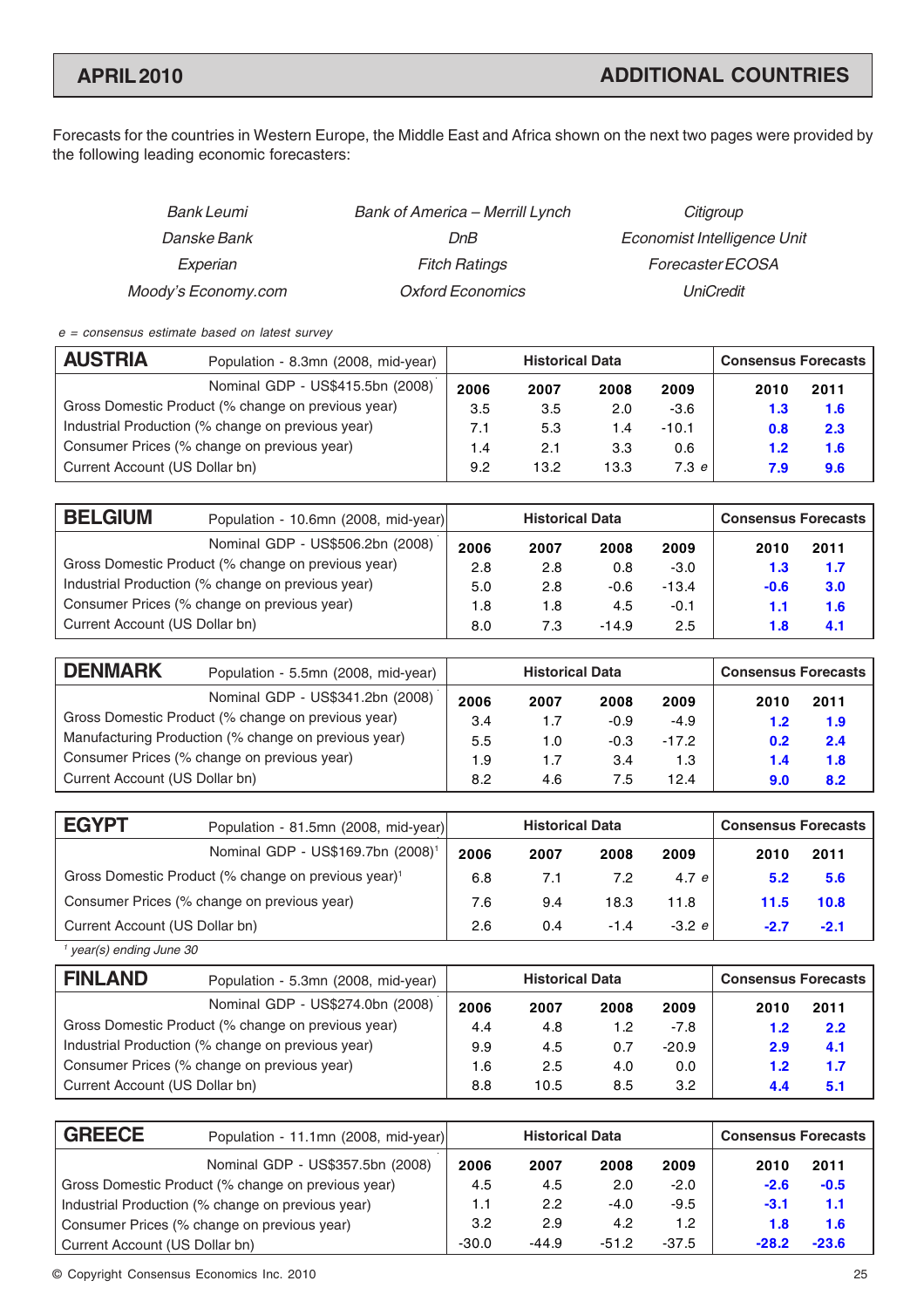Forecasts for the countries in Western Europe, the Middle East and Africa shown on the next two pages were provided by the following leading economic forecasters:

| <b>Bank Leumi</b>   | Bank of America – Merrill Lynch | Citigroup                   |
|---------------------|---------------------------------|-----------------------------|
| Danske Bank         | DnB                             | Economist Intelligence Unit |
| Experian            | <b>Fitch Ratings</b>            | Forecaster ECOSA            |
| Moody's Economy.com | Oxford Economics                | <b>UniCredit</b>            |

e = consensus estimate based on latest survey

| <b>AUSTRIA</b>                                     | Population - 8.3mn (2008, mid-year)               |      | <b>Historical Data</b> | <b>Consensus Forecasts</b> |         |      |      |
|----------------------------------------------------|---------------------------------------------------|------|------------------------|----------------------------|---------|------|------|
|                                                    | Nominal GDP - US\$415.5bn (2008)                  | 2006 | 2007                   | 2008                       | 2009    | 2010 | 2011 |
| Gross Domestic Product (% change on previous year) |                                                   | 3.5  | 3.5                    | 2.0                        | $-3.6$  | 1.3  | 1.6  |
|                                                    | Industrial Production (% change on previous year) | 7.1  | 5.3                    | 1.4                        | $-10.1$ | 0.8  | 2.3  |
|                                                    | Consumer Prices (% change on previous year)       | 1.4  | 2.1                    | 3.3                        | 0.6     | 1.2  | 1.6  |
| Current Account (US Dollar bn)                     |                                                   | 9.2  | 13.2                   | 13.3                       | 7.3e    | 7.9  | 9.6  |

| <b>BELGIUM</b>                                     | Population - 10.6mn (2008, mid-year) |      | <b>Historical Data</b> |         | <b>Consensus Forecasts</b> |        |      |
|----------------------------------------------------|--------------------------------------|------|------------------------|---------|----------------------------|--------|------|
|                                                    | Nominal GDP - US\$506.2bn (2008)     | 2006 | 2007                   | 2008    | 2009                       | 2010   | 2011 |
| Gross Domestic Product (% change on previous year) |                                      | 2.8  | 2.8                    | 0.8     | $-3.0$                     | 1.3    | 1.7  |
| Industrial Production (% change on previous year)  |                                      | 5.0  | 2.8                    | $-0.6$  | $-13.4$                    | $-0.6$ | 3.0  |
| Consumer Prices (% change on previous year)        |                                      | 1.8  | 1.8                    | 4.5     | $-0.1$                     | 1.1    | 1.6  |
| Current Account (US Dollar bn)                     |                                      | 8.0  | 7.3                    | $-14.9$ | 2.5                        | 1.8    | 4.1  |

| <b>DENMARK</b>                                       | Population - 5.5mn (2008, mid-year) |      | <b>Historical Data</b> | <b>Consensus Forecasts</b> |         |      |      |
|------------------------------------------------------|-------------------------------------|------|------------------------|----------------------------|---------|------|------|
|                                                      | Nominal GDP - US\$341.2bn (2008)    | 2006 | 2007                   | 2008                       | 2009    | 2010 | 2011 |
| Gross Domestic Product (% change on previous year)   |                                     | 3.4  | 1.7                    | $-0.9$                     | $-4.9$  |      | 1.9  |
| Manufacturing Production (% change on previous year) |                                     | 5.5  | 1.0                    | $-0.3$                     | $-17.2$ | 0.2  | 2.4  |
| Consumer Prices (% change on previous year)          |                                     | 1.9  | 1.7                    | 3.4                        | 1.3     | 1.4  | 1.8  |
| Current Account (US Dollar bn)                       |                                     | 8.2  | 4.6                    | 7.5                        | 12.4    | 9.0  | 8.2  |

| <b>EGYPT</b>                                                    | Population - 81.5mn (2008, mid-year)          |      | <b>Historical Data</b> | <b>Consensus Forecasts</b> |          |      |        |
|-----------------------------------------------------------------|-----------------------------------------------|------|------------------------|----------------------------|----------|------|--------|
|                                                                 | Nominal GDP - US\$169.7bn (2008) <sup>1</sup> | 2006 | 2007                   | 2008                       | 2009     | 2010 | 2011   |
| Gross Domestic Product (% change on previous year) <sup>1</sup> |                                               | 6.8  | 7.1                    | 7.2                        | 4.7 $e$  | 5.2  | 5.6    |
| Consumer Prices (% change on previous year)                     |                                               | 7.6  | 9.4                    | 18.3                       | 11.8     | 11.5 | 10.8   |
| Current Account (US Dollar bn)                                  |                                               | 2.6  | 0.4                    | $-1.4$                     | $-3.2 e$ |      | $-2.1$ |

<sup>1</sup> year(s) ending June 30

| <b>FINLAND</b>                              | Population - 5.3mn (2008, mid-year)                |      | <b>Historical Data</b> |      | <b>Consensus Forecasts</b> |      |      |
|---------------------------------------------|----------------------------------------------------|------|------------------------|------|----------------------------|------|------|
|                                             | Nominal GDP - US\$274.0bn (2008)                   | 2006 | 2007                   | 2008 | 2009                       | 2010 | 2011 |
|                                             | Gross Domestic Product (% change on previous year) | 4.4  | 4.8                    | 1.2  | $-7.8$                     | 1.2  | 2.2  |
|                                             | Industrial Production (% change on previous year)  | 9.9  | 4.5                    | 0.7  | $-20.9$                    | 2.9  | 4.1  |
| Consumer Prices (% change on previous year) |                                                    | 1.6  | 2.5                    | 4.0  | 0.0                        | 1.2  | 1.7  |
| Current Account (US Dollar bn)              |                                                    | 8.8  | 10.5                   | 8.5  | 3.2                        | 4.4  |      |

| <b>GREECE</b>                               | Population - 11.1mn (2008, mid-year)               |         | <b>Historical Data</b> | <b>Consensus Forecasts</b> |         |        |         |
|---------------------------------------------|----------------------------------------------------|---------|------------------------|----------------------------|---------|--------|---------|
|                                             | Nominal GDP - US\$357.5bn (2008)                   | 2006    | 2007                   | 2008                       | 2009    | 2010   | 2011    |
|                                             | Gross Domestic Product (% change on previous year) | 4.5     | 4.5                    | 2.0                        | $-2.0$  | $-2.6$ | $-0.5$  |
|                                             | Industrial Production (% change on previous year)  | 1.1     | 2.2                    | $-4.0$                     | $-9.5$  | $-3.1$ | 1.1     |
| Consumer Prices (% change on previous year) |                                                    | 3.2     | 2.9                    | 4.2                        | 1.2     | 1.8    | 1.6     |
| Current Account (US Dollar bn)              |                                                    | $-30.0$ | $-44.9$                | $-51.2$                    | $-37.5$ |        | $-23.6$ |

© Copyright Consensus Economics Inc. 2010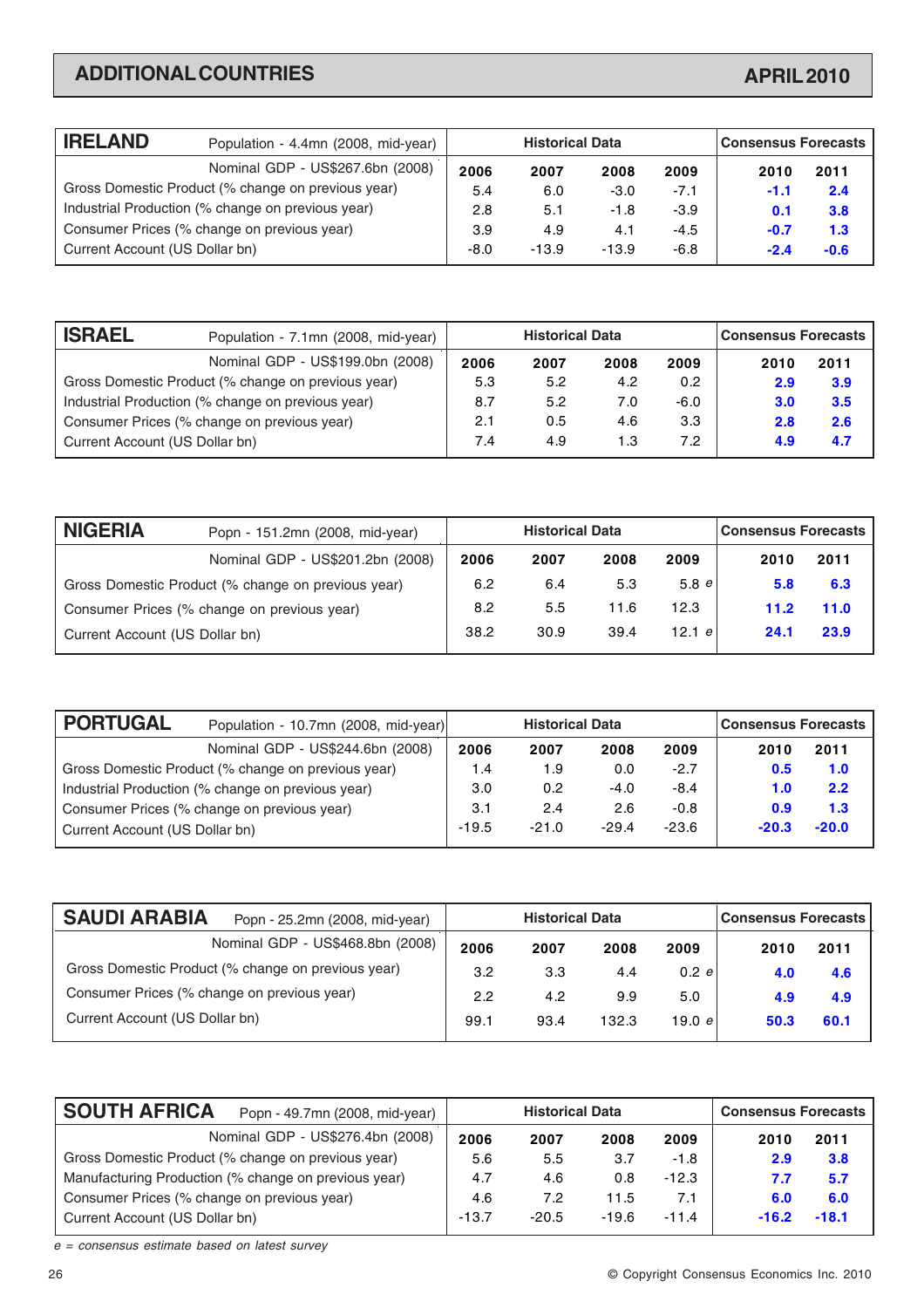## **ADDITIONAL COUNTRIES**

| <b>IRELAND</b>                                     | Population - 4.4mn (2008, mid-year) | <b>Historical Data</b> |         |         |        | <b>Consensus Forecasts</b> |        |  |
|----------------------------------------------------|-------------------------------------|------------------------|---------|---------|--------|----------------------------|--------|--|
|                                                    | Nominal GDP - US\$267.6bn (2008)    | 2006                   | 2007    | 2008    | 2009   | 2010                       | 2011   |  |
| Gross Domestic Product (% change on previous year) |                                     | 5.4                    | 6.0     | $-3.0$  | $-7.1$ | -1.1                       | 2.4    |  |
| Industrial Production (% change on previous year)  |                                     | 2.8                    | 5.1     | $-1.8$  | $-3.9$ | 0.1                        | 3.8    |  |
| Consumer Prices (% change on previous year)        |                                     | 3.9                    | 4.9     | 4.1     | $-4.5$ | $-0.7$                     | 1.3    |  |
| Current Account (US Dollar bn)                     |                                     | $-8.0$                 | $-13.9$ | $-13.9$ | $-6.8$ | $-2.4$                     | $-0.6$ |  |

| <b>ISRAEL</b>                  | Population - 7.1mn (2008, mid-year)                |      | <b>Historical Data</b> | <b>Consensus Forecasts</b> |        |      |      |
|--------------------------------|----------------------------------------------------|------|------------------------|----------------------------|--------|------|------|
|                                | Nominal GDP - US\$199.0bn (2008)                   | 2006 | 2007                   | 2008                       | 2009   | 2010 | 2011 |
|                                | Gross Domestic Product (% change on previous year) | 5.3  | 5.2                    | 4.2                        | 0.2    | 2.9  | 3.9  |
|                                | Industrial Production (% change on previous year)  | 8.7  | 5.2                    | 7.0                        | $-6.0$ | 3.0  | 3.5  |
|                                | Consumer Prices (% change on previous year)        | 2.1  | 0.5                    | 4.6                        | 3.3    | 2.8  | 2.6  |
| Current Account (US Dollar bn) |                                                    | 7.4  | 4.9                    | 1.3                        | 7.2    | 4.9  | 4.7  |

| <b>NIGERIA</b>                 | Popn - 151.2mn (2008, mid-year)                    |      | <b>Historical Data</b> |      | <b>Consensus Forecasts</b> |      |      |
|--------------------------------|----------------------------------------------------|------|------------------------|------|----------------------------|------|------|
|                                | Nominal GDP - US\$201.2bn (2008)                   | 2006 | 2007                   | 2008 | 2009                       | 2010 | 2011 |
|                                | Gross Domestic Product (% change on previous year) | 6.2  | 6.4                    | 5.3  | 5.8 <sub>e</sub>           | 5.8  | 6.3  |
|                                | Consumer Prices (% change on previous year)        | 8.2  | 5.5                    | 11.6 | 12.3                       | 11.2 | 11.0 |
| Current Account (US Dollar bn) |                                                    | 38.2 | 30.9                   | 39.4 | 12.1 $e$                   | 24.1 | 23.9 |

| <b>PORTUGAL</b>                | Population - 10.7mn (2008, mid-year)               |         | <b>Historical Data</b> |         | <b>Consensus Forecasts</b> |         |         |
|--------------------------------|----------------------------------------------------|---------|------------------------|---------|----------------------------|---------|---------|
|                                | Nominal GDP - US\$244.6bn (2008)                   | 2006    | 2007                   | 2008    | 2009                       | 2010    | 2011    |
|                                | Gross Domestic Product (% change on previous year) | 1.4     | 1.9                    | 0.0     | $-2.7$                     | 0.5     | 1.0     |
|                                | Industrial Production (% change on previous year)  | 3.0     | $0.2^{\circ}$          | $-4.0$  | $-8.4$                     | 1.0     | 2.2     |
|                                | Consumer Prices (% change on previous year)        | 3.1     | 2.4                    | 2.6     | $-0.8$                     | 0.9     | 1.3     |
| Current Account (US Dollar bn) |                                                    | $-19.5$ | $-21.0$                | $-29.4$ | $-23.6$                    | $-20.3$ | $-20.0$ |

| <b>SAUDI ARABIA</b><br>Popn - 25.2mn (2008, mid-year) |      | <b>Historical Data</b> |       | <b>Consensus Forecasts</b> |      |      |  |
|-------------------------------------------------------|------|------------------------|-------|----------------------------|------|------|--|
| Nominal GDP - US\$468.8bn (2008)                      | 2006 | 2007                   | 2008  | 2009                       | 2010 | 2011 |  |
| Gross Domestic Product (% change on previous year)    | 3.2  | 3.3                    | 4.4   | 0.2 e                      | 4.0  | 4.6  |  |
| Consumer Prices (% change on previous year)           | 2.2  | 4.2                    | 9.9   | 5.0                        | 4.9  | 4.9  |  |
| Current Account (US Dollar bn)                        | 99.1 | 93.4                   | 132.3 | 19.0 $e$                   | 50.3 | 60.1 |  |

| <b>SOUTH AFRICA</b><br>Popn - 49.7mn (2008, mid-year) |         | <b>Historical Data</b> |         | <b>Consensus Forecasts</b> |         |         |  |
|-------------------------------------------------------|---------|------------------------|---------|----------------------------|---------|---------|--|
| Nominal GDP - US\$276.4bn (2008)                      | 2006    | 2007                   | 2008    | 2009                       | 2010    | 2011    |  |
| Gross Domestic Product (% change on previous year)    | 5.6     | 5.5                    | 3.7     | $-1.8$                     | 2.9     | 3.8     |  |
| Manufacturing Production (% change on previous year)  | 4.7     | 4.6                    | 0.8     | $-12.3$                    | 7.7     | 5.7     |  |
| Consumer Prices (% change on previous year)           | 4.6     | 7.2                    | 11.5    | 7.1                        | 6.0     | 6.0     |  |
| Current Account (US Dollar bn)                        | $-13.7$ | $-20.5$                | $-19.6$ | $-11.4$                    | $-16.2$ | $-18.1$ |  |

e = consensus estimate based on latest survey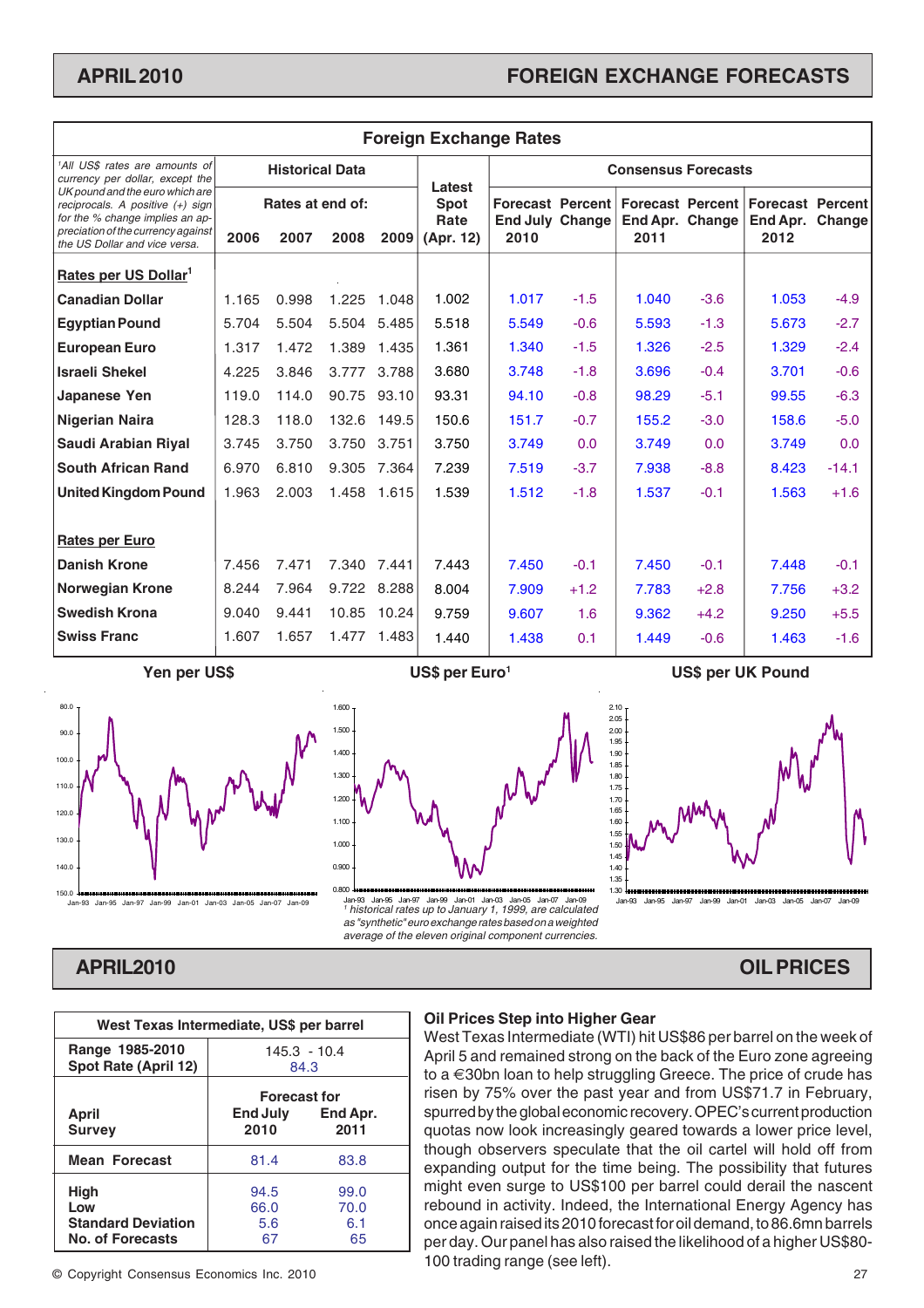| <b>Foreign Exchange Rates</b>                                                                                                                                                   |                        |                                  |             |                            |                                  |                                                           |        |                         |        |                                                              |         |  |  |  |
|---------------------------------------------------------------------------------------------------------------------------------------------------------------------------------|------------------------|----------------------------------|-------------|----------------------------|----------------------------------|-----------------------------------------------------------|--------|-------------------------|--------|--------------------------------------------------------------|---------|--|--|--|
| <sup>1</sup> All US\$ rates are amounts of<br>currency per dollar, except the                                                                                                   | <b>Historical Data</b> |                                  | Latest      | <b>Consensus Forecasts</b> |                                  |                                                           |        |                         |        |                                                              |         |  |  |  |
| UK pound and the euro which are<br>reciprocals. A positive $(+)$ sign<br>for the % change implies an ap-<br>preciation of the currency against<br>the US Dollar and vice versa. | 2006                   | Rates at end of:<br>2007<br>2008 |             | 2009                       | <b>Spot</b><br>Rate<br>(Apr. 12) | <b>Forecast Percent</b><br><b>End July Change</b><br>2010 |        | End Apr. Change<br>2011 |        | <b>Forecast Percent Forecast Percent</b><br>End Apr.<br>2012 | Change  |  |  |  |
| Rates per US Dollar <sup>1</sup>                                                                                                                                                |                        |                                  |             |                            |                                  |                                                           |        |                         |        |                                                              |         |  |  |  |
| <b>Canadian Dollar</b>                                                                                                                                                          | 1.165                  | 0.998                            | 1.225       | 1.048                      | 1.002                            | 1.017                                                     | $-1.5$ | 1.040                   | $-3.6$ | 1.053                                                        | $-4.9$  |  |  |  |
| <b>Eqyptian Pound</b>                                                                                                                                                           | 5.704                  | 5.504                            | 5.504       | 5.485                      | 5.518                            | 5.549                                                     | $-0.6$ | 5.593                   | $-1.3$ | 5.673                                                        | $-2.7$  |  |  |  |
| <b>European Euro</b>                                                                                                                                                            | 1.317                  | 1.472                            | 1.389       | 1.435                      | 1.361                            | 1.340                                                     | $-1.5$ | 1.326                   | $-2.5$ | 1.329                                                        | $-2.4$  |  |  |  |
| <b>Israeli Shekel</b>                                                                                                                                                           | 4.225                  | 3.846                            | 3.777       | 3.788                      | 3.680                            | 3.748                                                     | $-1.8$ | 3.696                   | $-0.4$ | 3.701                                                        | $-0.6$  |  |  |  |
| Japanese Yen                                                                                                                                                                    | 119.0                  | 114.0                            | 90.75       | 93.10                      | 93.31                            | 94.10                                                     | $-0.8$ | 98.29                   | $-5.1$ | 99.55                                                        | $-6.3$  |  |  |  |
| <b>Nigerian Naira</b>                                                                                                                                                           | 128.3                  | 118.0                            | 132.6       | 149.5                      | 150.6                            | 151.7                                                     | $-0.7$ | 155.2                   | $-3.0$ | 158.6                                                        | $-5.0$  |  |  |  |
| Saudi Arabian Riyal                                                                                                                                                             | 3.745                  | 3.750                            | 3.750       | 3.751                      | 3.750                            | 3.749                                                     | 0.0    | 3.749                   | 0.0    | 3.749                                                        | 0.0     |  |  |  |
| <b>South African Rand</b>                                                                                                                                                       | 6.970                  | 6.810                            | 9.305       | 7.364                      | 7.239                            | 7.519                                                     | $-3.7$ | 7.938                   | $-8.8$ | 8.423                                                        | $-14.1$ |  |  |  |
| <b>United Kingdom Pound</b>                                                                                                                                                     | 1.963                  | 2.003                            | 1.458       | 1.615                      | 1.539                            | 1.512                                                     | $-1.8$ | 1.537                   | $-0.1$ | 1.563                                                        | $+1.6$  |  |  |  |
|                                                                                                                                                                                 |                        |                                  |             |                            |                                  |                                                           |        |                         |        |                                                              |         |  |  |  |
| <b>Rates per Euro</b>                                                                                                                                                           |                        |                                  |             |                            |                                  |                                                           |        |                         |        |                                                              |         |  |  |  |
| <b>Danish Krone</b>                                                                                                                                                             | 7.456                  | 7.471                            | 7.340 7.441 |                            | 7.443                            | 7.450                                                     | $-0.1$ | 7.450                   | $-0.1$ | 7.448                                                        | $-0.1$  |  |  |  |
| <b>Norwegian Krone</b>                                                                                                                                                          | 8.244                  | 7.964                            | 9.722       | 8.288                      | 8.004                            | 7.909                                                     | $+1.2$ | 7.783                   | $+2.8$ | 7.756                                                        | $+3.2$  |  |  |  |
| <b>Swedish Krona</b>                                                                                                                                                            | 9.040                  | 9.441                            | 10.85       | 10.24                      | 9.759                            | 9.607                                                     | 1.6    | 9.362                   | $+4.2$ | 9.250                                                        | $+5.5$  |  |  |  |
| <b>Swiss Franc</b>                                                                                                                                                              | 1.607                  | 1.657                            |             | 1.477 1.483                | 1.440                            | 1.438                                                     | 0.1    | 1.449                   | $-0.6$ | 1.463                                                        | $-1.6$  |  |  |  |

**US\$ per Euro1 Yen per US\$**

**US\$ per UK Pound**





Jan-93 Jan-95 Jan-97 Jan-99 Jan-01 Jan-03 Jan-05 Jan-07 Jan-09 <sup>1</sup> historical rates up to January 1, 1999, are calculated as "synthetic" euro exchange rates based on a weighted average of the eleven original component currencies.



## **APRIL2010 OIL PRICES**

| Range 1985-2010<br>Spot Rate (April 12)                      | 84.3                        | $145.3 - 10.4$            |
|--------------------------------------------------------------|-----------------------------|---------------------------|
| April<br><b>Survey</b>                                       | <b>Forecast for</b><br>2010 | End July End Apr.<br>2011 |
| <b>Mean Forecast</b>                                         | 81.4                        | 83.8                      |
| High<br>Low<br><b>Standard Deviation</b><br>No. of Forecasts | 94.5<br>66.0<br>5.6<br>67   | 99.0<br>70.0<br>6.1<br>65 |

**West Texas Intermediate, US\$ per barrel**

### **Oil Prices Step into Higher Gear**

West Texas Intermediate (WTI) hit US\$86 per barrel on the week of April 5 and remained strong on the back of the Euro zone agreeing to a €30bn loan to help struggling Greece. The price of crude has risen by 75% over the past year and from US\$71.7 in February, spurred by the global economic recovery. OPEC's current production quotas now look increasingly geared towards a lower price level, though observers speculate that the oil cartel will hold off from expanding output for the time being. The possibility that futures might even surge to US\$100 per barrel could derail the nascent rebound in activity. Indeed, the International Energy Agency has once again raised its 2010 forecast for oil demand, to 86.6mn barrels per day. Our panel has also raised the likelihood of a higher US\$80- 100 trading range (see left).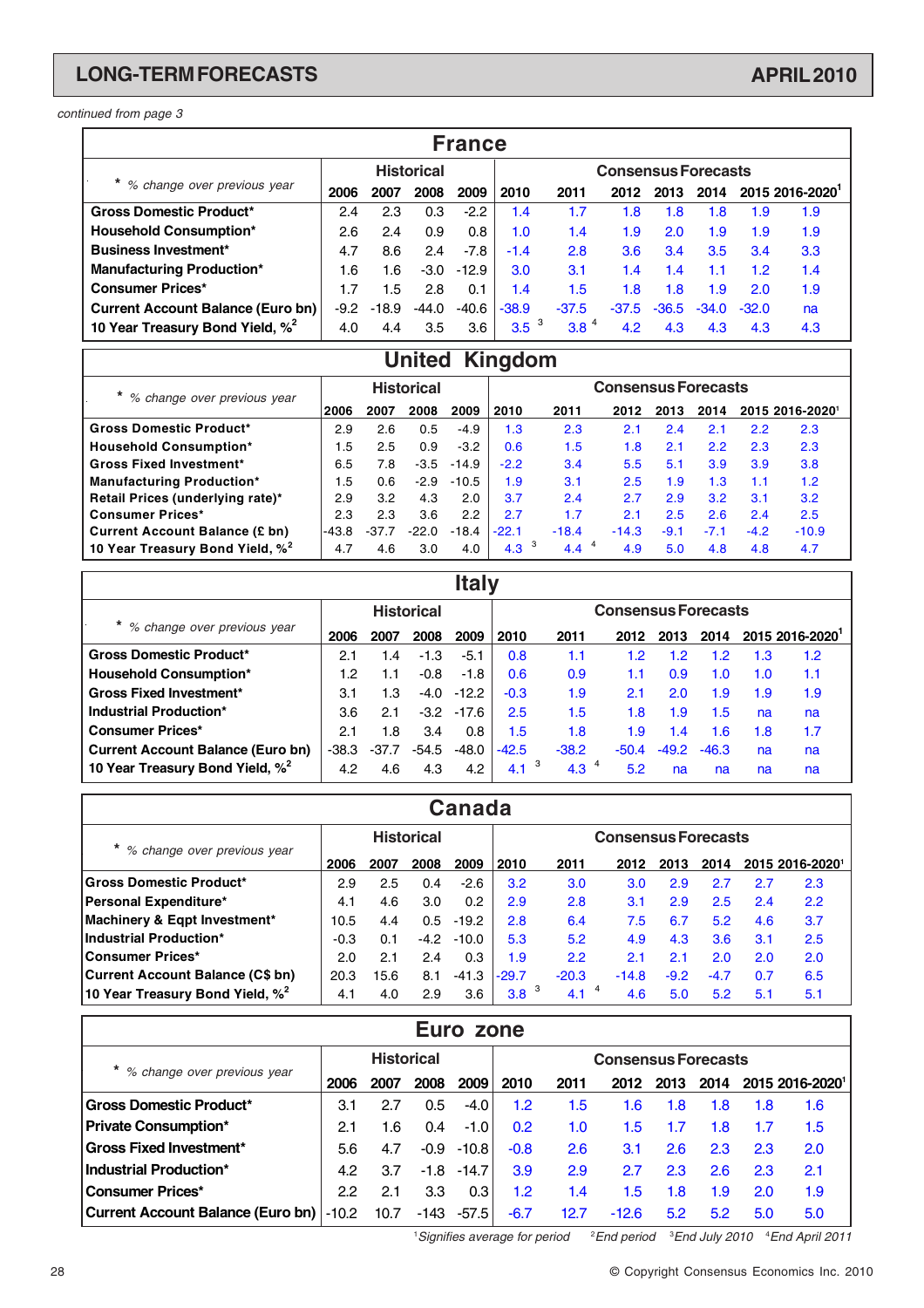### **LONG-TERM FORECASTS APRIL 2010**

continued from page 3

| <b>France</b>                               |      |         |                   |         |                            |                  |         |         |         |         |                |  |  |  |  |
|---------------------------------------------|------|---------|-------------------|---------|----------------------------|------------------|---------|---------|---------|---------|----------------|--|--|--|--|
| *                                           |      |         | <b>Historical</b> |         | <b>Consensus Forecasts</b> |                  |         |         |         |         |                |  |  |  |  |
| % change over previous year                 | 2006 | 2007    | 2008              | 2009    | 2010                       | 2011             | 2012    | 2013    | 2014    |         | 2015 2016-2020 |  |  |  |  |
| <b>Gross Domestic Product*</b>              | 2.4  | 2.3     | 0.3               | $-2.2$  | 1.4                        | 1.7              | 1.8     | 1.8     | 1.8     | 1.9     | 1.9            |  |  |  |  |
| <b>Household Consumption*</b>               | 2.6  | 2.4     | 0.9               | 0.8     | 1.0                        | 1.4              | 1.9     | 2.0     | 1.9     | 1.9     | 1.9            |  |  |  |  |
| <b>Business Investment*</b>                 | 4.7  | 8.6     | 2.4               | $-7.8$  | $-1.4$                     | 2.8              | 3.6     | 3.4     | 3.5     | 3.4     | 3.3            |  |  |  |  |
| <b>Manufacturing Production*</b>            | 1.6  | 1.6     | $-3.0$            | $-12.9$ | 3.0                        | 3.1              | 1.4     | 1.4     | 1.1     | 1.2     | 1.4            |  |  |  |  |
| <b>Consumer Prices*</b>                     | 1.7  | 1.5     | 2.8               | 0.1     | 1.4                        | 1.5              | 1.8     | 1.8     | 1.9     | 2.0     | 1.9            |  |  |  |  |
| <b>Current Account Balance (Euro bn)</b>    | -9.2 | $-18.9$ | -44.0             | $-40.6$ | $-38.9$                    | $-37.5$          | $-37.5$ | $-36.5$ | $-34.0$ | $-32.0$ | na             |  |  |  |  |
| 10 Year Treasury Bond Yield, % <sup>2</sup> | 4.0  | 4.4     | 3.5               | 3.6     | $3.5^{3}$                  | 3.8 <sup>4</sup> | 4.2     | 4.3     | 4.3     | 4.3     | 4.3            |  |  |  |  |

## **United Kingdom**

| *<br>% change over previous year            |         |         | <b>Historical</b> |         | <b>Consensus Forecasts</b> |         |         |        |        |        |                |  |  |
|---------------------------------------------|---------|---------|-------------------|---------|----------------------------|---------|---------|--------|--------|--------|----------------|--|--|
|                                             | 2006    | 2007    | 2008              | 2009    | 2010                       | 2011    | 2012    | 2013   | 2014   |        | 2015 2016-2020 |  |  |
| <b>Gross Domestic Product*</b>              | 2.9     | 2.6     | 0.5               | $-4.9$  | 1.3                        | 2.3     | 2.1     | 2.4    | 2.1    | 2.2    | 2.3            |  |  |
| <b>Household Consumption*</b>               | 1.5     | 2.5     | 0.9               | $-3.2$  | 0.6                        | 1.5     | 1.8     | 2.1    | 2.2    | 2.3    | 2.3            |  |  |
| <b>Gross Fixed Investment*</b>              | 6.5     | 7.8     | $-3.5$            | $-14.9$ | $-2.2$                     | 3.4     | 5.5     | 5.1    | 3.9    | 3.9    | 3.8            |  |  |
| <b>Manufacturing Production*</b>            | 1.5     | 0.6     | $-2.9$            | $-10.5$ | 1.9                        | 3.1     | 2.5     | 1.9    | 1.3    | 1.1    | 1.2            |  |  |
| Retail Prices (underlying rate)*            | 2.9     | 3.2     | 4.3               | 2.0     | 3.7                        | 2.4     | 2.7     | 2.9    | 3.2    | 3.1    | 3.2            |  |  |
| <b>Consumer Prices*</b>                     | 2.3     | 2.3     | 3.6               | 2.2     | 2.7                        | 1.7     | 2.1     | 2.5    | 2.6    | 2.4    | 2.5            |  |  |
| <b>Current Account Balance (£ bn)</b>       | $-43.8$ | $-37.7$ | $-22.0$           | $-18.4$ | $-22.1$                    | $-18.4$ | $-14.3$ | $-9.1$ | $-7.1$ | $-4.2$ | $-10.9$        |  |  |
| 10 Year Treasury Bond Yield, % <sup>2</sup> | 4.7     | 4.6     | 3.0               | 4.0     | -3<br>4.3                  | 4.4     | 4.9     | 5.0    | 4.8    | 4.8    | 4.7            |  |  |

| <b>Italy</b>                                |         |       |                   |         |                            |                 |         |         |         |     |                |  |  |
|---------------------------------------------|---------|-------|-------------------|---------|----------------------------|-----------------|---------|---------|---------|-----|----------------|--|--|
|                                             |         |       | <b>Historical</b> |         | <b>Consensus Forecasts</b> |                 |         |         |         |     |                |  |  |
| % change over previous year                 | 2006    | 2007  | 2008              | 2009    | 2010                       | 2011            | 2012    | 2013    | 2014    |     | 2015 2016-2020 |  |  |
| <b>Gross Domestic Product*</b>              | 2.1     | 1.4   | $-1.3$            | $-5.1$  | 0.8                        | 1.1             | 1.2     | 1.2     | 1.2     | 1.3 | 1.2            |  |  |
| <b>Household Consumption*</b>               | 1.2     | 1.1   | $-0.8$            | $-1.8$  | 0.6                        | 0.9             | 1.1     | 0.9     | 1.0     | 1.0 | 1.1            |  |  |
| <b>Gross Fixed Investment*</b>              | 3.1     | 1.3   | -4.0              | $-12.2$ | $-0.3$                     | 1.9             | 2.1     | 2.0     | 1.9     | 1.9 | 1.9            |  |  |
| <b>Industrial Production*</b>               | 3.6     | 2.1   | $-3.2$            | $-17.6$ | 2.5                        | 1.5             | 1.8     | 1.9     | 1.5     | na  | na             |  |  |
| <b>Consumer Prices*</b>                     | 2.1     | 1.8   | 3.4               | 0.8     | 1.5                        | 1.8             | 1.9     | 1.4     | 1.6     | 1.8 | 1.7            |  |  |
| <b>Current Account Balance (Euro bn)</b>    | $-38.3$ | -37.7 | $-54.5$           | $-48.0$ | $-42.5$                    | $-38.2$         | $-50.4$ | $-49.2$ | $-46.3$ | na  | na             |  |  |
| 10 Year Treasury Bond Yield, % <sup>2</sup> | 4.2     | 4.6   | 4.3               | 4.2     | 4.1                        | 3<br>4.3 $^{4}$ | 5.2     | na      | na      | na  | na             |  |  |

#### **Canada Historical \*** % change over previous year **Consensus Forecasts 2006 2007 2008 2009 2010 2011 2012 2013 2014 2015 2016-20201 Gross Domestic Product\*** 2.9 2.5 0.4 -2.6 3.2 3.0 3.0 2.9 2.7 2.7 2.3 **Personal Expenditure\*** 4.1 4.6 3.0 0.2 2.9 2.8 3.1 2.9 2.5 2.4 2.2 **Machinery & Eqpt Investment\*** 10.5 4.4 0.5 -19.2 2.8 6.4 7.5 6.7 5.2 4.6 3.7 **Industrial Production\*** -0.3 0.1 -4.2 -10.0 5.3 5.2 4.9 4.3 3.6 3.1 2.5 **Consumer Prices\*** 2.0 2.1 2.4 0.3 1.9 2.2 2.1 2.1 2.0 2.0 2.0 **Current Account Balance (C\$ bn)** 20.3 15.6 8.1 -41.3 -29.7 -20.3 -14.8 -9.2 -4.7 0.7 6.5<br>10 Year Treasury Bond Vield %<sup>2</sup> 4.1 4.0 29 3.6 3.8 <sup>3</sup> 4.1 <sup>4</sup> 4.6 5.0 5.2 5.1 5.1 **10 Year Treasury Bond Yield, %<sup>2</sup> | 4.1** 4.0 2.9 3.6 | 3.8<sup>3</sup> 4.1<sup>4</sup> 4.6 5.0 5.2 5.1 5.1

| Euro zone                         |         |                   |        |               |                            |      |         |      |      |     |                |  |  |
|-----------------------------------|---------|-------------------|--------|---------------|----------------------------|------|---------|------|------|-----|----------------|--|--|
| *<br>% change over previous year  |         | <b>Historical</b> |        |               | <b>Consensus Forecasts</b> |      |         |      |      |     |                |  |  |
|                                   | 2006    | 2007              | 2008   | 2009          | 2010                       | 2011 | 2012    | 2013 | 2014 |     | 2015 2016-2020 |  |  |
| <b>Gross Domestic Product*</b>    | 3.1     | 2.7               | 0.5    | $-4.0$        | 1.2                        | 1.5  | 1.6     | 1.8  | 1.8  | 1.8 | 1.6            |  |  |
| <b>Private Consumption*</b>       | 2.1     | 1.6               | 0.4    | $-1.0$        | 0.2                        | 1.0  | 1.5     |      | 1.8  | 1.7 | 1.5            |  |  |
| <b>Gross Fixed Investment*</b>    | 5.6     | 4.7               | $-0.9$ | $-10.8$       | $-0.8$                     | 2.6  | 3.1     | 2.6  | 2.3  | 2.3 | 2.0            |  |  |
| Industrial Production*            | 4.2     | 3.7               |        | $-1.8 - 14.7$ | 3.9                        | 2.9  | 2.7     | 2.3  | 2.6  | 2.3 | 2.1            |  |  |
| Consumer Prices*                  | 2.2     | 2.1               | 3.3    | 0.3           | 1.2                        | 1.4  | $1.5\,$ | 1.8  | 1.9  | 2.0 | 1.9            |  |  |
| Current Account Balance (Euro bn) | $-10.2$ | 10.7              | -143   | $-57.5$       | $-6.7$                     | 12.7 | $-12.6$ | 5.2  | 5.2  | 5.0 | 5.0            |  |  |

<sup>1</sup>Signifies average for period

 $2$ End period  $3$ End July 2010  $4$ End April 2011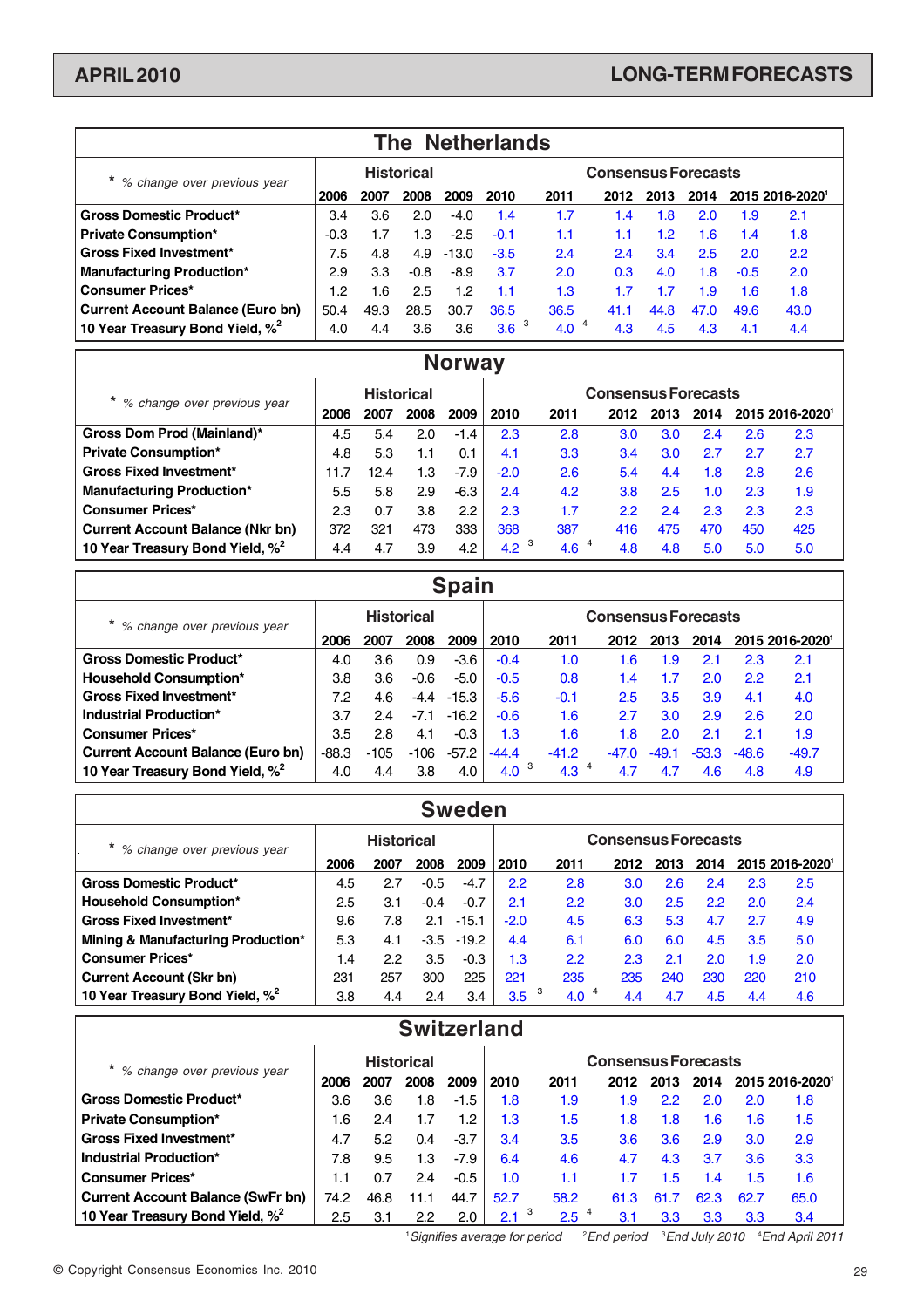| <b>The Netherlands</b>              |        |      |                   |         |                            |            |      |      |      |        |                |  |  |  |
|-------------------------------------|--------|------|-------------------|---------|----------------------------|------------|------|------|------|--------|----------------|--|--|--|
| % change over previous year         |        |      | <b>Historical</b> |         | <b>Consensus Forecasts</b> |            |      |      |      |        |                |  |  |  |
|                                     | 2006   | 2007 | 2008              | 2009    | 2010                       | 2011       | 2012 | 2013 | 2014 |        | 2015 2016-2020 |  |  |  |
| Gross Domestic Product*             | 3.4    | 3.6  | 2.0               | $-4.0$  | 1.4                        | 1.7        | 1.4  | 1.8  | 2.0  | 1.9    | 2.1            |  |  |  |
| <b>Private Consumption*</b>         | $-0.3$ | 1.7  | 1.3               | $-2.5$  | $-0.1$                     | 1.1        | 1.1  | 1.2  | 1.6  | 1.4    | 1.8            |  |  |  |
| Gross Fixed Investment*             | 7.5    | 4.8  | 4.9               | $-13.0$ | $-3.5$                     | 2.4        | 2.4  | 3.4  | 2.5  | 2.0    | 2.2            |  |  |  |
| <b>Manufacturing Production*</b>    | 2.9    | 3.3  | $-0.8$            | $-8.9$  | 3.7                        | 2.0        | 0.3  | 4.0  | 1.8  | $-0.5$ | 2.0            |  |  |  |
| Consumer Prices*                    | 1.2    | 1.6  | 2.5               | 1.2     | 1.1                        | 1.3        | 1.7  | 1.7  | 1.9  | 1.6    | 1.8            |  |  |  |
| Current Account Balance (Euro bn)   | 50.4   | 49.3 | 28.5              | 30.7    | 36.5                       | 36.5       | 41.1 | 44.8 | 47.0 | 49.6   | 43.0           |  |  |  |
| 10 Year Treasury Bond Yield, $\%^2$ | 4.0    | 4.4  | 3.6               | 3.6     | 3.6                        | 4.0 $^{4}$ | 4.3  | 4.5  | 4.3  | 4.1    | 4.4            |  |  |  |

## **Norway**

| % change over previous year                 |      | <b>Historical</b> |      |        | <b>Consensus Forecasts</b> |         |      |      |      |     |                |  |  |
|---------------------------------------------|------|-------------------|------|--------|----------------------------|---------|------|------|------|-----|----------------|--|--|
|                                             | 2006 | 2007              | 2008 | 2009   | 2010                       | 2011    | 2012 | 2013 | 2014 |     | 2015 2016-2020 |  |  |
| Gross Dom Prod (Mainland)*                  | 4.5  | 5.4               | 2.0  | $-1.4$ | 2.3                        | 2.8     | 3.0  | 3.0  | 2.4  | 2.6 | 2.3            |  |  |
| <b>Private Consumption*</b>                 | 4.8  | 5.3               | 1.1  | 0.1    | 4.1                        | 3.3     | 3.4  | 3.0  | 2.7  | 2.7 | 2.7            |  |  |
| <b>Gross Fixed Investment*</b>              | 11.7 | 12.4              | 1.3  | $-7.9$ | $-2.0$                     | 2.6     | 5.4  | 4.4  | 1.8  | 2.8 | 2.6            |  |  |
| <b>Manufacturing Production*</b>            | 5.5  | 5.8               | 2.9  | $-6.3$ | 2.4                        | 4.2     | 3.8  | 2.5  | 1.0  | 2.3 | 1.9            |  |  |
| <b>Consumer Prices*</b>                     | 2.3  | 0.7               | 3.8  | 2.2    | 2.3                        | 1.7     | 2.2  | 2.4  | 2.3  | 2.3 | 2.3            |  |  |
| <b>Current Account Balance (Nkr bn)</b>     | 372  | 321               | 473  | 333    | 368                        | 387     | 416  | 475  | 470  | 450 | 425            |  |  |
| 10 Year Treasury Bond Yield, % <sup>2</sup> | 4.4  | 4.7               | 3.9  | 4.2    | 4.2 $3$                    | 4.6 $4$ | 4.8  | 4.8  | 5.0  | 5.0 | 5.0            |  |  |

| <b>Spain</b>                                |         |        |                   |         |                            |            |         |         |         |         |                |  |  |
|---------------------------------------------|---------|--------|-------------------|---------|----------------------------|------------|---------|---------|---------|---------|----------------|--|--|
| % change over previous year                 |         |        | <b>Historical</b> |         | <b>Consensus Forecasts</b> |            |         |         |         |         |                |  |  |
|                                             | 2006    | 2007   | 2008              | 2009    | 2010                       | 2011       | 2012    | 2013    | 2014    |         | 2015 2016-2020 |  |  |
| <b>Gross Domestic Product*</b>              | 4.0     | 3.6    | 0.9               | -3.6    | $-0.4$                     | 1.0        | 1.6     | 1.9     | 2.1     | 2.3     | 2.1            |  |  |
| <b>Household Consumption*</b>               | 3.8     | 3.6    | $-0.6$            | $-5.0$  | $-0.5$                     | 0.8        | 1.4     | 1.7     | 2.0     | 2.2     | 2.1            |  |  |
| <b>Gross Fixed Investment*</b>              | 7.2     | 4.6    | $-4.4$            | $-15.3$ | $-5.6$                     | $-0.1$     | 2.5     | 3.5     | 3.9     | 4.1     | 4.0            |  |  |
| <b>Industrial Production*</b>               | 3.7     | 2.4    | $-7.1$            | $-16.2$ | $-0.6$                     | 1.6        | 2.7     | 3.0     | 2.9     | 2.6     | 2.0            |  |  |
| <b>Consumer Prices*</b>                     | 3.5     | 2.8    | 4.1               | $-0.3$  | 1.3                        | 1.6        | 1.8     | 2.0     | 2.1     | 2.1     | 1.9            |  |  |
| <b>Current Account Balance (Euro bn)</b>    | $-88.3$ | $-105$ | $-106$            | $-57.2$ | $-44.4$                    | $-41.2$    | $-47.0$ | $-49.1$ | $-53.3$ | $-48.6$ | $-49.7$        |  |  |
| 10 Year Treasury Bond Yield, % <sup>2</sup> | 4.0     | 4.4    | 3.8               | 4.0     | 3<br>4.0                   | 4.3 $^{4}$ | 4.7     | 4.7     | 4.6     | 4.8     | 4.9            |  |  |

| <b>Sweden</b>                       |      |                   |        |         |                            |           |      |      |      |     |                |  |  |
|-------------------------------------|------|-------------------|--------|---------|----------------------------|-----------|------|------|------|-----|----------------|--|--|
| % change over previous year         |      | <b>Historical</b> |        |         | <b>Consensus Forecasts</b> |           |      |      |      |     |                |  |  |
|                                     | 2006 | 2007              | 2008   | 2009    | 2010                       | 2011      | 2012 | 2013 | 2014 |     | 2015 2016-2020 |  |  |
| <b>Gross Domestic Product*</b>      | 4.5  | 2.7               | $-0.5$ | $-4.7$  | 2.2                        | 2.8       | 3.0  | 2.6  | 2.4  | 2.3 | 2.5            |  |  |
| <b>Household Consumption*</b>       | 2.5  | 3.1               | $-0.4$ | $-0.7$  | 2.1                        | 2.2       | 3.0  | 2.5  | 2.2  | 2.0 | 2.4            |  |  |
| <b>Gross Fixed Investment*</b>      | 9.6  | 7.8               | 2.1    | $-15.1$ | $-2.0$                     | 4.5       | 6.3  | 5.3  | 4.7  | 2.7 | 4.9            |  |  |
| Mining & Manufacturing Production*  | 5.3  | 4.1               | $-3.5$ | $-19.2$ | 4.4                        | 6.1       | 6.0  | 6.0  | 4.5  | 3.5 | 5.0            |  |  |
| <b>Consumer Prices*</b>             | 1.4  | 2.2               | 3.5    | $-0.3$  | 1.3                        | 2.2       | 2.3  | 2.1  | 2.0  | 1.9 | 2.0            |  |  |
| <b>Current Account (Skr bn)</b>     | 231  | 257               | 300    | 225     | 221                        | 235       | 235  | 240  | 230  | 220 | 210            |  |  |
| 10 Year Treasury Bond Yield, $\%^2$ | 3.8  | 4.4               | 2.4    | 3.4     | 3<br>3.5                   | -4<br>4.0 | 4.4  | 4.7  | 4.5  | 4.4 | 4.6            |  |  |

## **Switzerland**

| *<br>% change over previous year         |      | <b>Historical</b> |                                    |        | <b>Consensus Forecasts</b> |      |                             |      |      |                                          |                |
|------------------------------------------|------|-------------------|------------------------------------|--------|----------------------------|------|-----------------------------|------|------|------------------------------------------|----------------|
|                                          |      | 2007              | 2008                               | 2009   | 2010                       | 2011 | 2012                        | 2013 | 2014 |                                          | 2015 2016-2020 |
| <b>Gross Domestic Product*</b>           | 3.6  | 3.6               | 1.8                                | $-1.5$ | 1.8                        | 1.9  | 1.9                         | 2.2  | 2.0  | 2.0                                      | 1.8            |
| <b>Private Consumption*</b>              | 1.6  | 2.4               | 1.7                                | 1.2    | 1.3                        | 1.5  | 1.8                         | 1.8  | 1.6  | 1.6                                      | 1.5            |
| Gross Fixed Investment*                  | 4.7  | 5.2               | 0.4                                | $-3.7$ | 3.4                        | 3.5  | 3.6                         | 3.6  | 2.9  | 3.0                                      | 2.9            |
| <b>Industrial Production*</b>            | 7.8  | 9.5               | 1.3                                | $-7.9$ | 6.4                        | 4.6  | 4.7                         | 4.3  | 3.7  | 3.6                                      | 3.3            |
| <b>Consumer Prices*</b>                  | 1.1  | 0.7               | 2.4                                | $-0.5$ | 1.0                        | 1.1  | 1.7                         | 1.5  | 1.4  | 1.5                                      | 1.6            |
| <b>Current Account Balance (SwFr bn)</b> | 74.2 | 46.8              | 11.1                               | 44.7   | 52.7                       | 58.2 | 61.3                        | 61.7 | 62.3 | 62.7                                     | 65.0           |
| 10 Year Treasury Bond Yield, $\%^2$      |      | 3.1               | 2.2                                | 2.0    | 2.1 <sup>3</sup>           | 2.5  | 3.1                         | 3.3  | 3.3  | 3.3                                      | 3.4            |
|                                          |      |                   | $\sim$<br>$\overline{\phantom{a}}$ |        | $\sim$                     |      | $\sim$ $\sim$ $\sim$ $\sim$ |      |      | $\cdots$ $\sim$ $\cdots$ $\sim$ $\cdots$ |                |

1 Signifies average for period <sup>2</sup>End period <sup>3</sup> End July 2010 4End April 2011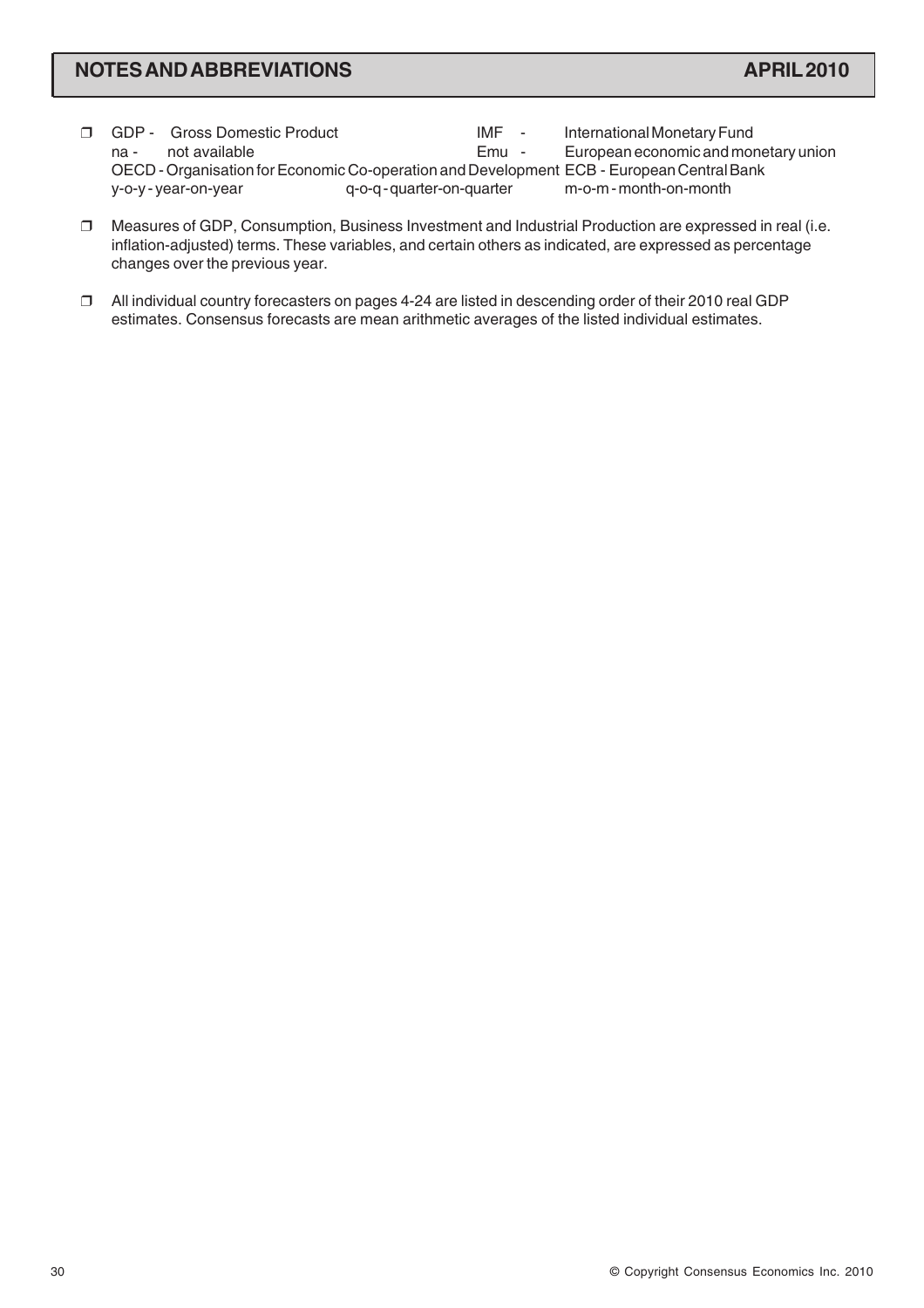### **NOTES AND ABBREVIATIONS**

| $\blacksquare$ |      | GDP - Gross Domestic Product |                          | IMF -   | International Monetary Fund                                                               |
|----------------|------|------------------------------|--------------------------|---------|-------------------------------------------------------------------------------------------|
|                | na - | not available                |                          | $Emu -$ | European economic and monetary union                                                      |
|                |      |                              |                          |         | OECD - Organisation for Economic Co-operation and Development ECB - European Central Bank |
|                |      | y-o-y-year-on-year           | g-o-g-guarter-on-guarter |         | m-o-m-month-on-month                                                                      |

- ❒ Measures of GDP, Consumption, Business Investment and Industrial Production are expressed in real (i.e. inflation-adjusted) terms. These variables, and certain others as indicated, are expressed as percentage changes over the previous year.
- ❒ All individual country forecasters on pages 4-24 are listed in descending order of their 2010 real GDP estimates. Consensus forecasts are mean arithmetic averages of the listed individual estimates.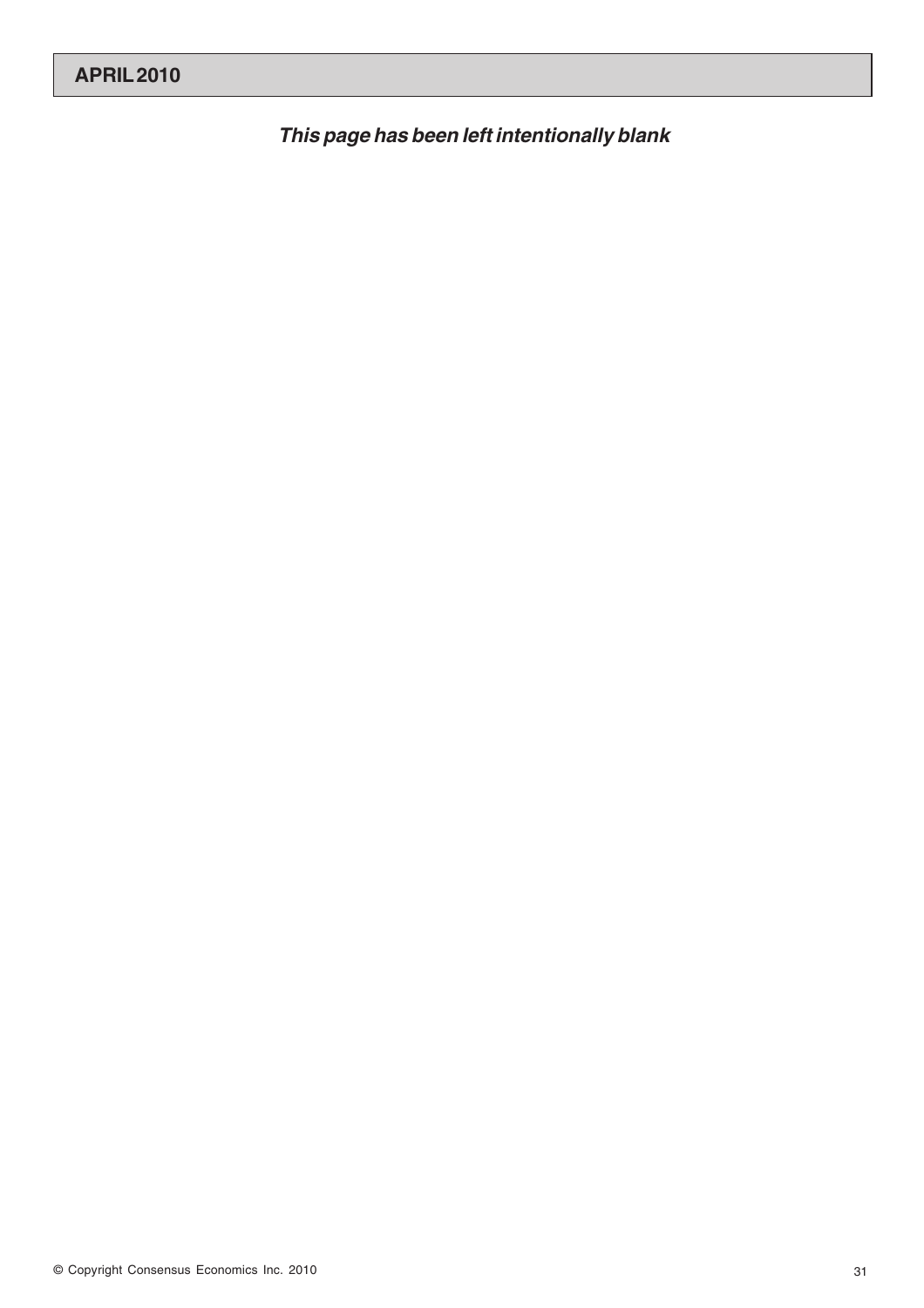**This page has been left intentionally blank**